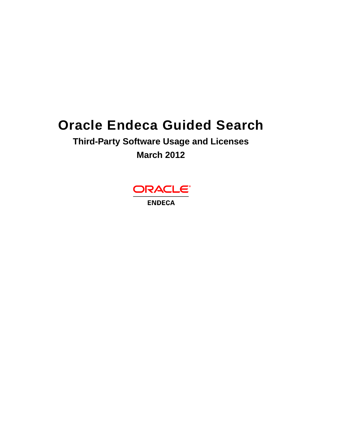## **Oracle Endeca Guided Search**

**Third-Party Software Usage and Licenses March 2012**



**ENDECA**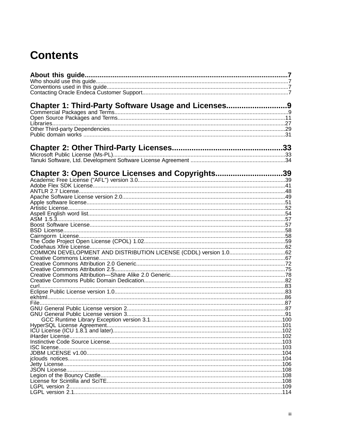## **Contents**

| About this guide                                    |     |
|-----------------------------------------------------|-----|
|                                                     |     |
|                                                     |     |
|                                                     |     |
|                                                     |     |
|                                                     |     |
| Chapter 1: Third-Party Software Usage and Licenses9 |     |
|                                                     |     |
|                                                     |     |
|                                                     |     |
|                                                     |     |
|                                                     |     |
|                                                     |     |
|                                                     |     |
|                                                     |     |
|                                                     |     |
|                                                     |     |
| Chapter 3: Open Source Licenses and Copyrights39    |     |
|                                                     |     |
|                                                     |     |
|                                                     |     |
|                                                     |     |
|                                                     |     |
|                                                     |     |
|                                                     |     |
|                                                     |     |
|                                                     |     |
|                                                     |     |
|                                                     |     |
|                                                     |     |
|                                                     |     |
|                                                     |     |
|                                                     |     |
|                                                     |     |
|                                                     |     |
|                                                     |     |
|                                                     |     |
|                                                     |     |
|                                                     |     |
|                                                     |     |
|                                                     |     |
|                                                     |     |
|                                                     |     |
|                                                     |     |
|                                                     | 101 |
|                                                     |     |
|                                                     |     |
|                                                     |     |
|                                                     |     |
|                                                     |     |
|                                                     |     |
|                                                     |     |
|                                                     |     |
|                                                     |     |
|                                                     |     |
|                                                     |     |
|                                                     |     |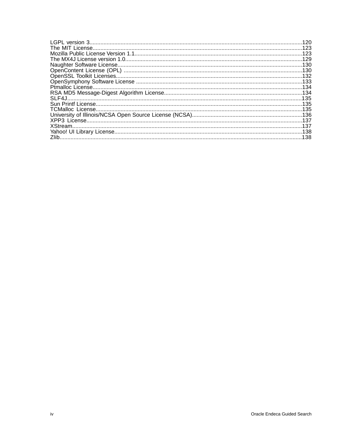| 120                      |  |
|--------------------------|--|
| 123                      |  |
| .123                     |  |
|                          |  |
|                          |  |
|                          |  |
|                          |  |
|                          |  |
|                          |  |
|                          |  |
|                          |  |
|                          |  |
| <b>TCMalloc License.</b> |  |
|                          |  |
|                          |  |
| 137                      |  |
| .138                     |  |
|                          |  |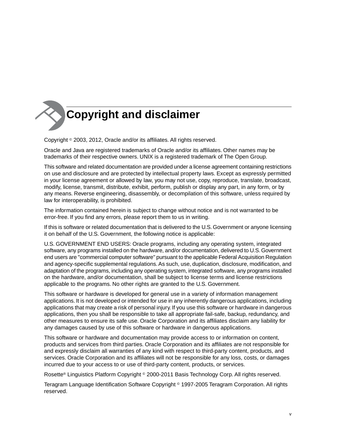

Copyright © 2003, 2012, Oracle and/or its affiliates. All rights reserved.

Oracle and Java are registered trademarks of Oracle and/or its affiliates. Other names may be trademarks of their respective owners. UNIX is a registered trademark of The Open Group.

This software and related documentation are provided under a license agreement containing restrictions on use and disclosure and are protected by intellectual property laws. Except as expressly permitted in your license agreement or allowed by law, you may not use, copy, reproduce, translate, broadcast, modify, license, transmit, distribute, exhibit, perform, publish or display any part, in any form, or by any means. Reverse engineering, disassembly, or decompilation of this software, unless required by law for interoperability, is prohibited.

The information contained herein is subject to change without notice and is not warranted to be error-free. If you find any errors, please report them to us in writing.

If this is software or related documentation that is delivered to the U.S. Government or anyone licensing it on behalf of the U.S. Government, the following notice is applicable:

U.S. GOVERNMENT END USERS: Oracle programs, including any operating system, integrated software, any programs installed on the hardware, and/or documentation, delivered to U.S. Government end users are "commercial computer software" pursuant to the applicable Federal Acquisition Regulation and agency-specific supplemental regulations. As such, use, duplication, disclosure, modification, and adaptation of the programs, including any operating system, integrated software, any programs installed on the hardware, and/or documentation, shall be subject to license terms and license restrictions applicable to the programs. No other rights are granted to the U.S. Government.

This software or hardware is developed for general use in a variety of information management applications. It is not developed or intended for use in any inherently dangerous applications, including applications that may create a risk of personal injury. If you use this software or hardware in dangerous applications, then you shall be responsible to take all appropriate fail-safe, backup, redundancy, and other measures to ensure its safe use. Oracle Corporation and its affiliates disclaim any liability for any damages caused by use of this software or hardware in dangerous applications.

This software or hardware and documentation may provide access to or information on content, products and services from third parties. Oracle Corporation and its affiliates are not responsible for and expressly disclaim all warranties of any kind with respect to third-party content, products, and services. Oracle Corporation and its affiliates will not be responsible for any loss, costs, or damages incurred due to your access to or use of third-party content, products, or services.

Rosette® Linguistics Platform Copyright © 2000-2011 Basis Technology Corp. All rights reserved.

Teragram Language Identification Software Copyright © 1997-2005 Teragram Corporation. All rights reserved.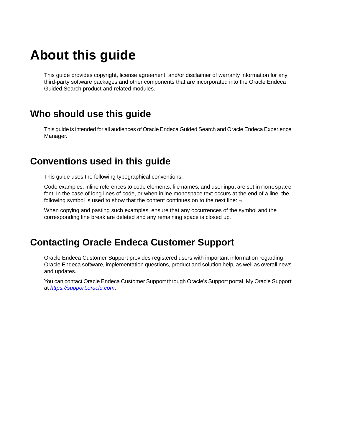# <span id="page-6-0"></span>**About this guide**

This guide provides copyright, license agreement, and/or disclaimer of warranty information for any third-party software packages and other components that are incorporated into the Oracle Endeca Guided Search product and related modules.

#### <span id="page-6-1"></span>**Who should use this guide**

This guide is intended for all audiences of Oracle Endeca Guided Search and Oracle Endeca Experience Manager.

### <span id="page-6-2"></span>**Conventions used in this guide**

This guide uses the following typographical conventions:

Code examples, inline references to code elements, file names, and user input are set in monospace font. In the case of long lines of code, or when inline monospace text occurs at the end of a line, the following symbol is used to show that the content continues on to the next line:  $\neg$ 

<span id="page-6-3"></span>When copying and pasting such examples, ensure that any occurrences of the symbol and the corresponding line break are deleted and any remaining space is closed up.

### **Contacting Oracle Endeca Customer Support**

Oracle Endeca Customer Support provides registered users with important information regarding Oracle Endeca software, implementation questions, product and solution help, as well as overall news and updates.

You can contact Oracle Endeca Customer Support through Oracle's Support portal, My Oracle Support at *<https://support.oracle.com>*.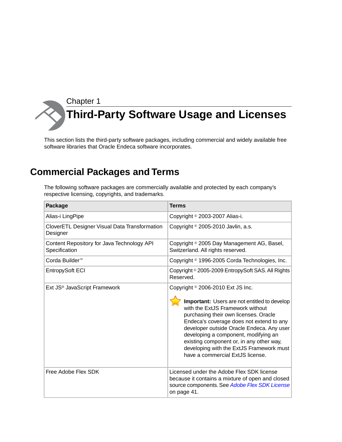<span id="page-8-0"></span>

This section lists the third-party software packages, including commercial and widely available free software libraries that Oracle Endeca software incorporates.

### <span id="page-8-1"></span>**Commercial Packages and Terms**

The following software packages are commercially available and protected by each company's respective licensing, copyrights, and trademarks.

| Package                                                     | <b>Terms</b>                                                                                                                                                                                                                                                                                                                                                                                                                      |
|-------------------------------------------------------------|-----------------------------------------------------------------------------------------------------------------------------------------------------------------------------------------------------------------------------------------------------------------------------------------------------------------------------------------------------------------------------------------------------------------------------------|
| Alias-i LingPipe                                            | Copyright © 2003-2007 Alias-i.                                                                                                                                                                                                                                                                                                                                                                                                    |
| CloverETL Designer Visual Data Transformation<br>Designer   | Copyright $\circ$ 2005-2010 Javlin, a.s.                                                                                                                                                                                                                                                                                                                                                                                          |
| Content Repository for Java Technology API<br>Specification | Copyright © 2005 Day Management AG, Basel,<br>Switzerland. All rights reserved.                                                                                                                                                                                                                                                                                                                                                   |
| Corda Builder <sup>™</sup>                                  | Copyright © 1996-2005 Corda Technologies, Inc.                                                                                                                                                                                                                                                                                                                                                                                    |
| EntropySoft ECI                                             | Copyright © 2005-2009 EntropySoft SAS. All Rights<br>Reserved.                                                                                                                                                                                                                                                                                                                                                                    |
| Ext JS <sup>®</sup> JavaScript Framework                    | Copyright $\circ$ 2006-2010 Ext JS Inc.<br>Important: Users are not entitled to develop<br>with the ExtJS Framework without<br>purchasing their own licenses. Oracle<br>Endeca's coverage does not extend to any<br>developer outside Oracle Endeca. Any user<br>developing a component, modifying an<br>existing component or, in any other way,<br>developing with the ExtJS Framework must<br>have a commercial ExtJS license. |
| Free Adobe Flex SDK                                         | Licensed under the Adobe Flex SDK license<br>because it contains a mixture of open and closed<br>source components. See Adobe Flex SDK License<br>on page 41.                                                                                                                                                                                                                                                                     |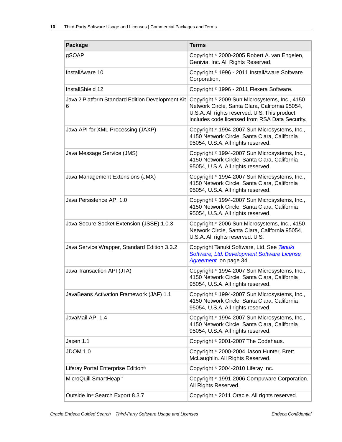| <b>Package</b>                                        | <b>Terms</b>                                                                                                                                                                                       |
|-------------------------------------------------------|----------------------------------------------------------------------------------------------------------------------------------------------------------------------------------------------------|
| gSOAP                                                 | Copyright © 2000-2005 Robert A. van Engelen,<br>Genivia, Inc. All Rights Reserved.                                                                                                                 |
| InstallAware 10                                       | Copyright © 1996 - 2011 InstallAware Software<br>Corporation.                                                                                                                                      |
| InstallShield 12                                      | Copyright © 1996 - 2011 Flexera Software.                                                                                                                                                          |
| Java 2 Platform Standard Edition Development Kit<br>6 | Copyright © 2009 Sun Microsystems, Inc., 4150<br>Network Circle, Santa Clara, California 95054,<br>U.S.A. All rights reserved. U.S. This product<br>includes code licensed from RSA Data Security. |
| Java API for XML Processing (JAXP)                    | Copyright © 1994-2007 Sun Microsystems, Inc.,<br>4150 Network Circle, Santa Clara, California<br>95054, U.S.A. All rights reserved.                                                                |
| Java Message Service (JMS)                            | Copyright © 1994-2007 Sun Microsystems, Inc.,<br>4150 Network Circle, Santa Clara, California<br>95054, U.S.A. All rights reserved.                                                                |
| Java Management Extensions (JMX)                      | Copyright © 1994-2007 Sun Microsystems, Inc.,<br>4150 Network Circle, Santa Clara, California<br>95054, U.S.A. All rights reserved.                                                                |
| Java Persistence API 1.0                              | Copyright © 1994-2007 Sun Microsystems, Inc.,<br>4150 Network Circle, Santa Clara, California<br>95054, U.S.A. All rights reserved.                                                                |
| Java Secure Socket Extension (JSSE) 1.0.3             | Copyright © 2006 Sun Microsystems, Inc., 4150<br>Network Circle, Santa Clara, California 95054,<br>U.S.A. All rights reserved. U.S.                                                                |
| Java Service Wrapper, Standard Edition 3.3.2          | Copyright Tanuki Software, Ltd. See Tanuki<br>Software, Ltd. Development Software License<br>Agreement on page 34.                                                                                 |
| Java Transaction API (JTA)                            | Copyright © 1994-2007 Sun Microsystems, Inc.,<br>4150 Network Circle, Santa Clara, California<br>95054, U.S.A. All rights reserved.                                                                |
| JavaBeans Activation Framework (JAF) 1.1              | Copyright © 1994-2007 Sun Microsystems, Inc.,<br>4150 Network Circle, Santa Clara, California<br>95054, U.S.A. All rights reserved.                                                                |
| JavaMail API 1.4                                      | Copyright © 1994-2007 Sun Microsystems, Inc.,<br>4150 Network Circle, Santa Clara, California<br>95054, U.S.A. All rights reserved.                                                                |
| Jaxen 1.1                                             | Copyright © 2001-2007 The Codehaus.                                                                                                                                                                |
| <b>JDOM 1.0</b>                                       | Copyright © 2000-2004 Jason Hunter, Brett<br>McLaughlin. All Rights Reserved.                                                                                                                      |
| Liferay Portal Enterprise Edition <sup>®</sup>        | Copyright © 2004-2010 Liferay Inc.                                                                                                                                                                 |
| MicroQuill SmartHeap™                                 | Copyright © 1991-2006 Compuware Corporation.<br>All Rights Reserved.                                                                                                                               |
| Outside In <sup>®</sup> Search Export 8.3.7           | Copyright © 2011 Oracle. All rights reserved.                                                                                                                                                      |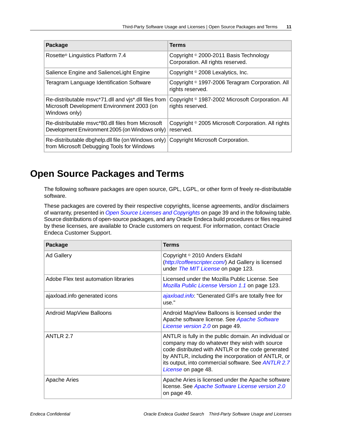| Package                                                                                                             | Terms                                                                       |
|---------------------------------------------------------------------------------------------------------------------|-----------------------------------------------------------------------------|
| Rosette <sup>®</sup> Linguistics Platform 7.4                                                                       | Copyright © 2000-2011 Basis Technology<br>Corporation. All rights reserved. |
| Salience Engine and SalienceLight Engine                                                                            | Copyright © 2008 Lexalytics, Inc.                                           |
| Teragram Language Identification Software                                                                           | Copyright © 1997-2006 Teragram Corporation. All<br>rights reserved.         |
| Re-distributable msvc*71.dll and vjs*.dll files from<br>Microsoft Development Environment 2003 (on<br>Windows only) | Copyright © 1987-2002 Microsoft Corporation. All<br>rights reserved.        |
| Re-distributable msvc*80.dll files from Microsoft<br>Development Environment 2005 (on Windows only)                 | Copyright © 2005 Microsoft Corporation. All rights<br>reserved.             |
| Re-distributable dbghelp.dll file (on Windows only)<br>from Microsoft Debugging Tools for Windows                   | Copyright Microsoft Corporation.                                            |

### <span id="page-10-0"></span>**Open Source Packages and Terms**

The following software packages are open source, GPL, LGPL, or other form of freely re-distributable software.

These packages are covered by their respective copyrights, license agreements, and/or disclaimers of warranty, presented in *[Open Source Licenses and Copyrights](#page-38-2)* on page 39 and in the following table. Source distributions of open-source packages, and any Oracle Endeca build procedures or files required by these licenses, are available to Oracle customers on request. For information, contact Oracle Endeca Customer Support.

| Package                              | <b>Terms</b>                                                                                                                                                                                                                                                                                    |
|--------------------------------------|-------------------------------------------------------------------------------------------------------------------------------------------------------------------------------------------------------------------------------------------------------------------------------------------------|
| Ad Gallery                           | Copyright © 2010 Anders Ekdahl<br>(http://coffeescripter.com/) Ad Gallery is licensed<br>under The MIT License on page 123.                                                                                                                                                                     |
| Adobe Flex test automation libraries | Licensed under the Mozilla Public License. See<br><i>Mozilla Public License Version 1.1</i> on page 123.                                                                                                                                                                                        |
| ajaxload.info generated icons        | ajaxload.info: "Generated GIFs are totally free for<br>use."                                                                                                                                                                                                                                    |
| Android MapView Balloons             | Android MapView Balloons is licensed under the<br>Apache software license. See Apache Software<br>License version 2.0 on page 49.                                                                                                                                                               |
| ANTLR 2.7                            | ANTLR is fully in the public domain. An individual or<br>company may do whatever they wish with source<br>code distributed with ANTLR or the code generated<br>by ANTLR, including the incorporation of ANTLR, or<br>its output, into commercial software. See ANTLR 2.7<br>License on page 48. |
| Apache Aries                         | Apache Aries is licensed under the Apache software<br>license. See Apache Software License version 2.0<br>on page 49.                                                                                                                                                                           |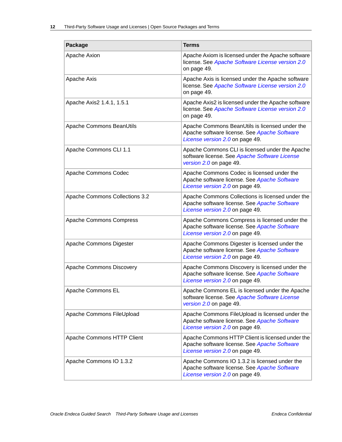| Package                        | <b>Terms</b>                                                                                                                        |
|--------------------------------|-------------------------------------------------------------------------------------------------------------------------------------|
| Apache Axion                   | Apache Axiom is licensed under the Apache software<br>license. See Apache Software License version 2.0<br>on page 49.               |
| Apache Axis                    | Apache Axis is licensed under the Apache software<br>license. See Apache Software License version 2.0<br>on page 49.                |
| Apache Axis2 1.4.1, 1.5.1      | Apache Axis2 is licensed under the Apache software<br>license. See Apache Software License version 2.0<br>on page 49.               |
| Apache Commons BeanUtils       | Apache Commons BeanUtils is licensed under the<br>Apache software license. See Apache Software<br>License version 2.0 on page 49.   |
| Apache Commons CLI 1.1         | Apache Commons CLI is licensed under the Apache<br>software license. See Apache Software License<br>version 2.0 on page 49.         |
| Apache Commons Codec           | Apache Commons Codec is licensed under the<br>Apache software license. See Apache Software<br>License version 2.0 on page 49.       |
| Apache Commons Collections 3.2 | Apache Commons Collections is licensed under the<br>Apache software license. See Apache Software<br>License version 2.0 on page 49. |
| Apache Commons Compress        | Apache Commons Compress is licensed under the<br>Apache software license. See Apache Software<br>License version 2.0 on page 49.    |
| Apache Commons Digester        | Apache Commons Digester is licensed under the<br>Apache software license. See Apache Software<br>License version 2.0 on page 49.    |
| Apache Commons Discovery       | Apache Commons Discovery is licensed under the<br>Apache software license. See Apache Software<br>License version 2.0 on page 49.   |
| Apache Commons EL              | Apache Commons EL is licensed under the Apache<br>software license. See Apache Software License<br>version 2.0 on page 49.          |
| Apache Commons FileUpload      | Apache Commons FileUpload is licensed under the<br>Apache software license. See Apache Software<br>License version 2.0 on page 49.  |
| Apache Commons HTTP Client     | Apache Commons HTTP Client is licensed under the<br>Apache software license. See Apache Software<br>License version 2.0 on page 49. |
| Apache Commons IO 1.3.2        | Apache Commons IO 1.3.2 is licensed under the<br>Apache software license. See Apache Software<br>License version 2.0 on page 49.    |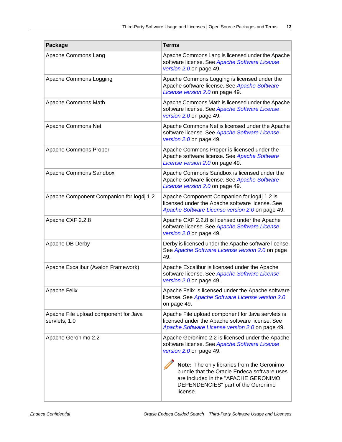| <b>Package</b>                                         | <b>Terms</b>                                                                                                                                                                        |
|--------------------------------------------------------|-------------------------------------------------------------------------------------------------------------------------------------------------------------------------------------|
| Apache Commons Lang                                    | Apache Commons Lang is licensed under the Apache<br>software license. See Apache Software License<br>version 2.0 on page 49.                                                        |
| Apache Commons Logging                                 | Apache Commons Logging is licensed under the<br>Apache software license. See Apache Software<br>License version 2.0 on page 49.                                                     |
| Apache Commons Math                                    | Apache Commons Math is licensed under the Apache<br>software license. See Apache Software License<br>version 2.0 on page 49.                                                        |
| Apache Commons Net                                     | Apache Commons Net is licensed under the Apache<br>software license. See Apache Software License<br>version 2.0 on page 49.                                                         |
| Apache Commons Proper                                  | Apache Commons Proper is licensed under the<br>Apache software license. See Apache Software<br>License version 2.0 on page 49.                                                      |
| Apache Commons Sandbox                                 | Apache Commons Sandbox is licensed under the<br>Apache software license. See Apache Software<br>License version 2.0 on page 49.                                                     |
| Apache Component Companion for log4j 1.2               | Apache Component Companion for log4j 1.2 is<br>licensed under the Apache software license. See<br>Apache Software License version 2.0 on page 49.                                   |
| Apache CXF 2.2.8                                       | Apache CXF 2.2.8 is licensed under the Apache<br>software license. See Apache Software License<br>version 2.0 on page 49.                                                           |
| Apache DB Derby                                        | Derby is licensed under the Apache software license.<br>See Apache Software License version 2.0 on page<br>49.                                                                      |
| Apache Excalibur (Avalon Framework)                    | Apache Excalibur is licensed under the Apache<br>software license. See Apache Software License<br>version 2.0 on page 49.                                                           |
| <b>Apache Felix</b>                                    | Apache Felix is licensed under the Apache software<br>license. See Apache Software License version 2.0<br>on page 49.                                                               |
| Apache File upload component for Java<br>servlets, 1.0 | Apache File upload component for Java servlets is<br>licensed under the Apache software license. See<br>Apache Software License version 2.0 on page 49.                             |
| Apache Geronimo 2.2                                    | Apache Geronimo 2.2 is licensed under the Apache<br>software license. See Apache Software License<br>version 2.0 on page 49.                                                        |
|                                                        | Note: The only libraries from the Geronimo<br>bundle that the Oracle Endeca software uses<br>are included in the "APACHE GERONIMO<br>DEPENDENCIES" part of the Geronimo<br>license. |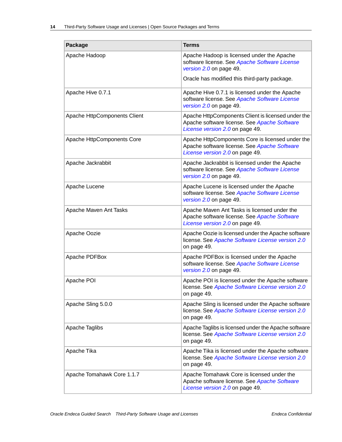| <b>Package</b>               | <b>Terms</b>                                                                                                                          |
|------------------------------|---------------------------------------------------------------------------------------------------------------------------------------|
| Apache Hadoop                | Apache Hadoop is licensed under the Apache<br>software license. See Apache Software License<br>version 2.0 on page 49.                |
|                              | Oracle has modified this third-party package.                                                                                         |
| Apache Hive 0.7.1            | Apache Hive 0.7.1 is licensed under the Apache<br>software license. See Apache Software License<br>version 2.0 on page 49.            |
| Apache HttpComponents Client | Apache HttpComponents Client is licensed under the<br>Apache software license. See Apache Software<br>License version 2.0 on page 49. |
| Apache HttpComponents Core   | Apache HttpComponents Core is licensed under the<br>Apache software license. See Apache Software<br>License version 2.0 on page 49.   |
| Apache Jackrabbit            | Apache Jackrabbit is licensed under the Apache<br>software license. See Apache Software License<br>version 2.0 on page 49.            |
| Apache Lucene                | Apache Lucene is licensed under the Apache<br>software license. See Apache Software License<br>version 2.0 on page 49.                |
| Apache Maven Ant Tasks       | Apache Maven Ant Tasks is licensed under the<br>Apache software license. See Apache Software<br>License version 2.0 on page 49.       |
| Apache Oozie                 | Apache Oozie is licensed under the Apache software<br>license. See Apache Software License version 2.0<br>on page 49.                 |
| Apache PDFBox                | Apache PDFBox is licensed under the Apache<br>software license. See Apache Software License<br>version 2.0 on page 49.                |
| Apache POI                   | Apache POI is licensed under the Apache software<br>license. See Apache Software License version 2.0<br>on page 49.                   |
| Apache Sling 5.0.0           | Apache Sling is licensed under the Apache software<br>license. See Apache Software License version 2.0<br>on page 49.                 |
| Apache Taglibs               | Apache Taglibs is licensed under the Apache software<br>license. See Apache Software License version 2.0<br>on page 49.               |
| Apache Tika                  | Apache Tika is licensed under the Apache software<br>license. See Apache Software License version 2.0<br>on page 49.                  |
| Apache Tomahawk Core 1.1.7   | Apache Tomahawk Core is licensed under the<br>Apache software license. See Apache Software<br>License version 2.0 on page 49.         |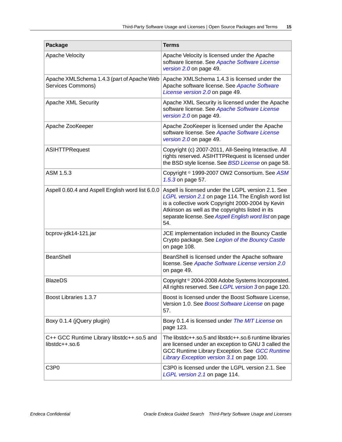| <b>Package</b>                                                  | <b>Terms</b>                                                                                                                                                                                                                                                                        |
|-----------------------------------------------------------------|-------------------------------------------------------------------------------------------------------------------------------------------------------------------------------------------------------------------------------------------------------------------------------------|
| <b>Apache Velocity</b>                                          | Apache Velocity is licensed under the Apache<br>software license. See Apache Software License<br>version 2.0 on page 49.                                                                                                                                                            |
| Apache XMLSchema 1.4.3 (part of Apache Web<br>Services Commons) | Apache XMLSchema 1.4.3 is licensed under the<br>Apache software license. See Apache Software<br>License version 2.0 on page 49.                                                                                                                                                     |
| Apache XML Security                                             | Apache XML Security is licensed under the Apache<br>software license. See Apache Software License<br>version 2.0 on page 49.                                                                                                                                                        |
| Apache ZooKeeper                                                | Apache ZooKeeper is licensed under the Apache<br>software license. See Apache Software License<br>version 2.0 on page 49.                                                                                                                                                           |
| ASIHTTPRequest                                                  | Copyright (c) 2007-2011, All-Seeing Interactive. All<br>rights reserved. ASIHTTPRequest is licensed under<br>the BSD style license. See <b>BSD License</b> on page 58.                                                                                                              |
| ASM 1.5.3                                                       | Copyright © 1999-2007 OW2 Consortium. See ASM<br>1.5.3 on page 57.                                                                                                                                                                                                                  |
| Aspell 0.60.4 and Aspell English word list 6.0.0                | Aspell is licensed under the LGPL version 2.1. See<br>LGPL version 2.1 on page 114. The English word list<br>is a collective work Copyright 2000-2004 by Kevin<br>Atkinson as well as the copyrights listed in its<br>separate license. See Aspell English word list on page<br>54. |
| bcprov-jdk14-121.jar                                            | JCE implementation included in the Bouncy Castle<br>Crypto package. See Legion of the Bouncy Castle<br>on page 108.                                                                                                                                                                 |
| <b>BeanShell</b>                                                | BeanShell is licensed under the Apache software<br>license. See Apache Software License version 2.0<br>on page 49.                                                                                                                                                                  |
| <b>BlazeDS</b>                                                  | Copyright © 2004-2008 Adobe Systems Incorporated.<br>All rights reserved. See LGPL version 3 on page 120.                                                                                                                                                                           |
| Boost Libraries 1.3.7                                           | Boost is licensed under the Boost Software License,<br>Version 1.0. See Boost Software License on page<br>57.                                                                                                                                                                       |
| Boxy 0.1.4 (jQuery plugin)                                      | Boxy 0.1.4 is licensed under The MIT License on<br>page 123.                                                                                                                                                                                                                        |
| C++ GCC Runtime Library libstdc++.so.5 and<br>libstdc++.so.6    | The libstdc++.so.5 and libstdc++.so.6 runtime libraries<br>are licensed under an exception to GNU 3 called the<br>GCC Runtime Library Exception. See GCC Runtime<br>Library Exception version 3.1 on page 100.                                                                      |
| C <sub>3</sub> P <sub>0</sub>                                   | C3P0 is licensed under the LGPL version 2.1. See<br>LGPL version 2.1 on page 114.                                                                                                                                                                                                   |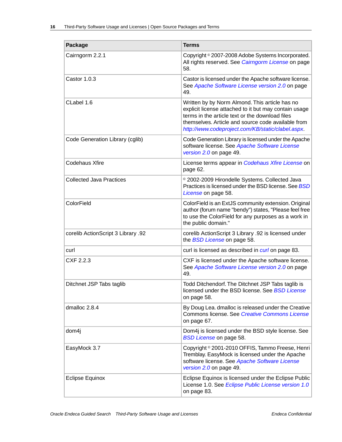| Package                            | <b>Terms</b>                                                                                                                                                                                                                                                          |
|------------------------------------|-----------------------------------------------------------------------------------------------------------------------------------------------------------------------------------------------------------------------------------------------------------------------|
| Cairngorm 2.2.1                    | Copyright © 2007-2008 Adobe Systems Incorporated.<br>All rights reserved. See Cairngorm License on page<br>58.                                                                                                                                                        |
| Castor 1.0.3                       | Castor is licensed under the Apache software license.<br>See Apache Software License version 2.0 on page<br>49.                                                                                                                                                       |
| CLabel 1.6                         | Written by by Norm Almond. This article has no<br>explicit license attached to it but may contain usage<br>terms in the article text or the download files<br>themselves. Article and source code available from<br>http://www.codeproject.com/KB/static/clabel.aspx. |
| Code Generation Library (cglib)    | Code Generation Library is licensed under the Apache<br>software license. See Apache Software License<br>version 2.0 on page 49.                                                                                                                                      |
| <b>Codehaus Xfire</b>              | License terms appear in Codehaus Xfire License on<br>page 62.                                                                                                                                                                                                         |
| <b>Collected Java Practices</b>    | © 2002-2009 Hirondelle Systems. Collected Java<br>Practices is licensed under the BSD license. See BSD<br>License on page 58.                                                                                                                                         |
| ColorField                         | ColorField is an ExtJS community extension. Original<br>author (forum name "bendy") states, "Please feel free<br>to use the ColorField for any purposes as a work in<br>the public domain."                                                                           |
| corelib ActionScript 3 Library .92 | corelib ActionScript 3 Library .92 is licensed under<br>the <b>BSD</b> License on page 58.                                                                                                                                                                            |
| curl                               | curl is licensed as described in <i>curl</i> on page 83.                                                                                                                                                                                                              |
| CXF 2.2.3                          | CXF is licensed under the Apache software license.<br>See Apache Software License version 2.0 on page<br>49.                                                                                                                                                          |
| Ditchnet JSP Tabs taglib           | Todd Ditchendorf. The Ditchnet JSP Tabs taglib is<br>licensed under the BSD license. See BSD License<br>on page 58.                                                                                                                                                   |
| dmalloc 2.8.4                      | By Doug Lea. dmalloc is released under the Creative<br>Commons license. See Creative Commons License<br>on page 67.                                                                                                                                                   |
| dom4j                              | Dom4j is licensed under the BSD style license. See<br><b>BSD License on page 58.</b>                                                                                                                                                                                  |
| EasyMock 3.7                       | Copyright © 2001-2010 OFFIS, Tammo Freese, Henri<br>Tremblay. EasyMock is licensed under the Apache<br>software license. See Apache Software License<br>version 2.0 on page 49.                                                                                       |
| <b>Eclipse Equinox</b>             | Eclipse Equinox is licensed under the Eclipse Public<br>License 1.0. See Eclipse Public License version 1.0<br>on page 83.                                                                                                                                            |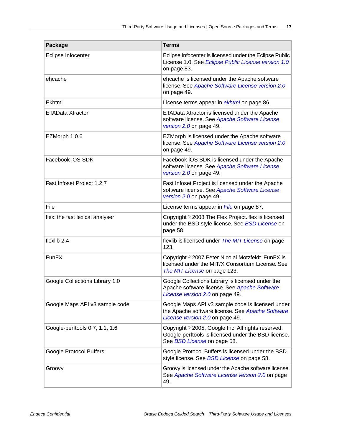| Package                         | <b>Terms</b>                                                                                                                             |
|---------------------------------|------------------------------------------------------------------------------------------------------------------------------------------|
| Eclipse Infocenter              | Eclipse Infocenter is licensed under the Eclipse Public<br>License 1.0. See Eclipse Public License version 1.0<br>on page 83.            |
| ehcache                         | ehcache is licensed under the Apache software<br>license. See Apache Software License version 2.0<br>on page 49.                         |
| Ekhtml                          | License terms appear in <i>ekhtml</i> on page 86.                                                                                        |
| <b>ETAData Xtractor</b>         | ETAData Xtractor is licensed under the Apache<br>software license. See Apache Software License<br>version 2.0 on page 49.                |
| EZMorph 1.0.6                   | EZMorph is licensed under the Apache software<br>license. See Apache Software License version 2.0<br>on page 49.                         |
| Facebook iOS SDK                | Facebook iOS SDK is licensed under the Apache<br>software license. See Apache Software License<br>version 2.0 on page 49.                |
| Fast Infoset Project 1.2.7      | Fast Infoset Project is licensed under the Apache<br>software license. See Apache Software License<br>version 2.0 on page 49.            |
| File                            | License terms appear in File on page 87.                                                                                                 |
| flex: the fast lexical analyser | Copyright © 2008 The Flex Project. flex is licensed<br>under the BSD style license. See BSD License on<br>page 58.                       |
| flexlib 2.4                     | flexlib is licensed under The MIT License on page<br>123.                                                                                |
| <b>FunFX</b>                    | Copyright © 2007 Peter Nicolai Motzfeldt. FunFX is<br>licensed under the MIT/X Consortium License. See<br>The MIT License on page 123.   |
| Google Collections Library 1.0  | Google Collections Library is licensed under the<br>Apache software license. See Apache Software<br>License version 2.0 on page 49.      |
| Google Maps API v3 sample code  | Google Maps API v3 sample code is licensed under<br>the Apache software license. See Apache Software<br>License version 2.0 on page 49.  |
| Google-perftools 0.7, 1.1, 1.6  | Copyright © 2005, Google Inc. All rights reserved.<br>Google-perftools is licensed under the BSD license.<br>See BSD License on page 58. |
| Google Protocol Buffers         | Google Protocol Buffers is licensed under the BSD<br>style license. See BSD License on page 58.                                          |
| Groovy                          | Groovy is licensed under the Apache software license.<br>See Apache Software License version 2.0 on page<br>49.                          |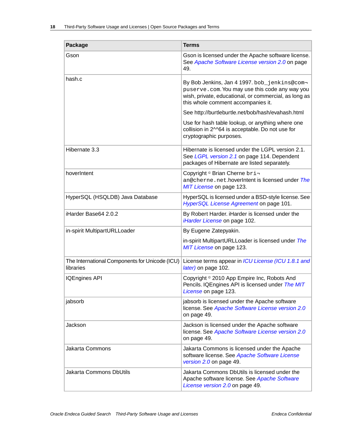| <b>Package</b>                                              | <b>Terms</b>                                                                                                                                                                                  |
|-------------------------------------------------------------|-----------------------------------------------------------------------------------------------------------------------------------------------------------------------------------------------|
| Gson                                                        | Gson is licensed under the Apache software license.<br>See Apache Software License version 2.0 on page<br>49.                                                                                 |
| hash.c                                                      | By Bob Jenkins, Jan 4 1997. bob_jenkins@com-<br>puserve.com. You may use this code any way you<br>wish, private, educational, or commercial, as long as<br>this whole comment accompanies it. |
|                                                             | See http://burtleburtle.net/bob/hash/evahash.html                                                                                                                                             |
|                                                             | Use for hash table lookup, or anything where one<br>collision in 2^^64 is acceptable. Do not use for<br>cryptographic purposes.                                                               |
| Hibernate 3.3                                               | Hibernate is licensed under the LGPL version 2.1.<br>See LGPL version 2.1 on page 114. Dependent<br>packages of Hibernate are listed separately.                                              |
| hoverIntent                                                 | Copyright <sup>®</sup> Brian Cherne bri-<br>an@cherne.net.hoverIntent is licensed under The<br>MIT License on page 123.                                                                       |
| HyperSQL (HSQLDB) Java Database                             | HyperSQL is licensed under a BSD-style license. See<br>HyperSQL License Agreement on page 101.                                                                                                |
| iHarder Base64 2.0.2                                        | By Robert Harder. iHarder is licensed under the<br><i>iHarder License</i> on page 102.                                                                                                        |
| in-spirit MultipartURLLoader                                | By Eugene Zatepyakin.                                                                                                                                                                         |
|                                                             | in-spirit MultipartURLLoader is licensed under The<br>MIT License on page 123.                                                                                                                |
| The International Components for Unicode (ICU)<br>libraries | License terms appear in <i>ICU License (ICU 1.8.1 and</i><br>later) on page 102.                                                                                                              |
| <b>IQEngines API</b>                                        | Copyright © 2010 App Empire Inc, Robots And<br>Pencils. IQEngines API is licensed under The MIT<br>License on page 123.                                                                       |
| jabsorb                                                     | jabsorb is licensed under the Apache software<br>license. See Apache Software License version 2.0<br>on page 49.                                                                              |
| Jackson                                                     | Jackson is licensed under the Apache software<br>license. See Apache Software License version 2.0<br>on page 49.                                                                              |
| <b>Jakarta Commons</b>                                      | Jakarta Commons is licensed under the Apache<br>software license. See Apache Software License<br>version 2.0 on page 49.                                                                      |
| <b>Jakarta Commons DbUtils</b>                              | Jakarta Commons DbUtils is licensed under the<br>Apache software license. See Apache Software<br>License version 2.0 on page 49.                                                              |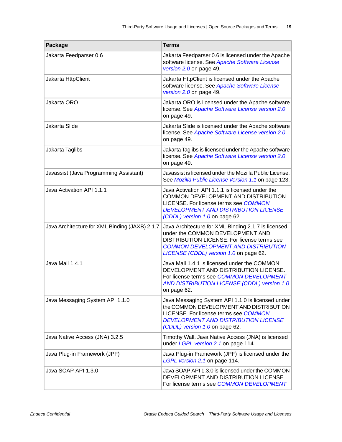| Package                                        | <b>Terms</b>                                                                                                                                                                                                                   |
|------------------------------------------------|--------------------------------------------------------------------------------------------------------------------------------------------------------------------------------------------------------------------------------|
| Jakarta Feedparser 0.6                         | Jakarta Feedparser 0.6 is licensed under the Apache<br>software license. See Apache Software License<br>version 2.0 on page 49.                                                                                                |
| Jakarta HttpClient                             | Jakarta HttpClient is licensed under the Apache<br>software license. See Apache Software License<br>version 2.0 on page 49.                                                                                                    |
| Jakarta ORO                                    | Jakarta ORO is licensed under the Apache software<br>license. See Apache Software License version 2.0<br>on page 49.                                                                                                           |
| Jakarta Slide                                  | Jakarta Slide is licensed under the Apache software<br>license. See Apache Software License version 2.0<br>on page 49.                                                                                                         |
| Jakarta Taglibs                                | Jakarta Taglibs is licensed under the Apache software<br>license. See Apache Software License version 2.0<br>on page 49.                                                                                                       |
| Javassist (Java Programming Assistant)         | Javassist is licensed under the Mozilla Public License.<br>See Mozilla Public License Version 1.1 on page 123.                                                                                                                 |
| Java Activation API 1.1.1                      | Java Activation API 1.1.1 is licensed under the<br>COMMON DEVELOPMENT AND DISTRIBUTION<br>LICENSE. For license terms see COMMON<br>DEVELOPMENT AND DISTRIBUTION LICENSE<br>(CDDL) version 1.0 on page 62.                      |
| Java Architecture for XML Binding (JAXB) 2.1.7 | Java Architecture for XML Binding 2.1.7 is licensed<br>under the COMMON DEVELOPMENT AND<br>DISTRIBUTION LICENSE. For license terms see<br><b>COMMON DEVELOPMENT AND DISTRIBUTION</b><br>LICENSE (CDDL) version 1.0 on page 62. |
| Java Mail 1.4.1                                | Java Mail 1.4.1 is licensed under the COMMON<br>DEVELOPMENT AND DISTRIBUTION LICENSE.<br>For license terms see COMMON DEVELOPMENT<br>AND DISTRIBUTION LICENSE (CDDL) version 1.0<br>on page 62.                                |
| Java Messaging System API 1.1.0                | Java Messaging System API 1.1.0 is licensed under<br>the COMMON DEVELOPMENT AND DISTRIBUTION<br>LICENSE. For license terms see <i>COMMON</i><br>DEVELOPMENT AND DISTRIBUTION LICENSE<br>(CDDL) version 1.0 on page 62.         |
| Java Native Access (JNA) 3.2.5                 | Timothy Wall. Java Native Access (JNA) is licensed<br>under LGPL version 2.1 on page 114.                                                                                                                                      |
| Java Plug-in Framework (JPF)                   | Java Plug-in Framework (JPF) is licensed under the<br>LGPL version 2.1 on page 114.                                                                                                                                            |
| Java SOAP API 1.3.0                            | Java SOAP API 1.3.0 is licensed under the COMMON<br>DEVELOPMENT AND DISTRIBUTION LICENSE.<br>For license terms see COMMON DEVELOPMENT                                                                                          |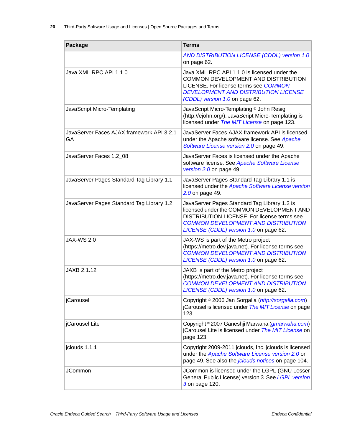| Package                                         | <b>Terms</b>                                                                                                                                                                                                                     |
|-------------------------------------------------|----------------------------------------------------------------------------------------------------------------------------------------------------------------------------------------------------------------------------------|
|                                                 | AND DISTRIBUTION LICENSE (CDDL) version 1.0<br>on page 62.                                                                                                                                                                       |
| Java XML RPC API 1.1.0                          | Java XML RPC API 1.1.0 is licensed under the<br>COMMON DEVELOPMENT AND DISTRIBUTION<br>LICENSE. For license terms see COMMON<br><b>DEVELOPMENT AND DISTRIBUTION LICENSE</b><br>(CDDL) version 1.0 on page 62.                    |
| JavaScript Micro-Templating                     | JavaScript Micro-Templating © John Resig<br>(http://ejohn.org/). JavaScript Micro-Templating is<br>licensed under The MIT License on page 123.                                                                                   |
| JavaServer Faces AJAX framework API 3.2.1<br>GA | JavaServer Faces AJAX framework API is licensed<br>under the Apache software license. See Apache<br>Software License version 2.0 on page 49.                                                                                     |
| JavaServer Faces 1.2_08                         | JavaServer Faces is licensed under the Apache<br>software license. See Apache Software License<br>version 2.0 on page 49.                                                                                                        |
| JavaServer Pages Standard Tag Library 1.1       | JavaServer Pages Standard Tag Library 1.1 is<br>licensed under the Apache Software License version<br>2.0 on page 49.                                                                                                            |
| JavaServer Pages Standard Tag Library 1.2       | JavaServer Pages Standard Tag Library 1.2 is<br>licensed under the COMMON DEVELOPMENT AND<br>DISTRIBUTION LICENSE. For license terms see<br><b>COMMON DEVELOPMENT AND DISTRIBUTION</b><br>LICENSE (CDDL) version 1.0 on page 62. |
| <b>JAX-WS 2.0</b>                               | JAX-WS is part of the Metro project<br>(https://metro.dev.java.net). For license terms see<br><b>COMMON DEVELOPMENT AND DISTRIBUTION</b><br>LICENSE (CDDL) version 1.0 on page 62.                                               |
| JAXB 2.1.12                                     | JAXB is part of the Metro project<br>(https://metro.dev.java.net). For license terms see<br><b>COMMON DEVELOPMENT AND DISTRIBUTION</b><br>LICENSE (CDDL) version 1.0 on page 62.                                                 |
| jCarousel                                       | Copyright © 2006 Jan Sorgalla (http://sorgalla.com)<br>jCarousel is licensed under The MIT License on page<br>123.                                                                                                               |
| jCarousel Lite                                  | Copyright © 2007 Ganeshji Marwaha (gmarwaha.com)<br>jCarousel Lite is licensed under The MIT License on<br>page 123.                                                                                                             |
| jclouds 1.1.1                                   | Copyright 2009-2011 jclouds, Inc. jclouds is licensed<br>under the Apache Software License version 2.0 on<br>page 49. See also the jolouds notices on page 104.                                                                  |
| JCommon                                         | JCommon is licensed under the LGPL (GNU Lesser<br>General Public License) version 3. See LGPL version<br>3 on page 120.                                                                                                          |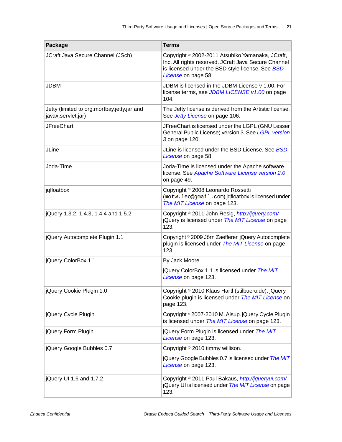| Package                                                           | <b>Terms</b>                                                                                                                                                                        |
|-------------------------------------------------------------------|-------------------------------------------------------------------------------------------------------------------------------------------------------------------------------------|
| JCraft Java Secure Channel (JSch)                                 | Copyright © 2002-2011 Atsuhiko Yamanaka, JCraft,<br>Inc. All rights reserved. JCraft Java Secure Channel<br>is licensed under the BSD style license. See BSD<br>License on page 58. |
| <b>JDBM</b>                                                       | JDBM is licensed in the JDBM License v 1.00. For<br>license terms, see JDBM LICENSE v1.00 on page<br>104.                                                                           |
| Jetty (limited to org.mortbay.jetty.jar and<br>javax.servlet.jar) | The Jetty license is derived from the Artistic license.<br>See Jetty License on page 106.                                                                                           |
| <b>JFreeChart</b>                                                 | JFreeChart is licensed under the LGPL (GNU Lesser<br>General Public License) version 3. See LGPL version<br>3 on page 120.                                                          |
| <b>JLine</b>                                                      | JLine is licensed under the BSD License. See BSD<br>License on page 58.                                                                                                             |
| Joda-Time                                                         | Joda-Time is licensed under the Apache software<br>license. See Apache Software License version 2.0<br>on page 49.                                                                  |
| jqfloatbox                                                        | Copyright © 2008 Leonardo Rossetti<br>(motw.leo@gmail.com) jqfloatbox is licensed under<br>The MIT License on page 123.                                                             |
| jQuery 1.3.2, 1.4.3, 1.4.4 and 1.5.2                              | Copyright © 2011 John Resig, http://jquery.com/<br>jQuery is licensed under The MIT License on page<br>123.                                                                         |
| jQuery Autocomplete Plugin 1.1                                    | Copyright © 2009 Jörn Zaefferer. jQuery Autocomplete<br>plugin is licensed under The MIT License on page<br>123.                                                                    |
| jQuery ColorBox 1.1                                               | By Jack Moore.                                                                                                                                                                      |
|                                                                   | jQuery ColorBox 1.1 is licensed under The MIT<br>License on page 123.                                                                                                               |
| jQuery Cookie Plugin 1.0                                          | Copyright © 2010 Klaus Hartl (stilbuero.de). jQuery<br>Cookie plugin is licensed under The MIT License on<br>page 123.                                                              |
| jQuery Cycle Plugin                                               | Copyright © 2007-2010 M. Alsup. jQuery Cycle Plugin<br>is licensed under The MIT License on page 123.                                                                               |
| jQuery Form Plugin                                                | jQuery Form Plugin is licensed under The MIT<br>License on page 123.                                                                                                                |
| jQuery Google Bubbles 0.7                                         | Copyright © 2010 timmy willison.                                                                                                                                                    |
|                                                                   | jQuery Google Bubbles 0.7 is licensed under The MIT<br>License on page 123.                                                                                                         |
| jQuery UI 1.6 and 1.7.2                                           | Copyright © 2011 Paul Bakaus, http://jqueryui.com/<br>jQuery UI is licensed under The MIT License on page<br>123.                                                                   |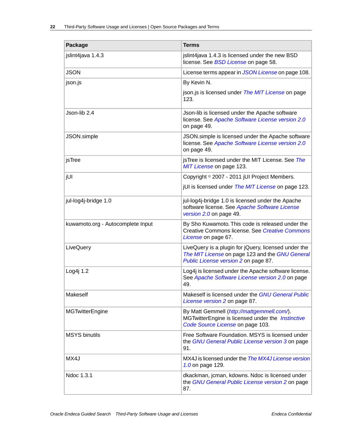| Package                           | <b>Terms</b>                                                                                                                                    |
|-----------------------------------|-------------------------------------------------------------------------------------------------------------------------------------------------|
| jslint4java 1.4.3                 | jslint4java 1.4.3 is licensed under the new BSD<br>license. See <b>BSD</b> License on page 58.                                                  |
| <b>JSON</b>                       | License terms appear in JSON License on page 108.                                                                                               |
| json.js                           | By Kevin N.                                                                                                                                     |
|                                   | json.js is licensed under The MIT License on page<br>123.                                                                                       |
| Json-lib 2.4                      | Json-lib is licensed under the Apache software<br>license. See Apache Software License version 2.0<br>on page 49.                               |
| JSON.simple                       | JSON simple is licensed under the Apache software<br>license. See Apache Software License version 2.0<br>on page 49.                            |
| jsTree                            | jsTree is licensed under the MIT License. See The<br>MIT License on page 123.                                                                   |
| jUI                               | Copyright © 2007 - 2011 jUI Project Members.                                                                                                    |
|                                   | jUI is licensed under The MIT License on page 123.                                                                                              |
| jul-log4j-bridge 1.0              | jul-log4j-bridge 1.0 is licensed under the Apache<br>software license. See Apache Software License<br>version 2.0 on page 49.                   |
| kuwamoto.org - Autocomplete Input | By Sho Kuwamoto. This code is released under the<br>Creative Commons license. See Creative Commons<br>License on page 67.                       |
| LiveQuery                         | LiveQuery is a plugin for jQuery, licensed under the<br>The MIT License on page 123 and the GNU General<br>Public License version 2 on page 87. |
| Log4j 1.2                         | Log4j is licensed under the Apache software license.<br>See Apache Software License version 2.0 on page<br>49.                                  |
| Makeself                          | Makeself is licensed under the GNU General Public<br>License version 2 on page 87.                                                              |
| MGTwitterEngine                   | By Matt Gemmell (http://mattgemmell.com/).<br>MGTwitterEngine is licensed under the <i>Instinctive</i><br>Code Source License on page 103.      |
| <b>MSYS binutils</b>              | Free Software Foundation. MSYS is licensed under<br>the GNU General Public License version 3 on page<br>91.                                     |
| MX4J                              | MX4J is licensed under the The MX4J License version<br>1.0 on page 129.                                                                         |
| Ndoc 1.3.1                        | dkackman, jcman, kdowns. Ndoc is licensed under<br>the GNU General Public License version 2 on page<br>87.                                      |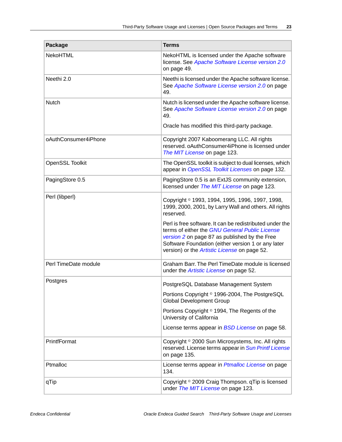| Package              | <b>Terms</b>                                                                                                                                                                                                                                                      |
|----------------------|-------------------------------------------------------------------------------------------------------------------------------------------------------------------------------------------------------------------------------------------------------------------|
| <b>NekoHTML</b>      | NekoHTML is licensed under the Apache software<br>license. See Apache Software License version 2.0<br>on page 49.                                                                                                                                                 |
| Neethi 2.0           | Neethi is licensed under the Apache software license.<br>See Apache Software License version 2.0 on page<br>49.                                                                                                                                                   |
| <b>Nutch</b>         | Nutch is licensed under the Apache software license.<br>See Apache Software License version 2.0 on page<br>49.                                                                                                                                                    |
|                      | Oracle has modified this third-party package.                                                                                                                                                                                                                     |
| oAuthConsumer4iPhone | Copyright 2007 Kaboomerang LLC. All rights<br>reserved. oAuthConsumer4iPhone is licensed under<br>The MIT License on page 123.                                                                                                                                    |
| OpenSSL Toolkit      | The OpenSSL toolkit is subject to dual licenses, which<br>appear in OpenSSL Toolkit Licenses on page 132.                                                                                                                                                         |
| PagingStore 0.5      | PagingStore 0.5 is an ExtJS community extension,<br>licensed under The MIT License on page 123.                                                                                                                                                                   |
| Perl (libperl)       | Copyright © 1993, 1994, 1995, 1996, 1997, 1998,<br>1999, 2000, 2001, by Larry Wall and others. All rights<br>reserved.                                                                                                                                            |
|                      | Perl is free software. It can be redistributed under the<br>terms of either the GNU General Public License<br>version 2 on page 87 as published by the Free<br>Software Foundation (either version 1 or any later<br>version) or the Artistic License on page 52. |
| Perl TimeDate module | Graham Barr, The Perl TimeDate module is licensed<br>under the <b>Artistic License</b> on page 52.                                                                                                                                                                |
| Postgres             | PostgreSQL Database Management System                                                                                                                                                                                                                             |
|                      | Portions Copyright © 1996-2004, The PostgreSQL<br><b>Global Development Group</b>                                                                                                                                                                                 |
|                      | Portions Copyright © 1994, The Regents of the<br>University of California                                                                                                                                                                                         |
|                      | License terms appear in <b>BSD License</b> on page 58.                                                                                                                                                                                                            |
| PrintfFormat         | Copyright © 2000 Sun Microsystems, Inc. All rights<br>reserved. License terms appear in Sun Printf License<br>on page 135.                                                                                                                                        |
| Ptmalloc             | License terms appear in <i>Ptmalloc License</i> on page<br>134.                                                                                                                                                                                                   |
| qTip                 | Copyright © 2009 Craig Thompson. qTip is licensed<br>under The MIT License on page 123.                                                                                                                                                                           |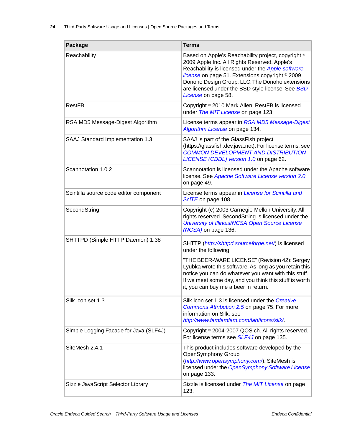| Package                                | <b>Terms</b>                                                                                                                                                                                                                                                                                                                              |
|----------------------------------------|-------------------------------------------------------------------------------------------------------------------------------------------------------------------------------------------------------------------------------------------------------------------------------------------------------------------------------------------|
| Reachability                           | Based on Apple's Reachability project, copyright ©<br>2009 Apple Inc. All Rights Reserved. Apple's<br>Reachability is licensed under the Apple software<br>license on page 51. Extensions copyright © 2009<br>Donoho Design Group, LLC. The Donoho extensions<br>are licensed under the BSD style license. See BSD<br>License on page 58. |
| <b>RestFB</b>                          | Copyright © 2010 Mark Allen. RestFB is licensed<br>under The MIT License on page 123.                                                                                                                                                                                                                                                     |
| RSA MD5 Message-Digest Algorithm       | License terms appear in RSA MD5 Message-Digest<br>Algorithm License on page 134.                                                                                                                                                                                                                                                          |
| SAAJ Standard Implementation 1.3       | SAAJ is part of the GlassFish project<br>(https://glassfish.dev.java.net). For license terms, see<br><b>COMMON DEVELOPMENT AND DISTRIBUTION</b><br>LICENSE (CDDL) version 1.0 on page 62.                                                                                                                                                 |
| Scannotation 1.0.2                     | Scannotation is licensed under the Apache software<br>license. See Apache Software License version 2.0<br>on page 49.                                                                                                                                                                                                                     |
| Scintilla source code editor component | License terms appear in License for Scintilla and<br>SciTE on page 108.                                                                                                                                                                                                                                                                   |
| SecondString                           | Copyright (c) 2003 Carnegie Mellon University. All<br>rights reserved. SecondString is licensed under the<br>University of Illinois/NCSA Open Source License<br>(NCSA) on page 136.                                                                                                                                                       |
| SHTTPD (Simple HTTP Daemon) 1.38       | SHTTP (http://shttpd.sourceforge.net/) is licensed<br>under the following:                                                                                                                                                                                                                                                                |
|                                        | "THE BEER-WARE LICENSE" (Revision 42): Sergey<br>Lyubka wrote this software. As long as you retain this<br>notice you can do whatever you want with this stuff.<br>If we meet some day, and you think this stuff is worth<br>it, you can buy me a beer in return.                                                                         |
| Silk icon set 1.3                      | Silk icon set 1.3 is licensed under the <i>Creative</i><br>Commons Attribution 2.5 on page 75. For more<br>information on Silk, see<br>http://www.famfamfam.com/lab/icons/silk/                                                                                                                                                           |
| Simple Logging Facade for Java (SLF4J) | Copyright © 2004-2007 QOS.ch. All rights reserved.<br>For license terms see <i>SLF4J</i> on page 135.                                                                                                                                                                                                                                     |
| SiteMesh 2.4.1                         | This product includes software developed by the<br><b>OpenSymphony Group</b><br>(http://www.opensymphony.com/). SiteMesh is<br>licensed under the OpenSymphony Software License<br>on page 133.                                                                                                                                           |
| Sizzle JavaScript Selector Library     | Sizzle is licensed under The MIT License on page<br>123.                                                                                                                                                                                                                                                                                  |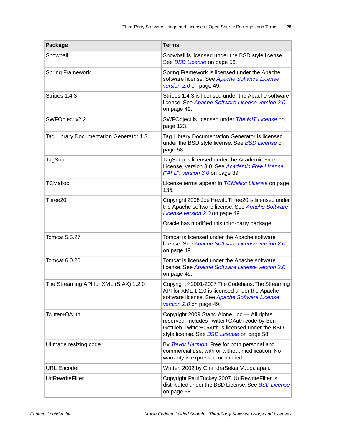| Package                                 | <b>Terms</b>                                                                                                                                                                                    |
|-----------------------------------------|-------------------------------------------------------------------------------------------------------------------------------------------------------------------------------------------------|
| Snowball                                | Snowball is licensed under the BSD style license.<br>See BSD License on page 58.                                                                                                                |
| <b>Spring Framework</b>                 | Spring Framework is licensed under the Apache<br>software license. See Apache Software License<br>version 2.0 on page 49.                                                                       |
| Stripes 1.4.3                           | Stripes 1.4.3 is licensed under the Apache software<br>license. See Apache Software License version 2.0<br>on page 49.                                                                          |
| SWFObject v2.2                          | SWFObject is licensed under The MIT License on<br>page 123.                                                                                                                                     |
| Tag Library Documentation Generator 1.3 | Tag Library Documentation Generator is licensed<br>under the BSD style license. See BSD License on<br>page 58.                                                                                  |
| TagSoup                                 | TagSoup is licensed under the Academic Free<br>License, version 3.0. See Academic Free License<br>("AFL") version 3.0 on page 39.                                                               |
| <b>TCMalloc</b>                         | License terms appear in <b>TCMalloc License</b> on page<br>135.                                                                                                                                 |
| Three20                                 | Copyright 2008 Joe Hewitt. Three 20 is licensed under<br>the Apache software license. See Apache Software<br>License version 2.0 on page 49.                                                    |
|                                         | Oracle has modified this third-party package.                                                                                                                                                   |
| Tomcat 5.5.27                           | Tomcat is licensed under the Apache software<br>license. See Apache Software License version 2.0<br>on page 49.                                                                                 |
| Tomcat 6.0.20                           | Tomcat is licensed under the Apache software<br>license. See Apache Software License version 2.0<br>on page 49.                                                                                 |
| The Streaming API for XML (StAX) 1.2.0  | Copyright © 2001-2007 The Codehaus. The Streaming<br>API for XML 1.2.0 is licensed under the Apache<br>software license. See Apache Software License<br>version 2.0 on page 49.                 |
| Twitter+OAuth                           | Copyright 2009 Stand Alone, Inc - All rights<br>reserved. Includes Twitter+OAuth code by Ben<br>Gottlieb. Twitter+OAuth is licensed under the BSD<br>style license. See BSD License on page 58. |
| Ullmage resizing code                   | By Trevor Harmon. Free for both personal and<br>commercial use, with or without modification. No<br>warranty is expressed or implied.                                                           |
| <b>URL</b> Encoder                      | Written 2002 by ChandraSekar Vuppalapati.                                                                                                                                                       |
| <b>UrlRewriteFilter</b>                 | Copyright Paul Tuckey 2007. UrlRewriteFilter is<br>distributed under the BSD License. See <b>BSD License</b><br>on page 58.                                                                     |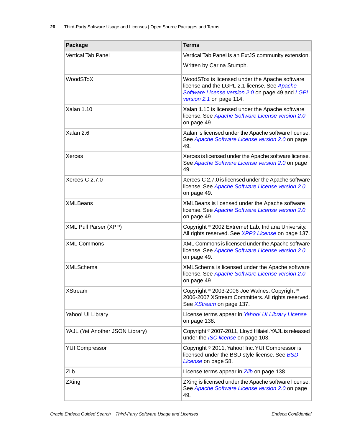| Package                         | <b>Terms</b>                                                                                                                                                                   |
|---------------------------------|--------------------------------------------------------------------------------------------------------------------------------------------------------------------------------|
| <b>Vertical Tab Panel</b>       | Vertical Tab Panel is an ExtJS community extension.<br>Written by Carina Stumph.                                                                                               |
| WoodSToX                        | WoodSTox is licensed under the Apache software<br>license and the LGPL 2.1 license. See Apache<br>Software License version 2.0 on page 49 and LGPL<br>version 2.1 on page 114. |
| Xalan 1.10                      | Xalan 1.10 is licensed under the Apache software<br>license. See Apache Software License version 2.0<br>on page 49.                                                            |
| Xalan 2.6                       | Xalan is licensed under the Apache software license.<br>See Apache Software License version 2.0 on page<br>49.                                                                 |
| Xerces                          | Xerces is licensed under the Apache software license.<br>See Apache Software License version 2.0 on page<br>49.                                                                |
| Xerces-C 2.7.0                  | Xerces-C 2.7.0 is licensed under the Apache software<br>license. See Apache Software License version 2.0<br>on page 49.                                                        |
| <b>XMLBeans</b>                 | XMLBeans is licensed under the Apache software<br>license. See Apache Software License version 2.0<br>on page 49.                                                              |
| XML Pull Parser (XPP)           | Copyright © 2002 Extreme! Lab, Indiana University.<br>All rights reserved. See XPP3 License on page 137.                                                                       |
| <b>XML Commons</b>              | XML Commons is licensed under the Apache software<br>license. See Apache Software License version 2.0<br>on page 49.                                                           |
| XMLSchema                       | XMLSchema is licensed under the Apache software<br>license. See Apache Software License version 2.0<br>on page 49.                                                             |
| <b>XStream</b>                  | Copyright © 2003-2006 Joe Walnes. Copyright ©<br>2006-2007 XStream Committers. All rights reserved.<br>See XStream on page 137.                                                |
| Yahoo! UI Library               | License terms appear in Yahoo! UI Library License<br>on page 138.                                                                                                              |
| YAJL (Yet Another JSON Library) | Copyright © 2007-2011, Lloyd Hilaiel. YAJL is released<br>under the <i>ISC license</i> on page 103.                                                                            |
| <b>YUI Compressor</b>           | Copyright © 2011, Yahoo! Inc. YUI Compressor is<br>licensed under the BSD style license. See BSD<br>License on page 58.                                                        |
| Zlib                            | License terms appear in Zlib on page 138.                                                                                                                                      |
| <b>ZXing</b>                    | ZXing is licensed under the Apache software license.<br>See Apache Software License version 2.0 on page<br>49.                                                                 |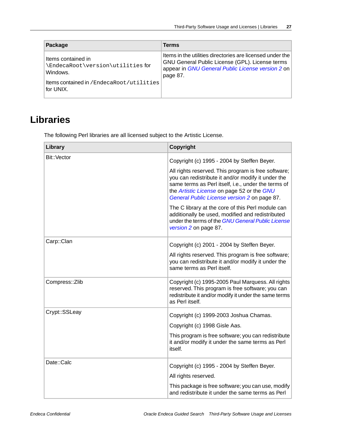| Package                                                             | Terms                                                                                                                                                                                |
|---------------------------------------------------------------------|--------------------------------------------------------------------------------------------------------------------------------------------------------------------------------------|
| Items contained in<br>\EndecaRoot\version\utilities for<br>Windows. | Items in the utilities directories are licensed under the<br><b>GNU General Public License (GPL). License terms</b><br>appear in GNU General Public License version 2 on<br>page 87. |
| Items contained in /EndecaRoot/utilities<br>for UNIX.               |                                                                                                                                                                                      |

### <span id="page-26-0"></span>**Libraries**

The following Perl libraries are all licensed subject to the Artistic License.

| Library        | Copyright                                                                                                                                                                                                                                                      |
|----------------|----------------------------------------------------------------------------------------------------------------------------------------------------------------------------------------------------------------------------------------------------------------|
| Bit::Vector    | Copyright (c) 1995 - 2004 by Steffen Beyer.                                                                                                                                                                                                                    |
|                | All rights reserved. This program is free software;<br>you can redistribute it and/or modify it under the<br>same terms as Perl itself, i.e., under the terms of<br>the Artistic License on page 52 or the GNU<br>General Public License version 2 on page 87. |
|                | The C library at the core of this Perl module can<br>additionally be used, modified and redistributed<br>under the terms of the GNU General Public License<br>version 2 on page 87.                                                                            |
| Carp::Clan     | Copyright (c) 2001 - 2004 by Steffen Beyer.<br>All rights reserved. This program is free software;<br>you can redistribute it and/or modify it under the<br>same terms as Perl itself.                                                                         |
| Compress::Zlib | Copyright (c) 1995-2005 Paul Marquess. All rights<br>reserved. This program is free software; you can<br>redistribute it and/or modify it under the same terms<br>as Perl itself.                                                                              |
| Crypt::SSLeay  | Copyright (c) 1999-2003 Joshua Chamas.                                                                                                                                                                                                                         |
|                | Copyright (c) 1998 Gisle Aas.                                                                                                                                                                                                                                  |
|                | This program is free software; you can redistribute<br>it and/or modify it under the same terms as Perl<br>itself.                                                                                                                                             |
| Date::Calc     | Copyright (c) 1995 - 2004 by Steffen Beyer.                                                                                                                                                                                                                    |
|                | All rights reserved.                                                                                                                                                                                                                                           |
|                | This package is free software; you can use, modify<br>and redistribute it under the same terms as Perl                                                                                                                                                         |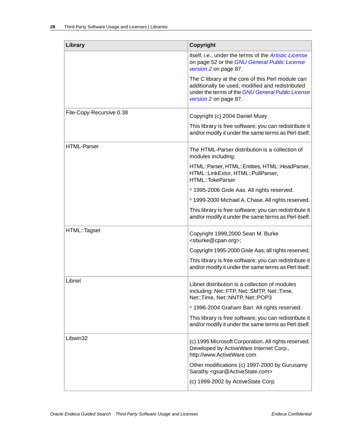| Library                  | Copyright                                                                                                                                                                           |
|--------------------------|-------------------------------------------------------------------------------------------------------------------------------------------------------------------------------------|
|                          | itself, i.e., under the terms of the Artistic License<br>on page 52 or the GNU General Public License<br>version 2 on page 87.                                                      |
|                          | The C library at the core of this Perl module can<br>additionally be used, modified and redistributed<br>under the terms of the GNU General Public License<br>version 2 on page 87. |
| File-Copy-Recursive 0.38 | Copyright (c) 2004 Daniel Muey                                                                                                                                                      |
|                          | This library is free software; you can redistribute it<br>and/or modify it under the same terms as Perl itself.                                                                     |
| <b>HTML-Parser</b>       | The HTML-Parser distribution is a collection of<br>modules including:                                                                                                               |
|                          | HTML::Parser, HTML::Entities, HTML::HeadParser,<br>HTML::LinkExtor, HTML::PullParser,<br>HTML::TokeParser                                                                           |
|                          | © 1995-2006 Gisle Aas. All rights reserved.                                                                                                                                         |
|                          | © 1999-2000 Michael A. Chase. All rights reserved.                                                                                                                                  |
|                          | This library is free software; you can redistribute it<br>and/or modify it under the same terms as Perl itself.                                                                     |
| HTML::Tagset             | Copyright 1999,2000 Sean M. Burke<br><sburke@cpan.org>;</sburke@cpan.org>                                                                                                           |
|                          | Copyright 1995-2000 Gisle Aas; all rights reserved.                                                                                                                                 |
|                          | This library is free software; you can redistribute it<br>and/or modify it under the same terms as Perl itself.                                                                     |
| Libnet                   | Libnet distribution is a collection of modules<br>including: Net::FTP, Net::SMTP, Net::Time,<br>Net::Time, Net::NNTP, Net::POP3                                                     |
|                          | © 1996-2004 Graham Barr. All rights reserved.                                                                                                                                       |
|                          | This library is free software; you can redistribute it<br>and/or modify it under the same terms as Perl itself.                                                                     |
| Libwin32                 | (c) 1995 Microsoft Corporation. All rights reserved.<br>Developed by ActiveWare Internet Corp.,<br>http://www.ActiveWare.com                                                        |
|                          | Other modifications (c) 1997-2000 by Gurusamy<br>Sarathy <gsar@activestate.com></gsar@activestate.com>                                                                              |
|                          | (c) 1999-2002 by ActiveState Corp.                                                                                                                                                  |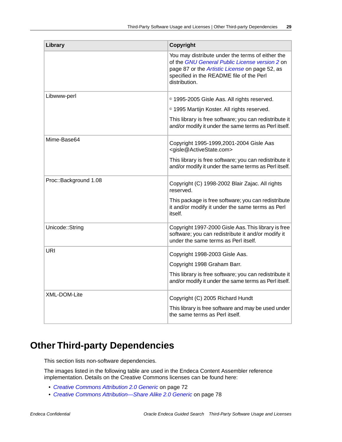| Library               | Copyright                                                                                                                                                                                                         |
|-----------------------|-------------------------------------------------------------------------------------------------------------------------------------------------------------------------------------------------------------------|
|                       | You may distribute under the terms of either the<br>of the GNU General Public License version 2 on<br>page 87 or the Artistic License on page 52, as<br>specified in the README file of the Perl<br>distribution. |
| Libwww-perl           | © 1995-2005 Gisle Aas. All rights reserved.                                                                                                                                                                       |
|                       | © 1995 Martijn Koster. All rights reserved.                                                                                                                                                                       |
|                       | This library is free software; you can redistribute it<br>and/or modify it under the same terms as Perl itself.                                                                                                   |
| Mime-Base64           | Copyright 1995-1999, 2001-2004 Gisle Aas<br><gisle@activestate.com></gisle@activestate.com>                                                                                                                       |
|                       | This library is free software; you can redistribute it<br>and/or modify it under the same terms as Perl itself.                                                                                                   |
| Proc::Background 1.08 | Copyright (C) 1998-2002 Blair Zajac. All rights<br>reserved.                                                                                                                                                      |
|                       | This package is free software; you can redistribute<br>it and/or modify it under the same terms as Perl<br>itself.                                                                                                |
| Unicode::String       | Copyright 1997-2000 Gisle Aas. This library is free<br>software; you can redistribute it and/or modify it<br>under the same terms as Perl itself.                                                                 |
| <b>URI</b>            | Copyright 1998-2003 Gisle Aas.                                                                                                                                                                                    |
|                       | Copyright 1998 Graham Barr.                                                                                                                                                                                       |
|                       | This library is free software; you can redistribute it<br>and/or modify it under the same terms as Perl itself.                                                                                                   |
| <b>XML-DOM-Lite</b>   | Copyright (C) 2005 Richard Hundt                                                                                                                                                                                  |
|                       | This library is free software and may be used under<br>the same terms as Perl itself.                                                                                                                             |

### <span id="page-28-0"></span>**Other Third-party Dependencies**

This section lists non-software dependencies.

The images listed in the following table are used in the Endeca Content Assembler reference implementation. Details on the Creative Commons licenses can be found here:

- *[Creative Commons Attribution 2.0 Generic](#page-71-0)* on page 72
- *[Creative Commons Attribution](#page-77-0)—Share Alike 2.0 Generic* on page 78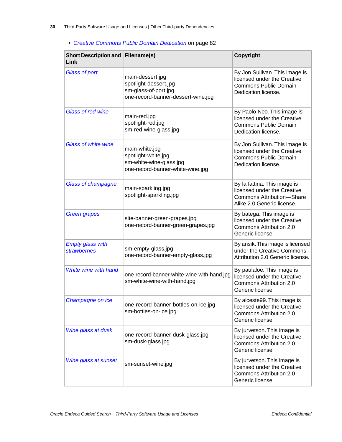|  |  |  |  |  |  | • Creative Commons Public Domain Dedication on page 82 |
|--|--|--|--|--|--|--------------------------------------------------------|
|--|--|--|--|--|--|--------------------------------------------------------|

| <b>Short Description and Filename(s)</b><br>Link |                                                                                                         | Copyright                                                                                                                     |
|--------------------------------------------------|---------------------------------------------------------------------------------------------------------|-------------------------------------------------------------------------------------------------------------------------------|
| <b>Glass of port</b>                             | main-dessert.jpg<br>spotlight-dessert.jpg<br>sm-glass-of-port.jpg<br>one-record-banner-dessert-wine.jpg | By Jon Sullivan. This image is<br>licensed under the Creative<br><b>Commons Public Domain</b><br>Dedication license.          |
| <b>Glass of red wine</b>                         | main-red.jpg<br>spotlight-red.jpg<br>sm-red-wine-glass.jpg                                              | By Paolo Neo. This image is<br>licensed under the Creative<br><b>Commons Public Domain</b><br>Dedication license.             |
| <b>Glass of white wine</b>                       | main-white.jpg<br>spotlight-white.jpg<br>sm-white-wine-glass.jpg<br>one-record-banner-white-wine.jpg    | By Jon Sullivan. This image is<br>licensed under the Creative<br><b>Commons Public Domain</b><br>Dedication license.          |
| <b>Glass of champagne</b>                        | main-sparkling.jpg<br>spotlight-sparkling.jpg                                                           | By la fattina. This image is<br>licensed under the Creative<br><b>Commons Attribution-Share</b><br>Alike 2.0 Generic license. |
| <b>Green grapes</b>                              | site-banner-green-grapes.jpg<br>one-record-banner-green-grapes.jpg                                      | By batega. This image is<br>licensed under the Creative<br>Commons Attribution 2.0<br>Generic license.                        |
| <b>Empty glass with</b><br><b>strawberries</b>   | sm-empty-glass.jpg<br>one-record-banner-empty-glass.jpg                                                 | By ansik. This image is licensed<br>under the Creative Commons<br>Attribution 2.0 Generic license.                            |
| White wine with hand                             | one-record-banner-white-wine-with-hand.jpg<br>sm-white-wine-with-hand.jpg                               | By paulaloe. This image is<br>licensed under the Creative<br>Commons Attribution 2.0<br>Generic license.                      |
| Champagne on ice                                 | one-record-banner-bottles-on-ice.jpg<br>sm-bottles-on-ice.jpg                                           | By alceste99. This image is<br>licensed under the Creative<br><b>Commons Attribution 2.0</b><br>Generic license.              |
| Wine glass at dusk                               | one-record-banner-dusk-glass.jpg<br>sm-dusk-glass.jpg                                                   | By jurvetson. This image is<br>licensed under the Creative<br>Commons Attribution 2.0<br>Generic license.                     |
| Wine glass at sunset                             | sm-sunset-wine.jpg                                                                                      | By jurvetson. This image is<br>licensed under the Creative<br><b>Commons Attribution 2.0</b><br>Generic license.              |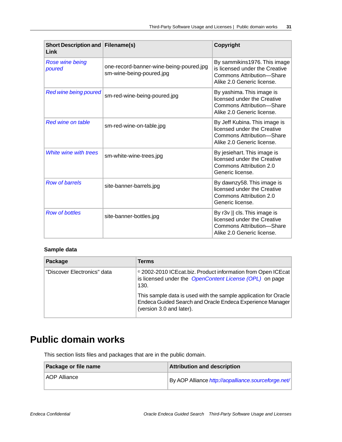| Short Description and Filename(s)<br>Link |                                                                     | Copyright                                                                                                                      |
|-------------------------------------------|---------------------------------------------------------------------|--------------------------------------------------------------------------------------------------------------------------------|
| <b>Rose wine being</b><br>poured          | one-record-banner-wine-being-poured.jpg<br>sm-wine-being-poured.jpg | By sammikins1976. This image<br>is licensed under the Creative<br>Commons Attribution-Share<br>Alike 2.0 Generic license.      |
| Red wine being poured                     | sm-red-wine-being-poured.jpg                                        | By yashima. This image is<br>licensed under the Creative<br>Commons Attribution-Share<br>Alike 2.0 Generic license.            |
| Red wine on table                         | sm-red-wine-on-table.jpg                                            | By Jeff Kubina. This image is<br>licensed under the Creative<br><b>Commons Attribution-Share</b><br>Alike 2.0 Generic license. |
| White wine with trees                     | sm-white-wine-trees.jpg                                             | By jesiehart. This image is<br>licensed under the Creative<br>Commons Attribution 2.0<br>Generic license.                      |
| <b>Row of barrels</b>                     | site-banner-barrels.jpg                                             | By dawnzy58. This image is<br>licensed under the Creative<br>Commons Attribution 2.0<br>Generic license.                       |
| <b>Row of bottles</b>                     | site-banner-bottles.jpg                                             | By r3v    cls. This image is<br>licensed under the Creative<br><b>Commons Attribution-Share</b><br>Alike 2.0 Generic license.  |

#### **Sample data**

| Package                     | <b>Terms</b>                                                                                                                                             |
|-----------------------------|----------------------------------------------------------------------------------------------------------------------------------------------------------|
| "Discover Electronics" data | © 2002-2010 ICEcat.biz. Product information from Open ICEcat<br>is licensed under the OpenContent License (OPL) on page<br>130.                          |
|                             | This sample data is used with the sample application for Oracle<br>Endeca Guided Search and Oracle Endeca Experience Manager<br>(version 3.0 and later). |

### <span id="page-30-0"></span>**Public domain works**

This section lists files and packages that are in the public domain.

| Package or file name | <b>Attribution and description</b>                  |
|----------------------|-----------------------------------------------------|
| AOP Alliance         | By AOP Alliance http://aopalliance.sourceforge.net/ |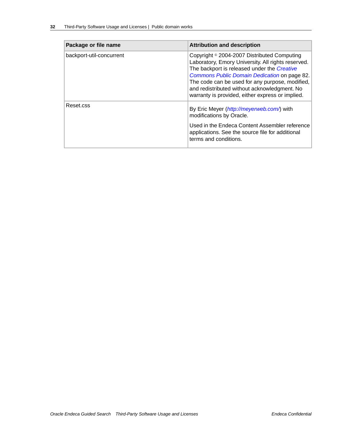| Package or file name     | <b>Attribution and description</b>                                                                                                                                                                                                                                                                                                                      |
|--------------------------|---------------------------------------------------------------------------------------------------------------------------------------------------------------------------------------------------------------------------------------------------------------------------------------------------------------------------------------------------------|
| backport-util-concurrent | Copyright © 2004-2007 Distributed Computing<br>Laboratory, Emory University. All rights reserved.<br>The backport is released under the Creative<br>Commons Public Domain Dedication on page 82.<br>The code can be used for any purpose, modified,<br>and redistributed without acknowledgment. No<br>warranty is provided, either express or implied. |
| Reset.css                | By Eric Meyer (http://meyerweb.com/) with<br>modifications by Oracle.<br>Used in the Endeca Content Assembler reference<br>applications. See the source file for additional<br>terms and conditions.                                                                                                                                                    |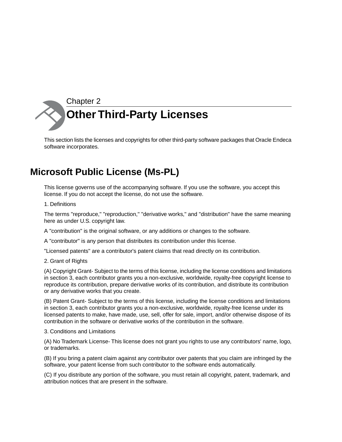<span id="page-32-0"></span>

This section lists the licenses and copyrights for other third-party software packages that Oracle Endeca software incorporates.

### <span id="page-32-1"></span>**Microsoft Public License (Ms-PL)**

This license governs use of the accompanying software. If you use the software, you accept this license. If you do not accept the license, do not use the software.

#### 1. Definitions

The terms "reproduce," "reproduction," "derivative works," and "distribution" have the same meaning here as under U.S. copyright law.

A "contribution" is the original software, or any additions or changes to the software.

A "contributor" is any person that distributes its contribution under this license.

"Licensed patents" are a contributor's patent claims that read directly on its contribution.

2. Grant of Rights

(A) Copyright Grant- Subject to the terms of this license, including the license conditions and limitations in section 3, each contributor grants you a non-exclusive, worldwide, royalty-free copyright license to reproduce its contribution, prepare derivative works of its contribution, and distribute its contribution or any derivative works that you create.

(B) Patent Grant- Subject to the terms of this license, including the license conditions and limitations in section 3, each contributor grants you a non-exclusive, worldwide, royalty-free license under its licensed patents to make, have made, use, sell, offer for sale, import, and/or otherwise dispose of its contribution in the software or derivative works of the contribution in the software.

3. Conditions and Limitations

(A) No Trademark License- This license does not grant you rights to use any contributors' name, logo, or trademarks.

(B) If you bring a patent claim against any contributor over patents that you claim are infringed by the software, your patent license from such contributor to the software ends automatically.

(C) If you distribute any portion of the software, you must retain all copyright, patent, trademark, and attribution notices that are present in the software.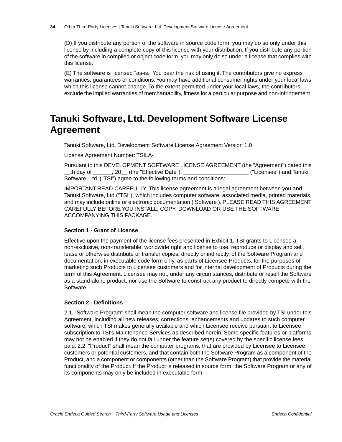(D) If you distribute any portion of the software in source code form, you may do so only under this license by including a complete copy of this license with your distribution. If you distribute any portion of the software in compiled or object code form, you may only do so under a license that complies with this license.

(E) The software is licensed "as-is." You bear the risk of using it. The contributors give no express warranties, guarantees or conditions.You may have additional consumer rights under your local laws which this license cannot change. To the extent permitted under your local laws, the contributors exclude the implied warranties of merchantability, fitness for a particular purpose and non-infringement.

### <span id="page-33-0"></span>**Tanuki Software, Ltd. Development Software License Agreement**

Tanuki Software, Ltd. Development Software License Agreement Version 1.0

License Agreement Number: TSILA-

Pursuant to this DEVELOPMENT SOFTWARE LICENSE AGREEMENT (the "Agreement") dated this \_\_th day of \_\_\_\_\_\_, 20\_\_ (the "Effective Date"), \_\_\_\_\_\_\_\_\_\_\_\_\_\_\_\_\_\_\_\_\_ ("Licensee") and Tanuki Software, Ltd. ("TSI") agree to the following terms and conditions:

IMPORTANT-READ CAREFULLY: This license agreement is a legal agreement between you and Tanuki Software, Ltd.("TSI"), which includes computer software, associated media, printed materials, and may include online or electronic documentation ( Software ). PLEASE READ THIS AGREEMENT CAREFULLY BEFORE YOU INSTALL, COPY, DOWNLOAD OR USE THE SOFTWARE ACCOMPANYING THIS PACKAGE.

#### **Section 1 - Grant of License**

Effective upon the payment of the license fees presented in Exhibit 1, TSI grants to Licensee a non-exclusive, non-transferable, worldwide right and license to use, reproduce or display and sell, lease or otherwise distribute or transfer copies, directly or indirectly, of the Software Program and documentation, in executable code form only, as parts of Licensee Products, for the purposes of marketing such Products to Licensee customers and for internal development of Products during the term of this Agreement. Licensee may not, under any circumstances, distribute or resell the Software as a stand-alone product, nor use the Software to construct any product to directly compete with the Software.

#### **Section 2 - Definitions**

2.1. "Software Program" shall mean the computer software and license file provided by TSI under this Agreement, including all new releases, corrections, enhancements and updates to such computer software, which TSI makes generally available and which Licensee receive pursuant to Licensee subscription to TSI's Maintenance Services as described herein. Some specific features or platforms may not be enabled if they do not fall under the feature set(s) covered by the specific license fees paid. 2.2. "Product" shall mean the computer programs, that are provided by Licensee to Licensee customers or potential customers, and that contain both the Software Program as a component of the Product, and a component or components (other than the Software Program) that provide the material functionality of the Product. If the Product is released in source form, the Software Program or any of its components may only be included in executable form.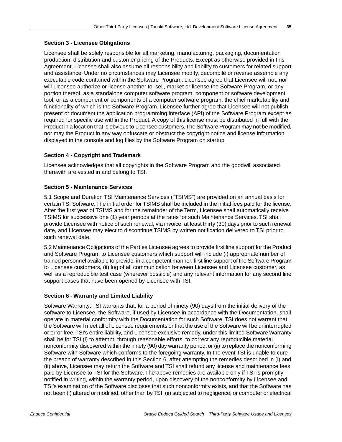#### **Section 3 - Licensee Obligations**

Licensee shall be solely responsible for all marketing, manufacturing, packaging, documentation production, distribution and customer pricing of the Products. Except as otherwise provided in this Agreement, Licensee shall also assume all responsibility and liability to customers for related support and assistance. Under no circumstances may Licensee modify, decompile or reverse assemble any executable code contained within the Software Program. Licensee agree that Licensee will not, nor will Licensee authorize or license another to, sell, market or license the Software Program, or any portion thereof, as a standalone computer software program, component or software development tool, or as a component or components of a computer software program, the chief marketability and functionality of which is the Software Program. Licensee further agree that Licensee will not publish, present or document the application programming interface (API) of the Software Program except as required for specific use within the Product. A copy of this license must be distributed in full with the Product in a location that is obvious to Licensee customers.The Software Program may not be modified, nor may the Product in any way obfuscate or obstruct the copyright notice and license information displayed in the console and log files by the Software Program on startup.

#### **Section 4 - Copyright and Trademark**

Licensee acknowledges that all copyrights in the Software Program and the goodwill associated therewith are vested in and belong to TSI.

#### **Section 5 - Maintenance Services**

5.1 Scope and Duration TSI Maintenance Services ("TSIMS") are provided on an annual basis for certain TSI Software.The initial order for TSIMS shall be included in the initial fees paid for the license. After the first year of TSIMS and for the remainder of the Term, Licensee shall automatically receive TSIMS for successive one (1) year periods at the rates for such Maintenance Services. TSI shall provide Licensee with notice of such renewal, via invoice, at least thirty (30) days prior to such renewal date, and Licensee may elect to discontinue TSIMS by written notification delivered to TSI prior to such renewal date.

5.2 Maintenance Obligations of the Parties Licensee agrees to provide first line support for the Product and Software Program to Licensee customers which support will include (i) appropriate number of trained personnel available to provide, in a competent manner, first line support of the Software Program to Licensee customers, (ii) log of all communication between Licensee and Licensee customer, as well as a reproducible test case (wherever possible) and any relevant information for any second line support cases that have been opened by Licensee with TSI.

#### **Section 6 - Warranty and Limited Liability**

Software Warranty: TSI warrants that, for a period of ninety (90) days from the initial delivery of the software to Licensee, the Software, if used by Licensee in accordance with the Documentation, shall operate in material conformity with the Documentation for such Software. TSI does not warrant that the Software will meet all of Licensee requirements or that the use of the Software will be uninterrupted or error free.TSI's entire liability, and Licensee exclusive remedy, under this limited Software Warranty shall be for TSI (i) to attempt, through reasonable efforts, to correct any reproducible material nonconformity discovered within the ninety (90) day warranty period; or (ii) to replace the nonconforming Software with Software which conforms to the foregoing warranty. In the event TSI is unable to cure the breach of warranty described in this Section 6, after attempting the remedies described in (i) and (ii) above, Licensee may return the Software and TSI shall refund any license and maintenance fees paid by Licensee to TSI for the Software. The above remedies are available only if TSI is promptly notified in writing, within the warranty period, upon discovery of the nonconformity by Licensee and TSI's examination of the Software discloses that such nonconformity exists, and that the Software has not been (i) altered or modified, other than by TSI, (ii) subjected to negligence, or computer or electrical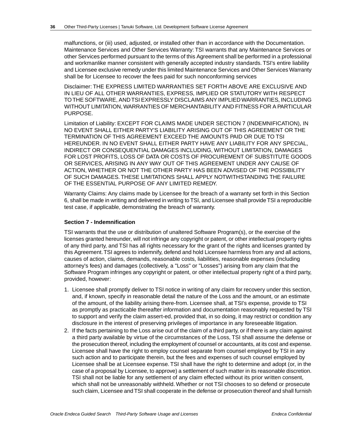malfunctions, or (iii) used, adjusted, or installed other than in accordance with the Documentation. Maintenance Services and Other Services Warranty: TSI warrants that any Maintenance Services or other Services performed pursuant to the terms of this Agreement shall be performed in a professional and workmanlike manner consistent with generally accepted industry standards. TSI's entire liability and Licensee exclusive remedy under this limited Maintenance Services and Other Services Warranty shall be for Licensee to recover the fees paid for such nonconforming services

Disclaimer: THE EXPRESS LIMITED WARRANTIES SET FORTH ABOVE ARE EXCLUSIVE AND IN LIEU OF ALL OTHER WARRANTIES, EXPRESS, IMPLIED OR STATUTORY WITH RESPECT TO THE SOFTWARE, AND TSI EXPRESSLY DISCLAIMS ANY IMPLIED WARRANTIES, INCLUDING WITHOUT LIMITATION, WARRANTIES OF MERCHANTABILITY AND FITNESS FOR A PARTICULAR PURPOSE.

Limitation of Liability: EXCEPT FOR CLAIMS MADE UNDER SECTION 7 (INDEMNIFICATION), IN NO EVENT SHALL EITHER PARTY'S LIABILITY ARISING OUT OF THIS AGREEMENT OR THE TERMINATION OF THIS AGREEMENT EXCEED THE AMOUNTS PAID OR DUE TO TSI HEREUNDER. IN NO EVENT SHALL EITHER PARTY HAVE ANY LIABILITY FOR ANY SPECIAL, INDIRECT OR CONSEQUENTIAL DAMAGES INCLUDING, WITHOUT LIMITATION, DAMAGES FOR LOST PROFITS, LOSS OF DATA OR COSTS OF PROCUREMENT OF SUBSTITUTE GOODS OR SERVICES, ARISING IN ANY WAY OUT OF THIS AGREEMENT UNDER ANY CAUSE OF ACTION, WHETHER OR NOT THE OTHER PARTY HAS BEEN ADVISED OF THE POSSIBILITY OF SUCH DAMAGES. THESE LIMITATIONS SHALL APPLY NOTWITHSTANDING THE FAILURE OF THE ESSENTIAL PURPOSE OF ANY LIMITED REMEDY.

Warranty Claims: Any claims made by Licensee for the breach of a warranty set forth in this Section 6, shall be made in writing and delivered in writing to TSI, and Licensee shall provide TSI a reproducible test case, if applicable, demonstrating the breach of warranty.

#### **Section 7 - Indemnification**

TSI warrants that the use or distribution of unaltered Software Program(s), or the exercise of the licenses granted hereunder, will not infringe any copyright or patent, or other intellectual property rights of any third party, and TSI has all rights necessary for the grant of the rights and licenses granted by this Agreement.TSI agrees to indemnify, defend and hold Licensee harmless from any and all actions, causes of action, claims, demands, reasonable costs, liabilities, reasonable expenses (including attorney's fees) and damages (collectively, a "Loss" or "Losses") arising from any claim that the Software Program infringes any copyright or patent, or other intellectual property right of a third party, provided, however:

- 1. Licensee shall promptly deliver to TSI notice in writing of any claim for recovery under this section, and, if known, specify in reasonable detail the nature of the Loss and the amount, or an estimate of the amount, of the liability arising there-from. Licensee shall, at TSI's expense, provide to TSI as promptly as practicable thereafter information and documentation reasonably requested by TSI to support and verify the claim assert-ed, provided that, in so doing, it may restrict or condition any disclosure in the interest of preserving privileges of importance in any foreseeable litigation.
- 2. If the facts pertaining to the Loss arise out of the claim of a third party, or if there is any claim against a third party available by virtue of the circumstances of the Loss, TSI shall assume the defense or the prosecution thereof, including the employment of counsel or accountants, at its cost and expense. Licensee shall have the right to employ counsel separate from counsel employed by TSI in any such action and to participate therein, but the fees and expenses of such counsel employed by Licensee shall be at Licensee expense. TSI shall have the right to determine and adopt (or, in the case of a proposal by Licensee, to approve) a settlement of such matter in its reasonable discretion. TSI shall not be liable for any settlement of any claim effected without its prior written consent, which shall not be unreasonably withheld. Whether or not TSI chooses to so defend or prosecute such claim, Licensee and TSI shall cooperate in the defense or prosecution thereof and shall furnish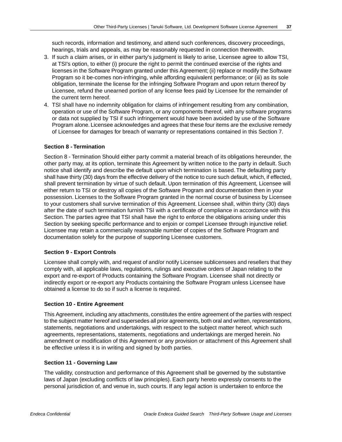such records, information and testimony, and attend such conferences, discovery proceedings, hearings, trials and appeals, as may be reasonably requested in connection therewith.

- 3. If such a claim arises, or in either party's judgment is likely to arise, Licensee agree to allow TSI, at TSI's option, to either (i) procure the right to permit the continued exercise of the rights and licenses in the Software Program granted under this Agreement; (ii) replace or modify the Software Program so it be-comes non-infringing, while affording equivalent performance; or (iii) as its sole obligation, terminate the license for the infringing Software Program and upon return thereof by Licensee, refund the unearned portion of any license fees paid by Licensee for the remainder of the current term hereof.
- 4. TSI shall have no indemnity obligation for claims of infringement resulting from any combination, operation or use of the Software Program, or any components thereof, with any software programs or data not supplied by TSI if such infringement would have been avoided by use of the Software Program alone. Licensee acknowledges and agrees that these four items are the exclusive remedy of Licensee for damages for breach of warranty or representations contained in this Section 7.

## **Section 8 - Termination**

Section 8 - Termination Should either party commit a material breach of its obligations hereunder, the other party may, at its option, terminate this Agreement by written notice to the party in default. Such notice shall identify and describe the default upon which termination is based. The defaulting party shall have thirty (30) days from the effective delivery of the notice to cure such default, which, if effected, shall prevent termination by virtue of such default. Upon termination of this Agreement, Licensee will either return to TSI or destroy all copies of the Software Program and documentation then in your possession. Licenses to the Software Program granted in the normal course of business by Licensee to your customers shall survive termination of this Agreement. Licensee shall, within thirty (30) days after the date of such termination furnish TSI with a certificate of compliance in accordance with this Section. The parties agree that TSI shall have the right to enforce the obligations arising under this Section by seeking specific performance and to enjoin or compel Licensee through injunctive relief. Licensee may retain a commercially reasonable number of copies of the Software Program and documentation solely for the purpose of supporting Licensee customers.

## **Section 9 - Export Controls**

Licensee shall comply with, and request of and/or notify Licensee sublicensees and resellers that they comply with, all applicable laws, regulations, rulings and executive orders of Japan relating to the export and re-export of Products containing the Software Program. Licensee shall not directly or indirectly export or re-export any Products containing the Software Program unless Licensee have obtained a license to do so if such a license is required.

## **Section 10 - Entire Agreement**

This Agreement, including any attachments, constitutes the entire agreement of the parties with respect to the subject matter hereof and supersedes all prior agreements, both oral and written, representations, statements, negotiations and undertakings, with respect to the subject matter hereof, which such agreements, representations, statements, negotiations and undertakings are merged herein. No amendment or modification of this Agreement or any provision or attachment of this Agreement shall be effective unless it is in writing and signed by both parties.

## **Section 11 - Governing Law**

The validity, construction and performance of this Agreement shall be governed by the substantive laws of Japan (excluding conflicts of law principles). Each party hereto expressly consents to the personal jurisdiction of, and venue in, such courts. If any legal action is undertaken to enforce the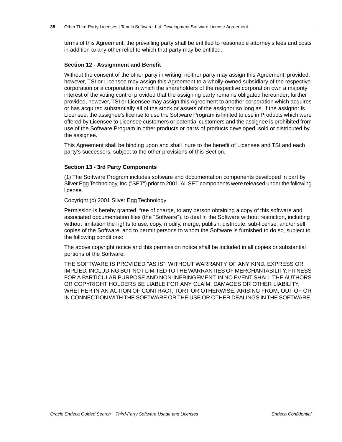terms of this Agreement, the prevailing party shall be entitled to reasonable attorney's fees and costs in addition to any other relief to which that party may be entitled.

#### **Section 12 - Assignment and Benefit**

Without the consent of the other party in writing, neither party may assign this Agreement; provided, however, TSI or Licensee may assign this Agreement to a wholly-owned subsidiary of the respective corporation or a corporation in which the shareholders of the respective corporation own a majority interest of the voting control provided that the assigning party remains obligated hereunder; further provided, however, TSI or Licensee may assign this Agreement to another corporation which acquires or has acquired substantially all of the stock or assets of the assignor so long as, if the assignor is Licensee, the assignee's license to use the Software Program is limited to use in Products which were offered by Licensee to Licensee customers or potential customers and the assignee is prohibited from use of the Software Program in other products or parts of products developed, sold or distributed by the assignee.

This Agreement shall be binding upon and shall inure to the benefit of Licensee and TSI and each party's successors, subject to the other provisions of this Section.

#### **Section 13 - 3rd Party Components**

(1) The Software Program includes software and documentation components developed in part by Silver Egg Technology, Inc.("SET") prior to 2001. All SET components were released under the following license.

Copyright (c) 2001 Silver Egg Technology

Permission is hereby granted, free of charge, to any person obtaining a copy of this software and associated documentation files (the "Software"), to deal in the Software without restriction, including without limitation the rights to use, copy, modify, merge, publish, distribute, sub-license, and/or sell copies of the Software, and to permit persons to whom the Software is furnished to do so, subject to the following conditions:

The above copyright notice and this permission notice shall be included in all copies or substantial portions of the Software.

THE SOFTWARE IS PROVIDED "AS IS", WITHOUT WARRANTY OF ANY KIND, EXPRESS OR IMPLIED, INCLUDING BUT NOT LIMITED TO THE WARRANTIES OF MERCHANTABILITY, FITNESS FOR A PARTICULAR PURPOSE AND NON-INFRINGEMENT. IN NO EVENT SHALL THE AUTHORS OR COPYRIGHT HOLDERS BE LIABLE FOR ANY CLAIM, DAMAGES OR OTHER LIABILITY, WHETHER IN AN ACTION OF CONTRACT, TORT OR OTHERWISE, ARISING FROM, OUT OF OR IN CONNECTION WITH THE SOFTWARE OR THE USE OR OTHER DEALINGS IN THE SOFTWARE.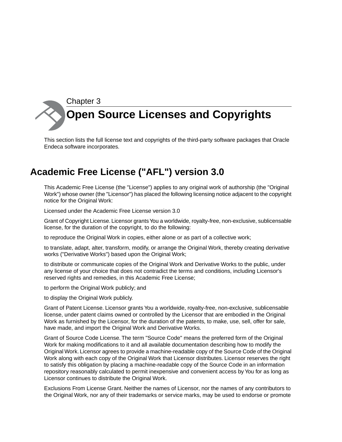

This section lists the full license text and copyrights of the third-party software packages that Oracle Endeca software incorporates.

# **Academic Free License ("AFL") version 3.0**

This Academic Free License (the "License") applies to any original work of authorship (the "Original Work") whose owner (the "Licensor") has placed the following licensing notice adjacent to the copyright notice for the Original Work:

Licensed under the Academic Free License version 3.0

Grant of Copyright License. Licensor grants You a worldwide, royalty-free, non-exclusive, sublicensable license, for the duration of the copyright, to do the following:

to reproduce the Original Work in copies, either alone or as part of a collective work;

to translate, adapt, alter, transform, modify, or arrange the Original Work, thereby creating derivative works ("Derivative Works") based upon the Original Work;

to distribute or communicate copies of the Original Work and Derivative Works to the public, under any license of your choice that does not contradict the terms and conditions, including Licensor's reserved rights and remedies, in this Academic Free License;

to perform the Original Work publicly; and

to display the Original Work publicly.

Grant of Patent License. Licensor grants You a worldwide, royalty-free, non-exclusive, sublicensable license, under patent claims owned or controlled by the Licensor that are embodied in the Original Work as furnished by the Licensor, for the duration of the patents, to make, use, sell, offer for sale, have made, and import the Original Work and Derivative Works.

Grant of Source Code License. The term "Source Code" means the preferred form of the Original Work for making modifications to it and all available documentation describing how to modify the Original Work. Licensor agrees to provide a machine-readable copy of the Source Code of the Original Work along with each copy of the Original Work that Licensor distributes. Licensor reserves the right to satisfy this obligation by placing a machine-readable copy of the Source Code in an information repository reasonably calculated to permit inexpensive and convenient access by You for as long as Licensor continues to distribute the Original Work.

Exclusions From License Grant. Neither the names of Licensor, nor the names of any contributors to the Original Work, nor any of their trademarks or service marks, may be used to endorse or promote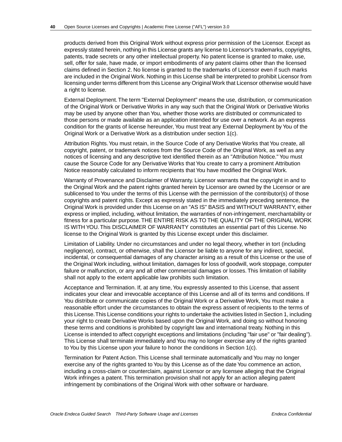products derived from this Original Work without express prior permission of the Licensor. Except as expressly stated herein, nothing in this License grants any license to Licensor's trademarks, copyrights, patents, trade secrets or any other intellectual property. No patent license is granted to make, use, sell, offer for sale, have made, or import embodiments of any patent claims other than the licensed claims defined in Section 2. No license is granted to the trademarks of Licensor even if such marks are included in the Original Work. Nothing in this License shall be interpreted to prohibit Licensor from licensing under terms different from this License any Original Work that Licensor otherwise would have a right to license.

External Deployment.The term "External Deployment" means the use, distribution, or communication of the Original Work or Derivative Works in any way such that the Original Work or Derivative Works may be used by anyone other than You, whether those works are distributed or communicated to those persons or made available as an application intended for use over a network. As an express condition for the grants of license hereunder, You must treat any External Deployment by You of the Original Work or a Derivative Work as a distribution under section 1(c).

Attribution Rights.You must retain, in the Source Code of any Derivative Works that You create, all copyright, patent, or trademark notices from the Source Code of the Original Work, as well as any notices of licensing and any descriptive text identified therein as an "Attribution Notice." You must cause the Source Code for any Derivative Works that You create to carry a prominent Attribution Notice reasonably calculated to inform recipients that You have modified the Original Work.

Warranty of Provenance and Disclaimer of Warranty. Licensor warrants that the copyright in and to the Original Work and the patent rights granted herein by Licensor are owned by the Licensor or are sublicensed to You under the terms of this License with the permission of the contributor(s) of those copyrights and patent rights. Except as expressly stated in the immediately preceding sentence, the Original Work is provided under this License on an "AS IS" BASIS and WITHOUT WARRANTY, either express or implied, including, without limitation, the warranties of non-infringement, merchantability or fitness for a particular purpose.THE ENTIRE RISK AS TO THE QUALITY OF THE ORIGINAL WORK IS WITH YOU. This DISCLAIMER OF WARRANTY constitutes an essential part of this License. No license to the Original Work is granted by this License except under this disclaimer.

Limitation of Liability. Under no circumstances and under no legal theory, whether in tort (including negligence), contract, or otherwise, shall the Licensor be liable to anyone for any indirect, special, incidental, or consequential damages of any character arising as a result of this License or the use of the Original Work including, without limitation, damages for loss of goodwill, work stoppage, computer failure or malfunction, or any and all other commercial damages or losses. This limitation of liability shall not apply to the extent applicable law prohibits such limitation.

Acceptance and Termination. If, at any time, You expressly assented to this License, that assent indicates your clear and irrevocable acceptance of this License and all of its terms and conditions. If You distribute or communicate copies of the Original Work or a Derivative Work, You must make a reasonable effort under the circumstances to obtain the express assent of recipients to the terms of this License.This License conditions your rights to undertake the activities listed in Section 1, including your right to create Derivative Works based upon the Original Work, and doing so without honoring these terms and conditions is prohibited by copyright law and international treaty. Nothing in this License is intended to affect copyright exceptions and limitations (including "fair use" or "fair dealing"). This License shall terminate immediately and You may no longer exercise any of the rights granted to You by this License upon your failure to honor the conditions in Section 1(c).

Termination for Patent Action. This License shall terminate automatically and You may no longer exercise any of the rights granted to You by this License as of the date You commence an action, including a cross-claim or counterclaim, against Licensor or any licensee alleging that the Original Work infringes a patent. This termination provision shall not apply for an action alleging patent infringement by combinations of the Original Work with other software or hardware.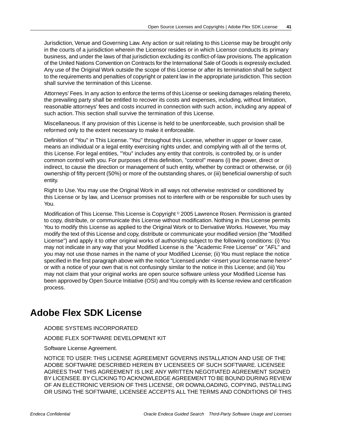Jurisdiction, Venue and Governing Law. Any action or suit relating to this License may be brought only in the courts of a jurisdiction wherein the Licensor resides or in which Licensor conducts its primary business, and under the laws of that jurisdiction excluding its conflict-of-law provisions.The application of the United Nations Convention on Contracts for the International Sale of Goods is expressly excluded. Any use of the Original Work outside the scope of this License or after its termination shall be subject to the requirements and penalties of copyright or patent law in the appropriate jurisdiction.This section shall survive the termination of this License.

Attorneys' Fees. In any action to enforce the terms of this License or seeking damages relating thereto, the prevailing party shall be entitled to recover its costs and expenses, including, without limitation, reasonable attorneys' fees and costs incurred in connection with such action, including any appeal of such action. This section shall survive the termination of this License.

Miscellaneous. If any provision of this License is held to be unenforceable, such provision shall be reformed only to the extent necessary to make it enforceable.

Definition of "You" in This License. "You" throughout this License, whether in upper or lower case, means an individual or a legal entity exercising rights under, and complying with all of the terms of, this License. For legal entities, "You" includes any entity that controls, is controlled by, or is under common control with you. For purposes of this definition, "control" means (i) the power, direct or indirect, to cause the direction or management of such entity, whether by contract or otherwise, or (ii) ownership of fifty percent (50%) or more of the outstanding shares, or (iii) beneficial ownership of such entity.

Right to Use.You may use the Original Work in all ways not otherwise restricted or conditioned by this License or by law, and Licensor promises not to interfere with or be responsible for such uses by You.

Modification of This License.This License is Copyright © 2005 Lawrence Rosen. Permission is granted to copy, distribute, or communicate this License without modification. Nothing in this License permits You to modify this License as applied to the Original Work or to Derivative Works. However, You may modify the text of this License and copy, distribute or communicate your modified version (the "Modified License") and apply it to other original works of authorship subject to the following conditions: (i) You may not indicate in any way that your Modified License is the "Academic Free License" or "AFL" and you may not use those names in the name of your Modified License; (ii) You must replace the notice specified in the first paragraph above with the notice "Licensed under <insert your license name here>" or with a notice of your own that is not confusingly similar to the notice in this License; and (iii) You may not claim that your original works are open source software unless your Modified License has been approved by Open Source Initiative (OSI) and You comply with its license review and certification process.

# **Adobe Flex SDK License**

ADOBE SYSTEMS INCORPORATED

ADOBE FLEX SOFTWARE DEVELOPMENT KIT

Software License Agreement.

NOTICE TO USER: THIS LICENSE AGREEMENT GOVERNS INSTALLATION AND USE OF THE ADOBE SOFTWARE DESCRIBED HEREIN BY LICENSEES OF SUCH SOFTWARE. LICENSEE AGREES THAT THIS AGREEMENT IS LIKE ANY WRITTEN NEGOTIATED AGREEMENT SIGNED BY LICENSEE. BY CLICKING TO ACKNOWLEDGE AGREEMENT TO BE BOUND DURING REVIEW OF AN ELECTRONIC VERSION OF THIS LICENSE, OR DOWNLOADING, COPYING, INSTALLING OR USING THE SOFTWARE, LICENSEE ACCEPTS ALL THE TERMS AND CONDITIONS OF THIS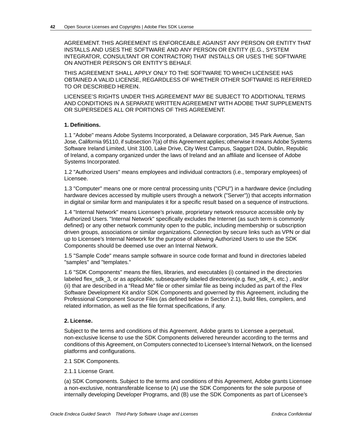AGREEMENT. THIS AGREEMENT IS ENFORCEABLE AGAINST ANY PERSON OR ENTITY THAT INSTALLS AND USES THE SOFTWARE AND ANY PERSON OR ENTITY (E.G., SYSTEM INTEGRATOR, CONSULTANT OR CONTRACTOR) THAT INSTALLS OR USES THE SOFTWARE ON ANOTHER PERSON'S OR ENTITY'S BEHALF.

THIS AGREEMENT SHALL APPLY ONLY TO THE SOFTWARE TO WHICH LICENSEE HAS OBTAINED A VALID LICENSE, REGARDLESS OF WHETHER OTHER SOFTWARE IS REFERRED TO OR DESCRIBED HEREIN.

LICENSEE'S RIGHTS UNDER THIS AGREEMENT MAY BE SUBJECT TO ADDITIONAL TERMS AND CONDITIONS IN A SEPARATE WRITTEN AGREEMENT WITH ADOBE THAT SUPPLEMENTS OR SUPERSEDES ALL OR PORTIONS OF THIS AGREEMENT.

## **1. Definitions.**

1.1 "Adobe" means Adobe Systems Incorporated, a Delaware corporation, 345 Park Avenue, San Jose, California 95110, if subsection 7(a) of this Agreement applies; otherwise it means Adobe Systems Software Ireland Limited, Unit 3100, Lake Drive, City West Campus, Saggart D24, Dublin, Republic of Ireland, a company organized under the laws of Ireland and an affiliate and licensee of Adobe Systems Incorporated.

1.2 "Authorized Users" means employees and individual contractors (i.e., temporary employees) of Licensee.

1.3 "Computer" means one or more central processing units ("CPU") in a hardware device (including hardware devices accessed by multiple users through a network ("Server")) that accepts information in digital or similar form and manipulates it for a specific result based on a sequence of instructions.

1.4 "Internal Network" means Licensee's private, proprietary network resource accessible only by Authorized Users. "Internal Network" specifically excludes the Internet (as such term is commonly defined) or any other network community open to the public, including membership or subscription driven groups, associations or similar organizations. Connection by secure links such as VPN or dial up to Licensee's Internal Network for the purpose of allowing Authorized Users to use the SDK Components should be deemed use over an Internal Network.

1.5 "Sample Code" means sample software in source code format and found in directories labeled "samples" and "templates."

1.6 "SDK Components" means the files, libraries, and executables (i) contained in the directories labeled flex\_sdk\_3, or as applicable, subsequently labeled directories(e.g. flex\_sdk\_4, etc.) , and/or (ii) that are described in a "Read Me" file or other similar file as being included as part of the Flex Software Development Kit and/or SDK Components and governed by this Agreement, including the Professional Component Source Files (as defined below in Section 2.1), build files, compilers, and related information, as well as the file format specifications, if any.

## **2. License.**

Subject to the terms and conditions of this Agreement, Adobe grants to Licensee a perpetual, non-exclusive license to use the SDK Components delivered hereunder according to the terms and conditions of this Agreement, on Computers connected to Licensee's Internal Network, on the licensed platforms and configurations.

2.1 SDK Components.

## 2.1.1 License Grant.

(a) SDK Components. Subject to the terms and conditions of this Agreement, Adobe grants Licensee a non-exclusive, nontransferable license to (A) use the SDK Components for the sole purpose of internally developing Developer Programs, and (B) use the SDK Components as part of Licensee's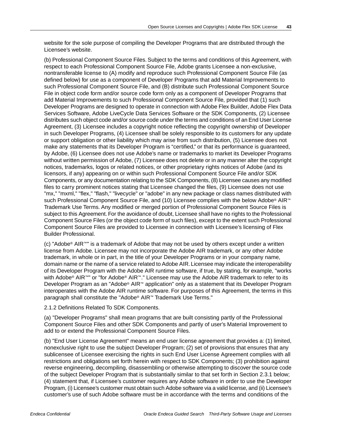website for the sole purpose of compiling the Developer Programs that are distributed through the Licensee's website.

(b) Professional Component Source Files. Subject to the terms and conditions of this Agreement, with respect to each Professional Component Source File, Adobe grants Licensee a non-exclusive, nontransferable license to (A) modify and reproduce such Professional Component Source File (as defined below) for use as a component of Developer Programs that add Material Improvements to such Professional Component Source File, and (B) distribute such Professional Component Source File in object code form and/or source code form only as a component of Developer Programs that add Material Improvements to such Professional Component Source File, provided that (1) such Developer Programs are designed to operate in connection with Adobe Flex Builder, Adobe Flex Data Services Software, Adobe LiveCycle Data Services Software or the SDK Components, (2) Licensee distributes such object code and/or source code under the terms and conditions of an End User License Agreement, (3) Licensee includes a copyright notice reflecting the copyright ownership of Developer in such Developer Programs, (4) Licensee shall be solely responsible to its customers for any update or support obligation or other liability which may arise from such distribution, (5) Licensee does not make any statements that its Developer Program is "certified," or that its performance is guaranteed, by Adobe, (6) Licensee does not use Adobe's name or trademarks to market its Developer Programs without written permission of Adobe, (7) Licensee does not delete or in any manner alter the copyright notices, trademarks, logos or related notices, or other proprietary rights notices of Adobe (and its licensors, if any) appearing on or within such Professional Component Source File and/or SDK Components, or any documentation relating to the SDK Components, (8) Licensee causes any modified files to carry prominent notices stating that Licensee changed the files, (9) Licensee does not use "mx," "mxml," "flex," "flash," "livecycle" or "adobe" in any new package or class names distributed with such Professional Component Source File, and (10) Licensee complies with the below Adobe® AIR™ Trademark Use Terms. Any modified or merged portion of Professional Component Source Files is subject to this Agreement. For the avoidance of doubt, Licensee shall have no rights to the Professional Component Source Files (or the object code form of such files), except to the extent such Professional Component Source Files are provided to Licensee in connection with Licensee's licensing of Flex Builder Professional.

(c) "Adobe® AIR™" is a trademark of Adobe that may not be used by others except under a written license from Adobe. Licensee may not incorporate the Adobe AIR trademark, or any other Adobe trademark, in whole or in part, in the title of your Developer Programs or in your company name, domain name or the name of a service related to Adobe AIR. Licensee may indicate the interoperability of its Developer Program with the Adobe AIR runtime software, if true, by stating, for example, "works with Adobe® AIR™" or "for Adobe® AIR™." Licensee may use the Adobe AIR trademark to refer to its Developer Program as an "Adobe® AIR™ application" only as a statement that its Developer Program interoperates with the Adobe AIR runtime software. For purposes of this Agreement, the terms in this paragraph shall constitute the "Adobe® AIR™ Trademark Use Terms."

2.1.2 Definitions Related To SDK Components.

(a) "Developer Programs" shall mean programs that are built consisting partly of the Professional Component Source Files and other SDK Components and partly of user's Material Improvement to add to or extend the Professional Component Source Files.

(b) "End User License Agreement" means an end user license agreement that provides a: (1) limited, nonexclusive right to use the subject Developer Program; (2) set of provisions that ensures that any sublicensee of Licensee exercising the rights in such End User License Agreement complies with all restrictions and obligations set forth herein with respect to SDK Components; (3) prohibition against reverse engineering, decompiling, disassembling or otherwise attempting to discover the source code of the subject Developer Program that is substantially similar to that set forth in Section 2.3.1 below; (4) statement that, if Licensee's customer requires any Adobe software in order to use the Developer Program, (i) Licensee's customer must obtain such Adobe software via a valid license, and (ii) Licensee's customer's use of such Adobe software must be in accordance with the terms and conditions of the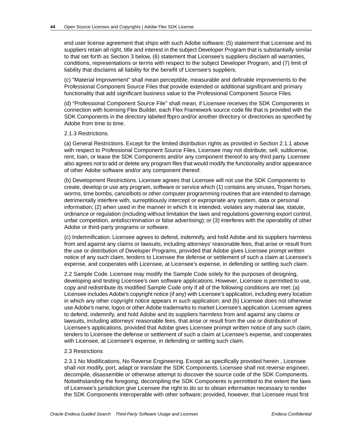end user license agreement that ships with such Adobe software; (5) statement that Licensee and its suppliers retain all right, title and interest in the subject Developer Program that is substantially similar to that set forth as Section 3 below, (6) statement that Licensee's suppliers disclaim all warranties, conditions, representations or terms with respect to the subject Developer Program, and (7) limit of liability that disclaims all liability for the benefit of Licensee's suppliers.

(c) "Material Improvement" shall mean perceptible, measurable and definable improvements to the Professional Component Source Files that provide extended or additional significant and primary functionality that add significant business value to the Professional Component Source Files.

(d) "Professional Component Source File" shall mean, if Licensee receives the SDK Components in connection with licensing Flex Builder, each Flex Framework source code file that is provided with the SDK Components in the directory labeled fbpro and/or another directory or directories as specified by Adobe from time to time.

#### 2.1.3 Restrictions.

(a) General Restrictions. Except for the limited distribution rights as provided in Section 2.1.1 above with respect to Professional Component Source Files, Licensee may not distribute, sell, sublicense, rent, loan, or lease the SDK Components and/or any component thereof to any third party. Licensee also agrees not to add or delete any program files that would modify the functionality and/or appearance of other Adobe software and/or any component thereof.

(b) Development Restrictions. Licensee agrees that Licensee will not use the SDK Components to create, develop or use any program, software or service which (1) contains any viruses, Trojan horses, worms, time bombs, cancelbots or other computer programming routines that are intended to damage, detrimentally interfere with, surreptitiously intercept or expropriate any system, data or personal information; (2) when used in the manner in which it is intended, violates any material law, statute, ordinance or regulation (including without limitation the laws and regulations governing export control, unfair competition, antidiscrimination or false advertising); or (3) interferes with the operability of other Adobe or third-party programs or software.

(c) Indemnification. Licensee agrees to defend, indemnify, and hold Adobe and its suppliers harmless from and against any claims or lawsuits, including attorneys' reasonable fees, that arise or result from the use or distribution of Developer Programs, provided that Adobe gives Licensee prompt written notice of any such claim, tenders to Licensee the defense or settlement of such a claim at Licensee's expense, and cooperates with Licensee, at Licensee's expense, in defending or settling such claim.

2.2 Sample Code. Licensee may modify the Sample Code solely for the purposes of designing, developing and testing Licensee's own software applications. However, Licensee is permitted to use, copy and redistribute its modified Sample Code only if all of the following conditions are met: (a) Licensee includes Adobe's copyright notice (if any) with Licensee's application, including every location in which any other copyright notice appears in such application; and (b) Licensee does not otherwise use Adobe's name, logos or other Adobe trademarks to market Licensee's application. Licensee agrees to defend, indemnify, and hold Adobe and its suppliers harmless from and against any claims or lawsuits, including attorneys' reasonable fees, that arise or result from the use or distribution of Licensee's applications, provided that Adobe gives Licensee prompt written notice of any such claim, tenders to Licensee the defense or settlement of such a claim at Licensee's expense, and cooperates with Licensee, at Licensee's expense, in defending or settling such claim.

## 2.3 Restrictions

2.3.1 No Modifications, No Reverse Engineering. Except as specifically provided herein , Licensee shall not modify, port, adapt or translate the SDK Components. Licensee shall not reverse engineer, decompile, disassemble or otherwise attempt to discover the source code of the SDK Components. Notwithstanding the foregoing, decompiling the SDK Components is permitted to the extent the laws of Licensee's jurisdiction give Licensee the right to do so to obtain information necessary to render the SDK Components interoperable with other software; provided, however, that Licensee must first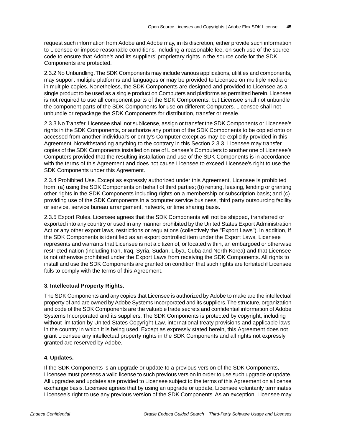request such information from Adobe and Adobe may, in its discretion, either provide such information to Licensee or impose reasonable conditions, including a reasonable fee, on such use of the source code to ensure that Adobe's and its suppliers' proprietary rights in the source code for the SDK Components are protected.

2.3.2 No Unbundling.The SDK Components may include various applications, utilities and components, may support multiple platforms and languages or may be provided to Licensee on multiple media or in multiple copies. Nonetheless, the SDK Components are designed and provided to Licensee as a single product to be used as a single product on Computers and platforms as permitted herein. Licensee is not required to use all component parts of the SDK Components, but Licensee shall not unbundle the component parts of the SDK Components for use on different Computers. Licensee shall not unbundle or repackage the SDK Components for distribution, transfer or resale.

2.3.3 No Transfer. Licensee shall not sublicense, assign or transfer the SDK Components or Licensee's rights in the SDK Components, or authorize any portion of the SDK Components to be copied onto or accessed from another individual's or entity's Computer except as may be explicitly provided in this Agreement. Notwithstanding anything to the contrary in this Section 2.3.3, Licensee may transfer copies of the SDK Components installed on one of Licensee's Computers to another one of Licensee's Computers provided that the resulting installation and use of the SDK Components is in accordance with the terms of this Agreement and does not cause Licensee to exceed Licensee's right to use the SDK Components under this Agreement.

2.3.4 Prohibited Use. Except as expressly authorized under this Agreement, Licensee is prohibited from: (a) using the SDK Components on behalf of third parties; (b) renting, leasing, lending or granting other rights in the SDK Components including rights on a membership or subscription basis; and (c) providing use of the SDK Components in a computer service business, third party outsourcing facility or service, service bureau arrangement, network, or time sharing basis.

2.3.5 Export Rules. Licensee agrees that the SDK Components will not be shipped, transferred or exported into any country or used in any manner prohibited by the United States Export Administration Act or any other export laws, restrictions or regulations (collectively the "Export Laws"). In addition, if the SDK Components is identified as an export controlled item under the Export Laws, Licensee represents and warrants that Licensee is not a citizen of, or located within, an embargoed or otherwise restricted nation (including Iran, Iraq, Syria, Sudan, Libya, Cuba and North Korea) and that Licensee is not otherwise prohibited under the Export Laws from receiving the SDK Components. All rights to install and use the SDK Components are granted on condition that such rights are forfeited if Licensee fails to comply with the terms of this Agreement.

## **3. Intellectual Property Rights.**

The SDK Components and any copies that Licensee is authorized by Adobe to make are the intellectual property of and are owned by Adobe Systems Incorporated and its suppliers.The structure, organization and code of the SDK Components are the valuable trade secrets and confidential information of Adobe Systems Incorporated and its suppliers. The SDK Components is protected by copyright, including without limitation by United States Copyright Law, international treaty provisions and applicable laws in the country in which it is being used. Except as expressly stated herein, this Agreement does not grant Licensee any intellectual property rights in the SDK Components and all rights not expressly granted are reserved by Adobe.

## **4. Updates.**

If the SDK Components is an upgrade or update to a previous version of the SDK Components, Licensee must possess a valid license to such previous version in order to use such upgrade or update. All upgrades and updates are provided to Licensee subject to the terms of this Agreement on a license exchange basis. Licensee agrees that by using an upgrade or update, Licensee voluntarily terminates Licensee's right to use any previous version of the SDK Components. As an exception, Licensee may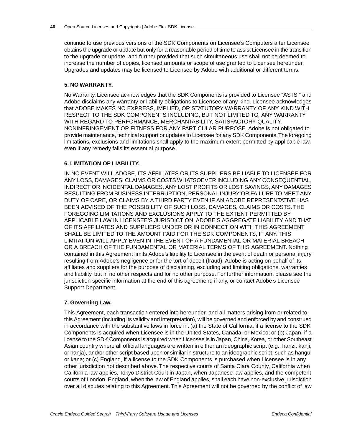continue to use previous versions of the SDK Components on Licensee's Computers after Licensee obtains the upgrade or update but only for a reasonable period of time to assist Licensee in the transition to the upgrade or update, and further provided that such simultaneous use shall not be deemed to increase the number of copies, licensed amounts or scope of use granted to Licensee hereunder. Upgrades and updates may be licensed to Licensee by Adobe with additional or different terms.

## **5. NO WARRANTY.**

No Warranty. Licensee acknowledges that the SDK Components is provided to Licensee "AS IS," and Adobe disclaims any warranty or liability obligations to Licensee of any kind. Licensee acknowledges that ADOBE MAKES NO EXPRESS, IMPLIED, OR STATUTORY WARRANTY OF ANY KIND WITH RESPECT TO THE SDK COMPONENTS INCLUDING, BUT NOT LIMITED TO, ANY WARRANTY WITH REGARD TO PERFORMANCE, MERCHANTABILITY, SATISFACTORY QUALITY, NONINFRINGEMENT OR FITNESS FOR ANY PARTICULAR PURPOSE. Adobe is not obligated to provide maintenance, technical support or updates to Licensee for any SDK Components.The foregoing limitations, exclusions and limitations shall apply to the maximum extent permitted by applicable law, even if any remedy fails its essential purpose.

## **6. LIMITATION OF LIABILITY.**

IN NO EVENT WILL ADOBE, ITS AFFILIATES OR ITS SUPPLIERS BE LIABLE TO LICENSEE FOR ANY LOSS, DAMAGES, CLAIMS OR COSTS WHATSOEVER INCLUDING ANY CONSEQUENTIAL, INDIRECT OR INCIDENTAL DAMAGES, ANY LOST PROFITS OR LOST SAVINGS, ANY DAMAGES RESULTING FROM BUSINESS INTERRUPTION, PERSONAL INJURY OR FAILURE TO MEET ANY DUTY OF CARE, OR CLAIMS BY A THIRD PARTY EVEN IF AN ADOBE REPRESENTATIVE HAS BEEN ADVISED OF THE POSSIBILITY OF SUCH LOSS, DAMAGES, CLAIMS OR COSTS. THE FOREGOING LIMITATIONS AND EXCLUSIONS APPLY TO THE EXTENT PERMITTED BY APPLICABLE LAW IN LICENSEE'S JURISDICTION. ADOBE'S AGGREGATE LIABILITY AND THAT OF ITS AFFILIATES AND SUPPLIERS UNDER OR IN CONNECTION WITH THIS AGREEMENT SHALL BE LIMITED TO THE AMOUNT PAID FOR THE SDK COMPONENTS, IF ANY. THIS LIMITATION WILL APPLY EVEN IN THE EVENT OF A FUNDAMENTAL OR MATERIAL BREACH OR A BREACH OF THE FUNDAMENTAL OR MATERIAL TERMS OF THIS AGREEMENT. Nothing contained in this Agreement limits Adobe's liability to Licensee in the event of death or personal injury resulting from Adobe's negligence or for the tort of deceit (fraud). Adobe is acting on behalf of its affiliates and suppliers for the purpose of disclaiming, excluding and limiting obligations, warranties and liability, but in no other respects and for no other purpose. For further information, please see the jurisdiction specific information at the end of this agreement, if any, or contact Adobe's Licensee Support Department.

## **7. Governing Law.**

This Agreement, each transaction entered into hereunder, and all matters arising from or related to this Agreement (including its validity and interpretation), will be governed and enforced by and construed in accordance with the substantive laws in force in: (a) the State of California, if a license to the SDK Components is acquired when Licensee is in the United States, Canada, or Mexico; or (b) Japan, if a license to the SDK Components is acquired when Licensee is in Japan, China, Korea, or other Southeast Asian country where all official languages are written in either an ideographic script (e.g., hanzi, kanji, or hanja), and/or other script based upon or similar in structure to an ideographic script, such as hangul or kana; or (c) England, if a license to the SDK Components is purchased when Licensee is in any other jurisdiction not described above. The respective courts of Santa Clara County, California when California law applies, Tokyo District Court in Japan, when Japanese law applies, and the competent courts of London, England, when the law of England applies, shall each have non-exclusive jurisdiction over all disputes relating to this Agreement.This Agreement will not be governed by the conflict of law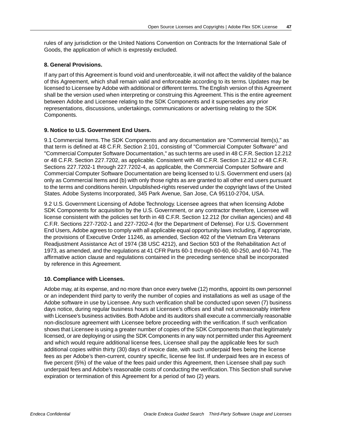rules of any jurisdiction or the United Nations Convention on Contracts for the International Sale of Goods, the application of which is expressly excluded.

## **8. General Provisions.**

If any part of this Agreement is found void and unenforceable, it will not affect the validity of the balance of this Agreement, which shall remain valid and enforceable according to its terms. Updates may be licensed to Licensee by Adobe with additional or different terms.The English version of this Agreement shall be the version used when interpreting or construing this Agreement.This is the entire agreement between Adobe and Licensee relating to the SDK Components and it supersedes any prior representations, discussions, undertakings, communications or advertising relating to the SDK Components.

## **9. Notice to U.S. Government End Users.**

9.1 Commercial Items. The SDK Components and any documentation are "Commercial Item(s)," as that term is defined at 48 C.F.R. Section 2.101, consisting of "Commercial Computer Software" and "Commercial Computer Software Documentation," as such terms are used in 48 C.F.R. Section 12.212 or 48 C.F.R. Section 227.7202, as applicable. Consistent with 48 C.F.R. Section 12.212 or 48 C.F.R. Sections 227.7202-1 through 227.7202-4, as applicable, the Commercial Computer Software and Commercial Computer Software Documentation are being licensed to U.S. Government end users (a) only as Commercial Items and (b) with only those rights as are granted to all other end users pursuant to the terms and conditions herein. Unpublished-rights reserved under the copyright laws of the United States. Adobe Systems Incorporated, 345 Park Avenue, San Jose, CA 95110-2704, USA.

9.2 U.S. Government Licensing of Adobe Technology. Licensee agrees that when licensing Adobe SDK Components for acquisition by the U.S. Government, or any contractor therefore, Licensee will license consistent with the policies set forth in 48 C.F.R. Section 12.212 (for civilian agencies) and 48 C.F.R. Sections 227-7202-1 and 227-7202-4 (for the Department of Defense). For U.S. Government End Users, Adobe agrees to comply with all applicable equal opportunity laws including, if appropriate, the provisions of Executive Order 11246, as amended, Section 402 of the Vietnam Era Veterans Readjustment Assistance Act of 1974 (38 USC 4212), and Section 503 of the Rehabilitation Act of 1973, as amended, and the regulations at 41 CFR Parts 60-1 through 60-60, 60-250, and 60-741.The affirmative action clause and regulations contained in the preceding sentence shall be incorporated by reference in this Agreement.

## **10. Compliance with Licenses.**

Adobe may, at its expense, and no more than once every twelve (12) months, appoint its own personnel or an independent third party to verify the number of copies and installations as well as usage of the Adobe software in use by Licensee. Any such verification shall be conducted upon seven (7) business days notice, during regular business hours at Licensee's offices and shall not unreasonably interfere with Licensee's business activities. Both Adobe and its auditors shall execute a commercially reasonable non-disclosure agreement with Licensee before proceeding with the verification. If such verification shows that Licensee is using a greater number of copies of the SDK Components than that legitimately licensed, or are deploying or using the SDK Components in any way not permitted under this Agreement and which would require additional license fees, Licensee shall pay the applicable fees for such additional copies within thirty (30) days of invoice date, with such underpaid fees being the license fees as per Adobe's then-current, country specific, license fee list. If underpaid fees are in excess of five percent (5%) of the value of the fees paid under this Agreement, then Licensee shall pay such underpaid fees and Adobe's reasonable costs of conducting the verification.This Section shall survive expiration or termination of this Agreement for a period of two (2) years.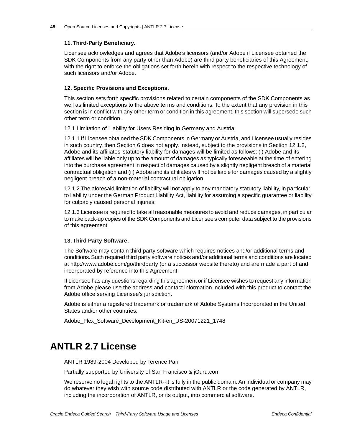#### **11.Third-Party Beneficiary.**

Licensee acknowledges and agrees that Adobe's licensors (and/or Adobe if Licensee obtained the SDK Components from any party other than Adobe) are third party beneficiaries of this Agreement, with the right to enforce the obligations set forth herein with respect to the respective technology of such licensors and/or Adobe.

### **12. Specific Provisions and Exceptions.**

This section sets forth specific provisions related to certain components of the SDK Components as well as limited exceptions to the above terms and conditions. To the extent that any provision in this section is in conflict with any other term or condition in this agreement, this section will supersede such other term or condition.

12.1 Limitation of Liability for Users Residing in Germany and Austria.

12.1.1 If Licensee obtained the SDK Components in Germany or Austria, and Licensee usually resides in such country, then Section 6 does not apply. Instead, subject to the provisions in Section 12.1.2, Adobe and its affiliates' statutory liability for damages will be limited as follows: (i) Adobe and its affiliates will be liable only up to the amount of damages as typically foreseeable at the time of entering into the purchase agreement in respect of damages caused by a slightly negligent breach of a material contractual obligation and (ii) Adobe and its affiliates will not be liable for damages caused by a slightly negligent breach of a non-material contractual obligation.

12.1.2 The aforesaid limitation of liability will not apply to any mandatory statutory liability, in particular, to liability under the German Product Liability Act, liability for assuming a specific guarantee or liability for culpably caused personal injuries.

12.1.3 Licensee is required to take all reasonable measures to avoid and reduce damages, in particular to make back-up copies of the SDK Components and Licensee's computer data subject to the provisions of this agreement.

#### **13.Third Party Software.**

The Software may contain third party software which requires notices and/or additional terms and conditions. Such required third party software notices and/or additional terms and conditions are located at http://www.adobe.com/go/thirdparty (or a successor website thereto) and are made a part of and incorporated by reference into this Agreement.

If Licensee has any questions regarding this agreement or if Licensee wishes to request any information from Adobe please use the address and contact information included with this product to contact the Adobe office serving Licensee's jurisdiction.

Adobe is either a registered trademark or trademark of Adobe Systems Incorporated in the United States and/or other countries.

Adobe\_Flex\_Software\_Development\_Kit-en\_US-20071221\_1748

## **ANTLR 2.7 License**

ANTLR 1989-2004 Developed by Terence Parr

Partially supported by University of San Francisco & jGuru.com

We reserve no legal rights to the ANTLR--it is fully in the public domain. An individual or company may do whatever they wish with source code distributed with ANTLR or the code generated by ANTLR, including the incorporation of ANTLR, or its output, into commercial software.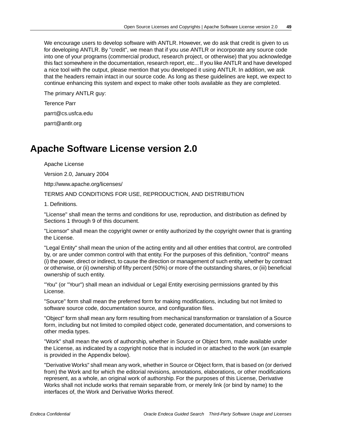We encourage users to develop software with ANTLR. However, we do ask that credit is given to us for developing ANTLR. By "credit", we mean that if you use ANTLR or incorporate any source code into one of your programs (commercial product, research project, or otherwise) that you acknowledge this fact somewhere in the documentation, research report, etc... If you like ANTLR and have developed a nice tool with the output, please mention that you developed it using ANTLR. In addition, we ask that the headers remain intact in our source code. As long as these guidelines are kept, we expect to continue enhancing this system and expect to make other tools available as they are completed.

The primary ANTLR guy:

Terence Parr

parrt@cs.usfca.edu

parrt@antlr.org

# **Apache Software License version 2.0**

Apache License

Version 2.0, January 2004

http://www.apache.org/licenses/

TERMS AND CONDITIONS FOR USE, REPRODUCTION, AND DISTRIBUTION

1. Definitions.

"License" shall mean the terms and conditions for use, reproduction, and distribution as defined by Sections 1 through 9 of this document.

"Licensor" shall mean the copyright owner or entity authorized by the copyright owner that is granting the License.

"Legal Entity" shall mean the union of the acting entity and all other entities that control, are controlled by, or are under common control with that entity. For the purposes of this definition, "control" means (i) the power, direct or indirect, to cause the direction or management of such entity, whether by contract or otherwise, or (ii) ownership of fifty percent (50%) or more of the outstanding shares, or (iii) beneficial ownership of such entity.

"You" (or "Your") shall mean an individual or Legal Entity exercising permissions granted by this License.

"Source" form shall mean the preferred form for making modifications, including but not limited to software source code, documentation source, and configuration files.

"Object" form shall mean any form resulting from mechanical transformation or translation of a Source form, including but not limited to compiled object code, generated documentation, and conversions to other media types.

"Work" shall mean the work of authorship, whether in Source or Object form, made available under the License, as indicated by a copyright notice that is included in or attached to the work (an example is provided in the Appendix below).

"Derivative Works" shall mean any work, whether in Source or Object form, that is based on (or derived from) the Work and for which the editorial revisions, annotations, elaborations, or other modifications represent, as a whole, an original work of authorship. For the purposes of this License, Derivative Works shall not include works that remain separable from, or merely link (or bind by name) to the interfaces of, the Work and Derivative Works thereof.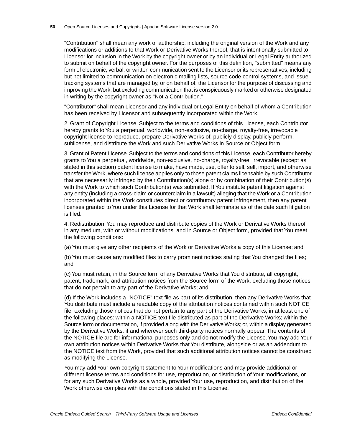"Contribution" shall mean any work of authorship, including the original version of the Work and any modifications or additions to that Work or Derivative Works thereof, that is intentionally submitted to Licensor for inclusion in the Work by the copyright owner or by an individual or Legal Entity authorized to submit on behalf of the copyright owner. For the purposes of this definition, "submitted" means any form of electronic, verbal, or written communication sent to the Licensor or its representatives, including but not limited to communication on electronic mailing lists, source code control systems, and issue tracking systems that are managed by, or on behalf of, the Licensor for the purpose of discussing and improving the Work, but excluding communication that is conspicuously marked or otherwise designated in writing by the copyright owner as "Not a Contribution."

"Contributor" shall mean Licensor and any individual or Legal Entity on behalf of whom a Contribution has been received by Licensor and subsequently incorporated within the Work.

2. Grant of Copyright License. Subject to the terms and conditions of this License, each Contributor hereby grants to You a perpetual, worldwide, non-exclusive, no-charge, royalty-free, irrevocable copyright license to reproduce, prepare Derivative Works of, publicly display, publicly perform, sublicense, and distribute the Work and such Derivative Works in Source or Object form.

3. Grant of Patent License. Subject to the terms and conditions of this License, each Contributor hereby grants to You a perpetual, worldwide, non-exclusive, no-charge, royalty-free, irrevocable (except as stated in this section) patent license to make, have made, use, offer to sell, sell, import, and otherwise transfer the Work, where such license applies only to those patent claims licensable by such Contributor that are necessarily infringed by their Contribution(s) alone or by combination of their Contribution(s) with the Work to which such Contribution(s) was submitted. If You institute patent litigation against any entity (including a cross-claim or counterclaim in a lawsuit) alleging that the Work or a Contribution incorporated within the Work constitutes direct or contributory patent infringement, then any patent licenses granted to You under this License for that Work shall terminate as of the date such litigation is filed.

4. Redistribution.You may reproduce and distribute copies of the Work or Derivative Works thereof in any medium, with or without modifications, and in Source or Object form, provided that You meet the following conditions:

(a) You must give any other recipients of the Work or Derivative Works a copy of this License; and

(b) You must cause any modified files to carry prominent notices stating that You changed the files; and

(c) You must retain, in the Source form of any Derivative Works that You distribute, all copyright, patent, trademark, and attribution notices from the Source form of the Work, excluding those notices that do not pertain to any part of the Derivative Works; and

(d) If the Work includes a "NOTICE" text file as part of its distribution, then any Derivative Works that You distribute must include a readable copy of the attribution notices contained within such NOTICE file, excluding those notices that do not pertain to any part of the Derivative Works, in at least one of the following places: within a NOTICE text file distributed as part of the Derivative Works; within the Source form or documentation, if provided along with the Derivative Works; or, within a display generated by the Derivative Works, if and wherever such third-party notices normally appear. The contents of the NOTICE file are for informational purposes only and do not modify the License. You may add Your own attribution notices within Derivative Works that You distribute, alongside or as an addendum to the NOTICE text from the Work, provided that such additional attribution notices cannot be construed as modifying the License.

You may add Your own copyright statement to Your modifications and may provide additional or different license terms and conditions for use, reproduction, or distribution of Your modifications, or for any such Derivative Works as a whole, provided Your use, reproduction, and distribution of the Work otherwise complies with the conditions stated in this License.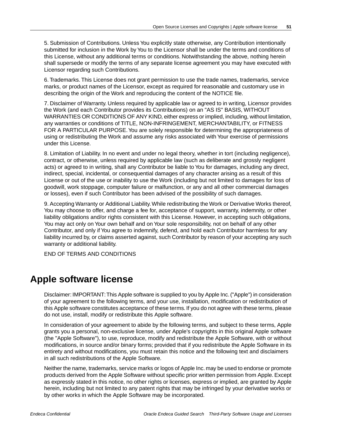5. Submission of Contributions. Unless You explicitly state otherwise, any Contribution intentionally submitted for inclusion in the Work by You to the Licensor shall be under the terms and conditions of this License, without any additional terms or conditions. Notwithstanding the above, nothing herein shall supersede or modify the terms of any separate license agreement you may have executed with Licensor regarding such Contributions.

6. Trademarks. This License does not grant permission to use the trade names, trademarks, service marks, or product names of the Licensor, except as required for reasonable and customary use in describing the origin of the Work and reproducing the content of the NOTICE file.

7. Disclaimer of Warranty. Unless required by applicable law or agreed to in writing, Licensor provides the Work (and each Contributor provides its Contributions) on an "AS IS" BASIS, WITHOUT WARRANTIES OR CONDITIONS OF ANY KIND, either express or implied, including, without limitation, any warranties or conditions of TITLE, NON-INFRINGEMENT, MERCHANTABILITY, or FITNESS FOR A PARTICULAR PURPOSE. You are solely responsible for determining the appropriateness of using or redistributing the Work and assume any risks associated with Your exercise of permissions under this License.

8. Limitation of Liability. In no event and under no legal theory, whether in tort (including negligence), contract, or otherwise, unless required by applicable law (such as deliberate and grossly negligent acts) or agreed to in writing, shall any Contributor be liable to You for damages, including any direct, indirect, special, incidental, or consequential damages of any character arising as a result of this License or out of the use or inability to use the Work (including but not limited to damages for loss of goodwill, work stoppage, computer failure or malfunction, or any and all other commercial damages or losses), even if such Contributor has been advised of the possibility of such damages.

9. Accepting Warranty or Additional Liability.While redistributing the Work or Derivative Works thereof, You may choose to offer, and charge a fee for, acceptance of support, warranty, indemnity, or other liability obligations and/or rights consistent with this License. However, in accepting such obligations, You may act only on Your own behalf and on Your sole responsibility, not on behalf of any other Contributor, and only if You agree to indemnify, defend, and hold each Contributor harmless for any liability incurred by, or claims asserted against, such Contributor by reason of your accepting any such warranty or additional liability.

END OF TERMS AND CONDITIONS

## **Apple software license**

Disclaimer: IMPORTANT:This Apple software is supplied to you by Apple Inc. ("Apple") in consideration of your agreement to the following terms, and your use, installation, modification or redistribution of this Apple software constitutes acceptance of these terms. If you do not agree with these terms, please do not use, install, modify or redistribute this Apple software.

In consideration of your agreement to abide by the following terms, and subject to these terms, Apple grants you a personal, non-exclusive license, under Apple's copyrights in this original Apple software (the "Apple Software"), to use, reproduce, modify and redistribute the Apple Software, with or without modifications, in source and/or binary forms; provided that if you redistribute the Apple Software in its entirety and without modifications, you must retain this notice and the following text and disclaimers in all such redistributions of the Apple Software.

Neither the name, trademarks, service marks or logos of Apple Inc. may be used to endorse or promote products derived from the Apple Software without specific prior written permission from Apple. Except as expressly stated in this notice, no other rights or licenses, express or implied, are granted by Apple herein, including but not limited to any patent rights that may be infringed by your derivative works or by other works in which the Apple Software may be incorporated.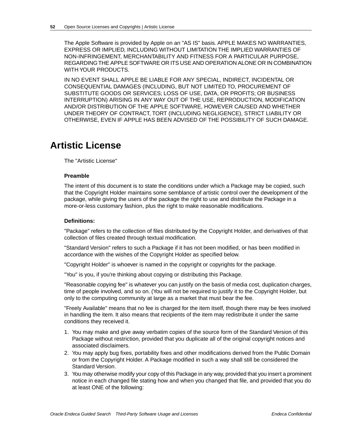The Apple Software is provided by Apple on an "AS IS" basis. APPLE MAKES NO WARRANTIES, EXPRESS OR IMPLIED, INCLUDING WITHOUT LIMITATION THE IMPLIED WARRANTIES OF NON-INFRINGEMENT, MERCHANTABILITY AND FITNESS FOR A PARTICULAR PURPOSE, REGARDING THE APPLE SOFTWARE OR ITS USE AND OPERATION ALONE OR IN COMBINATION WITH YOUR PRODUCTS.

IN NO EVENT SHALL APPLE BE LIABLE FOR ANY SPECIAL, INDIRECT, INCIDENTAL OR CONSEQUENTIAL DAMAGES (INCLUDING, BUT NOT LIMITED TO, PROCUREMENT OF SUBSTITUTE GOODS OR SERVICES; LOSS OF USE, DATA, OR PROFITS; OR BUSINESS INTERRUPTION) ARISING IN ANY WAY OUT OF THE USE, REPRODUCTION, MODIFICATION AND/OR DISTRIBUTION OF THE APPLE SOFTWARE, HOWEVER CAUSED AND WHETHER UNDER THEORY OF CONTRACT, TORT (INCLUDING NEGLIGENCE), STRICT LIABILITY OR OTHERWISE, EVEN IF APPLE HAS BEEN ADVISED OF THE POSSIBILITY OF SUCH DAMAGE.

# **Artistic License**

The "Artistic License"

#### **Preamble**

The intent of this document is to state the conditions under which a Package may be copied, such that the Copyright Holder maintains some semblance of artistic control over the development of the package, while giving the users of the package the right to use and distribute the Package in a more-or-less customary fashion, plus the right to make reasonable modifications.

### **Definitions:**

"Package" refers to the collection of files distributed by the Copyright Holder, and derivatives of that collection of files created through textual modification.

"Standard Version" refers to such a Package if it has not been modified, or has been modified in accordance with the wishes of the Copyright Holder as specified below.

"Copyright Holder" is whoever is named in the copyright or copyrights for the package.

"You" is you, if you're thinking about copying or distributing this Package.

"Reasonable copying fee" is whatever you can justify on the basis of media cost, duplication charges, time of people involved, and so on. (You will not be required to justify it to the Copyright Holder, but only to the computing community at large as a market that must bear the fee.

"Freely Available" means that no fee is charged for the item itself, though there may be fees involved in handling the item. It also means that recipients of the item may redistribute it under the same conditions they received it.

- 1. You may make and give away verbatim copies of the source form of the Standard Version of this Package without restriction, provided that you duplicate all of the original copyright notices and associated disclaimers.
- 2. You may apply bug fixes, portability fixes and other modifications derived from the Public Domain or from the Copyright Holder. A Package modified in such a way shall still be considered the Standard Version.
- 3. You may otherwise modify your copy of this Package in any way, provided that you insert a prominent notice in each changed file stating how and when you changed that file, and provided that you do at least ONE of the following: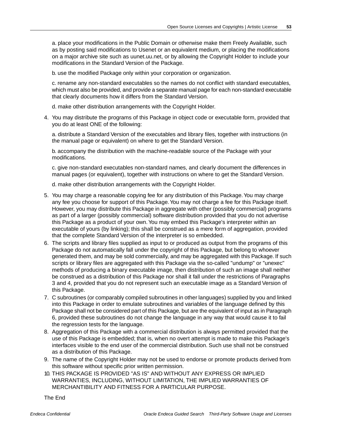a. place your modifications in the Public Domain or otherwise make them Freely Available, such as by posting said modifications to Usenet or an equivalent medium, or placing the modifications on a major archive site such as uunet.uu.net, or by allowing the Copyright Holder to include your modifications in the Standard Version of the Package.

b. use the modified Package only within your corporation or organization.

c. rename any non-standard executables so the names do not conflict with standard executables, which must also be provided, and provide a separate manual page for each non-standard executable that clearly documents how it differs from the Standard Version.

d. make other distribution arrangements with the Copyright Holder.

4. You may distribute the programs of this Package in object code or executable form, provided that you do at least ONE of the following:

a. distribute a Standard Version of the executables and library files, together with instructions (in the manual page or equivalent) on where to get the Standard Version.

b. accompany the distribution with the machine-readable source of the Package with your modifications.

c. give non-standard executables non-standard names, and clearly document the differences in manual pages (or equivalent), together with instructions on where to get the Standard Version.

d. make other distribution arrangements with the Copyright Holder.

- 5. You may charge a reasonable copying fee for any distribution of this Package. You may charge any fee you choose for support of this Package. You may not charge a fee for this Package itself. However, you may distribute this Package in aggregate with other (possibly commercial) programs as part of a larger (possibly commercial) software distribution provided that you do not advertise this Package as a product of your own.You may embed this Package's interpreter within an executable of yours (by linking); this shall be construed as a mere form of aggregation, provided that the complete Standard Version of the interpreter is so embedded.
- 6. The scripts and library files supplied as input to or produced as output from the programs of this Package do not automatically fall under the copyright of this Package, but belong to whoever generated them, and may be sold commercially, and may be aggregated with this Package. If such scripts or library files are aggregated with this Package via the so-called "undump" or "unexec" methods of producing a binary executable image, then distribution of such an image shall neither be construed as a distribution of this Package nor shall it fall under the restrictions of Paragraphs 3 and 4, provided that you do not represent such an executable image as a Standard Version of this Package.
- 7. C subroutines (or comparably compiled subroutines in other languages) supplied by you and linked into this Package in order to emulate subroutines and variables of the language defined by this Package shall not be considered part of this Package, but are the equivalent of input as in Paragraph 6, provided these subroutines do not change the language in any way that would cause it to fail the regression tests for the language.
- 8. Aggregation of this Package with a commercial distribution is always permitted provided that the use of this Package is embedded; that is, when no overt attempt is made to make this Package's interfaces visible to the end user of the commercial distribution. Such use shall not be construed as a distribution of this Package.
- 9. The name of the Copyright Holder may not be used to endorse or promote products derived from this software without specific prior written permission.
- 10. THIS PACKAGE IS PROVIDED "AS IS" AND WITHOUT ANY EXPRESS OR IMPLIED WARRANTIES, INCLUDING, WITHOUT LIMITATION, THE IMPLIED WARRANTIES OF MERCHANTIBILITY AND FITNESS FOR A PARTICULAR PURPOSE.

The End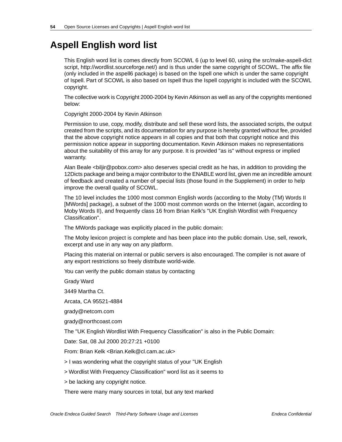# **Aspell English word list**

This English word list is comes directly from SCOWL 6 (up to level 60, using the src/make-aspell-dict script, http://wordlist.sourceforge.net/) and is thus under the same copyright of SCOWL. The affix file (only included in the aspell6 package) is based on the Ispell one which is under the same copyright of Ispell. Part of SCOWL is also based on Ispell thus the Ispell copyright is included with the SCOWL copyright.

The collective work is Copyright 2000-2004 by Kevin Atkinson as well as any of the copyrights mentioned below:

Copyright 2000-2004 by Kevin Atkinson

Permission to use, copy, modify, distribute and sell these word lists, the associated scripts, the output created from the scripts, and its documentation for any purpose is hereby granted without fee, provided that the above copyright notice appears in all copies and that both that copyright notice and this permission notice appear in supporting documentation. Kevin Atkinson makes no representations about the suitability of this array for any purpose. It is provided "as is" without express or implied warranty.

Alan Beale <biljir@pobox.com> also deserves special credit as he has, in addition to providing the 12Dicts package and being a major contributor to the ENABLE word list, given me an incredible amount of feedback and created a number of special lists (those found in the Supplement) in order to help improve the overall quality of SCOWL.

The 10 level includes the 1000 most common English words (according to the Moby (TM) Words II [MWords] package), a subset of the 1000 most common words on the Internet (again, according to Moby Words II), and frequently class 16 from Brian Kelk's "UK English Wordlist with Frequency Classification".

The MWords package was explicitly placed in the public domain:

The Moby lexicon project is complete and has been place into the public domain. Use, sell, rework, excerpt and use in any way on any platform.

Placing this material on internal or public servers is also encouraged. The compiler is not aware of any export restrictions so freely distribute world-wide.

You can verify the public domain status by contacting

Grady Ward

3449 Martha Ct.

Arcata, CA 95521-4884

grady@netcom.com

grady@northcoast.com

The "UK English Wordlist With Frequency Classification" is also in the Public Domain:

Date: Sat, 08 Jul 2000 20:27:21 +0100

From: Brian Kelk <Brian.Kelk@cl.cam.ac.uk>

> I was wondering what the copyright status of your "UK English

> Wordlist With Frequency Classification" word list as it seems to

> be lacking any copyright notice.

There were many many sources in total, but any text marked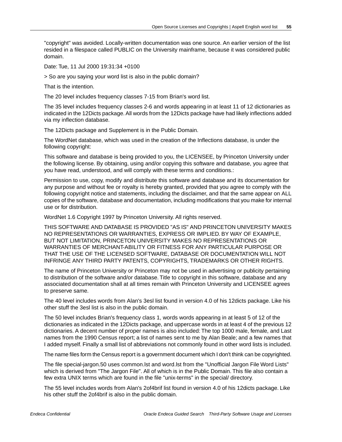"copyright" was avoided. Locally-written documentation was one source. An earlier version of the list resided in a filespace called PUBLIC on the University mainframe, because it was considered public domain.

Date: Tue, 11 Jul 2000 19:31:34 +0100

> So are you saying your word list is also in the public domain?

That is the intention.

The 20 level includes frequency classes 7-15 from Brian's word list.

The 35 level includes frequency classes 2-6 and words appearing in at least 11 of 12 dictionaries as indicated in the 12Dicts package. All words from the 12Dicts package have had likely inflections added via my inflection database.

The 12Dicts package and Supplement is in the Public Domain.

The WordNet database, which was used in the creation of the Inflections database, is under the following copyright:

This software and database is being provided to you, the LICENSEE, by Princeton University under the following license. By obtaining, using and/or copying this software and database, you agree that you have read, understood, and will comply with these terms and conditions.:

Permission to use, copy, modify and distribute this software and database and its documentation for any purpose and without fee or royalty is hereby granted, provided that you agree to comply with the following copyright notice and statements, including the disclaimer, and that the same appear on ALL copies of the software, database and documentation, including modifications that you make for internal use or for distribution.

WordNet 1.6 Copyright 1997 by Princeton University. All rights reserved.

THIS SOFTWARE AND DATABASE IS PROVIDED "AS IS" AND PRINCETON UNIVERSITY MAKES NO REPRESENTATIONS OR WARRANTIES, EXPRESS OR IMPLIED. BY WAY OF EXAMPLE, BUT NOT LIMITATION, PRINCETON UNIVERSITY MAKES NO REPRESENTATIONS OR WARRANTIES OF MERCHANT-ABILITY OR FITNESS FOR ANY PARTICULAR PURPOSE OR THAT THE USE OF THE LICENSED SOFTWARE, DATABASE OR DOCUMENTATION WILL NOT INFRINGE ANY THIRD PARTY PATENTS, COPYRIGHTS, TRADEMARKS OR OTHER RIGHTS.

The name of Princeton University or Princeton may not be used in advertising or publicity pertaining to distribution of the software and/or database. Title to copyright in this software, database and any associated documentation shall at all times remain with Princeton University and LICENSEE agrees to preserve same.

The 40 level includes words from Alan's 3esl list found in version 4.0 of his 12dicts package. Like his other stuff the 3esl list is also in the public domain.

The 50 level includes Brian's frequency class 1, words words appearing in at least 5 of 12 of the dictionaries as indicated in the 12Dicts package, and uppercase words in at least 4 of the previous 12 dictionaries. A decent number of proper names is also included: The top 1000 male, female, and Last names from the 1990 Census report; a list of names sent to me by Alan Beale; and a few names that I added myself. Finally a small list of abbreviations not commonly found in other word lists is included.

The name files form the Census report is a government document which I don't think can be copyrighted.

The file special-jargon.50 uses common.lst and word.lst from the "Unofficial Jargon File Word Lists" which is derived from "The Jargon File". All of which is in the Public Domain. This file also contain a few extra UNIX terms which are found in the file "unix-terms" in the special/ directory.

The 55 level includes words from Alan's 2of4brif list found in version 4.0 of his 12dicts package. Like his other stuff the 2of4brif is also in the public domain.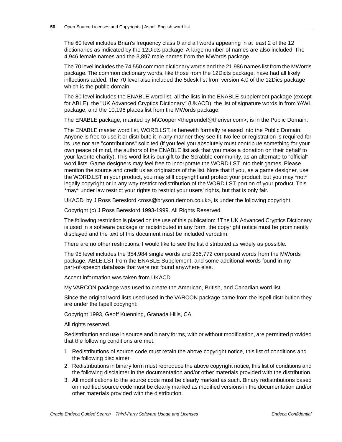The 60 level includes Brian's frequency class 0 and all words appearing in at least 2 of the 12 dictionaries as indicated by the 12Dicts package. A large number of names are also included: The 4,946 female names and the 3,897 male names from the MWords package.

The 70 level includes the 74,550 common dictionary words and the 21,986 names list from the MWords package. The common dictionary words, like those from the 12Dicts package, have had all likely inflections added. The 70 level also included the 5desk list from version 4.0 of the 12Dics package which is the public domain.

The 80 level includes the ENABLE word list, all the lists in the ENABLE supplement package (except for ABLE), the "UK Advanced Cryptics Dictionary" (UKACD), the list of signature words in from YAWL package, and the 10,196 places list from the MWords package.

The ENABLE package, mainted by M\Cooper <thegrendel@theriver.com>, is in the Public Domain:

The ENABLE master word list, WORD.LST, is herewith formally released into the Public Domain. Anyone is free to use it or distribute it in any manner they see fit. No fee or registration is required for its use nor are "contributions" solicited (if you feel you absolutely must contribute something for your own peace of mind, the authors of the ENABLE list ask that you make a donation on their behalf to your favorite charity). This word list is our gift to the Scrabble community, as an alternate to "official" word lists. Game designers may feel free to incorporate the WORD.LST into their games. Please mention the source and credit us as originators of the list. Note that if you, as a game designer, use the WORD.LST in your product, you may still copyright and protect your product, but you may \*not\* legally copyright or in any way restrict redistribution of the WORD.LST portion of your product. This \*may\* under law restrict your rights to restrict your users' rights, but that is only fair.

UKACD, by J Ross Beresford <ross@bryson.demon.co.uk>, is under the following copyright:

Copyright (c) J Ross Beresford 1993-1999. All Rights Reserved.

The following restriction is placed on the use of this publication: if The UK Advanced Cryptics Dictionary is used in a software package or redistributed in any form, the copyright notice must be prominently displayed and the text of this document must be included verbatim.

There are no other restrictions: I would like to see the list distributed as widely as possible.

The 95 level includes the 354,984 single words and 256,772 compound words from the MWords package, ABLE.LST from the ENABLE Supplement, and some additional words found in my part-of-speech database that were not found anywhere else.

Accent information was taken from UKACD.

My VARCON package was used to create the American, British, and Canadian word list.

Since the original word lists used used in the VARCON package came from the Ispell distribution they are under the Ispell copyright:

Copyright 1993, Geoff Kuenning, Granada Hills, CA

All rights reserved.

Redistribution and use in source and binary forms, with or without modification, are permitted provided that the following conditions are met:

- 1. Redistributions of source code must retain the above copyright notice, this list of conditions and the following disclaimer.
- 2. Redistributions in binary form must reproduce the above copyright notice, this list of conditions and the following disclaimer in the documentation and/or other materials provided with the distribution.
- 3. All modifications to the source code must be clearly marked as such. Binary redistributions based on modified source code must be clearly marked as modified versions in the documentation and/or other materials provided with the distribution.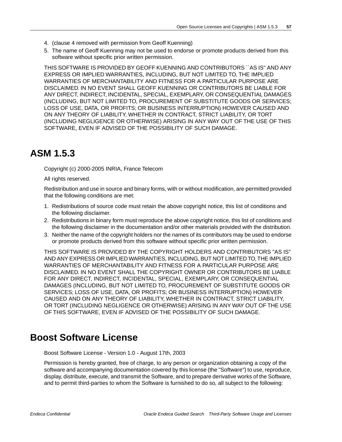- 4. (clause 4 removed with permission from Geoff Kuenning)
- 5. The name of Geoff Kuenning may not be used to endorse or promote products derived from this software without specific prior written permission.

THIS SOFTWARE IS PROVIDED BY GEOFF KUENNING AND CONTRIBUTORS ``AS IS'' AND ANY EXPRESS OR IMPLIED WARRANTIES, INCLUDING, BUT NOT LIMITED TO, THE IMPLIED WARRANTIES OF MERCHANTABILITY AND FITNESS FOR A PARTICULAR PURPOSE ARE DISCLAIMED. IN NO EVENT SHALL GEOFF KUENNING OR CONTRIBUTORS BE LIABLE FOR ANY DIRECT, INDIRECT, INCIDENTAL, SPECIAL, EXEMPLARY, OR CONSEQUENTIAL DAMAGES (INCLUDING, BUT NOT LIMITED TO, PROCUREMENT OF SUBSTITUTE GOODS OR SERVICES; LOSS OF USE, DATA, OR PROFITS; OR BUSINESS INTERRUPTION) HOWEVER CAUSED AND ON ANY THEORY OF LIABILITY, WHETHER IN CONTRACT, STRICT LIABILITY, OR TORT (INCLUDING NEGLIGENCE OR OTHERWISE) ARISING IN ANY WAY OUT OF THE USE OF THIS SOFTWARE, EVEN IF ADVISED OF THE POSSIBILITY OF SUCH DAMAGE.

## **ASM 1.5.3**

Copyright (c) 2000-2005 INRIA, France Telecom

All rights reserved.

Redistribution and use in source and binary forms, with or without modification, are permitted provided that the following conditions are met:

- 1. Redistributions of source code must retain the above copyright notice, this list of conditions and the following disclaimer.
- 2. Redistributions in binary form must reproduce the above copyright notice, this list of conditions and the following disclaimer in the documentation and/or other materials provided with the distribution.
- 3. Neither the name of the copyright holders nor the names of its contributors may be used to endorse or promote products derived from this software without specific prior written permission.

THIS SOFTWARE IS PROVIDED BY THE COPYRIGHT HOLDERS AND CONTRIBUTORS "AS IS" AND ANY EXPRESS OR IMPLIED WARRANTIES, INCLUDING, BUT NOT LIMITED TO, THE IMPLIED WARRANTIES OF MERCHANTABILITY AND FITNESS FOR A PARTICULAR PURPOSE ARE DISCLAIMED. IN NO EVENT SHALL THE COPYRIGHT OWNER OR CONTRIBUTORS BE LIABLE FOR ANY DIRECT, INDIRECT, INCIDENTAL, SPECIAL, EXEMPLARY, OR CONSEQUENTIAL DAMAGES (INCLUDING, BUT NOT LIMITED TO, PROCUREMENT OF SUBSTITUTE GOODS OR SERVICES; LOSS OF USE, DATA, OR PROFITS; OR BUSINESS INTERRUPTION) HOWEVER CAUSED AND ON ANY THEORY OF LIABILITY, WHETHER IN CONTRACT, STRICT LIABILITY, OR TORT (INCLUDING NEGLIGENCE OR OTHERWISE) ARISING IN ANY WAY OUT OF THE USE OF THIS SOFTWARE, EVEN IF ADVISED OF THE POSSIBILITY OF SUCH DAMAGE.

## **Boost Software License**

Boost Software License - Version 1.0 - August 17th, 2003

Permission is hereby granted, free of charge, to any person or organization obtaining a copy of the software and accompanying documentation covered by this license (the "Software") to use, reproduce, display, distribute, execute, and transmit the Software, and to prepare derivative works of the Software, and to permit third-parties to whom the Software is furnished to do so, all subject to the following: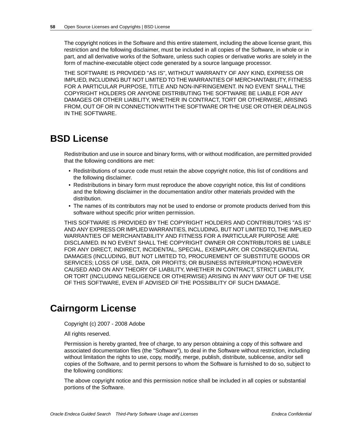The copyright notices in the Software and this entire statement, including the above license grant, this restriction and the following disclaimer, must be included in all copies of the Software, in whole or in part, and all derivative works of the Software, unless such copies or derivative works are solely in the form of machine-executable object code generated by a source language processor.

THE SOFTWARE IS PROVIDED "AS IS", WITHOUT WARRANTY OF ANY KIND, EXPRESS OR IMPLIED, INCLUDING BUT NOT LIMITED TO THE WARRANTIES OF MERCHANTABILITY, FITNESS FOR A PARTICULAR PURPOSE, TITLE AND NON-INFRINGEMENT. IN NO EVENT SHALL THE COPYRIGHT HOLDERS OR ANYONE DISTRIBUTING THE SOFTWARE BE LIABLE FOR ANY DAMAGES OR OTHER LIABILITY, WHETHER IN CONTRACT, TORT OR OTHERWISE, ARISING FROM, OUT OF OR IN CONNECTION WITH THE SOFTWARE OR THE USE OR OTHER DEALINGS IN THE SOFTWARE.

## **BSD License**

Redistribution and use in source and binary forms, with or without modification, are permitted provided that the following conditions are met:

- Redistributions of source code must retain the above copyright notice, this list of conditions and the following disclaimer.
- Redistributions in binary form must reproduce the above copyright notice, this list of conditions and the following disclaimer in the documentation and/or other materials provided with the distribution.
- The names of its contributors may not be used to endorse or promote products derived from this software without specific prior written permission.

THIS SOFTWARE IS PROVIDED BY THE COPYRIGHT HOLDERS AND CONTRIBUTORS "AS IS" AND ANY EXPRESS OR IMPLIED WARRANTIES, INCLUDING, BUT NOT LIMITED TO, THE IMPLIED WARRANTIES OF MERCHANTABILITY AND FITNESS FOR A PARTICULAR PURPOSE ARE DISCLAIMED. IN NO EVENT SHALL THE COPYRIGHT OWNER OR CONTRIBUTORS BE LIABLE FOR ANY DIRECT, INDIRECT, INCIDENTAL, SPECIAL, EXEMPLARY, OR CONSEQUENTIAL DAMAGES (INCLUDING, BUT NOT LIMITED TO, PROCUREMENT OF SUBSTITUTE GOODS OR SERVICES; LOSS OF USE, DATA, OR PROFITS; OR BUSINESS INTERRUPTION) HOWEVER CAUSED AND ON ANY THEORY OF LIABILITY, WHETHER IN CONTRACT, STRICT LIABILITY, OR TORT (INCLUDING NEGLIGENCE OR OTHERWISE) ARISING IN ANY WAY OUT OF THE USE OF THIS SOFTWARE, EVEN IF ADVISED OF THE POSSIBILITY OF SUCH DAMAGE.

## **Cairngorm License**

Copyright (c) 2007 - 2008 Adobe

All rights reserved.

Permission is hereby granted, free of charge, to any person obtaining a copy of this software and associated documentation files (the "Software"), to deal in the Software without restriction, including without limitation the rights to use, copy, modify, merge, publish, distribute, sublicense, and/or sell copies of the Software, and to permit persons to whom the Software is furnished to do so, subject to the following conditions:

The above copyright notice and this permission notice shall be included in all copies or substantial portions of the Software.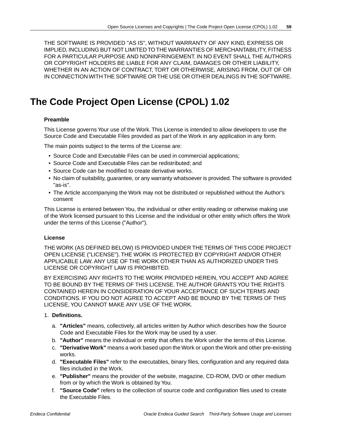THE SOFTWARE IS PROVIDED "AS IS", WITHOUT WARRANTY OF ANY KIND, EXPRESS OR IMPLIED, INCLUDING BUT NOT LIMITED TO THE WARRANTIES OF MERCHANTABILITY, FITNESS FOR A PARTICULAR PURPOSE AND NONINFRINGEMENT. IN NO EVENT SHALL THE AUTHORS OR COPYRIGHT HOLDERS BE LIABLE FOR ANY CLAIM, DAMAGES OR OTHER LIABILITY, WHETHER IN AN ACTION OF CONTRACT, TORT OR OTHERWISE, ARISING FROM, OUT OF OR IN CONNECTION WITH THE SOFTWARE OR THE USE OR OTHER DEALINGS IN THE SOFTWARE.

# **The Code Project Open License (CPOL) 1.02**

## **Preamble**

This License governs Your use of the Work. This License is intended to allow developers to use the Source Code and Executable Files provided as part of the Work in any application in any form.

The main points subject to the terms of the License are:

- Source Code and Executable Files can be used in commercial applications;
- Source Code and Executable Files can be redistributed; and
- Source Code can be modified to create derivative works.
- No claim of suitability, guarantee, or any warranty whatsoever is provided. The software is provided "as-is".
- The Article accompanying the Work may not be distributed or republished without the Author's consent

This License is entered between You, the individual or other entity reading or otherwise making use of the Work licensed pursuant to this License and the individual or other entity which offers the Work under the terms of this License ("Author").

## **License**

THE WORK (AS DEFINED BELOW) IS PROVIDED UNDER THE TERMS OF THIS CODE PROJECT OPEN LICENSE ("LICENSE"). THE WORK IS PROTECTED BY COPYRIGHT AND/OR OTHER APPLICABLE LAW. ANY USE OF THE WORK OTHER THAN AS AUTHORIZED UNDER THIS LICENSE OR COPYRIGHT LAW IS PROHIBITED.

BY EXERCISING ANY RIGHTS TO THE WORK PROVIDED HEREIN, YOU ACCEPT AND AGREE TO BE BOUND BY THE TERMS OF THIS LICENSE. THE AUTHOR GRANTS YOU THE RIGHTS CONTAINED HEREIN IN CONSIDERATION OF YOUR ACCEPTANCE OF SUCH TERMS AND CONDITIONS. IF YOU DO NOT AGREE TO ACCEPT AND BE BOUND BY THE TERMS OF THIS LICENSE, YOU CANNOT MAKE ANY USE OF THE WORK.

#### 1. **Definitions.**

- a. **"Articles"** means, collectively, all articles written by Author which describes how the Source Code and Executable Files for the Work may be used by a user.
- b. **"Author"** means the individual or entity that offers the Work under the terms of this License.
- c. **"Derivative Work"** means a work based upon the Work or upon the Work and other pre-existing works.
- d. **"Executable Files"** refer to the executables, binary files, configuration and any required data files included in the Work.
- e. **"Publisher"** means the provider of the website, magazine, CD-ROM, DVD or other medium from or by which the Work is obtained by You.
- f. **"Source Code"** refers to the collection of source code and configuration files used to create the Executable Files.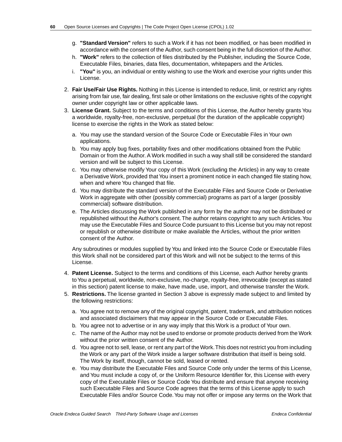- g. **"Standard Version"** refers to such a Work if it has not been modified, or has been modified in accordance with the consent of the Author, such consent being in the full discretion of the Author.
- h. **"Work"** refers to the collection of files distributed by the Publisher, including the Source Code, Executable Files, binaries, data files, documentation, whitepapers and the Articles.
- i. **"You"** is you, an individual or entity wishing to use the Work and exercise your rights under this License.
- 2. **Fair Use/Fair Use Rights.** Nothing in this License is intended to reduce, limit, or restrict any rights arising from fair use, fair dealing, first sale or other limitations on the exclusive rights of the copyright owner under copyright law or other applicable laws.
- 3. **License Grant.** Subject to the terms and conditions of this License, the Author hereby grants You a worldwide, royalty-free, non-exclusive, perpetual (for the duration of the applicable copyright) license to exercise the rights in the Work as stated below:
	- a. You may use the standard version of the Source Code or Executable Files in Your own applications.
	- b. You may apply bug fixes, portability fixes and other modifications obtained from the Public Domain or from the Author. A Work modified in such a way shall still be considered the standard version and will be subject to this License.
	- c. You may otherwise modify Your copy of this Work (excluding the Articles) in any way to create a Derivative Work, provided that You insert a prominent notice in each changed file stating how, when and where You changed that file.
	- d. You may distribute the standard version of the Executable Files and Source Code or Derivative Work in aggregate with other (possibly commercial) programs as part of a larger (possibly commercial) software distribution.
	- e. The Articles discussing the Work published in any form by the author may not be distributed or republished without the Author's consent.The author retains copyright to any such Articles.You may use the Executable Files and Source Code pursuant to this License but you may not repost or republish or otherwise distribute or make available the Articles, without the prior written consent of the Author.

Any subroutines or modules supplied by You and linked into the Source Code or Executable Files this Work shall not be considered part of this Work and will not be subject to the terms of this License.

- 4. **Patent License.** Subject to the terms and conditions of this License, each Author hereby grants to You a perpetual, worldwide, non-exclusive, no-charge, royalty-free, irrevocable (except as stated in this section) patent license to make, have made, use, import, and otherwise transfer the Work.
- 5. **Restrictions.** The license granted in Section 3 above is expressly made subject to and limited by the following restrictions:
	- a. You agree not to remove any of the original copyright, patent, trademark, and attribution notices and associated disclaimers that may appear in the Source Code or Executable Files.
	- b. You agree not to advertise or in any way imply that this Work is a product of Your own.
	- c. The name of the Author may not be used to endorse or promote products derived from the Work without the prior written consent of the Author.
	- d. You agree not to sell, lease, or rent any part of the Work.This does not restrict you from including the Work or any part of the Work inside a larger software distribution that itself is being sold. The Work by itself, though, cannot be sold, leased or rented.
	- e. You may distribute the Executable Files and Source Code only under the terms of this License, and You must include a copy of, or the Uniform Resource Identifier for, this License with every copy of the Executable Files or Source Code You distribute and ensure that anyone receiving such Executable Files and Source Code agrees that the terms of this License apply to such Executable Files and/or Source Code.You may not offer or impose any terms on the Work that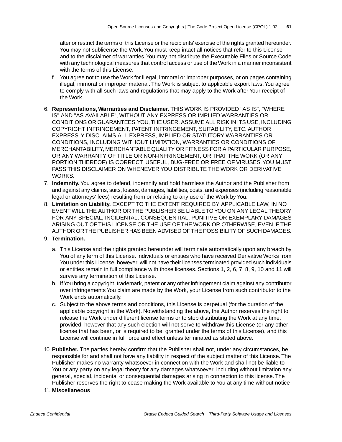alter or restrict the terms of this License or the recipients' exercise of the rights granted hereunder. You may not sublicense the Work.You must keep intact all notices that refer to this License and to the disclaimer of warranties.You may not distribute the Executable Files or Source Code with any technological measures that control access or use of the Work in a manner inconsistent with the terms of this License.

- f. You agree not to use the Work for illegal, immoral or improper purposes, or on pages containing illegal, immoral or improper material. The Work is subject to applicable export laws.You agree to comply with all such laws and regulations that may apply to the Work after Your receipt of the Work.
- 6. **Representations, Warranties and Disclaimer.** THIS WORK IS PROVIDED "AS IS", "WHERE IS" AND "AS AVAILABLE", WITHOUT ANY EXPRESS OR IMPLIED WARRANTIES OR CONDITIONS OR GUARANTEES.YOU, THE USER, ASSUME ALL RISK IN ITS USE, INCLUDING COPYRIGHT INFRINGEMENT, PATENT INFRINGEMENT, SUITABILITY, ETC. AUTHOR EXPRESSLY DISCLAIMS ALL EXPRESS, IMPLIED OR STATUTORY WARRANTIES OR CONDITIONS, INCLUDING WITHOUT LIMITATION, WARRANTIES OR CONDITIONS OF MERCHANTABILITY, MERCHANTABLE QUALITY OR FITNESS FOR A PARTICULAR PURPOSE, OR ANY WARRANTY OF TITLE OR NON-INFRINGEMENT, OR THAT THE WORK (OR ANY PORTION THEREOF) IS CORRECT, USEFUL, BUG-FREE OR FREE OF VIRUSES.YOU MUST PASS THIS DISCLAIMER ON WHENEVER YOU DISTRIBUTE THE WORK OR DERIVATIVE WORKS.
- 7. **Indemnity.** You agree to defend, indemnify and hold harmless the Author and the Publisher from and against any claims, suits, losses, damages, liabilities, costs, and expenses (including reasonable legal or attorneys' fees) resulting from or relating to any use of the Work by You.
- 8. **Limitation on Liability.** EXCEPT TO THE EXTENT REQUIRED BY APPLICABLE LAW, IN NO EVENT WILL THE AUTHOR OR THE PUBLISHER BE LIABLE TO YOU ON ANY LEGAL THEORY FOR ANY SPECIAL, INCIDENTAL, CONSEQUENTIAL, PUNITIVE OR EXEMPLARY DAMAGES ARISING OUT OF THIS LICENSE OR THE USE OF THE WORK OR OTHERWISE, EVEN IF THE AUTHOR OR THE PUBLISHER HAS BEEN ADVISED OF THE POSSIBILITY OF SUCH DAMAGES.
- 9. **Termination.**
	- a. This License and the rights granted hereunder will terminate automatically upon any breach by You of any term of this License. Individuals or entities who have received Derivative Works from You under this License, however, will not have their licenses terminated provided such individuals or entities remain in full compliance with those licenses. Sections 1, 2, 6, 7, 8, 9, 10 and 11 will survive any termination of this License.
	- b. If You bring a copyright, trademark, patent or any other infringement claim against any contributor over infringements You claim are made by the Work, your License from such contributor to the Work ends automatically.
	- c. Subject to the above terms and conditions, this License is perpetual (for the duration of the applicable copyright in the Work). Notwithstanding the above, the Author reserves the right to release the Work under different license terms or to stop distributing the Work at any time; provided, however that any such election will not serve to withdraw this License (or any other license that has been, or is required to be, granted under the terms of this License), and this License will continue in full force and effect unless terminated as stated above.
- 10. **Publisher.** The parties hereby confirm that the Publisher shall not, under any circumstances, be responsible for and shall not have any liability in respect of the subject matter of this License. The Publisher makes no warranty whatsoever in connection with the Work and shall not be liable to You or any party on any legal theory for any damages whatsoever, including without limitation any general, special, incidental or consequential damages arising in connection to this license. The Publisher reserves the right to cease making the Work available to You at any time without notice
- 11. **Miscellaneous**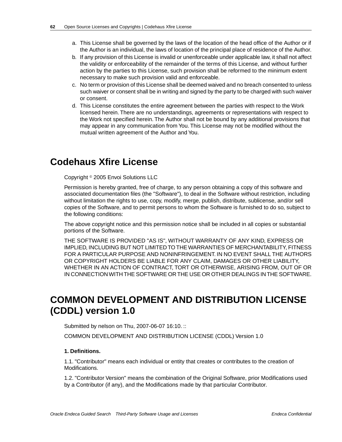- a. This License shall be governed by the laws of the location of the head office of the Author or if the Author is an individual, the laws of location of the principal place of residence of the Author.
- b. If any provision of this License is invalid or unenforceable under applicable law, it shall not affect the validity or enforceability of the remainder of the terms of this License, and without further action by the parties to this License, such provision shall be reformed to the minimum extent necessary to make such provision valid and enforceable.
- c. No term or provision of this License shall be deemed waived and no breach consented to unless such waiver or consent shall be in writing and signed by the party to be charged with such waiver or consent.
- d. This License constitutes the entire agreement between the parties with respect to the Work licensed herein. There are no understandings, agreements or representations with respect to the Work not specified herein. The Author shall not be bound by any additional provisions that may appear in any communication from You. This License may not be modified without the mutual written agreement of the Author and You.

# **Codehaus Xfire License**

Copyright © 2005 Envoi Solutions LLC

Permission is hereby granted, free of charge, to any person obtaining a copy of this software and associated documentation files (the "Software"), to deal in the Software without restriction, including without limitation the rights to use, copy, modify, merge, publish, distribute, sublicense, and/or sell copies of the Software, and to permit persons to whom the Software is furnished to do so, subject to the following conditions:

The above copyright notice and this permission notice shall be included in all copies or substantial portions of the Software.

THE SOFTWARE IS PROVIDED "AS IS", WITHOUT WARRANTY OF ANY KIND, EXPRESS OR IMPLIED, INCLUDING BUT NOT LIMITED TO THE WARRANTIES OF MERCHANTABILITY, FITNESS FOR A PARTICULAR PURPOSE AND NONINFRINGEMENT. IN NO EVENT SHALL THE AUTHORS OR COPYRIGHT HOLDERS BE LIABLE FOR ANY CLAIM, DAMAGES OR OTHER LIABILITY, WHETHER IN AN ACTION OF CONTRACT, TORT OR OTHERWISE, ARISING FROM, OUT OF OR IN CONNECTION WITH THE SOFTWARE OR THE USE OR OTHER DEALINGS IN THE SOFTWARE.

# **COMMON DEVELOPMENT AND DISTRIBUTION LICENSE (CDDL) version 1.0**

Submitted by nelson on Thu, 2007-06-07 16:10. ::

COMMON DEVELOPMENT AND DISTRIBUTION LICENSE (CDDL) Version 1.0

## **1. Definitions.**

1.1. "Contributor" means each individual or entity that creates or contributes to the creation of Modifications.

1.2. "Contributor Version" means the combination of the Original Software, prior Modifications used by a Contributor (if any), and the Modifications made by that particular Contributor.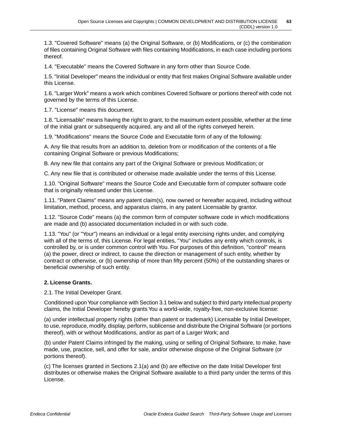1.3. "Covered Software" means (a) the Original Software, or (b) Modifications, or (c) the combination of files containing Original Software with files containing Modifications, in each case including portions thereof.

1.4. "Executable" means the Covered Software in any form other than Source Code.

1.5. "Initial Developer" means the individual or entity that first makes Original Software available under this License.

1.6. "Larger Work" means a work which combines Covered Software or portions thereof with code not governed by the terms of this License.

1.7. "License" means this document.

1.8. "Licensable" means having the right to grant, to the maximum extent possible, whether at the time of the initial grant or subsequently acquired, any and all of the rights conveyed herein.

1.9. "Modifications" means the Source Code and Executable form of any of the following:

A. Any file that results from an addition to, deletion from or modification of the contents of a file containing Original Software or previous Modifications;

B. Any new file that contains any part of the Original Software or previous Modification; or

C. Any new file that is contributed or otherwise made available under the terms of this License.

1.10. "Original Software" means the Source Code and Executable form of computer software code that is originally released under this License.

1.11. "Patent Claims" means any patent claim(s), now owned or hereafter acquired, including without limitation, method, process, and apparatus claims, in any patent Licensable by grantor.

1.12. "Source Code" means (a) the common form of computer software code in which modifications are made and (b) associated documentation included in or with such code.

1.13. "You" (or "Your") means an individual or a legal entity exercising rights under, and complying with all of the terms of, this License. For legal entities, "You" includes any entity which controls, is controlled by, or is under common control with You. For purposes of this definition, "control" means (a) the power, direct or indirect, to cause the direction or management of such entity, whether by contract or otherwise, or (b) ownership of more than fifty percent (50%) of the outstanding shares or beneficial ownership of such entity.

## **2. License Grants.**

2.1. The Initial Developer Grant.

Conditioned upon Your compliance with Section 3.1 below and subject to third party intellectual property claims, the Initial Developer hereby grants You a world-wide, royalty-free, non-exclusive license:

(a) under intellectual property rights (other than patent or trademark) Licensable by Initial Developer, to use, reproduce, modify, display, perform, sublicense and distribute the Original Software (or portions thereof), with or without Modifications, and/or as part of a Larger Work; and

(b) under Patent Claims infringed by the making, using or selling of Original Software, to make, have made, use, practice, sell, and offer for sale, and/or otherwise dispose of the Original Software (or portions thereof).

(c) The licenses granted in Sections 2.1(a) and (b) are effective on the date Initial Developer first distributes or otherwise makes the Original Software available to a third party under the terms of this License.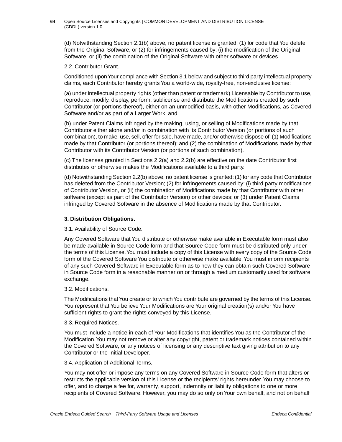(d) Notwithstanding Section 2.1(b) above, no patent license is granted: (1) for code that You delete from the Original Software, or (2) for infringements caused by: (i) the modification of the Original Software, or (ii) the combination of the Original Software with other software or devices.

## 2.2. Contributor Grant.

Conditioned upon Your compliance with Section 3.1 below and subject to third party intellectual property claims, each Contributor hereby grants You a world-wide, royalty-free, non-exclusive license:

(a) under intellectual property rights (other than patent or trademark) Licensable by Contributor to use, reproduce, modify, display, perform, sublicense and distribute the Modifications created by such Contributor (or portions thereof), either on an unmodified basis, with other Modifications, as Covered Software and/or as part of a Larger Work; and

(b) under Patent Claims infringed by the making, using, or selling of Modifications made by that Contributor either alone and/or in combination with its Contributor Version (or portions of such combination), to make, use, sell, offer for sale, have made, and/or otherwise dispose of: (1) Modifications made by that Contributor (or portions thereof); and (2) the combination of Modifications made by that Contributor with its Contributor Version (or portions of such combination).

(c) The licenses granted in Sections 2.2(a) and 2.2(b) are effective on the date Contributor first distributes or otherwise makes the Modifications available to a third party.

(d) Notwithstanding Section 2.2(b) above, no patent license is granted: (1) for any code that Contributor has deleted from the Contributor Version; (2) for infringements caused by: (i) third party modifications of Contributor Version, or (ii) the combination of Modifications made by that Contributor with other software (except as part of the Contributor Version) or other devices; or (3) under Patent Claims infringed by Covered Software in the absence of Modifications made by that Contributor.

## **3. Distribution Obligations.**

## 3.1. Availability of Source Code.

Any Covered Software that You distribute or otherwise make available in Executable form must also be made available in Source Code form and that Source Code form must be distributed only under the terms of this License.You must include a copy of this License with every copy of the Source Code form of the Covered Software You distribute or otherwise make available. You must inform recipients of any such Covered Software in Executable form as to how they can obtain such Covered Software in Source Code form in a reasonable manner on or through a medium customarily used for software exchange.

## 3.2. Modifications.

The Modifications that You create or to which You contribute are governed by the terms of this License. You represent that You believe Your Modifications are Your original creation(s) and/or You have sufficient rights to grant the rights conveyed by this License.

## 3.3. Required Notices.

You must include a notice in each of Your Modifications that identifies You as the Contributor of the Modification.You may not remove or alter any copyright, patent or trademark notices contained within the Covered Software, or any notices of licensing or any descriptive text giving attribution to any Contributor or the Initial Developer.

## 3.4. Application of Additional Terms.

You may not offer or impose any terms on any Covered Software in Source Code form that alters or restricts the applicable version of this License or the recipients' rights hereunder.You may choose to offer, and to charge a fee for, warranty, support, indemnity or liability obligations to one or more recipients of Covered Software. However, you may do so only on Your own behalf, and not on behalf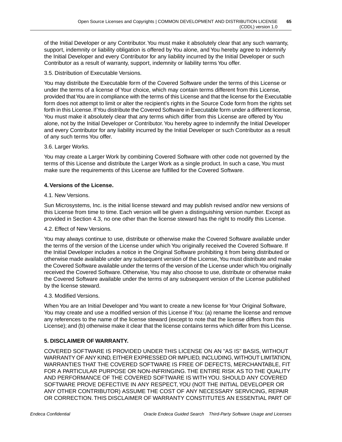of the Initial Developer or any Contributor.You must make it absolutely clear that any such warranty, support, indemnity or liability obligation is offered by You alone, and You hereby agree to indemnify the Initial Developer and every Contributor for any liability incurred by the Initial Developer or such Contributor as a result of warranty, support, indemnity or liability terms You offer.

## 3.5. Distribution of Executable Versions.

You may distribute the Executable form of the Covered Software under the terms of this License or under the terms of a license of Your choice, which may contain terms different from this License, provided that You are in compliance with the terms of this License and that the license for the Executable form does not attempt to limit or alter the recipient's rights in the Source Code form from the rights set forth in this License. If You distribute the Covered Software in Executable form under a different license, You must make it absolutely clear that any terms which differ from this License are offered by You alone, not by the Initial Developer or Contributor.You hereby agree to indemnify the Initial Developer and every Contributor for any liability incurred by the Initial Developer or such Contributor as a result of any such terms You offer.

## 3.6. Larger Works.

You may create a Larger Work by combining Covered Software with other code not governed by the terms of this License and distribute the Larger Work as a single product. In such a case, You must make sure the requirements of this License are fulfilled for the Covered Software.

## **4.Versions of the License.**

## 4.1. New Versions.

Sun Microsystems, Inc. is the initial license steward and may publish revised and/or new versions of this License from time to time. Each version will be given a distinguishing version number. Except as provided in Section 4.3, no one other than the license steward has the right to modify this License.

## 4.2. Effect of New Versions.

You may always continue to use, distribute or otherwise make the Covered Software available under the terms of the version of the License under which You originally received the Covered Software. If the Initial Developer includes a notice in the Original Software prohibiting it from being distributed or otherwise made available under any subsequent version of the License, You must distribute and make the Covered Software available under the terms of the version of the License under which You originally received the Covered Software. Otherwise, You may also choose to use, distribute or otherwise make the Covered Software available under the terms of any subsequent version of the License published by the license steward.

## 4.3. Modified Versions.

When You are an Initial Developer and You want to create a new license for Your Original Software, You may create and use a modified version of this License if You: (a) rename the license and remove any references to the name of the license steward (except to note that the license differs from this License); and (b) otherwise make it clear that the license contains terms which differ from this License.

## **5. DISCLAIMER OF WARRANTY.**

COVERED SOFTWARE IS PROVIDED UNDER THIS LICENSE ON AN "AS IS" BASIS, WITHOUT WARRANTY OF ANY KIND, EITHER EXPRESSED OR IMPLIED, INCLUDING, WITHOUT LIMITATION, WARRANTIES THAT THE COVERED SOFTWARE IS FREE OF DEFECTS, MERCHANTABLE, FIT FOR A PARTICULAR PURPOSE OR NON-INFRINGING. THE ENTIRE RISK AS TO THE QUALITY AND PERFORMANCE OF THE COVERED SOFTWARE IS WITH YOU. SHOULD ANY COVERED SOFTWARE PROVE DEFECTIVE IN ANY RESPECT, YOU (NOT THE INITIAL DEVELOPER OR ANY OTHER CONTRIBUTOR) ASSUME THE COST OF ANY NECESSARY SERVICING, REPAIR OR CORRECTION. THIS DISCLAIMER OF WARRANTY CONSTITUTES AN ESSENTIAL PART OF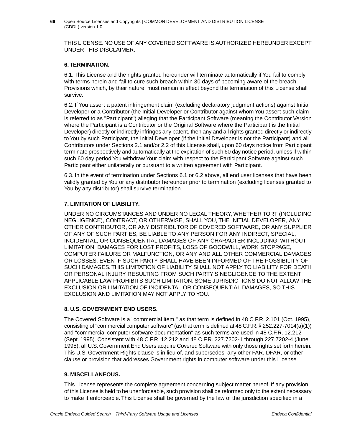THIS LICENSE. NO USE OF ANY COVERED SOFTWARE IS AUTHORIZED HEREUNDER EXCEPT UNDER THIS DISCLAIMER.

## **6.TERMINATION.**

6.1. This License and the rights granted hereunder will terminate automatically if You fail to comply with terms herein and fail to cure such breach within 30 days of becoming aware of the breach. Provisions which, by their nature, must remain in effect beyond the termination of this License shall survive.

6.2. If You assert a patent infringement claim (excluding declaratory judgment actions) against Initial Developer or a Contributor (the Initial Developer or Contributor against whom You assert such claim is referred to as "Participant") alleging that the Participant Software (meaning the Contributor Version where the Participant is a Contributor or the Original Software where the Participant is the Initial Developer) directly or indirectly infringes any patent, then any and all rights granted directly or indirectly to You by such Participant, the Initial Developer (if the Initial Developer is not the Participant) and all Contributors under Sections 2.1 and/or 2.2 of this License shall, upon 60 days notice from Participant terminate prospectively and automatically at the expiration of such 60 day notice period, unless if within such 60 day period You withdraw Your claim with respect to the Participant Software against such Participant either unilaterally or pursuant to a written agreement with Participant.

6.3. In the event of termination under Sections 6.1 or 6.2 above, all end user licenses that have been validly granted by You or any distributor hereunder prior to termination (excluding licenses granted to You by any distributor) shall survive termination.

## **7. LIMITATION OF LIABILITY.**

UNDER NO CIRCUMSTANCES AND UNDER NO LEGAL THEORY, WHETHER TORT (INCLUDING NEGLIGENCE), CONTRACT, OR OTHERWISE, SHALL YOU, THE INITIAL DEVELOPER, ANY OTHER CONTRIBUTOR, OR ANY DISTRIBUTOR OF COVERED SOFTWARE, OR ANY SUPPLIER OF ANY OF SUCH PARTIES, BE LIABLE TO ANY PERSON FOR ANY INDIRECT, SPECIAL, INCIDENTAL, OR CONSEQUENTIAL DAMAGES OF ANY CHARACTER INCLUDING, WITHOUT LIMITATION, DAMAGES FOR LOST PROFITS, LOSS OF GOODWILL, WORK STOPPAGE, COMPUTER FAILURE OR MALFUNCTION, OR ANY AND ALL OTHER COMMERCIAL DAMAGES OR LOSSES, EVEN IF SUCH PARTY SHALL HAVE BEEN INFORMED OF THE POSSIBILITY OF SUCH DAMAGES. THIS LIMITATION OF LIABILITY SHALL NOT APPLY TO LIABILITY FOR DEATH OR PERSONAL INJURY RESULTING FROM SUCH PARTY'S NEGLIGENCE TO THE EXTENT APPLICABLE LAW PROHIBITS SUCH LIMITATION. SOME JURISDICTIONS DO NOT ALLOW THE EXCLUSION OR LIMITATION OF INCIDENTAL OR CONSEQUENTIAL DAMAGES, SO THIS EXCLUSION AND LIMITATION MAY NOT APPLY TO YOU.

## **8. U.S. GOVERNMENT END USERS.**

The Covered Software is a "commercial item," as that term is defined in 48 C.F.R. 2.101 (Oct. 1995), consisting of "commercial computer software" (as that term is defined at 48 C.F.R. § 252.227-7014(a)(1)) and "commercial computer software documentation" as such terms are used in 48 C.F.R. 12.212 (Sept. 1995). Consistent with 48 C.F.R. 12.212 and 48 C.F.R. 227.7202-1 through 227.7202-4 (June 1995), all U.S. Government End Users acquire Covered Software with only those rights set forth herein. This U.S. Government Rights clause is in lieu of, and supersedes, any other FAR, DFAR, or other clause or provision that addresses Government rights in computer software under this License.

#### **9. MISCELLANEOUS.**

This License represents the complete agreement concerning subject matter hereof. If any provision of this License is held to be unenforceable, such provision shall be reformed only to the extent necessary to make it enforceable. This License shall be governed by the law of the jurisdiction specified in a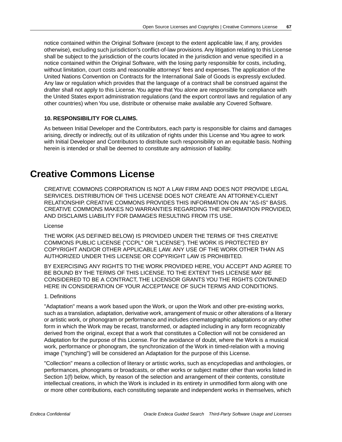notice contained within the Original Software (except to the extent applicable law, if any, provides otherwise), excluding such jurisdiction's conflict-of-law provisions. Any litigation relating to this License shall be subject to the jurisdiction of the courts located in the jurisdiction and venue specified in a notice contained within the Original Software, with the losing party responsible for costs, including, without limitation, court costs and reasonable attorneys' fees and expenses. The application of the United Nations Convention on Contracts for the International Sale of Goods is expressly excluded. Any law or regulation which provides that the language of a contract shall be construed against the drafter shall not apply to this License.You agree that You alone are responsible for compliance with the United States export administration regulations (and the export control laws and regulation of any other countries) when You use, distribute or otherwise make available any Covered Software.

## **10. RESPONSIBILITY FOR CLAIMS.**

As between Initial Developer and the Contributors, each party is responsible for claims and damages arising, directly or indirectly, out of its utilization of rights under this License and You agree to work with Initial Developer and Contributors to distribute such responsibility on an equitable basis. Nothing herein is intended or shall be deemed to constitute any admission of liability.

## **Creative Commons License**

CREATIVE COMMONS CORPORATION IS NOT A LAW FIRM AND DOES NOT PROVIDE LEGAL SERVICES. DISTRIBUTION OF THIS LICENSE DOES NOT CREATE AN ATTORNEY-CLIENT RELATIONSHIP. CREATIVE COMMONS PROVIDES THIS INFORMATION ON AN "AS-IS" BASIS. CREATIVE COMMONS MAKES NO WARRANTIES REGARDING THE INFORMATION PROVIDED, AND DISCLAIMS LIABILITY FOR DAMAGES RESULTING FROM ITS USE.

#### License

THE WORK (AS DEFINED BELOW) IS PROVIDED UNDER THE TERMS OF THIS CREATIVE COMMONS PUBLIC LICENSE ("CCPL" OR "LICENSE"). THE WORK IS PROTECTED BY COPYRIGHT AND/OR OTHER APPLICABLE LAW. ANY USE OF THE WORK OTHER THAN AS AUTHORIZED UNDER THIS LICENSE OR COPYRIGHT LAW IS PROHIBITED.

BY EXERCISING ANY RIGHTS TO THE WORK PROVIDED HERE, YOU ACCEPT AND AGREE TO BE BOUND BY THE TERMS OF THIS LICENSE. TO THE EXTENT THIS LICENSE MAY BE CONSIDERED TO BE A CONTRACT, THE LICENSOR GRANTS YOU THE RIGHTS CONTAINED HERE IN CONSIDERATION OF YOUR ACCEPTANCE OF SUCH TERMS AND CONDITIONS.

#### 1. Definitions

"Adaptation" means a work based upon the Work, or upon the Work and other pre-existing works, such as a translation, adaptation, derivative work, arrangement of music or other alterations of a literary or artistic work, or phonogram or performance and includes cinematographic adaptations or any other form in which the Work may be recast, transformed, or adapted including in any form recognizably derived from the original, except that a work that constitutes a Collection will not be considered an Adaptation for the purpose of this License. For the avoidance of doubt, where the Work is a musical work, performance or phonogram, the synchronization of the Work in timed-relation with a moving image ("synching") will be considered an Adaptation for the purpose of this License.

"Collection" means a collection of literary or artistic works, such as encyclopedias and anthologies, or performances, phonograms or broadcasts, or other works or subject matter other than works listed in Section 1(f) below, which, by reason of the selection and arrangement of their contents, constitute intellectual creations, in which the Work is included in its entirety in unmodified form along with one or more other contributions, each constituting separate and independent works in themselves, which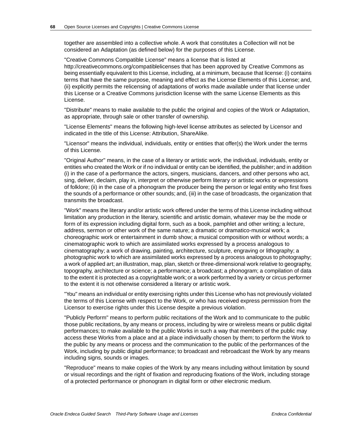together are assembled into a collective whole. A work that constitutes a Collection will not be considered an Adaptation (as defined below) for the purposes of this License.

"Creative Commons Compatible License" means a license that is listed at http://creativecommons.org/compatiblelicenses that has been approved by Creative Commons as being essentially equivalent to this License, including, at a minimum, because that license: (i) contains terms that have the same purpose, meaning and effect as the License Elements of this License; and, (ii) explicitly permits the relicensing of adaptations of works made available under that license under this License or a Creative Commons jurisdiction license with the same License Elements as this License.

"Distribute" means to make available to the public the original and copies of the Work or Adaptation, as appropriate, through sale or other transfer of ownership.

"License Elements" means the following high-level license attributes as selected by Licensor and indicated in the title of this License: Attribution, ShareAlike.

"Licensor" means the individual, individuals, entity or entities that offer(s) the Work under the terms of this License.

"Original Author" means, in the case of a literary or artistic work, the individual, individuals, entity or entities who created the Work or if no individual or entity can be identified, the publisher; and in addition (i) in the case of a performance the actors, singers, musicians, dancers, and other persons who act, sing, deliver, declaim, play in, interpret or otherwise perform literary or artistic works or expressions of folklore; (ii) in the case of a phonogram the producer being the person or legal entity who first fixes the sounds of a performance or other sounds; and, (iii) in the case of broadcasts, the organization that transmits the broadcast.

"Work" means the literary and/or artistic work offered under the terms of this License including without limitation any production in the literary, scientific and artistic domain, whatever may be the mode or form of its expression including digital form, such as a book, pamphlet and other writing; a lecture, address, sermon or other work of the same nature; a dramatic or dramatico-musical work; a choreographic work or entertainment in dumb show; a musical composition with or without words; a cinematographic work to which are assimilated works expressed by a process analogous to cinematography; a work of drawing, painting, architecture, sculpture, engraving or lithography; a photographic work to which are assimilated works expressed by a process analogous to photography; a work of applied art; an illustration, map, plan, sketch or three-dimensional work relative to geography, topography, architecture or science; a performance; a broadcast; a phonogram; a compilation of data to the extent it is protected as a copyrightable work; or a work performed by a variety or circus performer to the extent it is not otherwise considered a literary or artistic work.

"You" means an individual or entity exercising rights under this License who has not previously violated the terms of this License with respect to the Work, or who has received express permission from the Licensor to exercise rights under this License despite a previous violation.

"Publicly Perform" means to perform public recitations of the Work and to communicate to the public those public recitations, by any means or process, including by wire or wireless means or public digital performances; to make available to the public Works in such a way that members of the public may access these Works from a place and at a place individually chosen by them; to perform the Work to the public by any means or process and the communication to the public of the performances of the Work, including by public digital performance; to broadcast and rebroadcast the Work by any means including signs, sounds or images.

"Reproduce" means to make copies of the Work by any means including without limitation by sound or visual recordings and the right of fixation and reproducing fixations of the Work, including storage of a protected performance or phonogram in digital form or other electronic medium.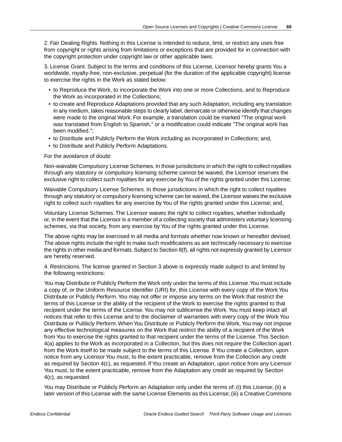2. Fair Dealing Rights. Nothing in this License is intended to reduce, limit, or restrict any uses free from copyright or rights arising from limitations or exceptions that are provided for in connection with the copyright protection under copyright law or other applicable laws.

3. License Grant. Subject to the terms and conditions of this License, Licensor hereby grants You a worldwide, royalty-free, non-exclusive, perpetual (for the duration of the applicable copyright) license to exercise the rights in the Work as stated below:

- to Reproduce the Work, to incorporate the Work into one or more Collections, and to Reproduce the Work as incorporated in the Collections;
- to create and Reproduce Adaptations provided that any such Adaptation, including any translation in any medium, takes reasonable steps to clearly label, demarcate or otherwise identify that changes were made to the original Work. For example, a translation could be marked "The original work was translated from English to Spanish," or a modification could indicate "The original work has been modified.";
- to Distribute and Publicly Perform the Work including as incorporated in Collections; and,
- to Distribute and Publicly Perform Adaptations.

For the avoidance of doubt:

Non-waivable Compulsory License Schemes. In those jurisdictions in which the right to collect royalties through any statutory or compulsory licensing scheme cannot be waived, the Licensor reserves the exclusive right to collect such royalties for any exercise by You of the rights granted under this License;

Waivable Compulsory License Schemes. In those jurisdictions in which the right to collect royalties through any statutory or compulsory licensing scheme can be waived, the Licensor waives the exclusive right to collect such royalties for any exercise by You of the rights granted under this License; and,

Voluntary License Schemes. The Licensor waives the right to collect royalties, whether individually or, in the event that the Licensor is a member of a collecting society that administers voluntary licensing schemes, via that society, from any exercise by You of the rights granted under this License.

The above rights may be exercised in all media and formats whether now known or hereafter devised. The above rights include the right to make such modifications as are technically necessary to exercise the rights in other media and formats. Subject to Section 8(f), all rights not expressly granted by Licensor are hereby reserved.

4. Restrictions. The license granted in Section 3 above is expressly made subject to and limited by the following restrictions:

You may Distribute or Publicly Perform the Work only under the terms of this License.You must include a copy of, or the Uniform Resource Identifier (URI) for, this License with every copy of the Work You Distribute or Publicly Perform.You may not offer or impose any terms on the Work that restrict the terms of this License or the ability of the recipient of the Work to exercise the rights granted to that recipient under the terms of the License.You may not sublicense the Work.You must keep intact all notices that refer to this License and to the disclaimer of warranties with every copy of the Work You Distribute or Publicly Perform. When You Distribute or Publicly Perform the Work, You may not impose any effective technological measures on the Work that restrict the ability of a recipient of the Work from You to exercise the rights granted to that recipient under the terms of the License. This Section 4(a) applies to the Work as incorporated in a Collection, but this does not require the Collection apart from the Work itself to be made subject to the terms of this License. If You create a Collection, upon notice from any Licensor You must, to the extent practicable, remove from the Collection any credit as required by Section 4(c), as requested. If You create an Adaptation, upon notice from any Licensor You must, to the extent practicable, remove from the Adaptation any credit as required by Section 4(c), as requested.

You may Distribute or Publicly Perform an Adaptation only under the terms of: (i) this License; (ii) a later version of this License with the same License Elements as this License; (iii) a Creative Commons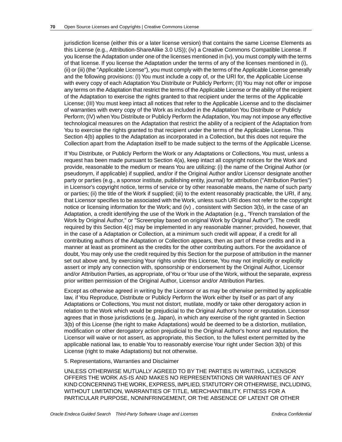jurisdiction license (either this or a later license version) that contains the same License Elements as this License (e.g., Attribution-ShareAlike 3.0 US)); (iv) a Creative Commons Compatible License. If you license the Adaptation under one of the licenses mentioned in (iv), you must comply with the terms of that license. If you license the Adaptation under the terms of any of the licenses mentioned in (i), (ii) or (iii) (the "Applicable License"), you must comply with the terms of the Applicable License generally and the following provisions: (I) You must include a copy of, or the URI for, the Applicable License with every copy of each Adaptation You Distribute or Publicly Perform; (II) You may not offer or impose any terms on the Adaptation that restrict the terms of the Applicable License or the ability of the recipient of the Adaptation to exercise the rights granted to that recipient under the terms of the Applicable License; (III) You must keep intact all notices that refer to the Applicable License and to the disclaimer of warranties with every copy of the Work as included in the Adaptation You Distribute or Publicly Perform; (IV) when You Distribute or Publicly Perform the Adaptation, You may not impose any effective technological measures on the Adaptation that restrict the ability of a recipient of the Adaptation from You to exercise the rights granted to that recipient under the terms of the Applicable License. This Section 4(b) applies to the Adaptation as incorporated in a Collection, but this does not require the Collection apart from the Adaptation itself to be made subject to the terms of the Applicable License.

If You Distribute, or Publicly Perform the Work or any Adaptations or Collections, You must, unless a request has been made pursuant to Section 4(a), keep intact all copyright notices for the Work and provide, reasonable to the medium or means You are utilizing: (i) the name of the Original Author (or pseudonym, if applicable) if supplied, and/or if the Original Author and/or Licensor designate another party or parties (e.g., a sponsor institute, publishing entity, journal) for attribution ("Attribution Parties") in Licensor's copyright notice, terms of service or by other reasonable means, the name of such party or parties; (ii) the title of the Work if supplied; (iii) to the extent reasonably practicable, the URI, if any, that Licensor specifies to be associated with the Work, unless such URI does not refer to the copyright notice or licensing information for the Work; and (iv) , consistent with Section 3(b), in the case of an Adaptation, a credit identifying the use of the Work in the Adaptation (e.g., "French translation of the Work by Original Author," or "Screenplay based on original Work by Original Author"). The credit required by this Section 4(c) may be implemented in any reasonable manner; provided, however, that in the case of a Adaptation or Collection, at a minimum such credit will appear, if a credit for all contributing authors of the Adaptation or Collection appears, then as part of these credits and in a manner at least as prominent as the credits for the other contributing authors. For the avoidance of doubt, You may only use the credit required by this Section for the purpose of attribution in the manner set out above and, by exercising Your rights under this License, You may not implicitly or explicitly assert or imply any connection with, sponsorship or endorsement by the Original Author, Licensor and/or Attribution Parties, as appropriate, of You or Your use of the Work, without the separate, express prior written permission of the Original Author, Licensor and/or Attribution Parties.

Except as otherwise agreed in writing by the Licensor or as may be otherwise permitted by applicable law, if You Reproduce, Distribute or Publicly Perform the Work either by itself or as part of any Adaptations or Collections, You must not distort, mutilate, modify or take other derogatory action in relation to the Work which would be prejudicial to the Original Author's honor or reputation. Licensor agrees that in those jurisdictions (e.g. Japan), in which any exercise of the right granted in Section 3(b) of this License (the right to make Adaptations) would be deemed to be a distortion, mutilation, modification or other derogatory action prejudicial to the Original Author's honor and reputation, the Licensor will waive or not assert, as appropriate, this Section, to the fullest extent permitted by the applicable national law, to enable You to reasonably exercise Your right under Section 3(b) of this License (right to make Adaptations) but not otherwise.

#### 5. Representations, Warranties and Disclaimer

UNLESS OTHERWISE MUTUALLY AGREED TO BY THE PARTIES IN WRITING, LICENSOR OFFERS THE WORK AS-IS AND MAKES NO REPRESENTATIONS OR WARRANTIES OF ANY KIND CONCERNING THE WORK, EXPRESS, IMPLIED, STATUTORY OR OTHERWISE, INCLUDING, WITHOUT LIMITATION, WARRANTIES OF TITLE, MERCHANTIBILITY, FITNESS FOR A PARTICULAR PURPOSE, NONINFRINGEMENT, OR THE ABSENCE OF LATENT OR OTHER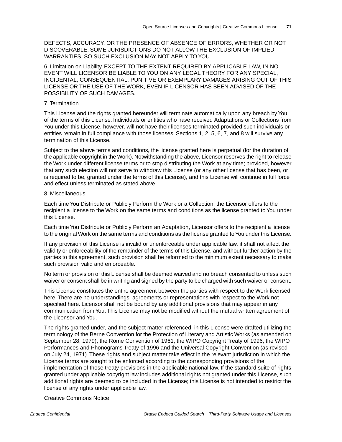DEFECTS, ACCURACY, OR THE PRESENCE OF ABSENCE OF ERRORS, WHETHER OR NOT DISCOVERABLE. SOME JURISDICTIONS DO NOT ALLOW THE EXCLUSION OF IMPLIED WARRANTIES, SO SUCH EXCLUSION MAY NOT APPLY TO YOU.

6. Limitation on Liability. EXCEPT TO THE EXTENT REQUIRED BY APPLICABLE LAW, IN NO EVENT WILL LICENSOR BE LIABLE TO YOU ON ANY LEGAL THEORY FOR ANY SPECIAL, INCIDENTAL, CONSEQUENTIAL, PUNITIVE OR EXEMPLARY DAMAGES ARISING OUT OF THIS LICENSE OR THE USE OF THE WORK, EVEN IF LICENSOR HAS BEEN ADVISED OF THE POSSIBILITY OF SUCH DAMAGES.

### 7. Termination

This License and the rights granted hereunder will terminate automatically upon any breach by You of the terms of this License. Individuals or entities who have received Adaptations or Collections from You under this License, however, will not have their licenses terminated provided such individuals or entities remain in full compliance with those licenses. Sections 1, 2, 5, 6, 7, and 8 will survive any termination of this License.

Subject to the above terms and conditions, the license granted here is perpetual (for the duration of the applicable copyright in the Work). Notwithstanding the above, Licensor reserves the right to release the Work under different license terms or to stop distributing the Work at any time; provided, however that any such election will not serve to withdraw this License (or any other license that has been, or is required to be, granted under the terms of this License), and this License will continue in full force and effect unless terminated as stated above.

#### 8. Miscellaneous

Each time You Distribute or Publicly Perform the Work or a Collection, the Licensor offers to the recipient a license to the Work on the same terms and conditions as the license granted to You under this License.

Each time You Distribute or Publicly Perform an Adaptation, Licensor offers to the recipient a license to the original Work on the same terms and conditions as the license granted to You under this License.

If any provision of this License is invalid or unenforceable under applicable law, it shall not affect the validity or enforceability of the remainder of the terms of this License, and without further action by the parties to this agreement, such provision shall be reformed to the minimum extent necessary to make such provision valid and enforceable.

No term or provision of this License shall be deemed waived and no breach consented to unless such waiver or consent shall be in writing and signed by the party to be charged with such waiver or consent.

This License constitutes the entire agreement between the parties with respect to the Work licensed here. There are no understandings, agreements or representations with respect to the Work not specified here. Licensor shall not be bound by any additional provisions that may appear in any communication from You. This License may not be modified without the mutual written agreement of the Licensor and You.

The rights granted under, and the subject matter referenced, in this License were drafted utilizing the terminology of the Berne Convention for the Protection of Literary and Artistic Works (as amended on September 28, 1979), the Rome Convention of 1961, the WIPO Copyright Treaty of 1996, the WIPO Performances and Phonograms Treaty of 1996 and the Universal Copyright Convention (as revised on July 24, 1971). These rights and subject matter take effect in the relevant jurisdiction in which the License terms are sought to be enforced according to the corresponding provisions of the implementation of those treaty provisions in the applicable national law. If the standard suite of rights granted under applicable copyright law includes additional rights not granted under this License, such additional rights are deemed to be included in the License; this License is not intended to restrict the license of any rights under applicable law.

Creative Commons Notice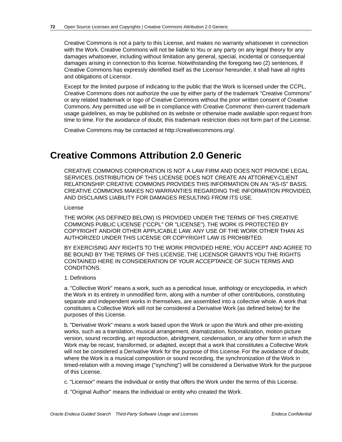Creative Commons is not a party to this License, and makes no warranty whatsoever in connection with the Work. Creative Commons will not be liable to You or any party on any legal theory for any damages whatsoever, including without limitation any general, special, incidental or consequential damages arising in connection to this license. Notwithstanding the foregoing two (2) sentences, if Creative Commons has expressly identified itself as the Licensor hereunder, it shall have all rights and obligations of Licensor.

Except for the limited purpose of indicating to the public that the Work is licensed under the CCPL, Creative Commons does not authorize the use by either party of the trademark "Creative Commons" or any related trademark or logo of Creative Commons without the prior written consent of Creative Commons. Any permitted use will be in compliance with Creative Commons' then-current trademark usage guidelines, as may be published on its website or otherwise made available upon request from time to time. For the avoidance of doubt, this trademark restriction does not form part of the License.

Creative Commons may be contacted at http://creativecommons.org/.

# **Creative Commons Attribution 2.0 Generic**

CREATIVE COMMONS CORPORATION IS NOT A LAW FIRM AND DOES NOT PROVIDE LEGAL SERVICES. DISTRIBUTION OF THIS LICENSE DOES NOT CREATE AN ATTORNEY-CLIENT RELATIONSHIP. CREATIVE COMMONS PROVIDES THIS INFORMATION ON AN "AS-IS" BASIS. CREATIVE COMMONS MAKES NO WARRANTIES REGARDING THE INFORMATION PROVIDED, AND DISCLAIMS LIABILITY FOR DAMAGES RESULTING FROM ITS USE.

#### License

THE WORK (AS DEFINED BELOW) IS PROVIDED UNDER THE TERMS OF THIS CREATIVE COMMONS PUBLIC LICENSE ("CCPL" OR "LICENSE"). THE WORK IS PROTECTED BY COPYRIGHT AND/OR OTHER APPLICABLE LAW. ANY USE OF THE WORK OTHER THAN AS AUTHORIZED UNDER THIS LICENSE OR COPYRIGHT LAW IS PROHIBITED.

BY EXERCISING ANY RIGHTS TO THE WORK PROVIDED HERE, YOU ACCEPT AND AGREE TO BE BOUND BY THE TERMS OF THIS LICENSE. THE LICENSOR GRANTS YOU THE RIGHTS CONTAINED HERE IN CONSIDERATION OF YOUR ACCEPTANCE OF SUCH TERMS AND CONDITIONS.

## 1. Definitions

a. "Collective Work" means a work, such as a periodical issue, anthology or encyclopedia, in which the Work in its entirety in unmodified form, along with a number of other contributions, constituting separate and independent works in themselves, are assembled into a collective whole. A work that constitutes a Collective Work will not be considered a Derivative Work (as defined below) for the purposes of this License.

b. "Derivative Work" means a work based upon the Work or upon the Work and other pre-existing works, such as a translation, musical arrangement, dramatization, fictionalization, motion picture version, sound recording, art reproduction, abridgment, condensation, or any other form in which the Work may be recast, transformed, or adapted, except that a work that constitutes a Collective Work will not be considered a Derivative Work for the purpose of this License. For the avoidance of doubt, where the Work is a musical composition or sound recording, the synchronization of the Work in timed-relation with a moving image ("synching") will be considered a Derivative Work for the purpose of this License.

- c. "Licensor" means the individual or entity that offers the Work under the terms of this License.
- d. "Original Author" means the individual or entity who created the Work.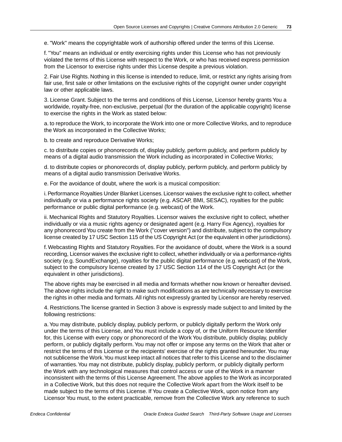e. "Work" means the copyrightable work of authorship offered under the terms of this License.

f. "You" means an individual or entity exercising rights under this License who has not previously violated the terms of this License with respect to the Work, or who has received express permission from the Licensor to exercise rights under this License despite a previous violation.

2. Fair Use Rights. Nothing in this license is intended to reduce, limit, or restrict any rights arising from fair use, first sale or other limitations on the exclusive rights of the copyright owner under copyright law or other applicable laws.

3. License Grant. Subject to the terms and conditions of this License, Licensor hereby grants You a worldwide, royalty-free, non-exclusive, perpetual (for the duration of the applicable copyright) license to exercise the rights in the Work as stated below:

a. to reproduce the Work, to incorporate the Work into one or more Collective Works, and to reproduce the Work as incorporated in the Collective Works;

b. to create and reproduce Derivative Works;

c. to distribute copies or phonorecords of, display publicly, perform publicly, and perform publicly by means of a digital audio transmission the Work including as incorporated in Collective Works;

d. to distribute copies or phonorecords of, display publicly, perform publicly, and perform publicly by means of a digital audio transmission Derivative Works.

e. For the avoidance of doubt, where the work is a musical composition:

i. Performance Royalties Under Blanket Licenses. Licensor waives the exclusive right to collect, whether individually or via a performance rights society (e.g. ASCAP, BMI, SESAC), royalties for the public performance or public digital performance (e.g. webcast) of the Work.

ii. Mechanical Rights and Statutory Royalties. Licensor waives the exclusive right to collect, whether individually or via a music rights agency or designated agent (e.g. Harry Fox Agency), royalties for any phonorecord You create from the Work ("cover version") and distribute, subject to the compulsory license created by 17 USC Section 115 of the US Copyright Act (or the equivalent in other jurisdictions).

f. Webcasting Rights and Statutory Royalties. For the avoidance of doubt, where the Work is a sound recording, Licensor waives the exclusive right to collect, whether individually or via a performance-rights society (e.g. SoundExchange), royalties for the public digital performance (e.g. webcast) of the Work, subject to the compulsory license created by 17 USC Section 114 of the US Copyright Act (or the equivalent in other jurisdictions).

The above rights may be exercised in all media and formats whether now known or hereafter devised. The above rights include the right to make such modifications as are technically necessary to exercise the rights in other media and formats. All rights not expressly granted by Licensor are hereby reserved.

4. Restrictions.The license granted in Section 3 above is expressly made subject to and limited by the following restrictions:

a.You may distribute, publicly display, publicly perform, or publicly digitally perform the Work only under the terms of this License, and You must include a copy of, or the Uniform Resource Identifier for, this License with every copy or phonorecord of the Work You distribute, publicly display, publicly perform, or publicly digitally perform.You may not offer or impose any terms on the Work that alter or restrict the terms of this License or the recipients' exercise of the rights granted hereunder.You may not sublicense the Work.You must keep intact all notices that refer to this License and to the disclaimer of warranties.You may not distribute, publicly display, publicly perform, or publicly digitally perform the Work with any technological measures that control access or use of the Work in a manner inconsistent with the terms of this License Agreement.The above applies to the Work as incorporated in a Collective Work, but this does not require the Collective Work apart from the Work itself to be made subject to the terms of this License. If You create a Collective Work, upon notice from any Licensor You must, to the extent practicable, remove from the Collective Work any reference to such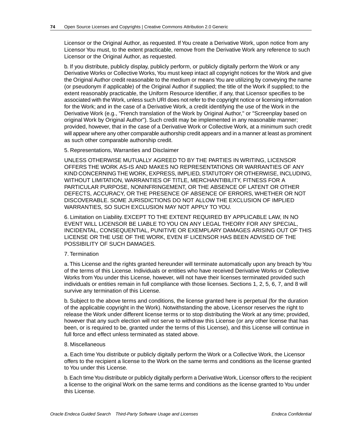Licensor or the Original Author, as requested. If You create a Derivative Work, upon notice from any Licensor You must, to the extent practicable, remove from the Derivative Work any reference to such Licensor or the Original Author, as requested.

b. If you distribute, publicly display, publicly perform, or publicly digitally perform the Work or any Derivative Works or Collective Works, You must keep intact all copyright notices for the Work and give the Original Author credit reasonable to the medium or means You are utilizing by conveying the name (or pseudonym if applicable) of the Original Author if supplied; the title of the Work if supplied; to the extent reasonably practicable, the Uniform Resource Identifier, if any, that Licensor specifies to be associated with the Work, unless such URI does not refer to the copyright notice or licensing information for the Work; and in the case of a Derivative Work, a credit identifying the use of the Work in the Derivative Work (e.g., "French translation of the Work by Original Author," or "Screenplay based on original Work by Original Author"). Such credit may be implemented in any reasonable manner; provided, however, that in the case of a Derivative Work or Collective Work, at a minimum such credit will appear where any other comparable authorship credit appears and in a manner at least as prominent as such other comparable authorship credit.

#### 5. Representations, Warranties and Disclaimer

UNLESS OTHERWISE MUTUALLY AGREED TO BY THE PARTIES IN WRITING, LICENSOR OFFERS THE WORK AS-IS AND MAKES NO REPRESENTATIONS OR WARRANTIES OF ANY KIND CONCERNING THE WORK, EXPRESS, IMPLIED, STATUTORY OR OTHERWISE, INCLUDING, WITHOUT LIMITATION, WARRANTIES OF TITLE, MERCHANTIBILITY, FITNESS FOR A PARTICULAR PURPOSE, NONINFRINGEMENT, OR THE ABSENCE OF LATENT OR OTHER DEFECTS, ACCURACY, OR THE PRESENCE OF ABSENCE OF ERRORS, WHETHER OR NOT DISCOVERABLE. SOME JURISDICTIONS DO NOT ALLOW THE EXCLUSION OF IMPLIED WARRANTIES, SO SUCH EXCLUSION MAY NOT APPLY TO YOU.

6. Limitation on Liability. EXCEPT TO THE EXTENT REQUIRED BY APPLICABLE LAW, IN NO EVENT WILL LICENSOR BE LIABLE TO YOU ON ANY LEGAL THEORY FOR ANY SPECIAL, INCIDENTAL, CONSEQUENTIAL, PUNITIVE OR EXEMPLARY DAMAGES ARISING OUT OF THIS LICENSE OR THE USE OF THE WORK, EVEN IF LICENSOR HAS BEEN ADVISED OF THE POSSIBILITY OF SUCH DAMAGES.

#### 7. Termination

a.This License and the rights granted hereunder will terminate automatically upon any breach by You of the terms of this License. Individuals or entities who have received Derivative Works or Collective Works from You under this License, however, will not have their licenses terminated provided such individuals or entities remain in full compliance with those licenses. Sections 1, 2, 5, 6, 7, and 8 will survive any termination of this License.

b. Subject to the above terms and conditions, the license granted here is perpetual (for the duration of the applicable copyright in the Work). Notwithstanding the above, Licensor reserves the right to release the Work under different license terms or to stop distributing the Work at any time; provided, however that any such election will not serve to withdraw this License (or any other license that has been, or is required to be, granted under the terms of this License), and this License will continue in full force and effect unless terminated as stated above.

#### 8. Miscellaneous

a. Each time You distribute or publicly digitally perform the Work or a Collective Work, the Licensor offers to the recipient a license to the Work on the same terms and conditions as the license granted to You under this License.

b. Each time You distribute or publicly digitally perform a Derivative Work, Licensor offers to the recipient a license to the original Work on the same terms and conditions as the license granted to You under this License.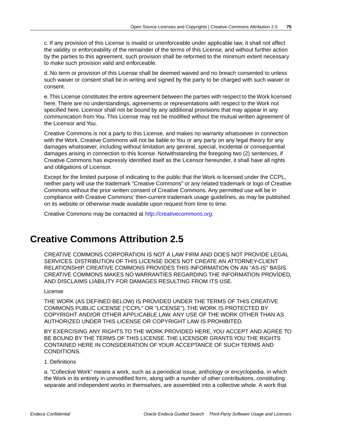c. If any provision of this License is invalid or unenforceable under applicable law, it shall not affect the validity or enforceability of the remainder of the terms of this License, and without further action by the parties to this agreement, such provision shall be reformed to the minimum extent necessary to make such provision valid and enforceable.

d. No term or provision of this License shall be deemed waived and no breach consented to unless such waiver or consent shall be in writing and signed by the party to be charged with such waiver or consent.

e.This License constitutes the entire agreement between the parties with respect to the Work licensed here. There are no understandings, agreements or representations with respect to the Work not specified here. Licensor shall not be bound by any additional provisions that may appear in any communication from You. This License may not be modified without the mutual written agreement of the Licensor and You.

Creative Commons is not a party to this License, and makes no warranty whatsoever in connection with the Work. Creative Commons will not be liable to You or any party on any legal theory for any damages whatsoever, including without limitation any general, special, incidental or consequential damages arising in connection to this license. Notwithstanding the foregoing two (2) sentences, if Creative Commons has expressly identified itself as the Licensor hereunder, it shall have all rights and obligations of Licensor.

Except for the limited purpose of indicating to the public that the Work is licensed under the CCPL, neither party will use the trademark "Creative Commons" or any related trademark or logo of Creative Commons without the prior written consent of Creative Commons. Any permitted use will be in compliance with Creative Commons' then-current trademark usage guidelines, as may be published on its website or otherwise made available upon request from time to time.

Creative Commons may be contacted at *<http://creativecommons.org>*.

# **Creative Commons Attribution 2.5**

CREATIVE COMMONS CORPORATION IS NOT A LAW FIRM AND DOES NOT PROVIDE LEGAL SERVICES. DISTRIBUTION OF THIS LICENSE DOES NOT CREATE AN ATTORNEY-CLIENT RELATIONSHIP. CREATIVE COMMONS PROVIDES THIS INFORMATION ON AN "AS-IS" BASIS. CREATIVE COMMONS MAKES NO WARRANTIES REGARDING THE INFORMATION PROVIDED, AND DISCLAIMS LIABILITY FOR DAMAGES RESULTING FROM ITS USE.

#### License

THE WORK (AS DEFINED BELOW) IS PROVIDED UNDER THE TERMS OF THIS CREATIVE COMMONS PUBLIC LICENSE ("CCPL" OR "LICENSE"). THE WORK IS PROTECTED BY COPYRIGHT AND/OR OTHER APPLICABLE LAW. ANY USE OF THE WORK OTHER THAN AS AUTHORIZED UNDER THIS LICENSE OR COPYRIGHT LAW IS PROHIBITED.

BY EXERCISING ANY RIGHTS TO THE WORK PROVIDED HERE, YOU ACCEPT AND AGREE TO BE BOUND BY THE TERMS OF THIS LICENSE. THE LICENSOR GRANTS YOU THE RIGHTS CONTAINED HERE IN CONSIDERATION OF YOUR ACCEPTANCE OF SUCH TERMS AND CONDITIONS.

1. Definitions

a. "Collective Work" means a work, such as a periodical issue, anthology or encyclopedia, in which the Work in its entirety in unmodified form, along with a number of other contributions, constituting separate and independent works in themselves, are assembled into a collective whole. A work that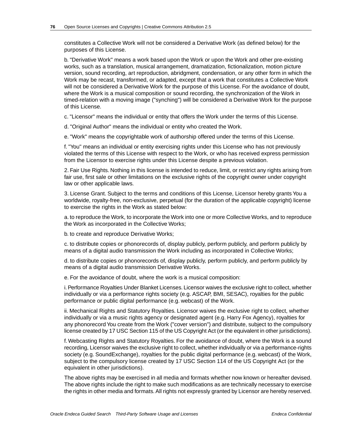constitutes a Collective Work will not be considered a Derivative Work (as defined below) for the purposes of this License.

b. "Derivative Work" means a work based upon the Work or upon the Work and other pre-existing works, such as a translation, musical arrangement, dramatization, fictionalization, motion picture version, sound recording, art reproduction, abridgment, condensation, or any other form in which the Work may be recast, transformed, or adapted, except that a work that constitutes a Collective Work will not be considered a Derivative Work for the purpose of this License. For the avoidance of doubt, where the Work is a musical composition or sound recording, the synchronization of the Work in timed-relation with a moving image ("synching") will be considered a Derivative Work for the purpose of this License.

c. "Licensor" means the individual or entity that offers the Work under the terms of this License.

d. "Original Author" means the individual or entity who created the Work.

e. "Work" means the copyrightable work of authorship offered under the terms of this License.

f. "You" means an individual or entity exercising rights under this License who has not previously violated the terms of this License with respect to the Work, or who has received express permission from the Licensor to exercise rights under this License despite a previous violation.

2. Fair Use Rights. Nothing in this license is intended to reduce, limit, or restrict any rights arising from fair use, first sale or other limitations on the exclusive rights of the copyright owner under copyright law or other applicable laws.

3. License Grant. Subject to the terms and conditions of this License, Licensor hereby grants You a worldwide, royalty-free, non-exclusive, perpetual (for the duration of the applicable copyright) license to exercise the rights in the Work as stated below:

a. to reproduce the Work, to incorporate the Work into one or more Collective Works, and to reproduce the Work as incorporated in the Collective Works;

b. to create and reproduce Derivative Works;

c. to distribute copies or phonorecords of, display publicly, perform publicly, and perform publicly by means of a digital audio transmission the Work including as incorporated in Collective Works;

d. to distribute copies or phonorecords of, display publicly, perform publicly, and perform publicly by means of a digital audio transmission Derivative Works.

e. For the avoidance of doubt, where the work is a musical composition:

i. Performance Royalties Under Blanket Licenses. Licensor waives the exclusive right to collect, whether individually or via a performance rights society (e.g. ASCAP, BMI, SESAC), royalties for the public performance or public digital performance (e.g. webcast) of the Work.

ii. Mechanical Rights and Statutory Royalties. Licensor waives the exclusive right to collect, whether individually or via a music rights agency or designated agent (e.g. Harry Fox Agency), royalties for any phonorecord You create from the Work ("cover version") and distribute, subject to the compulsory license created by 17 USC Section 115 of the US Copyright Act (or the equivalent in other jurisdictions).

f. Webcasting Rights and Statutory Royalties. For the avoidance of doubt, where the Work is a sound recording, Licensor waives the exclusive right to collect, whether individually or via a performance-rights society (e.g. SoundExchange), royalties for the public digital performance (e.g. webcast) of the Work, subject to the compulsory license created by 17 USC Section 114 of the US Copyright Act (or the equivalent in other jurisdictions).

The above rights may be exercised in all media and formats whether now known or hereafter devised. The above rights include the right to make such modifications as are technically necessary to exercise the rights in other media and formats. All rights not expressly granted by Licensor are hereby reserved.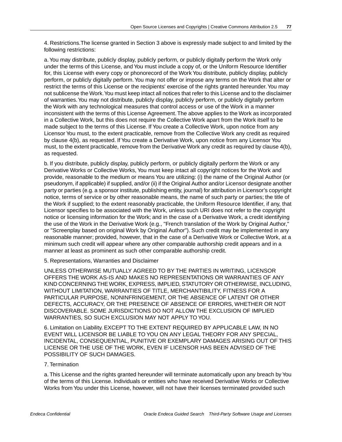4. Restrictions.The license granted in Section 3 above is expressly made subject to and limited by the following restrictions:

a.You may distribute, publicly display, publicly perform, or publicly digitally perform the Work only under the terms of this License, and You must include a copy of, or the Uniform Resource Identifier for, this License with every copy or phonorecord of the Work You distribute, publicly display, publicly perform, or publicly digitally perform.You may not offer or impose any terms on the Work that alter or restrict the terms of this License or the recipients' exercise of the rights granted hereunder. You may not sublicense the Work.You must keep intact all notices that refer to this License and to the disclaimer of warranties.You may not distribute, publicly display, publicly perform, or publicly digitally perform the Work with any technological measures that control access or use of the Work in a manner inconsistent with the terms of this License Agreement.The above applies to the Work as incorporated in a Collective Work, but this does not require the Collective Work apart from the Work itself to be made subject to the terms of this License. If You create a Collective Work, upon notice from any Licensor You must, to the extent practicable, remove from the Collective Work any credit as required by clause 4(b), as requested. If You create a Derivative Work, upon notice from any Licensor You must, to the extent practicable, remove from the Derivative Work any credit as required by clause 4(b), as requested.

b. If you distribute, publicly display, publicly perform, or publicly digitally perform the Work or any Derivative Works or Collective Works, You must keep intact all copyright notices for the Work and provide, reasonable to the medium or means You are utilizing: (i) the name of the Original Author (or pseudonym, if applicable) if supplied, and/or (ii) if the Original Author and/or Licensor designate another party or parties (e.g. a sponsor institute, publishing entity, journal) for attribution in Licensor's copyright notice, terms of service or by other reasonable means, the name of such party or parties; the title of the Work if supplied; to the extent reasonably practicable, the Uniform Resource Identifier, if any, that Licensor specifies to be associated with the Work, unless such URI does not refer to the copyright notice or licensing information for the Work; and in the case of a Derivative Work, a credit identifying the use of the Work in the Derivative Work (e.g., "French translation of the Work by Original Author," or "Screenplay based on original Work by Original Author"). Such credit may be implemented in any reasonable manner; provided, however, that in the case of a Derivative Work or Collective Work, at a minimum such credit will appear where any other comparable authorship credit appears and in a manner at least as prominent as such other comparable authorship credit.

#### 5. Representations, Warranties and Disclaimer

UNLESS OTHERWISE MUTUALLY AGREED TO BY THE PARTIES IN WRITING, LICENSOR OFFERS THE WORK AS-IS AND MAKES NO REPRESENTATIONS OR WARRANTIES OF ANY KIND CONCERNING THE WORK, EXPRESS, IMPLIED, STATUTORY OR OTHERWISE, INCLUDING, WITHOUT LIMITATION, WARRANTIES OF TITLE, MERCHANTIBILITY, FITNESS FOR A PARTICULAR PURPOSE, NONINFRINGEMENT, OR THE ABSENCE OF LATENT OR OTHER DEFECTS, ACCURACY, OR THE PRESENCE OF ABSENCE OF ERRORS, WHETHER OR NOT DISCOVERABLE. SOME JURISDICTIONS DO NOT ALLOW THE EXCLUSION OF IMPLIED WARRANTIES, SO SUCH EXCLUSION MAY NOT APPLY TO YOU.

6. Limitation on Liability. EXCEPT TO THE EXTENT REQUIRED BY APPLICABLE LAW, IN NO EVENT WILL LICENSOR BE LIABLE TO YOU ON ANY LEGAL THEORY FOR ANY SPECIAL, INCIDENTAL, CONSEQUENTIAL, PUNITIVE OR EXEMPLARY DAMAGES ARISING OUT OF THIS LICENSE OR THE USE OF THE WORK, EVEN IF LICENSOR HAS BEEN ADVISED OF THE POSSIBILITY OF SUCH DAMAGES.

#### 7. Termination

a.This License and the rights granted hereunder will terminate automatically upon any breach by You of the terms of this License. Individuals or entities who have received Derivative Works or Collective Works from You under this License, however, will not have their licenses terminated provided such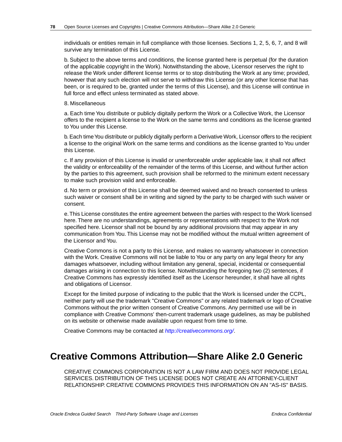individuals or entities remain in full compliance with those licenses. Sections 1, 2, 5, 6, 7, and 8 will survive any termination of this License.

b. Subject to the above terms and conditions, the license granted here is perpetual (for the duration of the applicable copyright in the Work). Notwithstanding the above, Licensor reserves the right to release the Work under different license terms or to stop distributing the Work at any time; provided, however that any such election will not serve to withdraw this License (or any other license that has been, or is required to be, granted under the terms of this License), and this License will continue in full force and effect unless terminated as stated above.

#### 8. Miscellaneous

a. Each time You distribute or publicly digitally perform the Work or a Collective Work, the Licensor offers to the recipient a license to the Work on the same terms and conditions as the license granted to You under this License.

b. Each time You distribute or publicly digitally perform a Derivative Work, Licensor offers to the recipient a license to the original Work on the same terms and conditions as the license granted to You under this License.

c. If any provision of this License is invalid or unenforceable under applicable law, it shall not affect the validity or enforceability of the remainder of the terms of this License, and without further action by the parties to this agreement, such provision shall be reformed to the minimum extent necessary to make such provision valid and enforceable.

d. No term or provision of this License shall be deemed waived and no breach consented to unless such waiver or consent shall be in writing and signed by the party to be charged with such waiver or consent.

e.This License constitutes the entire agreement between the parties with respect to the Work licensed here. There are no understandings, agreements or representations with respect to the Work not specified here. Licensor shall not be bound by any additional provisions that may appear in any communication from You. This License may not be modified without the mutual written agreement of the Licensor and You.

Creative Commons is not a party to this License, and makes no warranty whatsoever in connection with the Work. Creative Commons will not be liable to You or any party on any legal theory for any damages whatsoever, including without limitation any general, special, incidental or consequential damages arising in connection to this license. Notwithstanding the foregoing two (2) sentences, if Creative Commons has expressly identified itself as the Licensor hereunder, it shall have all rights and obligations of Licensor.

Except for the limited purpose of indicating to the public that the Work is licensed under the CCPL, neither party will use the trademark "Creative Commons" or any related trademark or logo of Creative Commons without the prior written consent of Creative Commons. Any permitted use will be in compliance with Creative Commons' then-current trademark usage guidelines, as may be published on its website or otherwise made available upon request from time to time.

Creative Commons may be contacted at *<http://creativecommons.org/>*.

# **Creative Commons Attribution—Share Alike 2.0 Generic**

CREATIVE COMMONS CORPORATION IS NOT A LAW FIRM AND DOES NOT PROVIDE LEGAL SERVICES. DISTRIBUTION OF THIS LICENSE DOES NOT CREATE AN ATTORNEY-CLIENT RELATIONSHIP. CREATIVE COMMONS PROVIDES THIS INFORMATION ON AN "AS-IS" BASIS.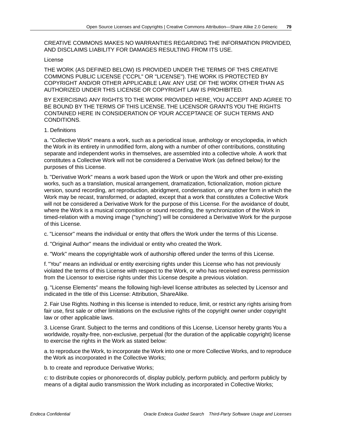CREATIVE COMMONS MAKES NO WARRANTIES REGARDING THE INFORMATION PROVIDED, AND DISCLAIMS LIABILITY FOR DAMAGES RESULTING FROM ITS USE.

#### License

THE WORK (AS DEFINED BELOW) IS PROVIDED UNDER THE TERMS OF THIS CREATIVE COMMONS PUBLIC LICENSE ("CCPL" OR "LICENSE"). THE WORK IS PROTECTED BY COPYRIGHT AND/OR OTHER APPLICABLE LAW. ANY USE OF THE WORK OTHER THAN AS AUTHORIZED UNDER THIS LICENSE OR COPYRIGHT LAW IS PROHIBITED.

BY EXERCISING ANY RIGHTS TO THE WORK PROVIDED HERE, YOU ACCEPT AND AGREE TO BE BOUND BY THE TERMS OF THIS LICENSE. THE LICENSOR GRANTS YOU THE RIGHTS CONTAINED HERE IN CONSIDERATION OF YOUR ACCEPTANCE OF SUCH TERMS AND CONDITIONS.

#### 1. Definitions

a. "Collective Work" means a work, such as a periodical issue, anthology or encyclopedia, in which the Work in its entirety in unmodified form, along with a number of other contributions, constituting separate and independent works in themselves, are assembled into a collective whole. A work that constitutes a Collective Work will not be considered a Derivative Work (as defined below) for the purposes of this License.

b. "Derivative Work" means a work based upon the Work or upon the Work and other pre-existing works, such as a translation, musical arrangement, dramatization, fictionalization, motion picture version, sound recording, art reproduction, abridgment, condensation, or any other form in which the Work may be recast, transformed, or adapted, except that a work that constitutes a Collective Work will not be considered a Derivative Work for the purpose of this License. For the avoidance of doubt, where the Work is a musical composition or sound recording, the synchronization of the Work in timed-relation with a moving image ("synching") will be considered a Derivative Work for the purpose of this License.

c. "Licensor" means the individual or entity that offers the Work under the terms of this License.

d. "Original Author" means the individual or entity who created the Work.

e. "Work" means the copyrightable work of authorship offered under the terms of this License.

f. "You" means an individual or entity exercising rights under this License who has not previously violated the terms of this License with respect to the Work, or who has received express permission from the Licensor to exercise rights under this License despite a previous violation.

g. "License Elements" means the following high-level license attributes as selected by Licensor and indicated in the title of this License: Attribution, ShareAlike.

2. Fair Use Rights. Nothing in this license is intended to reduce, limit, or restrict any rights arising from fair use, first sale or other limitations on the exclusive rights of the copyright owner under copyright law or other applicable laws.

3. License Grant. Subject to the terms and conditions of this License, Licensor hereby grants You a worldwide, royalty-free, non-exclusive, perpetual (for the duration of the applicable copyright) license to exercise the rights in the Work as stated below:

a. to reproduce the Work, to incorporate the Work into one or more Collective Works, and to reproduce the Work as incorporated in the Collective Works;

b. to create and reproduce Derivative Works;

c: to distribute copies or phonorecords of, display publicly, perform publicly, and perform publicly by means of a digital audio transmission the Work including as incorporated in Collective Works;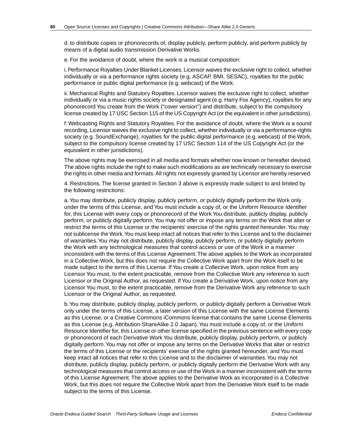d. to distribute copies or phonorecords of, display publicly, perform publicly, and perform publicly by means of a digital audio transmission Derivative Works.

e. For the avoidance of doubt, where the work is a musical composition:

i. Performance Royalties Under Blanket Licenses. Licensor waives the exclusive right to collect, whether individually or via a performance rights society (e.g. ASCAP, BMI, SESAC), royalties for the public performance or public digital performance (e.g. webcast) of the Work.

ii. Mechanical Rights and Statutory Royalties. Licensor waives the exclusive right to collect, whether individually or via a music rights society or designated agent (e.g. Harry Fox Agency), royalties for any phonorecord You create from the Work ("cover version") and distribute, subject to the compulsory license created by 17 USC Section 115 of the US Copyright Act (or the equivalent in other jurisdictions).

f: Webcasting Rights and Statutory Royalties. For the avoidance of doubt, where the Work is a sound recording, Licensor waives the exclusive right to collect, whether individually or via a performance-rights society (e.g. SoundExchange), royalties for the public digital performance (e.g. webcast) of the Work, subject to the compulsory license created by 17 USC Section 114 of the US Copyright Act (or the equivalent in other jurisdictions).

The above rights may be exercised in all media and formats whether now known or hereafter devised. The above rights include the right to make such modifications as are technically necessary to exercise the rights in other media and formats. All rights not expressly granted by Licensor are hereby reserved.

4. Restrictions. The license granted in Section 3 above is expressly made subject to and limited by the following restrictions:

a.You may distribute, publicly display, publicly perform, or publicly digitally perform the Work only under the terms of this License, and You must include a copy of, or the Uniform Resource Identifier for, this License with every copy or phonorecord of the Work You distribute, publicly display, publicly perform, or publicly digitally perform.You may not offer or impose any terms on the Work that alter or restrict the terms of this License or the recipients' exercise of the rights granted hereunder.You may not sublicense the Work.You must keep intact all notices that refer to this License and to the disclaimer of warranties.You may not distribute, publicly display, publicly perform, or publicly digitally perform the Work with any technological measures that control access or use of the Work in a manner inconsistent with the terms of this License Agreement.The above applies to the Work as incorporated in a Collective Work, but this does not require the Collective Work apart from the Work itself to be made subject to the terms of this License. If You create a Collective Work, upon notice from any Licensor You must, to the extent practicable, remove from the Collective Work any reference to such Licensor or the Original Author, as requested. If You create a Derivative Work, upon notice from any Licensor You must, to the extent practicable, remove from the Derivative Work any reference to such Licensor or the Original Author, as requested.

b.You may distribute, publicly display, publicly perform, or publicly digitally perform a Derivative Work only under the terms of this License, a later version of this License with the same License Elements as this License, or a Creative Commons iCommons license that contains the same License Elements as this License (e.g. Attribution-ShareAlike 2.0 Japan).You must include a copy of, or the Uniform Resource Identifier for, this License or other license specified in the previous sentence with every copy or phonorecord of each Derivative Work You distribute, publicly display, publicly perform, or publicly digitally perform.You may not offer or impose any terms on the Derivative Works that alter or restrict the terms of this License or the recipients' exercise of the rights granted hereunder, and You must keep intact all notices that refer to this License and to the disclaimer of warranties.You may not distribute, publicly display, publicly perform, or publicly digitally perform the Derivative Work with any technological measures that control access or use of the Work in a manner inconsistent with the terms of this License Agreement. The above applies to the Derivative Work as incorporated in a Collective Work, but this does not require the Collective Work apart from the Derivative Work itself to be made subject to the terms of this License.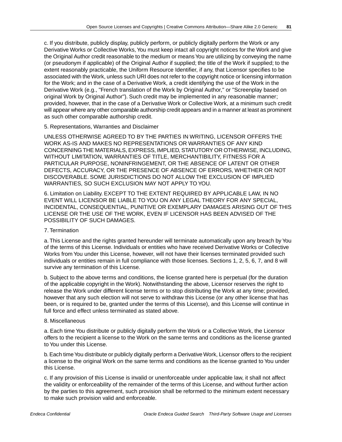c. If you distribute, publicly display, publicly perform, or publicly digitally perform the Work or any Derivative Works or Collective Works, You must keep intact all copyright notices for the Work and give the Original Author credit reasonable to the medium or means You are utilizing by conveying the name (or pseudonym if applicable) of the Original Author if supplied; the title of the Work if supplied; to the extent reasonably practicable, the Uniform Resource Identifier, if any, that Licensor specifies to be associated with the Work, unless such URI does not refer to the copyright notice or licensing information for the Work; and in the case of a Derivative Work, a credit identifying the use of the Work in the Derivative Work (e.g., "French translation of the Work by Original Author," or "Screenplay based on original Work by Original Author"). Such credit may be implemented in any reasonable manner; provided, however, that in the case of a Derivative Work or Collective Work, at a minimum such credit will appear where any other comparable authorship credit appears and in a manner at least as prominent as such other comparable authorship credit.

#### 5. Representations, Warranties and Disclaimer

UNLESS OTHERWISE AGREED TO BY THE PARTIES IN WRITING, LICENSOR OFFERS THE WORK AS-IS AND MAKES NO REPRESENTATIONS OR WARRANTIES OF ANY KIND CONCERNING THE MATERIALS, EXPRESS, IMPLIED, STATUTORY OR OTHERWISE, INCLUDING, WITHOUT LIMITATION, WARRANTIES OF TITLE, MERCHANTIBILITY, FITNESS FOR A PARTICULAR PURPOSE, NONINFRINGEMENT, OR THE ABSENCE OF LATENT OR OTHER DEFECTS, ACCURACY, OR THE PRESENCE OF ABSENCE OF ERRORS, WHETHER OR NOT DISCOVERABLE. SOME JURISDICTIONS DO NOT ALLOW THE EXCLUSION OF IMPLIED WARRANTIES, SO SUCH EXCLUSION MAY NOT APPLY TO YOU.

6. Limitation on Liability. EXCEPT TO THE EXTENT REQUIRED BY APPLICABLE LAW, IN NO EVENT WILL LICENSOR BE LIABLE TO YOU ON ANY LEGAL THEORY FOR ANY SPECIAL, INCIDENTAL, CONSEQUENTIAL, PUNITIVE OR EXEMPLARY DAMAGES ARISING OUT OF THIS LICENSE OR THE USE OF THE WORK, EVEN IF LICENSOR HAS BEEN ADVISED OF THE POSSIBILITY OF SUCH DAMAGES.

#### 7. Termination

a.This License and the rights granted hereunder will terminate automatically upon any breach by You of the terms of this License. Individuals or entities who have received Derivative Works or Collective Works from You under this License, however, will not have their licenses terminated provided such individuals or entities remain in full compliance with those licenses. Sections 1, 2, 5, 6, 7, and 8 will survive any termination of this License.

b. Subject to the above terms and conditions, the license granted here is perpetual (for the duration of the applicable copyright in the Work). Notwithstanding the above, Licensor reserves the right to release the Work under different license terms or to stop distributing the Work at any time; provided, however that any such election will not serve to withdraw this License (or any other license that has been, or is required to be, granted under the terms of this License), and this License will continue in full force and effect unless terminated as stated above.

#### 8. Miscellaneous

a. Each time You distribute or publicly digitally perform the Work or a Collective Work, the Licensor offers to the recipient a license to the Work on the same terms and conditions as the license granted to You under this License.

b. Each time You distribute or publicly digitally perform a Derivative Work, Licensor offers to the recipient a license to the original Work on the same terms and conditions as the license granted to You under this License.

c. If any provision of this License is invalid or unenforceable under applicable law, it shall not affect the validity or enforceability of the remainder of the terms of this License, and without further action by the parties to this agreement, such provision shall be reformed to the minimum extent necessary to make such provision valid and enforceable.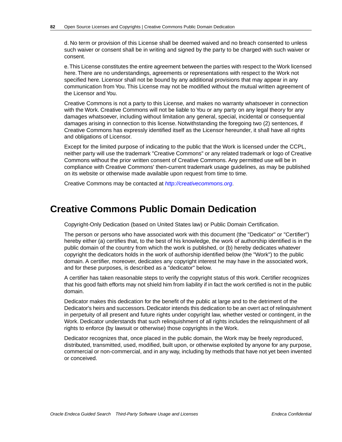d. No term or provision of this License shall be deemed waived and no breach consented to unless such waiver or consent shall be in writing and signed by the party to be charged with such waiver or consent.

e.This License constitutes the entire agreement between the parties with respect to the Work licensed here. There are no understandings, agreements or representations with respect to the Work not specified here. Licensor shall not be bound by any additional provisions that may appear in any communication from You. This License may not be modified without the mutual written agreement of the Licensor and You.

Creative Commons is not a party to this License, and makes no warranty whatsoever in connection with the Work. Creative Commons will not be liable to You or any party on any legal theory for any damages whatsoever, including without limitation any general, special, incidental or consequential damages arising in connection to this license. Notwithstanding the foregoing two (2) sentences, if Creative Commons has expressly identified itself as the Licensor hereunder, it shall have all rights and obligations of Licensor.

Except for the limited purpose of indicating to the public that the Work is licensed under the CCPL, neither party will use the trademark "Creative Commons" or any related trademark or logo of Creative Commons without the prior written consent of Creative Commons. Any permitted use will be in compliance with Creative Commons' then-current trademark usage guidelines, as may be published on its website or otherwise made available upon request from time to time.

Creative Commons may be contacted at *<http://creativecommons.org>*.

## **Creative Commons Public Domain Dedication**

Copyright-Only Dedication (based on United States law) or Public Domain Certification.

The person or persons who have associated work with this document (the "Dedicator" or "Certifier") hereby either (a) certifies that, to the best of his knowledge, the work of authorship identified is in the public domain of the country from which the work is published, or (b) hereby dedicates whatever copyright the dedicators holds in the work of authorship identified below (the "Work") to the public domain. A certifier, moreover, dedicates any copyright interest he may have in the associated work, and for these purposes, is described as a "dedicator" below.

A certifier has taken reasonable steps to verify the copyright status of this work. Certifier recognizes that his good faith efforts may not shield him from liability if in fact the work certified is not in the public domain.

Dedicator makes this dedication for the benefit of the public at large and to the detriment of the Dedicator's heirs and successors. Dedicator intends this dedication to be an overt act of relinquishment in perpetuity of all present and future rights under copyright law, whether vested or contingent, in the Work. Dedicator understands that such relinquishment of all rights includes the relinquishment of all rights to enforce (by lawsuit or otherwise) those copyrights in the Work.

Dedicator recognizes that, once placed in the public domain, the Work may be freely reproduced, distributed, transmitted, used, modified, built upon, or otherwise exploited by anyone for any purpose, commercial or non-commercial, and in any way, including by methods that have not yet been invented or conceived.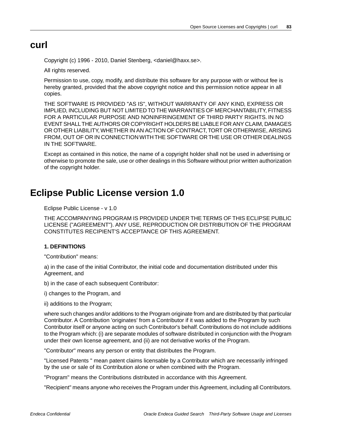### **curl**

Copyright (c) 1996 - 2010, Daniel Stenberg, <daniel@haxx.se>.

All rights reserved.

Permission to use, copy, modify, and distribute this software for any purpose with or without fee is hereby granted, provided that the above copyright notice and this permission notice appear in all copies.

THE SOFTWARE IS PROVIDED "AS IS", WITHOUT WARRANTY OF ANY KIND, EXPRESS OR IMPLIED, INCLUDING BUT NOT LIMITED TO THE WARRANTIES OF MERCHANTABILITY, FITNESS FOR A PARTICULAR PURPOSE AND NONINFRINGEMENT OF THIRD PARTY RIGHTS. IN NO EVENT SHALL THE AUTHORS OR COPYRIGHT HOLDERS BE LIABLE FOR ANY CLAIM, DAMAGES OR OTHER LIABILITY, WHETHER IN AN ACTION OF CONTRACT, TORT OR OTHERWISE, ARISING FROM, OUT OF OR IN CONNECTION WITH THE SOFTWARE OR THE USE OR OTHER DEALINGS IN THE SOFTWARE.

Except as contained in this notice, the name of a copyright holder shall not be used in advertising or otherwise to promote the sale, use or other dealings in this Software without prior written authorization of the copyright holder.

# **Eclipse Public License version 1.0**

Eclipse Public License - v 1.0

THE ACCOMPANYING PROGRAM IS PROVIDED UNDER THE TERMS OF THIS ECLIPSE PUBLIC LICENSE ("AGREEMENT"). ANY USE, REPRODUCTION OR DISTRIBUTION OF THE PROGRAM CONSTITUTES RECIPIENT'S ACCEPTANCE OF THIS AGREEMENT.

### **1. DEFINITIONS**

"Contribution" means:

a) in the case of the initial Contributor, the initial code and documentation distributed under this Agreement, and

b) in the case of each subsequent Contributor:

i) changes to the Program, and

ii) additions to the Program;

where such changes and/or additions to the Program originate from and are distributed by that particular Contributor. A Contribution 'originates' from a Contributor if it was added to the Program by such Contributor itself or anyone acting on such Contributor's behalf. Contributions do not include additions to the Program which: (i) are separate modules of software distributed in conjunction with the Program under their own license agreement, and (ii) are not derivative works of the Program.

"Contributor" means any person or entity that distributes the Program.

"Licensed Patents " mean patent claims licensable by a Contributor which are necessarily infringed by the use or sale of its Contribution alone or when combined with the Program.

"Program" means the Contributions distributed in accordance with this Agreement.

"Recipient" means anyone who receives the Program under this Agreement, including all Contributors.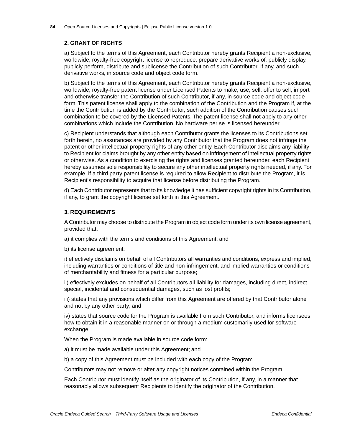#### **2. GRANT OF RIGHTS**

a) Subject to the terms of this Agreement, each Contributor hereby grants Recipient a non-exclusive, worldwide, royalty-free copyright license to reproduce, prepare derivative works of, publicly display, publicly perform, distribute and sublicense the Contribution of such Contributor, if any, and such derivative works, in source code and object code form.

b) Subject to the terms of this Agreement, each Contributor hereby grants Recipient a non-exclusive, worldwide, royalty-free patent license under Licensed Patents to make, use, sell, offer to sell, import and otherwise transfer the Contribution of such Contributor, if any, in source code and object code form. This patent license shall apply to the combination of the Contribution and the Program if, at the time the Contribution is added by the Contributor, such addition of the Contribution causes such combination to be covered by the Licensed Patents. The patent license shall not apply to any other combinations which include the Contribution. No hardware per se is licensed hereunder.

c) Recipient understands that although each Contributor grants the licenses to its Contributions set forth herein, no assurances are provided by any Contributor that the Program does not infringe the patent or other intellectual property rights of any other entity. Each Contributor disclaims any liability to Recipient for claims brought by any other entity based on infringement of intellectual property rights or otherwise. As a condition to exercising the rights and licenses granted hereunder, each Recipient hereby assumes sole responsibility to secure any other intellectual property rights needed, if any. For example, if a third party patent license is required to allow Recipient to distribute the Program, it is Recipient's responsibility to acquire that license before distributing the Program.

d) Each Contributor represents that to its knowledge it has sufficient copyright rights in its Contribution, if any, to grant the copyright license set forth in this Agreement.

#### **3. REQUIREMENTS**

A Contributor may choose to distribute the Program in object code form under its own license agreement, provided that:

a) it complies with the terms and conditions of this Agreement; and

b) its license agreement:

i) effectively disclaims on behalf of all Contributors all warranties and conditions, express and implied, including warranties or conditions of title and non-infringement, and implied warranties or conditions of merchantability and fitness for a particular purpose;

ii) effectively excludes on behalf of all Contributors all liability for damages, including direct, indirect, special, incidental and consequential damages, such as lost profits;

iii) states that any provisions which differ from this Agreement are offered by that Contributor alone and not by any other party; and

iv) states that source code for the Program is available from such Contributor, and informs licensees how to obtain it in a reasonable manner on or through a medium customarily used for software exchange.

When the Program is made available in source code form:

a) it must be made available under this Agreement; and

b) a copy of this Agreement must be included with each copy of the Program.

Contributors may not remove or alter any copyright notices contained within the Program.

Each Contributor must identify itself as the originator of its Contribution, if any, in a manner that reasonably allows subsequent Recipients to identify the originator of the Contribution.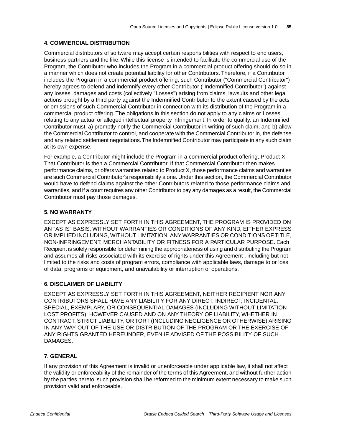#### **4. COMMERCIAL DISTRIBUTION**

Commercial distributors of software may accept certain responsibilities with respect to end users, business partners and the like. While this license is intended to facilitate the commercial use of the Program, the Contributor who includes the Program in a commercial product offering should do so in a manner which does not create potential liability for other Contributors. Therefore, if a Contributor includes the Program in a commercial product offering, such Contributor ("Commercial Contributor") hereby agrees to defend and indemnify every other Contributor ("Indemnified Contributor") against any losses, damages and costs (collectively "Losses") arising from claims, lawsuits and other legal actions brought by a third party against the Indemnified Contributor to the extent caused by the acts or omissions of such Commercial Contributor in connection with its distribution of the Program in a commercial product offering. The obligations in this section do not apply to any claims or Losses relating to any actual or alleged intellectual property infringement. In order to qualify, an Indemnified Contributor must: a) promptly notify the Commercial Contributor in writing of such claim, and b) allow the Commercial Contributor to control, and cooperate with the Commercial Contributor in, the defense and any related settlement negotiations.The Indemnified Contributor may participate in any such claim at its own expense.

For example, a Contributor might include the Program in a commercial product offering, Product X. That Contributor is then a Commercial Contributor. If that Commercial Contributor then makes performance claims, or offers warranties related to Product X, those performance claims and warranties are such Commercial Contributor's responsibility alone. Under this section, the Commercial Contributor would have to defend claims against the other Contributors related to those performance claims and warranties, and if a court requires any other Contributor to pay any damages as a result, the Commercial Contributor must pay those damages.

### **5. NO WARRANTY**

EXCEPT AS EXPRESSLY SET FORTH IN THIS AGREEMENT, THE PROGRAM IS PROVIDED ON AN "AS IS" BASIS, WITHOUT WARRANTIES OR CONDITIONS OF ANY KIND, EITHER EXPRESS OR IMPLIED INCLUDING, WITHOUT LIMITATION, ANY WARRANTIES OR CONDITIONS OF TITLE, NON-INFRINGEMENT, MERCHANTABILITY OR FITNESS FOR A PARTICULAR PURPOSE. Each Recipient is solely responsible for determining the appropriateness of using and distributing the Program and assumes all risks associated with its exercise of rights under this Agreement , including but not limited to the risks and costs of program errors, compliance with applicable laws, damage to or loss of data, programs or equipment, and unavailability or interruption of operations.

#### **6. DISCLAIMER OF LIABILITY**

EXCEPT AS EXPRESSLY SET FORTH IN THIS AGREEMENT, NEITHER RECIPIENT NOR ANY CONTRIBUTORS SHALL HAVE ANY LIABILITY FOR ANY DIRECT, INDIRECT, INCIDENTAL, SPECIAL, EXEMPLARY, OR CONSEQUENTIAL DAMAGES (INCLUDING WITHOUT LIMITATION LOST PROFITS), HOWEVER CAUSED AND ON ANY THEORY OF LIABILITY, WHETHER IN CONTRACT, STRICT LIABILITY, OR TORT (INCLUDING NEGLIGENCE OR OTHERWISE) ARISING IN ANY WAY OUT OF THE USE OR DISTRIBUTION OF THE PROGRAM OR THE EXERCISE OF ANY RIGHTS GRANTED HEREUNDER, EVEN IF ADVISED OF THE POSSIBILITY OF SUCH DAMAGES.

#### **7. GENERAL**

If any provision of this Agreement is invalid or unenforceable under applicable law, it shall not affect the validity or enforceability of the remainder of the terms of this Agreement, and without further action by the parties hereto, such provision shall be reformed to the minimum extent necessary to make such provision valid and enforceable.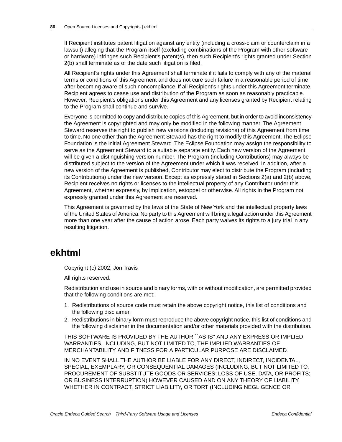If Recipient institutes patent litigation against any entity (including a cross-claim or counterclaim in a lawsuit) alleging that the Program itself (excluding combinations of the Program with other software or hardware) infringes such Recipient's patent(s), then such Recipient's rights granted under Section 2(b) shall terminate as of the date such litigation is filed.

All Recipient's rights under this Agreement shall terminate if it fails to comply with any of the material terms or conditions of this Agreement and does not cure such failure in a reasonable period of time after becoming aware of such noncompliance. If all Recipient's rights under this Agreement terminate, Recipient agrees to cease use and distribution of the Program as soon as reasonably practicable. However, Recipient's obligations under this Agreement and any licenses granted by Recipient relating to the Program shall continue and survive.

Everyone is permitted to copy and distribute copies of this Agreement, but in order to avoid inconsistency the Agreement is copyrighted and may only be modified in the following manner. The Agreement Steward reserves the right to publish new versions (including revisions) of this Agreement from time to time. No one other than the Agreement Steward has the right to modify this Agreement.The Eclipse Foundation is the initial Agreement Steward. The Eclipse Foundation may assign the responsibility to serve as the Agreement Steward to a suitable separate entity. Each new version of the Agreement will be given a distinguishing version number. The Program (including Contributions) may always be distributed subject to the version of the Agreement under which it was received. In addition, after a new version of the Agreement is published, Contributor may elect to distribute the Program (including its Contributions) under the new version. Except as expressly stated in Sections 2(a) and 2(b) above, Recipient receives no rights or licenses to the intellectual property of any Contributor under this Agreement, whether expressly, by implication, estoppel or otherwise. All rights in the Program not expressly granted under this Agreement are reserved.

This Agreement is governed by the laws of the State of New York and the intellectual property laws of the United States of America. No party to this Agreement will bring a legal action under this Agreement more than one year after the cause of action arose. Each party waives its rights to a jury trial in any resulting litigation.

## **ekhtml**

Copyright (c) 2002, Jon Travis

All rights reserved.

Redistribution and use in source and binary forms, with or without modification, are permitted provided that the following conditions are met:

- 1. Redistributions of source code must retain the above copyright notice, this list of conditions and the following disclaimer.
- 2. Redistributions in binary form must reproduce the above copyright notice, this list of conditions and the following disclaimer in the documentation and/or other materials provided with the distribution.

THIS SOFTWARE IS PROVIDED BY THE AUTHOR ``AS IS'' AND ANY EXPRESS OR IMPLIED WARRANTIES, INCLUDING, BUT NOT LIMITED TO, THE IMPLIED WARRANTIES OF MERCHANTABILITY AND FITNESS FOR A PARTICULAR PURPOSE ARE DISCLAIMED.

IN NO EVENT SHALL THE AUTHOR BE LIABLE FOR ANY DIRECT, INDIRECT, INCIDENTAL, SPECIAL, EXEMPLARY, OR CONSEQUENTIAL DAMAGES (INCLUDING, BUT NOT LIMITED TO, PROCUREMENT OF SUBSTITUTE GOODS OR SERVICES; LOSS OF USE, DATA, OR PROFITS; OR BUSINESS INTERRUPTION) HOWEVER CAUSED AND ON ANY THEORY OF LIABILITY, WHETHER IN CONTRACT, STRICT LIABILITY, OR TORT (INCLUDING NEGLIGENCE OR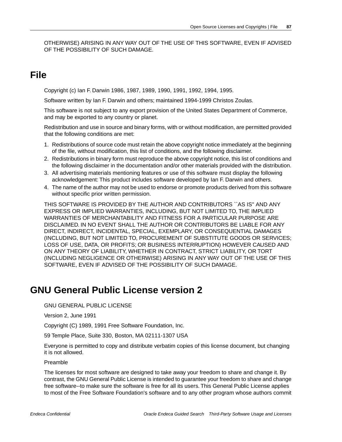OTHERWISE) ARISING IN ANY WAY OUT OF THE USE OF THIS SOFTWARE, EVEN IF ADVISED OF THE POSSIBILITY OF SUCH DAMAGE.

# **File**

Copyright (c) Ian F. Darwin 1986, 1987, 1989, 1990, 1991, 1992, 1994, 1995.

Software written by Ian F. Darwin and others; maintained 1994-1999 Christos Zoulas.

This software is not subject to any export provision of the United States Department of Commerce, and may be exported to any country or planet.

Redistribution and use in source and binary forms, with or without modification, are permitted provided that the following conditions are met:

- 1. Redistributions of source code must retain the above copyright notice immediately at the beginning of the file, without modification, this list of conditions, and the following disclaimer.
- 2. Redistributions in binary form must reproduce the above copyright notice, this list of conditions and the following disclaimer in the documentation and/or other materials provided with the distribution.
- 3. All advertising materials mentioning features or use of this software must display the following acknowledgement: This product includes software developed by Ian F. Darwin and others.
- 4. The name of the author may not be used to endorse or promote products derived from this software without specific prior written permission.

THIS SOFTWARE IS PROVIDED BY THE AUTHOR AND CONTRIBUTORS ``AS IS'' AND ANY EXPRESS OR IMPLIED WARRANTIES, INCLUDING, BUT NOT LIMITED TO, THE IMPLIED WARRANTIES OF MERCHANTABILITY AND FITNESS FOR A PARTICULAR PURPOSE ARE DISCLAIMED. IN NO EVENT SHALL THE AUTHOR OR CONTRIBUTORS BE LIABLE FOR ANY DIRECT, INDIRECT, INCIDENTAL, SPECIAL, EXEMPLARY, OR CONSEQUENTIAL DAMAGES (INCLUDING, BUT NOT LIMITED TO, PROCUREMENT OF SUBSTITUTE GOODS OR SERVICES; LOSS OF USE, DATA, OR PROFITS; OR BUSINESS INTERRUPTION) HOWEVER CAUSED AND ON ANY THEORY OF LIABILITY, WHETHER IN CONTRACT, STRICT LIABILITY, OR TORT (INCLUDING NEGLIGENCE OR OTHERWISE) ARISING IN ANY WAY OUT OF THE USE OF THIS SOFTWARE, EVEN IF ADVISED OF THE POSSIBILITY OF SUCH DAMAGE.

## **GNU General Public License version 2**

#### GNU GENERAL PUBLIC LICENSE

Version 2, June 1991

Copyright (C) 1989, 1991 Free Software Foundation, Inc.

59 Temple Place, Suite 330, Boston, MA 02111-1307 USA

Everyone is permitted to copy and distribute verbatim copies of this license document, but changing it is not allowed.

#### Preamble

The licenses for most software are designed to take away your freedom to share and change it. By contrast, the GNU General Public License is intended to guarantee your freedom to share and change free software--to make sure the software is free for all its users. This General Public License applies to most of the Free Software Foundation's software and to any other program whose authors commit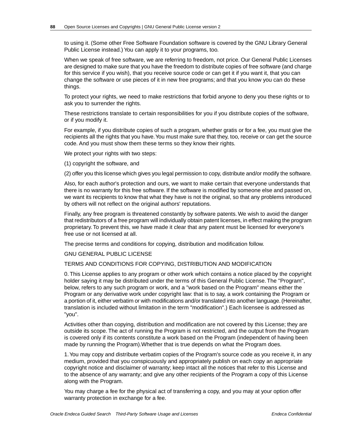to using it. (Some other Free Software Foundation software is covered by the GNU Library General Public License instead.) You can apply it to your programs, too.

When we speak of free software, we are referring to freedom, not price. Our General Public Licenses are designed to make sure that you have the freedom to distribute copies of free software (and charge for this service if you wish), that you receive source code or can get it if you want it, that you can change the software or use pieces of it in new free programs; and that you know you can do these things.

To protect your rights, we need to make restrictions that forbid anyone to deny you these rights or to ask you to surrender the rights.

These restrictions translate to certain responsibilities for you if you distribute copies of the software, or if you modify it.

For example, if you distribute copies of such a program, whether gratis or for a fee, you must give the recipients all the rights that you have.You must make sure that they, too, receive or can get the source code. And you must show them these terms so they know their rights.

We protect your rights with two steps:

(1) copyright the software, and

(2) offer you this license which gives you legal permission to copy, distribute and/or modify the software.

Also, for each author's protection and ours, we want to make certain that everyone understands that there is no warranty for this free software. If the software is modified by someone else and passed on, we want its recipients to know that what they have is not the original, so that any problems introduced by others will not reflect on the original authors' reputations.

Finally, any free program is threatened constantly by software patents. We wish to avoid the danger that redistributors of a free program will individually obtain patent licenses, in effect making the program proprietary. To prevent this, we have made it clear that any patent must be licensed for everyone's free use or not licensed at all.

The precise terms and conditions for copying, distribution and modification follow.

GNU GENERAL PUBLIC LICENSE

TERMS AND CONDITIONS FOR COPYING, DISTRIBUTION AND MODIFICATION

0. This License applies to any program or other work which contains a notice placed by the copyright holder saying it may be distributed under the terms of this General Public License. The "Program", below, refers to any such program or work, and a "work based on the Program" means either the Program or any derivative work under copyright law: that is to say, a work containing the Program or a portion of it, either verbatim or with modifications and/or translated into another language. (Hereinafter, translation is included without limitation in the term "modification".) Each licensee is addressed as "you".

Activities other than copying, distribution and modification are not covered by this License; they are outside its scope. The act of running the Program is not restricted, and the output from the Program is covered only if its contents constitute a work based on the Program (independent of having been made by running the Program).Whether that is true depends on what the Program does.

1.You may copy and distribute verbatim copies of the Program's source code as you receive it, in any medium, provided that you conspicuously and appropriately publish on each copy an appropriate copyright notice and disclaimer of warranty; keep intact all the notices that refer to this License and to the absence of any warranty; and give any other recipients of the Program a copy of this License along with the Program.

You may charge a fee for the physical act of transferring a copy, and you may at your option offer warranty protection in exchange for a fee.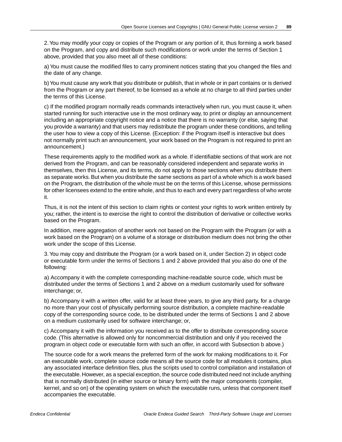2.You may modify your copy or copies of the Program or any portion of it, thus forming a work based on the Program, and copy and distribute such modifications or work under the terms of Section 1 above, provided that you also meet all of these conditions:

a) You must cause the modified files to carry prominent notices stating that you changed the files and the date of any change.

b) You must cause any work that you distribute or publish, that in whole or in part contains or is derived from the Program or any part thereof, to be licensed as a whole at no charge to all third parties under the terms of this License.

c) If the modified program normally reads commands interactively when run, you must cause it, when started running for such interactive use in the most ordinary way, to print or display an announcement including an appropriate copyright notice and a notice that there is no warranty (or else, saying that you provide a warranty) and that users may redistribute the program under these conditions, and telling the user how to view a copy of this License. (Exception: if the Program itself is interactive but does not normally print such an announcement, your work based on the Program is not required to print an announcement.)

These requirements apply to the modified work as a whole. If identifiable sections of that work are not derived from the Program, and can be reasonably considered independent and separate works in themselves, then this License, and its terms, do not apply to those sections when you distribute them as separate works. But when you distribute the same sections as part of a whole which is a work based on the Program, the distribution of the whole must be on the terms of this License, whose permissions for other licensees extend to the entire whole, and thus to each and every part regardless of who wrote it.

Thus, it is not the intent of this section to claim rights or contest your rights to work written entirely by you; rather, the intent is to exercise the right to control the distribution of derivative or collective works based on the Program.

In addition, mere aggregation of another work not based on the Program with the Program (or with a work based on the Program) on a volume of a storage or distribution medium does not bring the other work under the scope of this License.

3.You may copy and distribute the Program (or a work based on it, under Section 2) in object code or executable form under the terms of Sections 1 and 2 above provided that you also do one of the following:

a) Accompany it with the complete corresponding machine-readable source code, which must be distributed under the terms of Sections 1 and 2 above on a medium customarily used for software interchange; or,

b) Accompany it with a written offer, valid for at least three years, to give any third party, for a charge no more than your cost of physically performing source distribution, a complete machine-readable copy of the corresponding source code, to be distributed under the terms of Sections 1 and 2 above on a medium customarily used for software interchange; or,

c) Accompany it with the information you received as to the offer to distribute corresponding source code. (This alternative is allowed only for noncommercial distribution and only if you received the program in object code or executable form with such an offer, in accord with Subsection b above.)

The source code for a work means the preferred form of the work for making modifications to it. For an executable work, complete source code means all the source code for all modules it contains, plus any associated interface definition files, plus the scripts used to control compilation and installation of the executable. However, as a special exception, the source code distributed need not include anything that is normally distributed (in either source or binary form) with the major components (compiler, kernel, and so on) of the operating system on which the executable runs, unless that component itself accompanies the executable.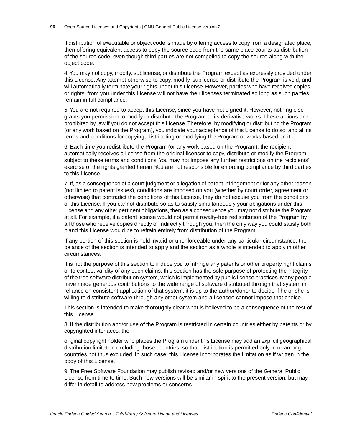If distribution of executable or object code is made by offering access to copy from a designated place, then offering equivalent access to copy the source code from the same place counts as distribution of the source code, even though third parties are not compelled to copy the source along with the object code.

4.You may not copy, modify, sublicense, or distribute the Program except as expressly provided under this License. Any attempt otherwise to copy, modify, sublicense or distribute the Program is void, and will automatically terminate your rights under this License. However, parties who have received copies, or rights, from you under this License will not have their licenses terminated so long as such parties remain in full compliance.

5.You are not required to accept this License, since you have not signed it. However, nothing else grants you permission to modify or distribute the Program or its derivative works. These actions are prohibited by law if you do not accept this License.Therefore, by modifying or distributing the Program (or any work based on the Program), you indicate your acceptance of this License to do so, and all its terms and conditions for copying, distributing or modifying the Program or works based on it.

6. Each time you redistribute the Program (or any work based on the Program), the recipient automatically receives a license from the original licensor to copy, distribute or modify the Program subject to these terms and conditions.You may not impose any further restrictions on the recipients' exercise of the rights granted herein.You are not responsible for enforcing compliance by third parties to this License.

7. If, as a consequence of a court judgment or allegation of patent infringement or for any other reason (not limited to patent issues), conditions are imposed on you (whether by court order, agreement or otherwise) that contradict the conditions of this License, they do not excuse you from the conditions of this License. If you cannot distribute so as to satisfy simultaneously your obligations under this License and any other pertinent obligations, then as a consequence you may not distribute the Program at all. For example, if a patent license would not permit royalty-free redistribution of the Program by all those who receive copies directly or indirectly through you, then the only way you could satisfy both it and this License would be to refrain entirely from distribution of the Program.

If any portion of this section is held invalid or unenforceable under any particular circumstance, the balance of the section is intended to apply and the section as a whole is intended to apply in other circumstances.

It is not the purpose of this section to induce you to infringe any patents or other property right claims or to contest validity of any such claims; this section has the sole purpose of protecting the integrity of the free software distribution system, which is implemented by public license practices. Many people have made generous contributions to the wide range of software distributed through that system in reliance on consistent application of that system; it is up to the author/donor to decide if he or she is willing to distribute software through any other system and a licensee cannot impose that choice.

This section is intended to make thoroughly clear what is believed to be a consequence of the rest of this License.

8. If the distribution and/or use of the Program is restricted in certain countries either by patents or by copyrighted interfaces, the

original copyright holder who places the Program under this License may add an explicit geographical distribution limitation excluding those countries, so that distribution is permitted only in or among countries not thus excluded. In such case, this License incorporates the limitation as if written in the body of this License.

9. The Free Software Foundation may publish revised and/or new versions of the General Public License from time to time. Such new versions will be similar in spirit to the present version, but may differ in detail to address new problems or concerns.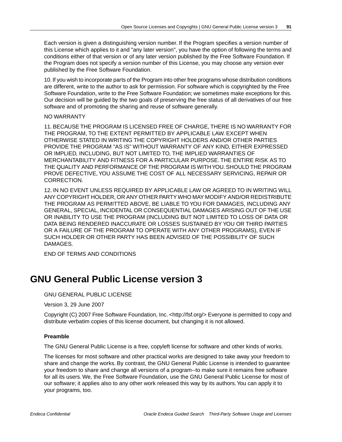Each version is given a distinguishing version number. If the Program specifies a version number of this License which applies to it and "any later version", you have the option of following the terms and conditions either of that version or of any later version published by the Free Software Foundation. If the Program does not specify a version number of this License, you may choose any version ever published by the Free Software Foundation.

10. If you wish to incorporate parts of the Program into other free programs whose distribution conditions are different, write to the author to ask for permission. For software which is copyrighted by the Free Software Foundation, write to the Free Software Foundation; we sometimes make exceptions for this. Our decision will be guided by the two goals of preserving the free status of all derivatives of our free software and of promoting the sharing and reuse of software generally.

#### NO WARRANTY

11. BECAUSE THE PROGRAM IS LICENSED FREE OF CHARGE, THERE IS NO WARRANTY FOR THE PROGRAM, TO THE EXTENT PERMITTED BY APPLICABLE LAW. EXCEPT WHEN OTHERWISE STATED IN WRITING THE COPYRIGHT HOLDERS AND/OR OTHER PARTIES PROVIDE THE PROGRAM "AS IS" WITHOUT WARRANTY OF ANY KIND, EITHER EXPRESSED OR IMPLIED, INCLUDING, BUT NOT LIMITED TO, THE IMPLIED WARRANTIES OF MERCHANTABILITY AND FITNESS FOR A PARTICULAR PURPOSE. THE ENTIRE RISK AS TO THE QUALITY AND PERFORMANCE OF THE PROGRAM IS WITH YOU. SHOULD THE PROGRAM PROVE DEFECTIVE, YOU ASSUME THE COST OF ALL NECESSARY SERVICING, REPAIR OR CORRECTION.

12. IN NO EVENT UNLESS REQUIRED BY APPLICABLE LAW OR AGREED TO IN WRITING WILL ANY COPYRIGHT HOLDER, OR ANY OTHER PARTY WHO MAY MODIFY AND/OR REDISTRIBUTE THE PROGRAM AS PERMITTED ABOVE, BE LIABLE TO YOU FOR DAMAGES, INCLUDING ANY GENERAL, SPECIAL, INCIDENTAL OR CONSEQUENTIAL DAMAGES ARISING OUT OF THE USE OR INABILITY TO USE THE PROGRAM (INCLUDING BUT NOT LIMITED TO LOSS OF DATA OR DATA BEING RENDERED INACCURATE OR LOSSES SUSTAINED BY YOU OR THIRD PARTIES OR A FAILURE OF THE PROGRAM TO OPERATE WITH ANY OTHER PROGRAMS), EVEN IF SUCH HOLDER OR OTHER PARTY HAS BEEN ADVISED OF THE POSSIBILITY OF SUCH **DAMAGES** 

END OF TERMS AND CONDITIONS

## **GNU General Public License version 3**

GNU GENERAL PUBLIC LICENSE

Version 3, 29 June 2007

Copyright (C) 2007 Free Software Foundation, Inc. <http://fsf.org/> Everyone is permitted to copy and distribute verbatim copies of this license document, but changing it is not allowed.

#### **Preamble**

The GNU General Public License is a free, copyleft license for software and other kinds of works.

The licenses for most software and other practical works are designed to take away your freedom to share and change the works. By contrast, the GNU General Public License is intended to guarantee your freedom to share and change all versions of a program--to make sure it remains free software for all its users. We, the Free Software Foundation, use the GNU General Public License for most of our software; it applies also to any other work released this way by its authors. You can apply it to your programs, too.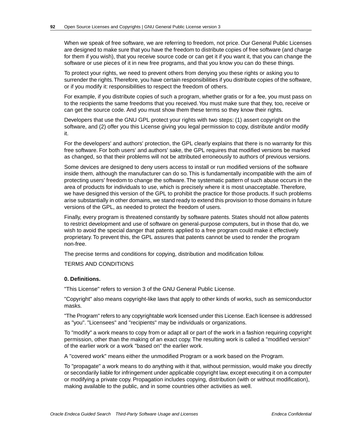When we speak of free software, we are referring to freedom, not price. Our General Public Licenses are designed to make sure that you have the freedom to distribute copies of free software (and charge for them if you wish), that you receive source code or can get it if you want it, that you can change the software or use pieces of it in new free programs, and that you know you can do these things.

To protect your rights, we need to prevent others from denying you these rights or asking you to surrender the rights.Therefore, you have certain responsibilities if you distribute copies of the software, or if you modify it: responsibilities to respect the freedom of others.

For example, if you distribute copies of such a program, whether gratis or for a fee, you must pass on to the recipients the same freedoms that you received.You must make sure that they, too, receive or can get the source code. And you must show them these terms so they know their rights.

Developers that use the GNU GPL protect your rights with two steps: (1) assert copyright on the software, and (2) offer you this License giving you legal permission to copy, distribute and/or modify it.

For the developers' and authors' protection, the GPL clearly explains that there is no warranty for this free software. For both users' and authors' sake, the GPL requires that modified versions be marked as changed, so that their problems will not be attributed erroneously to authors of previous versions.

Some devices are designed to deny users access to install or run modified versions of the software inside them, although the manufacturer can do so. This is fundamentally incompatible with the aim of protecting users' freedom to change the software.The systematic pattern of such abuse occurs in the area of products for individuals to use, which is precisely where it is most unacceptable. Therefore, we have designed this version of the GPL to prohibit the practice for those products. If such problems arise substantially in other domains, we stand ready to extend this provision to those domains in future versions of the GPL, as needed to protect the freedom of users.

Finally, every program is threatened constantly by software patents. States should not allow patents to restrict development and use of software on general-purpose computers, but in those that do, we wish to avoid the special danger that patents applied to a free program could make it effectively proprietary. To prevent this, the GPL assures that patents cannot be used to render the program non-free.

The precise terms and conditions for copying, distribution and modification follow.

TERMS AND CONDITIONS

#### **0. Definitions.**

"This License" refers to version 3 of the GNU General Public License.

"Copyright" also means copyright-like laws that apply to other kinds of works, such as semiconductor masks.

"The Program" refers to any copyrightable work licensed under this License. Each licensee is addressed as "you". "Licensees" and "recipients" may be individuals or organizations.

To "modify" a work means to copy from or adapt all or part of the work in a fashion requiring copyright permission, other than the making of an exact copy. The resulting work is called a "modified version" of the earlier work or a work "based on" the earlier work.

A "covered work" means either the unmodified Program or a work based on the Program.

To "propagate" a work means to do anything with it that, without permission, would make you directly or secondarily liable for infringement under applicable copyright law, except executing it on a computer or modifying a private copy. Propagation includes copying, distribution (with or without modification), making available to the public, and in some countries other activities as well.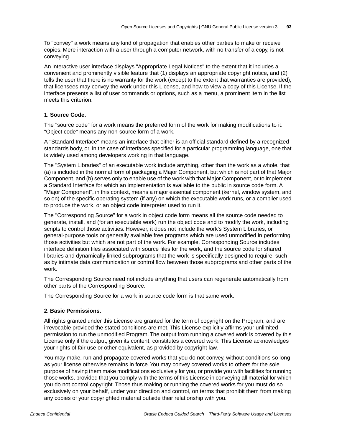To "convey" a work means any kind of propagation that enables other parties to make or receive copies. Mere interaction with a user through a computer network, with no transfer of a copy, is not conveying.

An interactive user interface displays "Appropriate Legal Notices" to the extent that it includes a convenient and prominently visible feature that (1) displays an appropriate copyright notice, and (2) tells the user that there is no warranty for the work (except to the extent that warranties are provided), that licensees may convey the work under this License, and how to view a copy of this License. If the interface presents a list of user commands or options, such as a menu, a prominent item in the list meets this criterion.

### **1. Source Code.**

The "source code" for a work means the preferred form of the work for making modifications to it. "Object code" means any non-source form of a work.

A "Standard Interface" means an interface that either is an official standard defined by a recognized standards body, or, in the case of interfaces specified for a particular programming language, one that is widely used among developers working in that language.

The "System Libraries" of an executable work include anything, other than the work as a whole, that (a) is included in the normal form of packaging a Major Component, but which is not part of that Major Component, and (b) serves only to enable use of the work with that Major Component, or to implement a Standard Interface for which an implementation is available to the public in source code form. A "Major Component", in this context, means a major essential component (kernel, window system, and so on) of the specific operating system (if any) on which the executable work runs, or a compiler used to produce the work, or an object code interpreter used to run it.

The "Corresponding Source" for a work in object code form means all the source code needed to generate, install, and (for an executable work) run the object code and to modify the work, including scripts to control those activities. However, it does not include the work's System Libraries, or general-purpose tools or generally available free programs which are used unmodified in performing those activities but which are not part of the work. For example, Corresponding Source includes interface definition files associated with source files for the work, and the source code for shared libraries and dynamically linked subprograms that the work is specifically designed to require, such as by intimate data communication or control flow between those subprograms and other parts of the work.

The Corresponding Source need not include anything that users can regenerate automatically from other parts of the Corresponding Source.

The Corresponding Source for a work in source code form is that same work.

### **2. Basic Permissions.**

All rights granted under this License are granted for the term of copyright on the Program, and are irrevocable provided the stated conditions are met. This License explicitly affirms your unlimited permission to run the unmodified Program.The output from running a covered work is covered by this License only if the output, given its content, constitutes a covered work. This License acknowledges your rights of fair use or other equivalent, as provided by copyright law.

You may make, run and propagate covered works that you do not convey, without conditions so long as your license otherwise remains in force. You may convey covered works to others for the sole purpose of having them make modifications exclusively for you, or provide you with facilities for running those works, provided that you comply with the terms of this License in conveying all material for which you do not control copyright. Those thus making or running the covered works for you must do so exclusively on your behalf, under your direction and control, on terms that prohibit them from making any copies of your copyrighted material outside their relationship with you.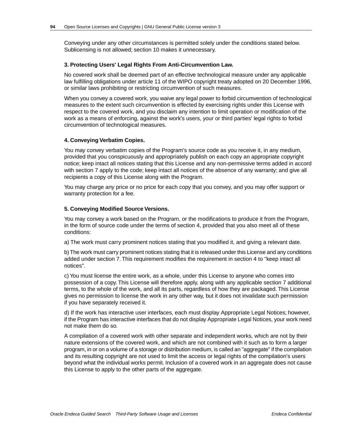Conveying under any other circumstances is permitted solely under the conditions stated below. Sublicensing is not allowed; section 10 makes it unnecessary.

#### **3. Protecting Users' Legal Rights From Anti-Circumvention Law.**

No covered work shall be deemed part of an effective technological measure under any applicable law fulfilling obligations under article 11 of the WIPO copyright treaty adopted on 20 December 1996, or similar laws prohibiting or restricting circumvention of such measures.

When you convey a covered work, you waive any legal power to forbid circumvention of technological measures to the extent such circumvention is effected by exercising rights under this License with respect to the covered work, and you disclaim any intention to limit operation or modification of the work as a means of enforcing, against the work's users, your or third parties' legal rights to forbid circumvention of technological measures.

#### **4. Conveying Verbatim Copies.**

You may convey verbatim copies of the Program's source code as you receive it, in any medium, provided that you conspicuously and appropriately publish on each copy an appropriate copyright notice; keep intact all notices stating that this License and any non-permissive terms added in accord with section 7 apply to the code; keep intact all notices of the absence of any warranty; and give all recipients a copy of this License along with the Program.

You may charge any price or no price for each copy that you convey, and you may offer support or warranty protection for a fee.

#### **5. Conveying Modified Source Versions.**

You may convey a work based on the Program, or the modifications to produce it from the Program, in the form of source code under the terms of section 4, provided that you also meet all of these conditions:

a) The work must carry prominent notices stating that you modified it, and giving a relevant date.

b) The work must carry prominent notices stating that it is released under this License and any conditions added under section 7. This requirement modifies the requirement in section 4 to "keep intact all notices".

c) You must license the entire work, as a whole, under this License to anyone who comes into possession of a copy. This License will therefore apply, along with any applicable section 7 additional terms, to the whole of the work, and all its parts, regardless of how they are packaged. This License gives no permission to license the work in any other way, but it does not invalidate such permission if you have separately received it.

d) If the work has interactive user interfaces, each must display Appropriate Legal Notices; however, if the Program has interactive interfaces that do not display Appropriate Legal Notices, your work need not make them do so.

A compilation of a covered work with other separate and independent works, which are not by their nature extensions of the covered work, and which are not combined with it such as to form a larger program, in or on a volume of a storage or distribution medium, is called an "aggregate" if the compilation and its resulting copyright are not used to limit the access or legal rights of the compilation's users beyond what the individual works permit. Inclusion of a covered work in an aggregate does not cause this License to apply to the other parts of the aggregate.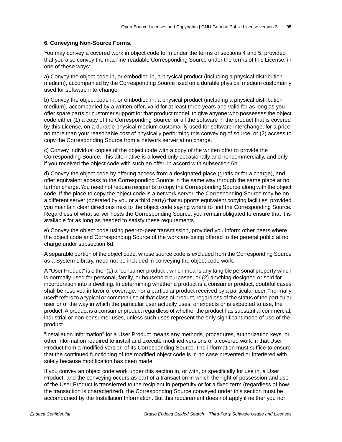#### **6. Conveying Non-Source Forms.**

You may convey a covered work in object code form under the terms of sections 4 and 5, provided that you also convey the machine-readable Corresponding Source under the terms of this License, in one of these ways:

a) Convey the object code in, or embodied in, a physical product (including a physical distribution medium), accompanied by the Corresponding Source fixed on a durable physical medium customarily used for software interchange.

b) Convey the object code in, or embodied in, a physical product (including a physical distribution medium), accompanied by a written offer, valid for at least three years and valid for as long as you offer spare parts or customer support for that product model, to give anyone who possesses the object code either (1) a copy of the Corresponding Source for all the software in the product that is covered by this License, on a durable physical medium customarily used for software interchange, for a price no more than your reasonable cost of physically performing this conveying of source, or (2) access to copy the Corresponding Source from a network server at no charge.

c) Convey individual copies of the object code with a copy of the written offer to provide the Corresponding Source. This alternative is allowed only occasionally and noncommercially, and only if you received the object code with such an offer, in accord with subsection 6b.

d) Convey the object code by offering access from a designated place (gratis or for a charge), and offer equivalent access to the Corresponding Source in the same way through the same place at no further charge. You need not require recipients to copy the Corresponding Source along with the object code. If the place to copy the object code is a network server, the Corresponding Source may be on a different server (operated by you or a third party) that supports equivalent copying facilities, provided you maintain clear directions next to the object code saying where to find the Corresponding Source. Regardless of what server hosts the Corresponding Source, you remain obligated to ensure that it is available for as long as needed to satisfy these requirements.

e) Convey the object code using peer-to-peer transmission, provided you inform other peers where the object code and Corresponding Source of the work are being offered to the general public at no charge under subsection 6d.

A separable portion of the object code, whose source code is excluded from the Corresponding Source as a System Library, need not be included in conveying the object code work.

A "User Product" is either (1) a "consumer product", which means any tangible personal property which is normally used for personal, family, or household purposes, or (2) anything designed or sold for incorporation into a dwelling. In determining whether a product is a consumer product, doubtful cases shall be resolved in favor of coverage. For a particular product received by a particular user, "normally used" refers to a typical or common use of that class of product, regardless of the status of the particular user or of the way in which the particular user actually uses, or expects or is expected to use, the product. A product is a consumer product regardless of whether the product has substantial commercial, industrial or non-consumer uses, unless such uses represent the only significant mode of use of the product.

"Installation Information" for a User Product means any methods, procedures, authorization keys, or other information required to install and execute modified versions of a covered work in that User Product from a modified version of its Corresponding Source. The information must suffice to ensure that the continued functioning of the modified object code is in no case prevented or interfered with solely because modification has been made.

If you convey an object code work under this section in, or with, or specifically for use in, a User Product, and the conveying occurs as part of a transaction in which the right of possession and use of the User Product is transferred to the recipient in perpetuity or for a fixed term (regardless of how the transaction is characterized), the Corresponding Source conveyed under this section must be accompanied by the Installation Information. But this requirement does not apply if neither you nor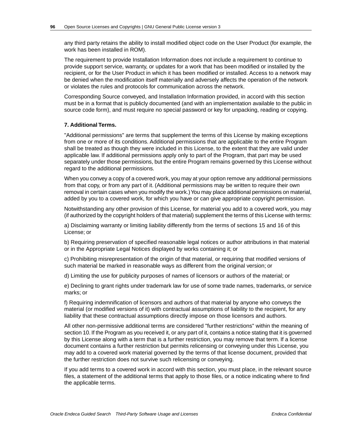any third party retains the ability to install modified object code on the User Product (for example, the work has been installed in ROM).

The requirement to provide Installation Information does not include a requirement to continue to provide support service, warranty, or updates for a work that has been modified or installed by the recipient, or for the User Product in which it has been modified or installed. Access to a network may be denied when the modification itself materially and adversely affects the operation of the network or violates the rules and protocols for communication across the network.

Corresponding Source conveyed, and Installation Information provided, in accord with this section must be in a format that is publicly documented (and with an implementation available to the public in source code form), and must require no special password or key for unpacking, reading or copying.

#### **7. Additional Terms.**

"Additional permissions" are terms that supplement the terms of this License by making exceptions from one or more of its conditions. Additional permissions that are applicable to the entire Program shall be treated as though they were included in this License, to the extent that they are valid under applicable law. If additional permissions apply only to part of the Program, that part may be used separately under those permissions, but the entire Program remains governed by this License without regard to the additional permissions.

When you convey a copy of a covered work, you may at your option remove any additional permissions from that copy, or from any part of it. (Additional permissions may be written to require their own removal in certain cases when you modify the work.) You may place additional permissions on material, added by you to a covered work, for which you have or can give appropriate copyright permission.

Notwithstanding any other provision of this License, for material you add to a covered work, you may (if authorized by the copyright holders of that material) supplement the terms of this License with terms:

a) Disclaiming warranty or limiting liability differently from the terms of sections 15 and 16 of this License; or

b) Requiring preservation of specified reasonable legal notices or author attributions in that material or in the Appropriate Legal Notices displayed by works containing it; or

c) Prohibiting misrepresentation of the origin of that material, or requiring that modified versions of such material be marked in reasonable ways as different from the original version; or

d) Limiting the use for publicity purposes of names of licensors or authors of the material; or

e) Declining to grant rights under trademark law for use of some trade names, trademarks, or service marks; or

f) Requiring indemnification of licensors and authors of that material by anyone who conveys the material (or modified versions of it) with contractual assumptions of liability to the recipient, for any liability that these contractual assumptions directly impose on those licensors and authors.

All other non-permissive additional terms are considered "further restrictions" within the meaning of section 10. If the Program as you received it, or any part of it, contains a notice stating that it is governed by this License along with a term that is a further restriction, you may remove that term. If a license document contains a further restriction but permits relicensing or conveying under this License, you may add to a covered work material governed by the terms of that license document, provided that the further restriction does not survive such relicensing or conveying.

If you add terms to a covered work in accord with this section, you must place, in the relevant source files, a statement of the additional terms that apply to those files, or a notice indicating where to find the applicable terms.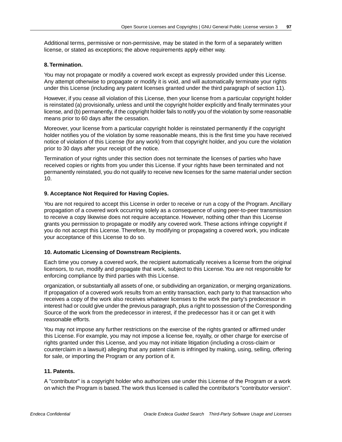Additional terms, permissive or non-permissive, may be stated in the form of a separately written license, or stated as exceptions; the above requirements apply either way.

#### **8.Termination.**

You may not propagate or modify a covered work except as expressly provided under this License. Any attempt otherwise to propagate or modify it is void, and will automatically terminate your rights under this License (including any patent licenses granted under the third paragraph of section 11).

However, if you cease all violation of this License, then your license from a particular copyright holder is reinstated (a) provisionally, unless and until the copyright holder explicitly and finally terminates your license, and (b) permanently, if the copyright holder fails to notify you of the violation by some reasonable means prior to 60 days after the cessation.

Moreover, your license from a particular copyright holder is reinstated permanently if the copyright holder notifies you of the violation by some reasonable means, this is the first time you have received notice of violation of this License (for any work) from that copyright holder, and you cure the violation prior to 30 days after your receipt of the notice.

Termination of your rights under this section does not terminate the licenses of parties who have received copies or rights from you under this License. If your rights have been terminated and not permanently reinstated, you do not qualify to receive new licenses for the same material under section 10.

#### **9. Acceptance Not Required for Having Copies.**

You are not required to accept this License in order to receive or run a copy of the Program. Ancillary propagation of a covered work occurring solely as a consequence of using peer-to-peer transmission to receive a copy likewise does not require acceptance. However, nothing other than this License grants you permission to propagate or modify any covered work. These actions infringe copyright if you do not accept this License. Therefore, by modifying or propagating a covered work, you indicate your acceptance of this License to do so.

#### **10. Automatic Licensing of Downstream Recipients.**

Each time you convey a covered work, the recipient automatically receives a license from the original licensors, to run, modify and propagate that work, subject to this License. You are not responsible for enforcing compliance by third parties with this License.

organization, or substantially all assets of one, or subdividing an organization, or merging organizations. If propagation of a covered work results from an entity transaction, each party to that transaction who receives a copy of the work also receives whatever licenses to the work the party's predecessor in interest had or could give under the previous paragraph, plus a right to possession of the Corresponding Source of the work from the predecessor in interest, if the predecessor has it or can get it with reasonable efforts.

You may not impose any further restrictions on the exercise of the rights granted or affirmed under this License. For example, you may not impose a license fee, royalty, or other charge for exercise of rights granted under this License, and you may not initiate litigation (including a cross-claim or counterclaim in a lawsuit) alleging that any patent claim is infringed by making, using, selling, offering for sale, or importing the Program or any portion of it.

#### **11. Patents.**

A "contributor" is a copyright holder who authorizes use under this License of the Program or a work on which the Program is based.The work thus licensed is called the contributor's "contributor version".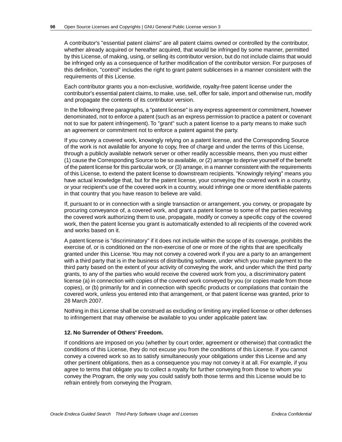A contributor's "essential patent claims" are all patent claims owned or controlled by the contributor, whether already acquired or hereafter acquired, that would be infringed by some manner, permitted by this License, of making, using, or selling its contributor version, but do not include claims that would be infringed only as a consequence of further modification of the contributor version. For purposes of this definition, "control" includes the right to grant patent sublicenses in a manner consistent with the requirements of this License.

Each contributor grants you a non-exclusive, worldwide, royalty-free patent license under the contributor's essential patent claims, to make, use, sell, offer for sale, import and otherwise run, modify and propagate the contents of its contributor version.

In the following three paragraphs, a "patent license" is any express agreement or commitment, however denominated, not to enforce a patent (such as an express permission to practice a patent or covenant not to sue for patent infringement). To "grant" such a patent license to a party means to make such an agreement or commitment not to enforce a patent against the party.

If you convey a covered work, knowingly relying on a patent license, and the Corresponding Source of the work is not available for anyone to copy, free of charge and under the terms of this License, through a publicly available network server or other readily accessible means, then you must either (1) cause the Corresponding Source to be so available, or (2) arrange to deprive yourself of the benefit of the patent license for this particular work, or (3) arrange, in a manner consistent with the requirements of this License, to extend the patent license to downstream recipients. "Knowingly relying" means you have actual knowledge that, but for the patent license, your conveying the covered work in a country, or your recipient's use of the covered work in a country, would infringe one or more identifiable patents in that country that you have reason to believe are valid.

If, pursuant to or in connection with a single transaction or arrangement, you convey, or propagate by procuring conveyance of, a covered work, and grant a patent license to some of the parties receiving the covered work authorizing them to use, propagate, modify or convey a specific copy of the covered work, then the patent license you grant is automatically extended to all recipients of the covered work and works based on it.

A patent license is "discriminatory" if it does not include within the scope of its coverage, prohibits the exercise of, or is conditioned on the non-exercise of one or more of the rights that are specifically granted under this License.You may not convey a covered work if you are a party to an arrangement with a third party that is in the business of distributing software, under which you make payment to the third party based on the extent of your activity of conveying the work, and under which the third party grants, to any of the parties who would receive the covered work from you, a discriminatory patent license (a) in connection with copies of the covered work conveyed by you (or copies made from those copies), or (b) primarily for and in connection with specific products or compilations that contain the covered work, unless you entered into that arrangement, or that patent license was granted, prior to 28 March 2007.

Nothing in this License shall be construed as excluding or limiting any implied license or other defenses to infringement that may otherwise be available to you under applicable patent law.

#### **12. No Surrender of Others' Freedom.**

If conditions are imposed on you (whether by court order, agreement or otherwise) that contradict the conditions of this License, they do not excuse you from the conditions of this License. If you cannot convey a covered work so as to satisfy simultaneously your obligations under this License and any other pertinent obligations, then as a consequence you may not convey it at all. For example, if you agree to terms that obligate you to collect a royalty for further conveying from those to whom you convey the Program, the only way you could satisfy both those terms and this License would be to refrain entirely from conveying the Program.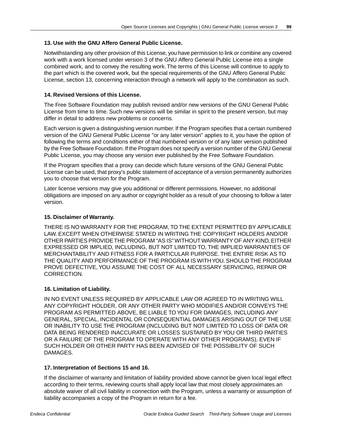#### **13. Use with the GNU Affero General Public License.**

Notwithstanding any other provision of this License, you have permission to link or combine any covered work with a work licensed under version 3 of the GNU Affero General Public License into a single combined work, and to convey the resulting work. The terms of this License will continue to apply to the part which is the covered work, but the special requirements of the GNU Affero General Public License, section 13, concerning interaction through a network will apply to the combination as such.

#### **14. Revised Versions of this License.**

The Free Software Foundation may publish revised and/or new versions of the GNU General Public License from time to time. Such new versions will be similar in spirit to the present version, but may differ in detail to address new problems or concerns.

Each version is given a distinguishing version number. If the Program specifies that a certain numbered version of the GNU General Public License "or any later version" applies to it, you have the option of following the terms and conditions either of that numbered version or of any later version published by the Free Software Foundation. If the Program does not specify a version number of the GNU General Public License, you may choose any version ever published by the Free Software Foundation.

If the Program specifies that a proxy can decide which future versions of the GNU General Public License can be used, that proxy's public statement of acceptance of a version permanently authorizes you to choose that version for the Program.

Later license versions may give you additional or different permissions. However, no additional obligations are imposed on any author or copyright holder as a result of your choosing to follow a later version.

#### **15. Disclaimer of Warranty.**

THERE IS NO WARRANTY FOR THE PROGRAM, TO THE EXTENT PERMITTED BY APPLICABLE LAW. EXCEPT WHEN OTHERWISE STATED IN WRITING THE COPYRIGHT HOLDERS AND/OR OTHER PARTIES PROVIDE THE PROGRAM "AS IS" WITHOUT WARRANTY OF ANY KIND, EITHER EXPRESSED OR IMPLIED, INCLUDING, BUT NOT LIMITED TO, THE IMPLIED WARRANTIES OF MERCHANTABILITY AND FITNESS FOR A PARTICULAR PURPOSE. THE ENTIRE RISK AS TO THE QUALITY AND PERFORMANCE OF THE PROGRAM IS WITH YOU. SHOULD THE PROGRAM PROVE DEFECTIVE, YOU ASSUME THE COST OF ALL NECESSARY SERVICING, REPAIR OR CORRECTION.

#### **16. Limitation of Liability.**

IN NO EVENT UNLESS REQUIRED BY APPLICABLE LAW OR AGREED TO IN WRITING WILL ANY COPYRIGHT HOLDER, OR ANY OTHER PARTY WHO MODIFIES AND/OR CONVEYS THE PROGRAM AS PERMITTED ABOVE, BE LIABLE TO YOU FOR DAMAGES, INCLUDING ANY GENERAL, SPECIAL, INCIDENTAL OR CONSEQUENTIAL DAMAGES ARISING OUT OF THE USE OR INABILITY TO USE THE PROGRAM (INCLUDING BUT NOT LIMITED TO LOSS OF DATA OR DATA BEING RENDERED INACCURATE OR LOSSES SUSTAINED BY YOU OR THIRD PARTIES OR A FAILURE OF THE PROGRAM TO OPERATE WITH ANY OTHER PROGRAMS), EVEN IF SUCH HOLDER OR OTHER PARTY HAS BEEN ADVISED OF THE POSSIBILITY OF SUCH **DAMAGES** 

#### **17. Interpretation of Sections 15 and 16.**

If the disclaimer of warranty and limitation of liability provided above cannot be given local legal effect according to their terms, reviewing courts shall apply local law that most closely approximates an absolute waiver of all civil liability in connection with the Program, unless a warranty or assumption of liability accompanies a copy of the Program in return for a fee.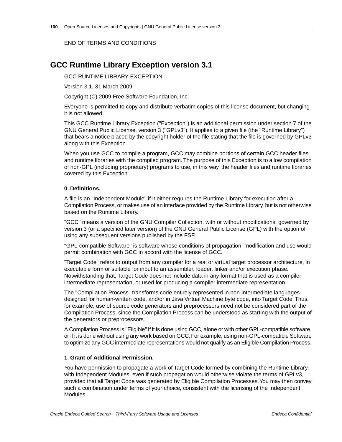### END OF TERMS AND CONDITIONS

### **GCC Runtime Library Exception version 3.1**

GCC RUNTIME LIBRARY EXCEPTION

Version 3.1, 31 March 2009

Copyright (C) 2009 Free Software Foundation, Inc.

Everyone is permitted to copy and distribute verbatim copies of this license document, but changing it is not allowed.

This GCC Runtime Library Exception ("Exception") is an additional permission under section 7 of the GNU General Public License, version 3 ("GPLv3"). It applies to a given file (the "Runtime Library") that bears a notice placed by the copyright holder of the file stating that the file is governed by GPLv3 along with this Exception.

When you use GCC to compile a program, GCC may combine portions of certain GCC header files and runtime libraries with the compiled program.The purpose of this Exception is to allow compilation of non-GPL (including proprietary) programs to use, in this way, the header files and runtime libraries covered by this Exception.

#### **0. Definitions.**

A file is an "Independent Module" if it either requires the Runtime Library for execution after a Compilation Process, or makes use of an interface provided by the Runtime Library, but is not otherwise based on the Runtime Library.

"GCC" means a version of the GNU Compiler Collection, with or without modifications, governed by version 3 (or a specified later version) of the GNU General Public License (GPL) with the option of using any subsequent versions published by the FSF.

"GPL-compatible Software" is software whose conditions of propagation, modification and use would permit combination with GCC in accord with the license of GCC.

"Target Code" refers to output from any compiler for a real or virtual target processor architecture, in executable form or suitable for input to an assembler, loader, linker and/or execution phase. Notwithstanding that, Target Code does not include data in any format that is used as a compiler intermediate representation, or used for producing a compiler intermediate representation.

The "Compilation Process" transforms code entirely represented in non-intermediate languages designed for human-written code, and/or in Java Virtual Machine byte code, into Target Code. Thus, for example, use of source code generators and preprocessors need not be considered part of the Compilation Process, since the Compilation Process can be understood as starting with the output of the generators or preprocessors.

A Compilation Process is "Eligible" if it is done using GCC, alone or with other GPL-compatible software, or if it is done without using any work based on GCC. For example, using non-GPL-compatible Software to optimize any GCC intermediate representations would not qualify as an Eligible Compilation Process.

### **1. Grant of Additional Permission.**

You have permission to propagate a work of Target Code formed by combining the Runtime Library with Independent Modules, even if such propagation would otherwise violate the terms of GPLv3, provided that all Target Code was generated by Eligible Compilation Processes.You may then convey such a combination under terms of your choice, consistent with the licensing of the Independent Modules.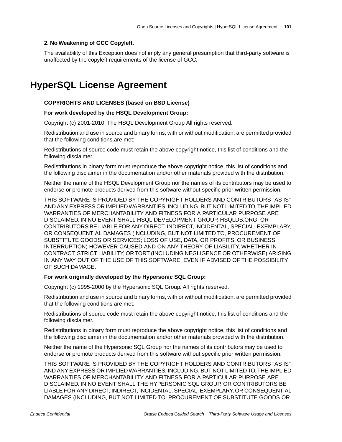#### **2. No Weakening of GCC Copyleft.**

The availability of this Exception does not imply any general presumption that third-party software is unaffected by the copyleft requirements of the license of GCC.

# **HyperSQL License Agreement**

#### **COPYRIGHTS AND LICENSES (based on BSD License)**

#### **For work developed by the HSQL Development Group:**

Copyright (c) 2001-2010, The HSQL Development Group All rights reserved.

Redistribution and use in source and binary forms, with or without modification, are permitted provided that the following conditions are met:

Redistributions of source code must retain the above copyright notice, this list of conditions and the following disclaimer.

Redistributions in binary form must reproduce the above copyright notice, this list of conditions and the following disclaimer in the documentation and/or other materials provided with the distribution.

Neither the name of the HSQL Development Group nor the names of its contributors may be used to endorse or promote products derived from this software without specific prior written permission.

THIS SOFTWARE IS PROVIDED BY THE COPYRIGHT HOLDERS AND CONTRIBUTORS "AS IS" AND ANY EXPRESS OR IMPLIED WARRANTIES, INCLUDING, BUT NOT LIMITED TO, THE IMPLIED WARRANTIES OF MERCHANTABILITY AND FITNESS FOR A PARTICULAR PURPOSE ARE DISCLAIMED. IN NO EVENT SHALL HSQL DEVELOPMENT GROUP, HSQLDB.ORG, OR CONTRIBUTORS BE LIABLE FOR ANY DIRECT, INDIRECT, INCIDENTAL, SPECIAL, EXEMPLARY, OR CONSEQUENTIAL DAMAGES (INCLUDING, BUT NOT LIMITED TO, PROCUREMENT OF SUBSTITUTE GOODS OR SERVICES; LOSS OF USE, DATA, OR PROFITS; OR BUSINESS INTERRUPTION) HOWEVER CAUSED AND ON ANY THEORY OF LIABILITY, WHETHER IN CONTRACT, STRICT LIABILITY, OR TORT (INCLUDING NEGLIGENCE OR OTHERWISE) ARISING IN ANY WAY OUT OF THE USE OF THIS SOFTWARE, EVEN IF ADVISED OF THE POSSIBILITY OF SUCH DAMAGE.

#### **For work originally developed by the Hypersonic SQL Group:**

Copyright (c) 1995-2000 by the Hypersonic SQL Group. All rights reserved.

Redistribution and use in source and binary forms, with or without modification, are permitted provided that the following conditions are met:

Redistributions of source code must retain the above copyright notice, this list of conditions and the following disclaimer.

Redistributions in binary form must reproduce the above copyright notice, this list of conditions and the following disclaimer in the documentation and/or other materials provided with the distribution.

Neither the name of the Hypersonic SQL Group nor the names of its contributors may be used to endorse or promote products derived from this software without specific prior written permission.

THIS SOFTWARE IS PROVIDED BY THE COPYRIGHT HOLDERS AND CONTRIBUTORS "AS IS" AND ANY EXPRESS OR IMPLIED WARRANTIES, INCLUDING, BUT NOT LIMITED TO, THE IMPLIED WARRANTIES OF MERCHANTABILITY AND FITNESS FOR A PARTICULAR PURPOSE ARE DISCLAIMED. IN NO EVENT SHALL THE HYPERSONIC SQL GROUP, OR CONTRIBUTORS BE LIABLE FOR ANY DIRECT, INDIRECT, INCIDENTAL, SPECIAL, EXEMPLARY, OR CONSEQUENTIAL DAMAGES (INCLUDING, BUT NOT LIMITED TO, PROCUREMENT OF SUBSTITUTE GOODS OR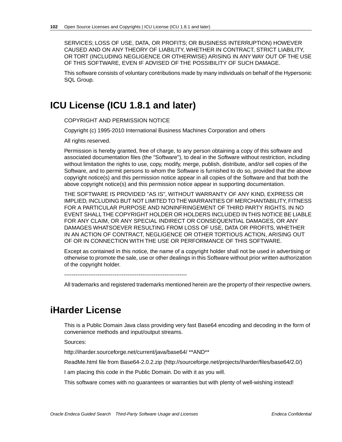SERVICES; LOSS OF USE, DATA, OR PROFITS; OR BUSINESS INTERRUPTION) HOWEVER CAUSED AND ON ANY THEORY OF LIABILITY, WHETHER IN CONTRACT, STRICT LIABILITY, OR TORT (INCLUDING NEGLIGENCE OR OTHERWISE) ARISING IN ANY WAY OUT OF THE USE OF THIS SOFTWARE, EVEN IF ADVISED OF THE POSSIBILITY OF SUCH DAMAGE.

This software consists of voluntary contributions made by many individuals on behalf of the Hypersonic SQL Group.

## **ICU License (ICU 1.8.1 and later)**

COPYRIGHT AND PERMISSION NOTICE

Copyright (c) 1995-2010 International Business Machines Corporation and others

All rights reserved.

Permission is hereby granted, free of charge, to any person obtaining a copy of this software and associated documentation files (the "Software"), to deal in the Software without restriction, including without limitation the rights to use, copy, modify, merge, publish, distribute, and/or sell copies of the Software, and to permit persons to whom the Software is furnished to do so, provided that the above copyright notice(s) and this permission notice appear in all copies of the Software and that both the above copyright notice(s) and this permission notice appear in supporting documentation.

THE SOFTWARE IS PROVIDED "AS IS", WITHOUT WARRANTY OF ANY KIND, EXPRESS OR IMPLIED, INCLUDING BUT NOT LIMITED TO THE WARRANTIES OF MERCHANTABILITY, FITNESS FOR A PARTICULAR PURPOSE AND NONINFRINGEMENT OF THIRD PARTY RIGHTS. IN NO EVENT SHALL THE COPYRIGHT HOLDER OR HOLDERS INCLUDED IN THIS NOTICE BE LIABLE FOR ANY CLAIM, OR ANY SPECIAL INDIRECT OR CONSEQUENTIAL DAMAGES, OR ANY DAMAGES WHATSOEVER RESULTING FROM LOSS OF USE, DATA OR PROFITS, WHETHER IN AN ACTION OF CONTRACT, NEGLIGENCE OR OTHER TORTIOUS ACTION, ARISING OUT OF OR IN CONNECTION WITH THE USE OR PERFORMANCE OF THIS SOFTWARE.

Except as contained in this notice, the name of a copyright holder shall not be used in advertising or otherwise to promote the sale, use or other dealings in this Software without prior written authorization of the copyright holder.

------------------------------------------------------------------

All trademarks and registered trademarks mentioned herein are the property of their respective owners.

## **iHarder License**

This is a Public Domain Java class providing very fast Base64 encoding and decoding in the form of convenience methods and input/output streams.

Sources:

http://iharder.sourceforge.net/current/java/base64/ \*\*AND\*\*

ReadMe.html file from Base64-2.0.2.zip (http://sourceforge.net/projects/iharder/files/base64/2.0/)

I am placing this code in the Public Domain. Do with it as you will.

This software comes with no guarantees or warranties but with plenty of well-wishing instead!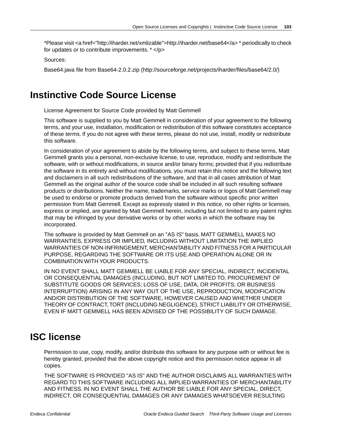\*Please visit <a href="http://iharder.net/xmlizable">http://iharder.net/base64</a> \* periodically to check for updates or to contribute improvements. \* </p>

Sources:

Base64.java file from Base64-2.0.2.zip (http://sourceforge.net/projects/iharder/files/base64/2.0/)

# **Instinctive Code Source License**

License Agreement for Source Code provided by Matt Gemmell

This software is supplied to you by Matt Gemmell in consideration of your agreement to the following terms, and your use, installation, modification or redistribution of this software constitutes acceptance of these terms. If you do not agree with these terms, please do not use, install, modify or redistribute this software.

In consideration of your agreement to abide by the following terms, and subject to these terms, Matt Gemmell grants you a personal, non-exclusive license, to use, reproduce, modify and redistribute the software, with or without modifications, in source and/or binary forms; provided that if you redistribute the software in its entirety and without modifications, you must retain this notice and the following text and disclaimers in all such redistributions of the software, and that in all cases attribution of Matt Gemmell as the original author of the source code shall be included in all such resulting software products or distributions. Neither the name, trademarks, service marks or logos of Matt Gemmell may be used to endorse or promote products derived from the software without specific prior written permission from Matt Gemmell. Except as expressly stated in this notice, no other rights or licenses, express or implied, are granted by Matt Gemmell herein, including but not limited to any patent rights that may be infringed by your derivative works or by other works in which the software may be incorporated.

The software is provided by Matt Gemmell on an "AS IS" basis. MATT GEMMELL MAKES NO WARRANTIES, EXPRESS OR IMPLIED, INCLUDING WITHOUT LIMITATION THE IMPLIED WARRANTIES OF NON-INFRINGEMENT, MERCHANTABILITY AND FITNESS FOR A PARTICULAR PURPOSE, REGARDING THE SOFTWARE OR ITS USE AND OPERATION ALONE OR IN COMBINATION WITH YOUR PRODUCTS.

IN NO EVENT SHALL MATT GEMMELL BE LIABLE FOR ANY SPECIAL, INDIRECT, INCIDENTAL OR CONSEQUENTIAL DAMAGES (INCLUDING, BUT NOT LIMITED TO, PROCUREMENT OF SUBSTITUTE GOODS OR SERVICES; LOSS OF USE, DATA, OR PROFITS; OR BUSINESS INTERRUPTION) ARISING IN ANY WAY OUT OF THE USE, REPRODUCTION, MODIFICATION AND/OR DISTRIBUTION OF THE SOFTWARE, HOWEVER CAUSED AND WHETHER UNDER THEORY OF CONTRACT, TORT (INCLUDING NEGLIGENCE), STRICT LIABILITY OR OTHERWISE, EVEN IF MATT GEMMELL HAS BEEN ADVISED OF THE POSSIBILITY OF SUCH DAMAGE.

# **ISC license**

Permission to use, copy, modify, and/or distribute this software for any purpose with or without fee is hereby granted, provided that the above copyright notice and this permission notice appear in all copies.

THE SOFTWARE IS PROVIDED "AS IS" AND THE AUTHOR DISCLAIMS ALL WARRANTIES WITH REGARD TO THIS SOFTWARE INCLUDING ALL IMPLIED WARRANTIES OF MERCHANTABILITY AND FITNESS. IN NO EVENT SHALL THE AUTHOR BE LIABLE FOR ANY SPECIAL, DIRECT, INDIRECT, OR CONSEQUENTIAL DAMAGES OR ANY DAMAGES WHATSOEVER RESULTING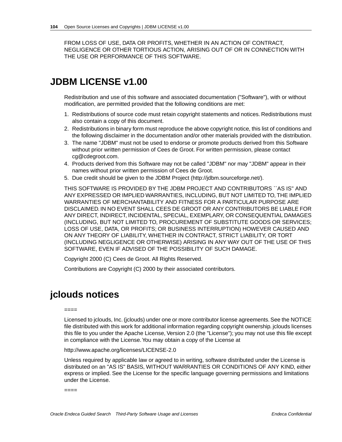FROM LOSS OF USE, DATA OR PROFITS, WHETHER IN AN ACTION OF CONTRACT, NEGLIGENCE OR OTHER TORTIOUS ACTION, ARISING OUT OF OR IN CONNECTION WITH THE USE OR PERFORMANCE OF THIS SOFTWARE.

# **JDBM LICENSE v1.00**

Redistribution and use of this software and associated documentation ("Software"), with or without modification, are permitted provided that the following conditions are met:

- 1. Redistributions of source code must retain copyright statements and notices. Redistributions must also contain a copy of this document.
- 2. Redistributions in binary form must reproduce the above copyright notice, this list of conditions and the following disclaimer in the documentation and/or other materials provided with the distribution.
- 3. The name "JDBM" must not be used to endorse or promote products derived from this Software without prior written permission of Cees de Groot. For written permission, please contact cg@cdegroot.com.
- 4. Products derived from this Software may not be called "JDBM" nor may "JDBM" appear in their names without prior written permission of Cees de Groot.
- 5. Due credit should be given to the JDBM Project (http://jdbm.sourceforge.net/).

THIS SOFTWARE IS PROVIDED BY THE JDBM PROJECT AND CONTRIBUTORS ``AS IS'' AND ANY EXPRESSED OR IMPLIED WARRANTIES, INCLUDING, BUT NOT LIMITED TO, THE IMPLIED WARRANTIES OF MERCHANTABILITY AND FITNESS FOR A PARTICULAR PURPOSE ARE DISCLAIMED. IN NO EVENT SHALL CEES DE GROOT OR ANY CONTRIBUTORS BE LIABLE FOR ANY DIRECT, INDIRECT, INCIDENTAL, SPECIAL, EXEMPLARY, OR CONSEQUENTIAL DAMAGES (INCLUDING, BUT NOT LIMITED TO, PROCUREMENT OF SUBSTITUTE GOODS OR SERVICES; LOSS OF USE, DATA, OR PROFITS; OR BUSINESS INTERRUPTION) HOWEVER CAUSED AND ON ANY THEORY OF LIABILITY, WHETHER IN CONTRACT, STRICT LIABILITY, OR TORT (INCLUDING NEGLIGENCE OR OTHERWISE) ARISING IN ANY WAY OUT OF THE USE OF THIS SOFTWARE, EVEN IF ADVISED OF THE POSSIBILITY OF SUCH DAMAGE.

Copyright 2000 (C) Cees de Groot. All Rights Reserved.

Contributions are Copyright (C) 2000 by their associated contributors.

# **jclouds notices**

 $====$ 

Licensed to jclouds, Inc. (jclouds) under one or more contributor license agreements. See the NOTICE file distributed with this work for additional information regarding copyright ownership. jclouds licenses this file to you under the Apache License, Version 2.0 (the "License"); you may not use this file except in compliance with the License.You may obtain a copy of the License at

http://www.apache.org/licenses/LICENSE-2.0

Unless required by applicable law or agreed to in writing, software distributed under the License is distributed on an "AS IS" BASIS, WITHOUT WARRANTIES OR CONDITIONS OF ANY KIND, either express or implied. See the License for the specific language governing permissions and limitations under the License.

 $====$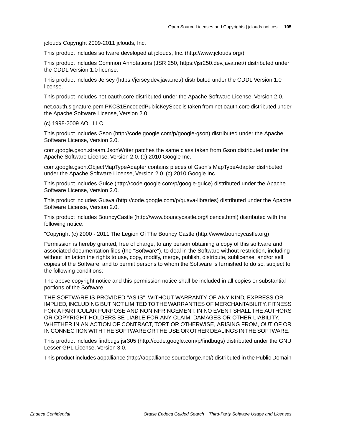jclouds Copyright 2009-2011 jclouds, Inc.

This product includes software developed at jclouds, Inc. (http://www.jclouds.org/).

This product includes Common Annotations (JSR 250, https://jsr250.dev.java.net/) distributed under the CDDL Version 1.0 license.

This product includes Jersey (https://jersey.dev.java.net/) distributed under the CDDL Version 1.0 license.

This product includes net.oauth.core distributed under the Apache Software License, Version 2.0.

net.oauth.signature.pem.PKCS1EncodedPublicKeySpec is taken from net.oauth.core distributed under the Apache Software License, Version 2.0.

(c) 1998-2009 AOL LLC

This product includes Gson (http://code.google.com/p/google-gson) distributed under the Apache Software License, Version 2.0.

com.google.gson.stream.JsonWriter patches the same class taken from Gson distributed under the Apache Software License, Version 2.0. (c) 2010 Google Inc.

com.google.gson.ObjectMapTypeAdapter contains pieces of Gson's MapTypeAdapter distributed under the Apache Software License, Version 2.0. (c) 2010 Google Inc.

This product includes Guice (http://code.google.com/p/google-guice) distributed under the Apache Software License, Version 2.0.

This product includes Guava (http://code.google.com/p/guava-libraries) distributed under the Apache Software License, Version 2.0.

This product includes BouncyCastle (http://www.bouncycastle.org/licence.html) distributed with the following notice:

"Copyright (c) 2000 - 2011 The Legion Of The Bouncy Castle (http://www.bouncycastle.org)

Permission is hereby granted, free of charge, to any person obtaining a copy of this software and associated documentation files (the "Software"), to deal in the Software without restriction, including without limitation the rights to use, copy, modify, merge, publish, distribute, sublicense, and/or sell copies of the Software, and to permit persons to whom the Software is furnished to do so, subject to the following conditions:

The above copyright notice and this permission notice shall be included in all copies or substantial portions of the Software.

THE SOFTWARE IS PROVIDED "AS IS", WITHOUT WARRANTY OF ANY KIND, EXPRESS OR IMPLIED, INCLUDING BUT NOT LIMITED TO THE WARRANTIES OF MERCHANTABILITY, FITNESS FOR A PARTICULAR PURPOSE AND NONINFRINGEMENT. IN NO EVENT SHALL THE AUTHORS OR COPYRIGHT HOLDERS BE LIABLE FOR ANY CLAIM, DAMAGES OR OTHER LIABILITY, WHETHER IN AN ACTION OF CONTRACT, TORT OR OTHERWISE, ARISING FROM, OUT OF OR IN CONNECTION WITH THE SOFTWARE OR THE USE OR OTHER DEALINGS IN THE SOFTWARE."

This product includes findbugs jsr305 (http://code.google.com/p/findbugs) distributed under the GNU Lesser GPL License, Version 3.0.

This product includes aopalliance (http://aopalliance.sourceforge.net/) distributed in the Public Domain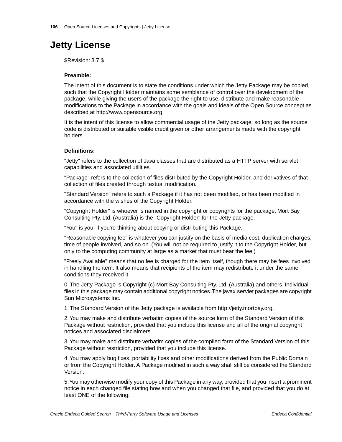# **Jetty License**

\$Revision: 3.7 \$

### **Preamble:**

The intent of this document is to state the conditions under which the Jetty Package may be copied, such that the Copyright Holder maintains some semblance of control over the development of the package, while giving the users of the package the right to use, distribute and make reasonable modifications to the Package in accordance with the goals and ideals of the Open Source concept as described at http://www.opensource.org.

It is the intent of this license to allow commercial usage of the Jetty package, so long as the source code is distributed or suitable visible credit given or other arrangements made with the copyright holders.

### **Definitions:**

"Jetty" refers to the collection of Java classes that are distributed as a HTTP server with servlet capabilities and associated utilities.

"Package" refers to the collection of files distributed by the Copyright Holder, and derivatives of that collection of files created through textual modification.

"Standard Version" refers to such a Package if it has not been modified, or has been modified in accordance with the wishes of the Copyright Holder.

"Copyright Holder" is whoever is named in the copyright or copyrights for the package. Mort Bay Consulting Pty. Ltd. (Australia) is the "Copyright Holder" for the Jetty package.

"You" is you, if you're thinking about copying or distributing this Package.

"Reasonable copying fee" is whatever you can justify on the basis of media cost, duplication charges, time of people involved, and so on. (You will not be required to justify it to the Copyright Holder, but only to the computing community at large as a market that must bear the fee.)

"Freely Available" means that no fee is charged for the item itself, though there may be fees involved in handling the item. It also means that recipients of the item may redistribute it under the same conditions they received it.

0. The Jetty Package is Copyright (c) Mort Bay Consulting Pty. Ltd. (Australia) and others. Individual files in this package may contain additional copyright notices.The javax.servlet packages are copyright Sun Microsystems Inc.

1. The Standard Version of the Jetty package is available from http://jetty.mortbay.org.

2.You may make and distribute verbatim copies of the source form of the Standard Version of this Package without restriction, provided that you include this license and all of the original copyright notices and associated disclaimers.

3.You may make and distribute verbatim copies of the compiled form of the Standard Version of this Package without restriction, provided that you include this license.

4.You may apply bug fixes, portability fixes and other modifications derived from the Public Domain or from the Copyright Holder. A Package modified in such a way shall still be considered the Standard Version.

5.You may otherwise modify your copy of this Package in any way, provided that you insert a prominent notice in each changed file stating how and when you changed that file, and provided that you do at least ONE of the following: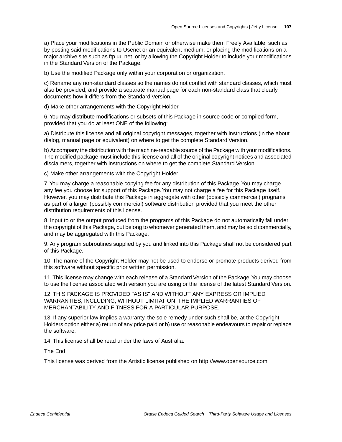a) Place your modifications in the Public Domain or otherwise make them Freely Available, such as by posting said modifications to Usenet or an equivalent medium, or placing the modifications on a major archive site such as ftp.uu.net, or by allowing the Copyright Holder to include your modifications in the Standard Version of the Package.

b) Use the modified Package only within your corporation or organization.

c) Rename any non-standard classes so the names do not conflict with standard classes, which must also be provided, and provide a separate manual page for each non-standard class that clearly documents how it differs from the Standard Version.

d) Make other arrangements with the Copyright Holder.

6.You may distribute modifications or subsets of this Package in source code or compiled form, provided that you do at least ONE of the following:

a) Distribute this license and all original copyright messages, together with instructions (in the about dialog, manual page or equivalent) on where to get the complete Standard Version.

b) Accompany the distribution with the machine-readable source of the Package with your modifications. The modified package must include this license and all of the original copyright notices and associated disclaimers, together with instructions on where to get the complete Standard Version.

c) Make other arrangements with the Copyright Holder.

7. You may charge a reasonable copying fee for any distribution of this Package. You may charge any fee you choose for support of this Package. You may not charge a fee for this Package itself. However, you may distribute this Package in aggregate with other (possibly commercial) programs as part of a larger (possibly commercial) software distribution provided that you meet the other distribution requirements of this license.

8. Input to or the output produced from the programs of this Package do not automatically fall under the copyright of this Package, but belong to whomever generated them, and may be sold commercially, and may be aggregated with this Package.

9. Any program subroutines supplied by you and linked into this Package shall not be considered part of this Package.

10. The name of the Copyright Holder may not be used to endorse or promote products derived from this software without specific prior written permission.

11.This license may change with each release of a Standard Version of the Package.You may choose to use the license associated with version you are using or the license of the latest Standard Version.

12. THIS PACKAGE IS PROVIDED "AS IS" AND WITHOUT ANY EXPRESS OR IMPLIED WARRANTIES, INCLUDING, WITHOUT LIMITATION, THE IMPLIED WARRANTIES OF MERCHANTABILITY AND FITNESS FOR A PARTICULAR PURPOSE.

13. If any superior law implies a warranty, the sole remedy under such shall be, at the Copyright Holders option either a) return of any price paid or b) use or reasonable endeavours to repair or replace the software.

14. This license shall be read under the laws of Australia.

The End

This license was derived from the Artistic license published on http://www.opensource.com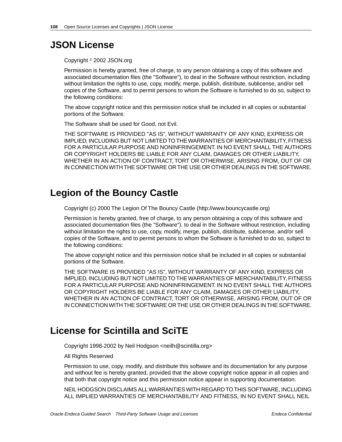# **JSON License**

Copyright © 2002 JSON.org

Permission is hereby granted, free of charge, to any person obtaining a copy of this software and associated documentation files (the "Software"), to deal in the Software without restriction, including without limitation the rights to use, copy, modify, merge, publish, distribute, sublicense, and/or sell copies of the Software, and to permit persons to whom the Software is furnished to do so, subject to the following conditions:

The above copyright notice and this permission notice shall be included in all copies or substantial portions of the Software.

The Software shall be used for Good, not Evil.

THE SOFTWARE IS PROVIDED "AS IS", WITHOUT WARRANTY OF ANY KIND, EXPRESS OR IMPLIED, INCLUDING BUT NOT LIMITED TO THE WARRANTIES OF MERCHANTABILITY, FITNESS FOR A PARTICULAR PURPOSE AND NONINFRINGEMENT. IN NO EVENT SHALL THE AUTHORS OR COPYRIGHT HOLDERS BE LIABLE FOR ANY CLAIM, DAMAGES OR OTHER LIABILITY, WHETHER IN AN ACTION OF CONTRACT, TORT OR OTHERWISE, ARISING FROM, OUT OF OR IN CONNECTION WITH THE SOFTWARE OR THE USE OR OTHER DEALINGS IN THE SOFTWARE.

## **Legion of the Bouncy Castle**

Copyright (c) 2000 The Legion Of The Bouncy Castle (http://www.bouncycastle.org)

Permission is hereby granted, free of charge, to any person obtaining a copy of this software and associated documentation files (the "Software"), to deal in the Software without restriction, including without limitation the rights to use, copy, modify, merge, publish, distribute, sublicense, and/or sell copies of the Software, and to permit persons to whom the Software is furnished to do so, subject to the following conditions:

The above copyright notice and this permission notice shall be included in all copies or substantial portions of the Software.

THE SOFTWARE IS PROVIDED "AS IS", WITHOUT WARRANTY OF ANY KIND, EXPRESS OR IMPLIED, INCLUDING BUT NOT LIMITED TO THE WARRANTIES OF MERCHANTABILITY, FITNESS FOR A PARTICULAR PURPOSE AND NONINFRINGEMENT. IN NO EVENT SHALL THE AUTHORS OR COPYRIGHT HOLDERS BE LIABLE FOR ANY CLAIM, DAMAGES OR OTHER LIABILITY, WHETHER IN AN ACTION OF CONTRACT, TORT OR OTHERWISE, ARISING FROM, OUT OF OR IN CONNECTION WITH THE SOFTWARE OR THE USE OR OTHER DEALINGS IN THE SOFTWARE.

# **License for Scintilla and SciTE**

Copyright 1998-2002 by Neil Hodgson <neilh@scintilla.org>

All Rights Reserved

Permission to use, copy, modify, and distribute this software and its documentation for any purpose and without fee is hereby granted, provided that the above copyright notice appear in all copies and that both that copyright notice and this permission notice appear in supporting documentation.

NEIL HODGSON DISCLAIMS ALL WARRANTIES WITH REGARD TO THIS SOFTWARE, INCLUDING ALL IMPLIED WARRANTIES OF MERCHANTABILITY AND FITNESS, IN NO EVENT SHALL NEIL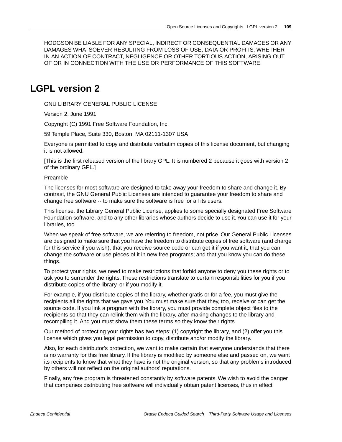HODGSON BE LIABLE FOR ANY SPECIAL, INDIRECT OR CONSEQUENTIAL DAMAGES OR ANY DAMAGES WHATSOEVER RESULTING FROM LOSS OF USE, DATA OR PROFITS, WHETHER IN AN ACTION OF CONTRACT, NEGLIGENCE OR OTHER TORTIOUS ACTION, ARISING OUT OF OR IN CONNECTION WITH THE USE OR PERFORMANCE OF THIS SOFTWARE.

## **LGPL version 2**

GNU LIBRARY GENERAL PUBLIC LICENSE

Version 2, June 1991

Copyright (C) 1991 Free Software Foundation, Inc.

59 Temple Place, Suite 330, Boston, MA 02111-1307 USA

Everyone is permitted to copy and distribute verbatim copies of this license document, but changing it is not allowed.

[This is the first released version of the library GPL. It is numbered 2 because it goes with version 2 of the ordinary GPL.]

#### Preamble

The licenses for most software are designed to take away your freedom to share and change it. By contrast, the GNU General Public Licenses are intended to guarantee your freedom to share and change free software -- to make sure the software is free for all its users.

This license, the Library General Public License, applies to some specially designated Free Software Foundation software, and to any other libraries whose authors decide to use it.You can use it for your libraries, too.

When we speak of free software, we are referring to freedom, not price. Our General Public Licenses are designed to make sure that you have the freedom to distribute copies of free software (and charge for this service if you wish), that you receive source code or can get it if you want it, that you can change the software or use pieces of it in new free programs; and that you know you can do these things.

To protect your rights, we need to make restrictions that forbid anyone to deny you these rights or to ask you to surrender the rights. These restrictions translate to certain responsibilities for you if you distribute copies of the library, or if you modify it.

For example, if you distribute copies of the library, whether gratis or for a fee, you must give the recipients all the rights that we gave you.You must make sure that they, too, receive or can get the source code. If you link a program with the library, you must provide complete object files to the recipients so that they can relink them with the library, after making changes to the library and recompiling it. And you must show them these terms so they know their rights.

Our method of protecting your rights has two steps: (1) copyright the library, and (2) offer you this license which gives you legal permission to copy, distribute and/or modify the library.

Also, for each distributor's protection, we want to make certain that everyone understands that there is no warranty for this free library. If the library is modified by someone else and passed on, we want its recipients to know that what they have is not the original version, so that any problems introduced by others will not reflect on the original authors' reputations.

Finally, any free program is threatened constantly by software patents. We wish to avoid the danger that companies distributing free software will individually obtain patent licenses, thus in effect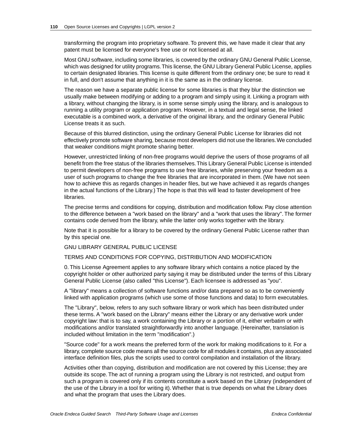transforming the program into proprietary software. To prevent this, we have made it clear that any patent must be licensed for everyone's free use or not licensed at all.

Most GNU software, including some libraries, is covered by the ordinary GNU General Public License, which was designed for utility programs.This license, the GNU Library General Public License, applies to certain designated libraries. This license is quite different from the ordinary one; be sure to read it in full, and don't assume that anything in it is the same as in the ordinary license.

The reason we have a separate public license for some libraries is that they blur the distinction we usually make between modifying or adding to a program and simply using it. Linking a program with a library, without changing the library, is in some sense simply using the library, and is analogous to running a utility program or application program. However, in a textual and legal sense, the linked executable is a combined work, a derivative of the original library, and the ordinary General Public License treats it as such.

Because of this blurred distinction, using the ordinary General Public License for libraries did not effectively promote software sharing, because most developers did not use the libraries.We concluded that weaker conditions might promote sharing better.

However, unrestricted linking of non-free programs would deprive the users of those programs of all benefit from the free status of the libraries themselves.This Library General Public License is intended to permit developers of non-free programs to use free libraries, while preserving your freedom as a user of such programs to change the free libraries that are incorporated in them. (We have not seen how to achieve this as regards changes in header files, but we have achieved it as regards changes in the actual functions of the Library.) The hope is that this will lead to faster development of free libraries.

The precise terms and conditions for copying, distribution and modification follow. Pay close attention to the difference between a "work based on the library" and a "work that uses the library". The former contains code derived from the library, while the latter only works together with the library.

Note that it is possible for a library to be covered by the ordinary General Public License rather than by this special one.

GNU LIBRARY GENERAL PUBLIC LICENSE

#### TERMS AND CONDITIONS FOR COPYING, DISTRIBUTION AND MODIFICATION

0. This License Agreement applies to any software library which contains a notice placed by the copyright holder or other authorized party saying it may be distributed under the terms of this Library General Public License (also called "this License"). Each licensee is addressed as "you".

A "library" means a collection of software functions and/or data prepared so as to be conveniently linked with application programs (which use some of those functions and data) to form executables.

The "Library", below, refers to any such software library or work which has been distributed under these terms. A "work based on the Library" means either the Library or any derivative work under copyright law: that is to say, a work containing the Library or a portion of it, either verbatim or with modifications and/or translated straightforwardly into another language. (Hereinafter, translation is included without limitation in the term "modification".)

"Source code" for a work means the preferred form of the work for making modifications to it. For a library, complete source code means all the source code for all modules it contains, plus any associated interface definition files, plus the scripts used to control compilation and installation of the library.

Activities other than copying, distribution and modification are not covered by this License; they are outside its scope. The act of running a program using the Library is not restricted, and output from such a program is covered only if its contents constitute a work based on the Library (independent of the use of the Library in a tool for writing it). Whether that is true depends on what the Library does and what the program that uses the Library does.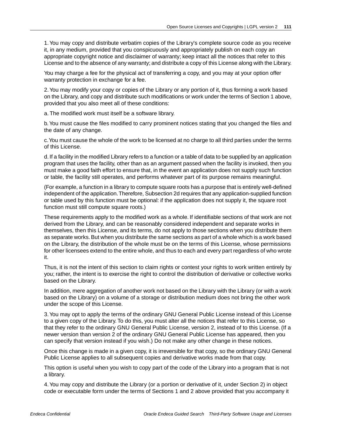1.You may copy and distribute verbatim copies of the Library's complete source code as you receive it, in any medium, provided that you conspicuously and appropriately publish on each copy an appropriate copyright notice and disclaimer of warranty; keep intact all the notices that refer to this License and to the absence of any warranty; and distribute a copy of this License along with the Library.

You may charge a fee for the physical act of transferring a copy, and you may at your option offer warranty protection in exchange for a fee.

2.You may modify your copy or copies of the Library or any portion of it, thus forming a work based on the Library, and copy and distribute such modifications or work under the terms of Section 1 above, provided that you also meet all of these conditions:

a. The modified work must itself be a software library.

b.You must cause the files modified to carry prominent notices stating that you changed the files and the date of any change.

c.You must cause the whole of the work to be licensed at no charge to all third parties under the terms of this License.

d. If a facility in the modified Library refers to a function or a table of data to be supplied by an application program that uses the facility, other than as an argument passed when the facility is invoked, then you must make a good faith effort to ensure that, in the event an application does not supply such function or table, the facility still operates, and performs whatever part of its purpose remains meaningful.

(For example, a function in a library to compute square roots has a purpose that is entirely well-defined independent of the application.Therefore, Subsection 2d requires that any application-supplied function or table used by this function must be optional: if the application does not supply it, the square root function must still compute square roots.)

These requirements apply to the modified work as a whole. If identifiable sections of that work are not derived from the Library, and can be reasonably considered independent and separate works in themselves, then this License, and its terms, do not apply to those sections when you distribute them as separate works. But when you distribute the same sections as part of a whole which is a work based on the Library, the distribution of the whole must be on the terms of this License, whose permissions for other licensees extend to the entire whole, and thus to each and every part regardless of who wrote it.

Thus, it is not the intent of this section to claim rights or contest your rights to work written entirely by you; rather, the intent is to exercise the right to control the distribution of derivative or collective works based on the Library.

In addition, mere aggregation of another work not based on the Library with the Library (or with a work based on the Library) on a volume of a storage or distribution medium does not bring the other work under the scope of this License.

3.You may opt to apply the terms of the ordinary GNU General Public License instead of this License to a given copy of the Library. To do this, you must alter all the notices that refer to this License, so that they refer to the ordinary GNU General Public License, version 2, instead of to this License. (If a newer version than version 2 of the ordinary GNU General Public License has appeared, then you can specify that version instead if you wish.) Do not make any other change in these notices.

Once this change is made in a given copy, it is irreversible for that copy, so the ordinary GNU General Public License applies to all subsequent copies and derivative works made from that copy.

This option is useful when you wish to copy part of the code of the Library into a program that is not a library.

4.You may copy and distribute the Library (or a portion or derivative of it, under Section 2) in object code or executable form under the terms of Sections 1 and 2 above provided that you accompany it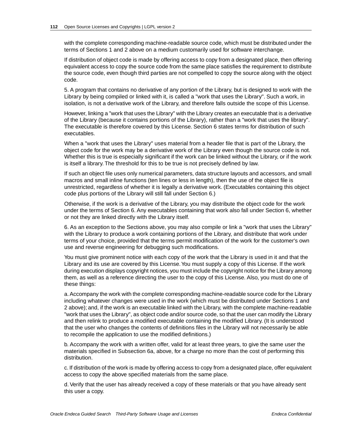with the complete corresponding machine-readable source code, which must be distributed under the terms of Sections 1 and 2 above on a medium customarily used for software interchange.

If distribution of object code is made by offering access to copy from a designated place, then offering equivalent access to copy the source code from the same place satisfies the requirement to distribute the source code, even though third parties are not compelled to copy the source along with the object code.

5. A program that contains no derivative of any portion of the Library, but is designed to work with the Library by being compiled or linked with it, is called a "work that uses the Library". Such a work, in isolation, is not a derivative work of the Library, and therefore falls outside the scope of this License.

However, linking a "work that uses the Library" with the Library creates an executable that is a derivative of the Library (because it contains portions of the Library), rather than a "work that uses the library". The executable is therefore covered by this License. Section 6 states terms for distribution of such executables.

When a "work that uses the Library" uses material from a header file that is part of the Library, the object code for the work may be a derivative work of the Library even though the source code is not. Whether this is true is especially significant if the work can be linked without the Library, or if the work is itself a library. The threshold for this to be true is not precisely defined by law.

If such an object file uses only numerical parameters, data structure layouts and accessors, and small macros and small inline functions (ten lines or less in length), then the use of the object file is unrestricted, regardless of whether it is legally a derivative work. (Executables containing this object code plus portions of the Library will still fall under Section 6.)

Otherwise, if the work is a derivative of the Library, you may distribute the object code for the work under the terms of Section 6. Any executables containing that work also fall under Section 6, whether or not they are linked directly with the Library itself.

6. As an exception to the Sections above, you may also compile or link a "work that uses the Library" with the Library to produce a work containing portions of the Library, and distribute that work under terms of your choice, provided that the terms permit modification of the work for the customer's own use and reverse engineering for debugging such modifications.

You must give prominent notice with each copy of the work that the Library is used in it and that the Library and its use are covered by this License. You must supply a copy of this License. If the work during execution displays copyright notices, you must include the copyright notice for the Library among them, as well as a reference directing the user to the copy of this License. Also, you must do one of these things:

a. Accompany the work with the complete corresponding machine-readable source code for the Library including whatever changes were used in the work (which must be distributed under Sections 1 and 2 above); and, if the work is an executable linked with the Library, with the complete machine-readable "work that uses the Library", as object code and/or source code, so that the user can modify the Library and then relink to produce a modified executable containing the modified Library. (It is understood that the user who changes the contents of definitions files in the Library will not necessarily be able to recompile the application to use the modified definitions.)

b. Accompany the work with a written offer, valid for at least three years, to give the same user the materials specified in Subsection 6a, above, for a charge no more than the cost of performing this distribution.

c. If distribution of the work is made by offering access to copy from a designated place, offer equivalent access to copy the above specified materials from the same place.

d. Verify that the user has already received a copy of these materials or that you have already sent this user a copy.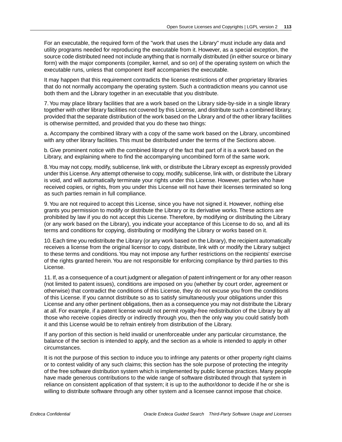For an executable, the required form of the "work that uses the Library" must include any data and utility programs needed for reproducing the executable from it. However, as a special exception, the source code distributed need not include anything that is normally distributed (in either source or binary form) with the major components (compiler, kernel, and so on) of the operating system on which the executable runs, unless that component itself accompanies the executable.

It may happen that this requirement contradicts the license restrictions of other proprietary libraries that do not normally accompany the operating system. Such a contradiction means you cannot use both them and the Library together in an executable that you distribute.

7.You may place library facilities that are a work based on the Library side-by-side in a single library together with other library facilities not covered by this License, and distribute such a combined library, provided that the separate distribution of the work based on the Library and of the other library facilities is otherwise permitted, and provided that you do these two things:

a. Accompany the combined library with a copy of the same work based on the Library, uncombined with any other library facilities. This must be distributed under the terms of the Sections above.

b. Give prominent notice with the combined library of the fact that part of it is a work based on the Library, and explaining where to find the accompanying uncombined form of the same work.

8.You may not copy, modify, sublicense, link with, or distribute the Library except as expressly provided under this License. Any attempt otherwise to copy, modify, sublicense, link with, or distribute the Library is void, and will automatically terminate your rights under this License. However, parties who have received copies, or rights, from you under this License will not have their licenses terminated so long as such parties remain in full compliance.

9.You are not required to accept this License, since you have not signed it. However, nothing else grants you permission to modify or distribute the Library or its derivative works. These actions are prohibited by law if you do not accept this License. Therefore, by modifying or distributing the Library (or any work based on the Library), you indicate your acceptance of this License to do so, and all its terms and conditions for copying, distributing or modifying the Library or works based on it.

10. Each time you redistribute the Library (or any work based on the Library), the recipient automatically receives a license from the original licensor to copy, distribute, link with or modify the Library subject to these terms and conditions.You may not impose any further restrictions on the recipients' exercise of the rights granted herein.You are not responsible for enforcing compliance by third parties to this License.

11. If, as a consequence of a court judgment or allegation of patent infringement or for any other reason (not limited to patent issues), conditions are imposed on you (whether by court order, agreement or otherwise) that contradict the conditions of this License, they do not excuse you from the conditions of this License. If you cannot distribute so as to satisfy simultaneously your obligations under this License and any other pertinent obligations, then as a consequence you may not distribute the Library at all. For example, if a patent license would not permit royalty-free redistribution of the Library by all those who receive copies directly or indirectly through you, then the only way you could satisfy both it and this License would be to refrain entirely from distribution of the Library.

If any portion of this section is held invalid or unenforceable under any particular circumstance, the balance of the section is intended to apply, and the section as a whole is intended to apply in other circumstances.

It is not the purpose of this section to induce you to infringe any patents or other property right claims or to contest validity of any such claims; this section has the sole purpose of protecting the integrity of the free software distribution system which is implemented by public license practices. Many people have made generous contributions to the wide range of software distributed through that system in reliance on consistent application of that system; it is up to the author/donor to decide if he or she is willing to distribute software through any other system and a licensee cannot impose that choice.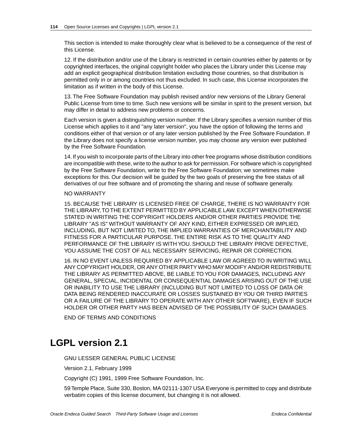This section is intended to make thoroughly clear what is believed to be a consequence of the rest of this License.

12. If the distribution and/or use of the Library is restricted in certain countries either by patents or by copyrighted interfaces, the original copyright holder who places the Library under this License may add an explicit geographical distribution limitation excluding those countries, so that distribution is permitted only in or among countries not thus excluded. In such case, this License incorporates the limitation as if written in the body of this License.

13. The Free Software Foundation may publish revised and/or new versions of the Library General Public License from time to time. Such new versions will be similar in spirit to the present version, but may differ in detail to address new problems or concerns.

Each version is given a distinguishing version number. If the Library specifies a version number of this License which applies to it and "any later version", you have the option of following the terms and conditions either of that version or of any later version published by the Free Software Foundation. If the Library does not specify a license version number, you may choose any version ever published by the Free Software Foundation.

14. If you wish to incorporate parts of the Library into other free programs whose distribution conditions are incompatible with these, write to the author to ask for permission. For software which is copyrighted by the Free Software Foundation, write to the Free Software Foundation; we sometimes make exceptions for this. Our decision will be guided by the two goals of preserving the free status of all derivatives of our free software and of promoting the sharing and reuse of software generally.

### NO WARRANTY

15. BECAUSE THE LIBRARY IS LICENSED FREE OF CHARGE, THERE IS NO WARRANTY FOR THE LIBRARY, TO THE EXTENT PERMITTED BY APPLICABLE LAW. EXCEPT WHEN OTHERWISE STATED IN WRITING THE COPYRIGHT HOLDERS AND/OR OTHER PARTIES PROVIDE THE LIBRARY "AS IS" WITHOUT WARRANTY OF ANY KIND, EITHER EXPRESSED OR IMPLIED, INCLUDING, BUT NOT LIMITED TO, THE IMPLIED WARRANTIES OF MERCHANTABILITY AND FITNESS FOR A PARTICULAR PURPOSE. THE ENTIRE RISK AS TO THE QUALITY AND PERFORMANCE OF THE LIBRARY IS WITH YOU. SHOULD THE LIBRARY PROVE DEFECTIVE, YOU ASSUME THE COST OF ALL NECESSARY SERVICING, REPAIR OR CORRECTION.

16. IN NO EVENT UNLESS REQUIRED BY APPLICABLE LAW OR AGREED TO IN WRITING WILL ANY COPYRIGHT HOLDER, OR ANY OTHER PARTY WHO MAY MODIFY AND/OR REDISTRIBUTE THE LIBRARY AS PERMITTED ABOVE, BE LIABLE TO YOU FOR DAMAGES, INCLUDING ANY GENERAL, SPECIAL, INCIDENTAL OR CONSEQUENTIAL DAMAGES ARISING OUT OF THE USE OR INABILITY TO USE THE LIBRARY (INCLUDING BUT NOT LIMITED TO LOSS OF DATA OR DATA BEING RENDERED INACCURATE OR LOSSES SUSTAINED BY YOU OR THIRD PARTIES OR A FAILURE OF THE LIBRARY TO OPERATE WITH ANY OTHER SOFTWARE), EVEN IF SUCH HOLDER OR OTHER PARTY HAS BEEN ADVISED OF THE POSSIBILITY OF SUCH DAMAGES.

END OF TERMS AND CONDITIONS

## **LGPL version 2.1**

GNU LESSER GENERAL PUBLIC LICENSE

Version 2.1, February 1999

Copyright (C) 1991, 1999 Free Software Foundation, Inc.

59 Temple Place, Suite 330, Boston, MA 02111-1307 USA Everyone is permitted to copy and distribute verbatim copies of this license document, but changing it is not allowed.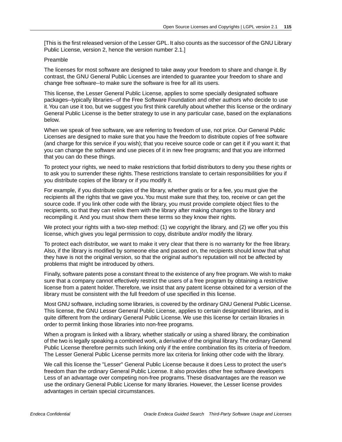[This is the first released version of the Lesser GPL. It also counts as the successor of the GNU Library Public License, version 2, hence the version number 2.1.]

#### Preamble

The licenses for most software are designed to take away your freedom to share and change it. By contrast, the GNU General Public Licenses are intended to guarantee your freedom to share and change free software--to make sure the software is free for all its users.

This license, the Lesser General Public License, applies to some specially designated software packages--typically libraries--of the Free Software Foundation and other authors who decide to use it.You can use it too, but we suggest you first think carefully about whether this license or the ordinary General Public License is the better strategy to use in any particular case, based on the explanations below.

When we speak of free software, we are referring to freedom of use, not price. Our General Public Licenses are designed to make sure that you have the freedom to distribute copies of free software (and charge for this service if you wish); that you receive source code or can get it if you want it; that you can change the software and use pieces of it in new free programs; and that you are informed that you can do these things.

To protect your rights, we need to make restrictions that forbid distributors to deny you these rights or to ask you to surrender these rights. These restrictions translate to certain responsibilities for you if you distribute copies of the library or if you modify it.

For example, if you distribute copies of the library, whether gratis or for a fee, you must give the recipients all the rights that we gave you.You must make sure that they, too, receive or can get the source code. If you link other code with the library, you must provide complete object files to the recipients, so that they can relink them with the library after making changes to the library and recompiling it. And you must show them these terms so they know their rights.

We protect your rights with a two-step method: (1) we copyright the library, and (2) we offer you this license, which gives you legal permission to copy, distribute and/or modify the library.

To protect each distributor, we want to make it very clear that there is no warranty for the free library. Also, if the library is modified by someone else and passed on, the recipients should know that what they have is not the original version, so that the original author's reputation will not be affected by problems that might be introduced by others.

Finally, software patents pose a constant threat to the existence of any free program.We wish to make sure that a company cannot effectively restrict the users of a free program by obtaining a restrictive license from a patent holder. Therefore, we insist that any patent license obtained for a version of the library must be consistent with the full freedom of use specified in this license.

Most GNU software, including some libraries, is covered by the ordinary GNU General Public License. This license, the GNU Lesser General Public License, applies to certain designated libraries, and is quite different from the ordinary General Public License. We use this license for certain libraries in order to permit linking those libraries into non-free programs.

When a program is linked with a library, whether statically or using a shared library, the combination of the two is legally speaking a combined work, a derivative of the original library.The ordinary General Public License therefore permits such linking only if the entire combination fits its criteria of freedom. The Lesser General Public License permits more lax criteria for linking other code with the library.

We call this license the "Lesser" General Public License because it does Less to protect the user's freedom than the ordinary General Public License. It also provides other free software developers Less of an advantage over competing non-free programs. These disadvantages are the reason we use the ordinary General Public License for many libraries. However, the Lesser license provides advantages in certain special circumstances.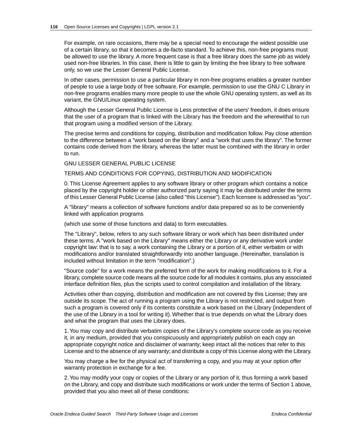For example, on rare occasions, there may be a special need to encourage the widest possible use of a certain library, so that it becomes a de-facto standard. To achieve this, non-free programs must be allowed to use the library. A more frequent case is that a free library does the same job as widely used non-free libraries. In this case, there is little to gain by limiting the free library to free software only, so we use the Lesser General Public License.

In other cases, permission to use a particular library in non-free programs enables a greater number of people to use a large body of free software. For example, permission to use the GNU C Library in non-free programs enables many more people to use the whole GNU operating system, as well as its variant, the GNU/Linux operating system.

Although the Lesser General Public License is Less protective of the users' freedom, it does ensure that the user of a program that is linked with the Library has the freedom and the wherewithal to run that program using a modified version of the Library.

The precise terms and conditions for copying, distribution and modification follow. Pay close attention to the difference between a "work based on the library" and a "work that uses the library". The former contains code derived from the library, whereas the latter must be combined with the library in order to run.

#### GNU LESSER GENERAL PUBLIC LICENSE

#### TERMS AND CONDITIONS FOR COPYING, DISTRIBUTION AND MODIFICATION

0. This License Agreement applies to any software library or other program which contains a notice placed by the copyright holder or other authorized party saying it may be distributed under the terms of this Lesser General Public License (also called "this License"). Each licensee is addressed as "you".

A "library" means a collection of software functions and/or data prepared so as to be conveniently linked with application programs

(which use some of those functions and data) to form executables.

The "Library", below, refers to any such software library or work which has been distributed under these terms. A "work based on the Library" means either the Library or any derivative work under copyright law: that is to say, a work containing the Library or a portion of it, either verbatim or with modifications and/or translated straightforwardly into another language. (Hereinafter, translation is included without limitation in the term "modification".)

"Source code" for a work means the preferred form of the work for making modifications to it. For a library, complete source code means all the source code for all modules it contains, plus any associated interface definition files, plus the scripts used to control compilation and installation of the library.

Activities other than copying, distribution and modification are not covered by this License; they are outside its scope. The act of running a program using the Library is not restricted, and output from such a program is covered only if its contents constitute a work based on the Library (independent of the use of the Library in a tool for writing it). Whether that is true depends on what the Library does and what the program that uses the Library does.

1.You may copy and distribute verbatim copies of the Library's complete source code as you receive it, in any medium, provided that you conspicuously and appropriately publish on each copy an appropriate copyright notice and disclaimer of warranty; keep intact all the notices that refer to this License and to the absence of any warranty; and distribute a copy of this License along with the Library.

You may charge a fee for the physical act of transferring a copy, and you may at your option offer warranty protection in exchange for a fee.

2.You may modify your copy or copies of the Library or any portion of it, thus forming a work based on the Library, and copy and distribute such modifications or work under the terms of Section 1 above, provided that you also meet all of these conditions: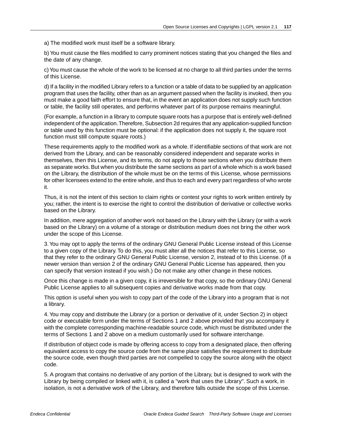a) The modified work must itself be a software library.

b) You must cause the files modified to carry prominent notices stating that you changed the files and the date of any change.

c) You must cause the whole of the work to be licensed at no charge to all third parties under the terms of this License.

d) If a facility in the modified Library refers to a function or a table of data to be supplied by an application program that uses the facility, other than as an argument passed when the facility is invoked, then you must make a good faith effort to ensure that, in the event an application does not supply such function or table, the facility still operates, and performs whatever part of its purpose remains meaningful.

(For example, a function in a library to compute square roots has a purpose that is entirely well-defined independent of the application.Therefore, Subsection 2d requires that any application-supplied function or table used by this function must be optional: if the application does not supply it, the square root function must still compute square roots.)

These requirements apply to the modified work as a whole. If identifiable sections of that work are not derived from the Library, and can be reasonably considered independent and separate works in themselves, then this License, and its terms, do not apply to those sections when you distribute them as separate works. But when you distribute the same sections as part of a whole which is a work based on the Library, the distribution of the whole must be on the terms of this License, whose permissions for other licensees extend to the entire whole, and thus to each and every part regardless of who wrote it.

Thus, it is not the intent of this section to claim rights or contest your rights to work written entirely by you; rather, the intent is to exercise the right to control the distribution of derivative or collective works based on the Library.

In addition, mere aggregation of another work not based on the Library with the Library (or with a work based on the Library) on a volume of a storage or distribution medium does not bring the other work under the scope of this License.

3.You may opt to apply the terms of the ordinary GNU General Public License instead of this License to a given copy of the Library. To do this, you must alter all the notices that refer to this License, so that they refer to the ordinary GNU General Public License, version 2, instead of to this License. (If a newer version than version 2 of the ordinary GNU General Public License has appeared, then you can specify that version instead if you wish.) Do not make any other change in these notices.

Once this change is made in a given copy, it is irreversible for that copy, so the ordinary GNU General Public License applies to all subsequent copies and derivative works made from that copy.

This option is useful when you wish to copy part of the code of the Library into a program that is not a library.

4.You may copy and distribute the Library (or a portion or derivative of it, under Section 2) in object code or executable form under the terms of Sections 1 and 2 above provided that you accompany it with the complete corresponding machine-readable source code, which must be distributed under the terms of Sections 1 and 2 above on a medium customarily used for software interchange.

If distribution of object code is made by offering access to copy from a designated place, then offering equivalent access to copy the source code from the same place satisfies the requirement to distribute the source code, even though third parties are not compelled to copy the source along with the object code.

5. A program that contains no derivative of any portion of the Library, but is designed to work with the Library by being compiled or linked with it, is called a "work that uses the Library". Such a work, in isolation, is not a derivative work of the Library, and therefore falls outside the scope of this License.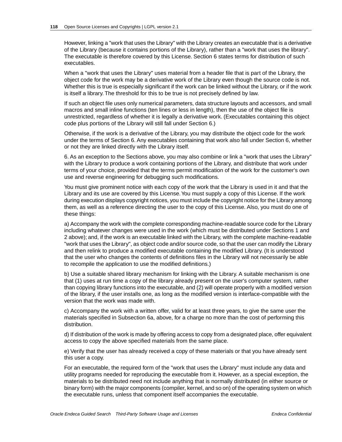However, linking a "work that uses the Library" with the Library creates an executable that is a derivative of the Library (because it contains portions of the Library), rather than a "work that uses the library". The executable is therefore covered by this License. Section 6 states terms for distribution of such executables.

When a "work that uses the Library" uses material from a header file that is part of the Library, the object code for the work may be a derivative work of the Library even though the source code is not. Whether this is true is especially significant if the work can be linked without the Library, or if the work is itself a library. The threshold for this to be true is not precisely defined by law.

If such an object file uses only numerical parameters, data structure layouts and accessors, and small macros and small inline functions (ten lines or less in length), then the use of the object file is unrestricted, regardless of whether it is legally a derivative work. (Executables containing this object code plus portions of the Library will still fall under Section 6.)

Otherwise, if the work is a derivative of the Library, you may distribute the object code for the work under the terms of Section 6. Any executables containing that work also fall under Section 6, whether or not they are linked directly with the Library itself.

6. As an exception to the Sections above, you may also combine or link a "work that uses the Library" with the Library to produce a work containing portions of the Library, and distribute that work under terms of your choice, provided that the terms permit modification of the work for the customer's own use and reverse engineering for debugging such modifications.

You must give prominent notice with each copy of the work that the Library is used in it and that the Library and its use are covered by this License. You must supply a copy of this License. If the work during execution displays copyright notices, you must include the copyright notice for the Library among them, as well as a reference directing the user to the copy of this License. Also, you must do one of these things:

a) Accompany the work with the complete corresponding machine-readable source code for the Library including whatever changes were used in the work (which must be distributed under Sections 1 and 2 above); and, if the work is an executable linked with the Library, with the complete machine-readable "work that uses the Library", as object code and/or source code, so that the user can modify the Library and then relink to produce a modified executable containing the modified Library. (It is understood that the user who changes the contents of definitions files in the Library will not necessarily be able to recompile the application to use the modified definitions.)

b) Use a suitable shared library mechanism for linking with the Library. A suitable mechanism is one that (1) uses at run time a copy of the library already present on the user's computer system, rather than copying library functions into the executable, and (2) will operate properly with a modified version of the library, if the user installs one, as long as the modified version is interface-compatible with the version that the work was made with.

c) Accompany the work with a written offer, valid for at least three years, to give the same user the materials specified in Subsection 6a, above, for a charge no more than the cost of performing this distribution.

d) If distribution of the work is made by offering access to copy from a designated place, offer equivalent access to copy the above specified materials from the same place.

e) Verify that the user has already received a copy of these materials or that you have already sent this user a copy.

For an executable, the required form of the "work that uses the Library" must include any data and utility programs needed for reproducing the executable from it. However, as a special exception, the materials to be distributed need not include anything that is normally distributed (in either source or binary form) with the major components (compiler, kernel, and so on) of the operating system on which the executable runs, unless that component itself accompanies the executable.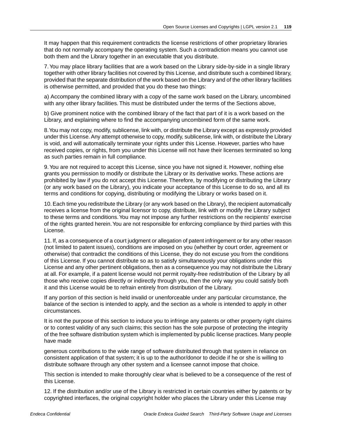It may happen that this requirement contradicts the license restrictions of other proprietary libraries that do not normally accompany the operating system. Such a contradiction means you cannot use both them and the Library together in an executable that you distribute.

7.You may place library facilities that are a work based on the Library side-by-side in a single library together with other library facilities not covered by this License, and distribute such a combined library, provided that the separate distribution of the work based on the Library and of the other library facilities is otherwise permitted, and provided that you do these two things:

a) Accompany the combined library with a copy of the same work based on the Library, uncombined with any other library facilities. This must be distributed under the terms of the Sections above,

b) Give prominent notice with the combined library of the fact that part of it is a work based on the Library, and explaining where to find the accompanying uncombined form of the same work.

8.You may not copy, modify, sublicense, link with, or distribute the Library except as expressly provided under this License. Any attempt otherwise to copy, modify, sublicense, link with, or distribute the Library is void, and will automatically terminate your rights under this License. However, parties who have received copies, or rights, from you under this License will not have their licenses terminated so long as such parties remain in full compliance.

9.You are not required to accept this License, since you have not signed it. However, nothing else grants you permission to modify or distribute the Library or its derivative works. These actions are prohibited by law if you do not accept this License. Therefore, by modifying or distributing the Library (or any work based on the Library), you indicate your acceptance of this License to do so, and all its terms and conditions for copying, distributing or modifying the Library or works based on it.

10. Each time you redistribute the Library (or any work based on the Library), the recipient automatically receives a license from the original licensor to copy, distribute, link with or modify the Library subject to these terms and conditions.You may not impose any further restrictions on the recipients' exercise of the rights granted herein.You are not responsible for enforcing compliance by third parties with this License.

11. If, as a consequence of a court judgment or allegation of patent infringement or for any other reason (not limited to patent issues), conditions are imposed on you (whether by court order, agreement or otherwise) that contradict the conditions of this License, they do not excuse you from the conditions of this License. If you cannot distribute so as to satisfy simultaneously your obligations under this License and any other pertinent obligations, then as a consequence you may not distribute the Library at all. For example, if a patent license would not permit royalty-free redistribution of the Library by all those who receive copies directly or indirectly through you, then the only way you could satisfy both it and this License would be to refrain entirely from distribution of the Library.

If any portion of this section is held invalid or unenforceable under any particular circumstance, the balance of the section is intended to apply, and the section as a whole is intended to apply in other circumstances.

It is not the purpose of this section to induce you to infringe any patents or other property right claims or to contest validity of any such claims; this section has the sole purpose of protecting the integrity of the free software distribution system which is implemented by public license practices. Many people have made

generous contributions to the wide range of software distributed through that system in reliance on consistent application of that system; it is up to the author/donor to decide if he or she is willing to distribute software through any other system and a licensee cannot impose that choice.

This section is intended to make thoroughly clear what is believed to be a consequence of the rest of this License.

12. If the distribution and/or use of the Library is restricted in certain countries either by patents or by copyrighted interfaces, the original copyright holder who places the Library under this License may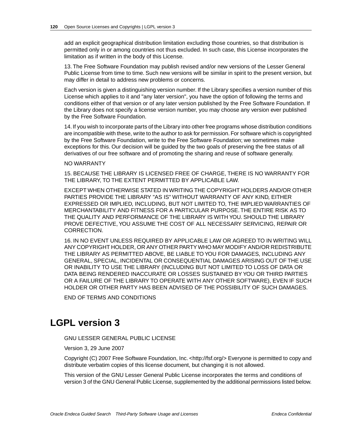add an explicit geographical distribution limitation excluding those countries, so that distribution is permitted only in or among countries not thus excluded. In such case, this License incorporates the limitation as if written in the body of this License.

13. The Free Software Foundation may publish revised and/or new versions of the Lesser General Public License from time to time. Such new versions will be similar in spirit to the present version, but may differ in detail to address new problems or concerns.

Each version is given a distinguishing version number. If the Library specifies a version number of this License which applies to it and "any later version", you have the option of following the terms and conditions either of that version or of any later version published by the Free Software Foundation. If the Library does not specify a license version number, you may choose any version ever published by the Free Software Foundation.

14. If you wish to incorporate parts of the Library into other free programs whose distribution conditions are incompatible with these, write to the author to ask for permission. For software which is copyrighted by the Free Software Foundation, write to the Free Software Foundation; we sometimes make exceptions for this. Our decision will be guided by the two goals of preserving the free status of all derivatives of our free software and of promoting the sharing and reuse of software generally.

#### NO WARRANTY

15. BECAUSE THE LIBRARY IS LICENSED FREE OF CHARGE, THERE IS NO WARRANTY FOR THE LIBRARY, TO THE EXTENT PERMITTED BY APPLICABLE LAW.

EXCEPT WHEN OTHERWISE STATED IN WRITING THE COPYRIGHT HOLDERS AND/OR OTHER PARTIES PROVIDE THE LIBRARY "AS IS" WITHOUT WARRANTY OF ANY KIND, EITHER EXPRESSED OR IMPLIED, INCLUDING, BUT NOT LIMITED TO, THE IMPLIED WARRANTIES OF MERCHANTABILITY AND FITNESS FOR A PARTICULAR PURPOSE. THE ENTIRE RISK AS TO THE QUALITY AND PERFORMANCE OF THE LIBRARY IS WITH YOU. SHOULD THE LIBRARY PROVE DEFECTIVE, YOU ASSUME THE COST OF ALL NECESSARY SERVICING, REPAIR OR CORRECTION.

16. IN NO EVENT UNLESS REQUIRED BY APPLICABLE LAW OR AGREED TO IN WRITING WILL ANY COPYRIGHT HOLDER, OR ANY OTHER PARTY WHO MAY MODIFY AND/OR REDISTRIBUTE THE LIBRARY AS PERMITTED ABOVE, BE LIABLE TO YOU FOR DAMAGES, INCLUDING ANY GENERAL, SPECIAL, INCIDENTAL OR CONSEQUENTIAL DAMAGES ARISING OUT OF THE USE OR INABILITY TO USE THE LIBRARY (INCLUDING BUT NOT LIMITED TO LOSS OF DATA OR DATA BEING RENDERED INACCURATE OR LOSSES SUSTAINED BY YOU OR THIRD PARTIES OR A FAILURE OF THE LIBRARY TO OPERATE WITH ANY OTHER SOFTWARE), EVEN IF SUCH HOLDER OR OTHER PARTY HAS BEEN ADVISED OF THE POSSIBILITY OF SUCH DAMAGES.

END OF TERMS AND CONDITIONS

## **LGPL version 3**

### GNU LESSER GENERAL PUBLIC LICENSE

Version 3, 29 June 2007

Copyright (C) 2007 Free Software Foundation, Inc. <http://fsf.org/> Everyone is permitted to copy and distribute verbatim copies of this license document, but changing it is not allowed.

This version of the GNU Lesser General Public License incorporates the terms and conditions of version 3 of the GNU General Public License, supplemented by the additional permissions listed below.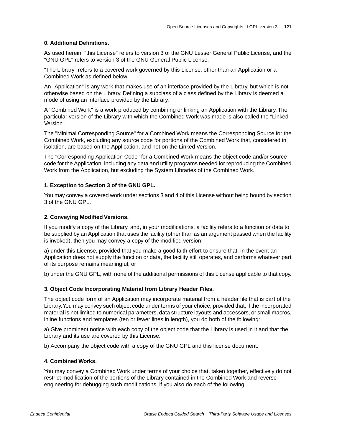#### **0. Additional Definitions.**

As used herein, "this License" refers to version 3 of the GNU Lesser General Public License, and the "GNU GPL" refers to version 3 of the GNU General Public License.

"The Library" refers to a covered work governed by this License, other than an Application or a Combined Work as defined below.

An "Application" is any work that makes use of an interface provided by the Library, but which is not otherwise based on the Library. Defining a subclass of a class defined by the Library is deemed a mode of using an interface provided by the Library.

A "Combined Work" is a work produced by combining or linking an Application with the Library. The particular version of the Library with which the Combined Work was made is also called the "Linked Version".

The "Minimal Corresponding Source" for a Combined Work means the Corresponding Source for the Combined Work, excluding any source code for portions of the Combined Work that, considered in isolation, are based on the Application, and not on the Linked Version.

The "Corresponding Application Code" for a Combined Work means the object code and/or source code for the Application, including any data and utility programs needed for reproducing the Combined Work from the Application, but excluding the System Libraries of the Combined Work.

#### **1. Exception to Section 3 of the GNU GPL.**

You may convey a covered work under sections 3 and 4 of this License without being bound by section 3 of the GNU GPL.

#### **2. Conveying Modified Versions.**

If you modify a copy of the Library, and, in your modifications, a facility refers to a function or data to be supplied by an Application that uses the facility (other than as an argument passed when the facility is invoked), then you may convey a copy of the modified version:

a) under this License, provided that you make a good faith effort to ensure that, in the event an Application does not supply the function or data, the facility still operates, and performs whatever part of its purpose remains meaningful, or

b) under the GNU GPL, with none of the additional permissions of this License applicable to that copy.

### **3. Object Code Incorporating Material from Library Header Files.**

The object code form of an Application may incorporate material from a header file that is part of the Library.You may convey such object code under terms of your choice, provided that, if the incorporated material is not limited to numerical parameters, data structure layouts and accessors, or small macros, inline functions and templates (ten or fewer lines in length), you do both of the following:

a) Give prominent notice with each copy of the object code that the Library is used in it and that the Library and its use are covered by this License.

b) Accompany the object code with a copy of the GNU GPL and this license document.

#### **4. Combined Works.**

You may convey a Combined Work under terms of your choice that, taken together, effectively do not restrict modification of the portions of the Library contained in the Combined Work and reverse engineering for debugging such modifications, if you also do each of the following: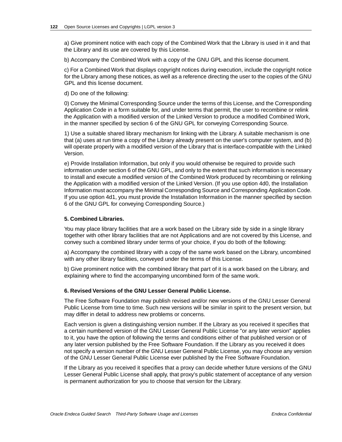a) Give prominent notice with each copy of the Combined Work that the Library is used in it and that the Library and its use are covered by this License.

b) Accompany the Combined Work with a copy of the GNU GPL and this license document.

c) For a Combined Work that displays copyright notices during execution, include the copyright notice for the Library among these notices, as well as a reference directing the user to the copies of the GNU GPL and this license document.

d) Do one of the following:

0) Convey the Minimal Corresponding Source under the terms of this License, and the Corresponding Application Code in a form suitable for, and under terms that permit, the user to recombine or relink the Application with a modified version of the Linked Version to produce a modified Combined Work, in the manner specified by section 6 of the GNU GPL for conveying Corresponding Source.

1) Use a suitable shared library mechanism for linking with the Library. A suitable mechanism is one that (a) uses at run time a copy of the Library already present on the user's computer system, and (b) will operate properly with a modified version of the Library that is interface-compatible with the Linked Version.

e) Provide Installation Information, but only if you would otherwise be required to provide such information under section 6 of the GNU GPL, and only to the extent that such information is necessary to install and execute a modified version of the Combined Work produced by recombining or relinking the Application with a modified version of the Linked Version. (If you use option 4d0, the Installation Information must accompany the Minimal Corresponding Source and Corresponding Application Code. If you use option 4d1, you must provide the Installation Information in the manner specified by section 6 of the GNU GPL for conveying Corresponding Source.)

#### **5. Combined Libraries.**

You may place library facilities that are a work based on the Library side by side in a single library together with other library facilities that are not Applications and are not covered by this License, and convey such a combined library under terms of your choice, if you do both of the following:

a) Accompany the combined library with a copy of the same work based on the Library, uncombined with any other library facilities, conveyed under the terms of this License.

b) Give prominent notice with the combined library that part of it is a work based on the Library, and explaining where to find the accompanying uncombined form of the same work.

### **6. Revised Versions of the GNU Lesser General Public License.**

The Free Software Foundation may publish revised and/or new versions of the GNU Lesser General Public License from time to time. Such new versions will be similar in spirit to the present version, but may differ in detail to address new problems or concerns.

Each version is given a distinguishing version number. If the Library as you received it specifies that a certain numbered version of the GNU Lesser General Public License "or any later version" applies to it, you have the option of following the terms and conditions either of that published version or of any later version published by the Free Software Foundation. If the Library as you received it does not specify a version number of the GNU Lesser General Public License, you may choose any version of the GNU Lesser General Public License ever published by the Free Software Foundation.

If the Library as you received it specifies that a proxy can decide whether future versions of the GNU Lesser General Public License shall apply, that proxy's public statement of acceptance of any version is permanent authorization for you to choose that version for the Library.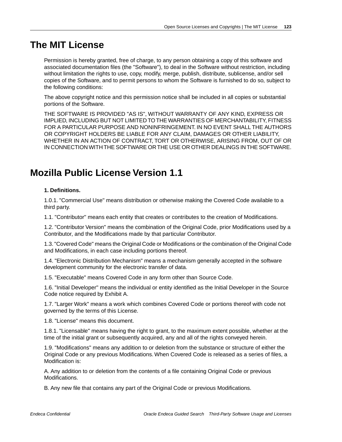## **The MIT License**

Permission is hereby granted, free of charge, to any person obtaining a copy of this software and associated documentation files (the "Software"), to deal in the Software without restriction, including without limitation the rights to use, copy, modify, merge, publish, distribute, sublicense, and/or sell copies of the Software, and to permit persons to whom the Software is furnished to do so, subject to the following conditions:

The above copyright notice and this permission notice shall be included in all copies or substantial portions of the Software.

THE SOFTWARE IS PROVIDED "AS IS", WITHOUT WARRANTY OF ANY KIND, EXPRESS OR IMPLIED, INCLUDING BUT NOT LIMITED TO THE WARRANTIES OF MERCHANTABILITY, FITNESS FOR A PARTICULAR PURPOSE AND NONINFRINGEMENT. IN NO EVENT SHALL THE AUTHORS OR COPYRIGHT HOLDERS BE LIABLE FOR ANY CLAIM, DAMAGES OR OTHER LIABILITY, WHETHER IN AN ACTION OF CONTRACT, TORT OR OTHERWISE, ARISING FROM, OUT OF OR IN CONNECTION WITH THE SOFTWARE OR THE USE OR OTHER DEALINGS IN THE SOFTWARE.

## **Mozilla Public License Version 1.1**

### **1. Definitions.**

1.0.1. "Commercial Use" means distribution or otherwise making the Covered Code available to a third party.

1.1. "Contributor" means each entity that creates or contributes to the creation of Modifications.

1.2. "Contributor Version" means the combination of the Original Code, prior Modifications used by a Contributor, and the Modifications made by that particular Contributor.

1.3. "Covered Code" means the Original Code or Modifications or the combination of the Original Code and Modifications, in each case including portions thereof.

1.4. "Electronic Distribution Mechanism" means a mechanism generally accepted in the software development community for the electronic transfer of data.

1.5. "Executable" means Covered Code in any form other than Source Code.

1.6. "Initial Developer" means the individual or entity identified as the Initial Developer in the Source Code notice required by Exhibit A.

1.7. "Larger Work" means a work which combines Covered Code or portions thereof with code not governed by the terms of this License.

1.8. "License" means this document.

1.8.1. "Licensable" means having the right to grant, to the maximum extent possible, whether at the time of the initial grant or subsequently acquired, any and all of the rights conveyed herein.

1.9. "Modifications" means any addition to or deletion from the substance or structure of either the Original Code or any previous Modifications. When Covered Code is released as a series of files, a Modification is:

A. Any addition to or deletion from the contents of a file containing Original Code or previous Modifications.

B. Any new file that contains any part of the Original Code or previous Modifications.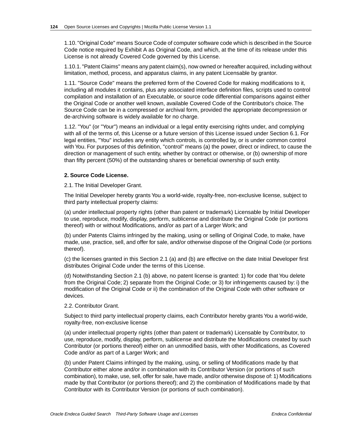1.10. "Original Code" means Source Code of computer software code which is described in the Source Code notice required by Exhibit A as Original Code, and which, at the time of its release under this License is not already Covered Code governed by this License.

1.10.1. "Patent Claims" means any patent claim(s), now owned or hereafter acquired, including without limitation, method, process, and apparatus claims, in any patent Licensable by grantor.

1.11. "Source Code" means the preferred form of the Covered Code for making modifications to it, including all modules it contains, plus any associated interface definition files, scripts used to control compilation and installation of an Executable, or source code differential comparisons against either the Original Code or another well known, available Covered Code of the Contributor's choice. The Source Code can be in a compressed or archival form, provided the appropriate decompression or de-archiving software is widely available for no charge.

1.12. "You" (or "Your") means an individual or a legal entity exercising rights under, and complying with all of the terms of, this License or a future version of this License issued under Section 6.1. For legal entities, "You" includes any entity which controls, is controlled by, or is under common control with You. For purposes of this definition, "control" means (a) the power, direct or indirect, to cause the direction or management of such entity, whether by contract or otherwise, or (b) ownership of more than fifty percent (50%) of the outstanding shares or beneficial ownership of such entity.

### **2. Source Code License.**

2.1. The Initial Developer Grant.

The Initial Developer hereby grants You a world-wide, royalty-free, non-exclusive license, subject to third party intellectual property claims:

(a) under intellectual property rights (other than patent or trademark) Licensable by Initial Developer to use, reproduce, modify, display, perform, sublicense and distribute the Original Code (or portions thereof) with or without Modifications, and/or as part of a Larger Work; and

(b) under Patents Claims infringed by the making, using or selling of Original Code, to make, have made, use, practice, sell, and offer for sale, and/or otherwise dispose of the Original Code (or portions thereof).

(c) the licenses granted in this Section 2.1 (a) and (b) are effective on the date Initial Developer first distributes Original Code under the terms of this License.

(d) Notwithstanding Section 2.1 (b) above, no patent license is granted: 1) for code that You delete from the Original Code; 2) separate from the Original Code; or 3) for infringements caused by: i) the modification of the Original Code or ii) the combination of the Original Code with other software or devices.

2.2. Contributor Grant.

Subject to third party intellectual property claims, each Contributor hereby grants You a world-wide, royalty-free, non-exclusive license

(a) under intellectual property rights (other than patent or trademark) Licensable by Contributor, to use, reproduce, modify, display, perform, sublicense and distribute the Modifications created by such Contributor (or portions thereof) either on an unmodified basis, with other Modifications, as Covered Code and/or as part of a Larger Work; and

(b) under Patent Claims infringed by the making, using, or selling of Modifications made by that Contributor either alone and/or in combination with its Contributor Version (or portions of such combination), to make, use, sell, offer for sale, have made, and/or otherwise dispose of: 1) Modifications made by that Contributor (or portions thereof); and 2) the combination of Modifications made by that Contributor with its Contributor Version (or portions of such combination).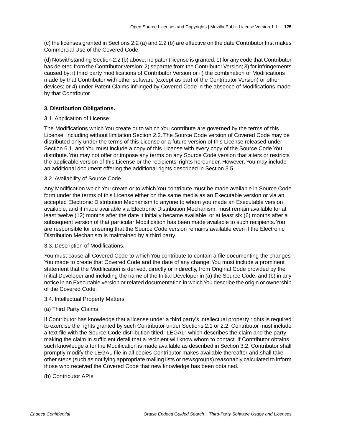(c) the licenses granted in Sections 2.2 (a) and 2.2 (b) are effective on the date Contributor first makes Commercial Use of the Covered Code.

(d) Notwithstanding Section 2.2 (b) above, no patent license is granted: 1) for any code that Contributor has deleted from the Contributor Version; 2) separate from the Contributor Version; 3) for infringements caused by: i) third party modifications of Contributor Version or ii) the combination of Modifications made by that Contributor with other software (except as part of the Contributor Version) or other devices; or 4) under Patent Claims infringed by Covered Code in the absence of Modifications made by that Contributor.

## **3. Distribution Obligations.**

### 3.1. Application of License.

The Modifications which You create or to which You contribute are governed by the terms of this License, including without limitation Section 2.2. The Source Code version of Covered Code may be distributed only under the terms of this License or a future version of this License released under Section 6.1, and You must include a copy of this License with every copy of the Source Code You distribute. You may not offer or impose any terms on any Source Code version that alters or restricts the applicable version of this License or the recipients' rights hereunder. However, You may include an additional document offering the additional rights described in Section 3.5.

#### 3.2. Availability of Source Code.

Any Modification which You create or to which You contribute must be made available in Source Code form under the terms of this License either on the same media as an Executable version or via an accepted Electronic Distribution Mechanism to anyone to whom you made an Executable version available; and if made available via Electronic Distribution Mechanism, must remain available for at least twelve (12) months after the date it initially became available, or at least six (6) months after a subsequent version of that particular Modification has been made available to such recipients.You are responsible for ensuring that the Source Code version remains available even if the Electronic Distribution Mechanism is maintained by a third party.

#### 3.3. Description of Modifications.

You must cause all Covered Code to which You contribute to contain a file documenting the changes You made to create that Covered Code and the date of any change. You must include a prominent statement that the Modification is derived, directly or indirectly, from Original Code provided by the Initial Developer and including the name of the Initial Developer in (a) the Source Code, and (b) in any notice in an Executable version or related documentation in which You describe the origin or ownership of the Covered Code.

#### 3.4. Intellectual Property Matters.

#### (a) Third Party Claims

If Contributor has knowledge that a license under a third party's intellectual property rights is required to exercise the rights granted by such Contributor under Sections 2.1 or 2.2, Contributor must include a text file with the Source Code distribution titled "LEGAL" which describes the claim and the party making the claim in sufficient detail that a recipient will know whom to contact. If Contributor obtains such knowledge after the Modification is made available as described in Section 3.2, Contributor shall promptly modify the LEGAL file in all copies Contributor makes available thereafter and shall take other steps (such as notifying appropriate mailing lists or newsgroups) reasonably calculated to inform those who received the Covered Code that new knowledge has been obtained.

### (b) Contributor APIs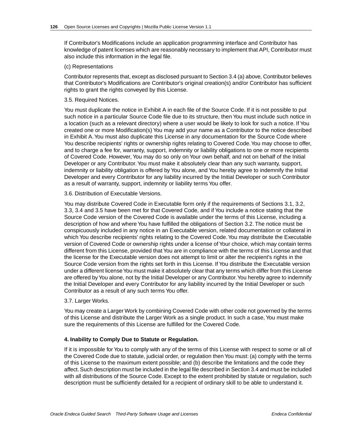If Contributor's Modifications include an application programming interface and Contributor has knowledge of patent licenses which are reasonably necessary to implement that API, Contributor must also include this information in the legal file.

#### (c) Representations

Contributor represents that, except as disclosed pursuant to Section 3.4 (a) above, Contributor believes that Contributor's Modifications are Contributor's original creation(s) and/or Contributor has sufficient rights to grant the rights conveyed by this License.

### 3.5. Required Notices.

You must duplicate the notice in Exhibit A in each file of the Source Code. If it is not possible to put such notice in a particular Source Code file due to its structure, then You must include such notice in a location (such as a relevant directory) where a user would be likely to look for such a notice. If You created one or more Modification(s) You may add your name as a Contributor to the notice described in Exhibit A.You must also duplicate this License in any documentation for the Source Code where You describe recipients' rights or ownership rights relating to Covered Code. You may choose to offer, and to charge a fee for, warranty, support, indemnity or liability obligations to one or more recipients of Covered Code. However, You may do so only on Your own behalf, and not on behalf of the Initial Developer or any Contributor. You must make it absolutely clear than any such warranty, support, indemnity or liability obligation is offered by You alone, and You hereby agree to indemnify the Initial Developer and every Contributor for any liability incurred by the Initial Developer or such Contributor as a result of warranty, support, indemnity or liability terms You offer.

3.6. Distribution of Executable Versions.

You may distribute Covered Code in Executable form only if the requirements of Sections 3.1, 3.2, 3.3, 3.4 and 3.5 have been met for that Covered Code, and if You include a notice stating that the Source Code version of the Covered Code is available under the terms of this License, including a description of how and where You have fulfilled the obligations of Section 3.2. The notice must be conspicuously included in any notice in an Executable version, related documentation or collateral in which You describe recipients' rights relating to the Covered Code. You may distribute the Executable version of Covered Code or ownership rights under a license of Your choice, which may contain terms different from this License, provided that You are in compliance with the terms of this License and that the license for the Executable version does not attempt to limit or alter the recipient's rights in the Source Code version from the rights set forth in this License. If You distribute the Executable version under a different license You must make it absolutely clear that any terms which differ from this License are offered by You alone, not by the Initial Developer or any Contributor.You hereby agree to indemnify the Initial Developer and every Contributor for any liability incurred by the Initial Developer or such Contributor as a result of any such terms You offer.

### 3.7. Larger Works.

You may create a Larger Work by combining Covered Code with other code not governed by the terms of this License and distribute the Larger Work as a single product. In such a case, You must make sure the requirements of this License are fulfilled for the Covered Code.

### **4. Inability to Comply Due to Statute or Regulation.**

If it is impossible for You to comply with any of the terms of this License with respect to some or all of the Covered Code due to statute, judicial order, or regulation then You must: (a) comply with the terms of this License to the maximum extent possible; and (b) describe the limitations and the code they affect. Such description must be included in the legal file described in Section 3.4 and must be included with all distributions of the Source Code. Except to the extent prohibited by statute or regulation, such description must be sufficiently detailed for a recipient of ordinary skill to be able to understand it.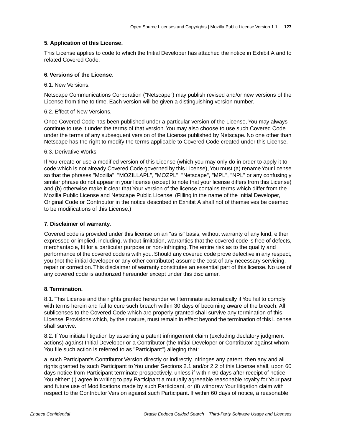## **5. Application of this License.**

This License applies to code to which the Initial Developer has attached the notice in Exhibit A and to related Covered Code.

### **6.Versions of the License.**

### 6.1. New Versions.

Netscape Communications Corporation ("Netscape") may publish revised and/or new versions of the License from time to time. Each version will be given a distinguishing version number.

### 6.2. Effect of New Versions.

Once Covered Code has been published under a particular version of the License, You may always continue to use it under the terms of that version. You may also choose to use such Covered Code under the terms of any subsequent version of the License published by Netscape. No one other than Netscape has the right to modify the terms applicable to Covered Code created under this License.

### 6.3. Derivative Works.

If You create or use a modified version of this License (which you may only do in order to apply it to code which is not already Covered Code governed by this License), You must (a) rename Your license so that the phrases "Mozilla", "MOZILLAPL", "MOZPL", "Netscape", "MPL", "NPL" or any confusingly similar phrase do not appear in your license (except to note that your license differs from this License) and (b) otherwise make it clear that Your version of the license contains terms which differ from the Mozilla Public License and Netscape Public License. (Filling in the name of the Initial Developer, Original Code or Contributor in the notice described in Exhibit A shall not of themselves be deemed to be modifications of this License.)

### **7. Disclaimer of warranty.**

Covered code is provided under this license on an "as is" basis, without warranty of any kind, either expressed or implied, including, without limitation, warranties that the covered code is free of defects, merchantable, fit for a particular purpose or non-infringing. The entire risk as to the quality and performance of the covered code is with you. Should any covered code prove defective in any respect, you (not the initial developer or any other contributor) assume the cost of any necessary servicing, repair or correction. This disclaimer of warranty constitutes an essential part of this license. No use of any covered code is authorized hereunder except under this disclaimer.

## **8.Termination.**

8.1. This License and the rights granted hereunder will terminate automatically if You fail to comply with terms herein and fail to cure such breach within 30 days of becoming aware of the breach. All sublicenses to the Covered Code which are properly granted shall survive any termination of this License. Provisions which, by their nature, must remain in effect beyond the termination of this License shall survive.

8.2. If You initiate litigation by asserting a patent infringement claim (excluding declatory judgment actions) against Initial Developer or a Contributor (the Initial Developer or Contributor against whom You file such action is referred to as "Participant") alleging that:

a. such Participant's Contributor Version directly or indirectly infringes any patent, then any and all rights granted by such Participant to You under Sections 2.1 and/or 2.2 of this License shall, upon 60 days notice from Participant terminate prospectively, unless if within 60 days after receipt of notice You either: (i) agree in writing to pay Participant a mutually agreeable reasonable royalty for Your past and future use of Modifications made by such Participant, or (ii) withdraw Your litigation claim with respect to the Contributor Version against such Participant. If within 60 days of notice, a reasonable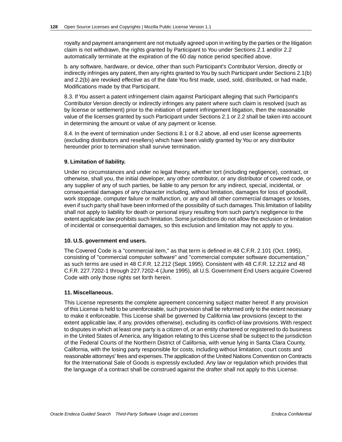royalty and payment arrangement are not mutually agreed upon in writing by the parties or the litigation claim is not withdrawn, the rights granted by Participant to You under Sections 2.1 and/or 2.2 automatically terminate at the expiration of the 60 day notice period specified above.

b. any software, hardware, or device, other than such Participant's Contributor Version, directly or indirectly infringes any patent, then any rights granted to You by such Participant under Sections 2.1(b) and 2.2(b) are revoked effective as of the date You first made, used, sold, distributed, or had made, Modifications made by that Participant.

8.3. If You assert a patent infringement claim against Participant alleging that such Participant's Contributor Version directly or indirectly infringes any patent where such claim is resolved (such as by license or settlement) prior to the initiation of patent infringement litigation, then the reasonable value of the licenses granted by such Participant under Sections 2.1 or 2.2 shall be taken into account in determining the amount or value of any payment or license.

8.4. In the event of termination under Sections 8.1 or 8.2 above, all end user license agreements (excluding distributors and resellers) which have been validly granted by You or any distributor hereunder prior to termination shall survive termination.

### **9. Limitation of liability.**

Under no circumstances and under no legal theory, whether tort (including negligence), contract, or otherwise, shall you, the initial developer, any other contributor, or any distributor of covered code, or any supplier of any of such parties, be liable to any person for any indirect, special, incidental, or consequential damages of any character including, without limitation, damages for loss of goodwill, work stoppage, computer failure or malfunction, or any and all other commercial damages or losses, even if such party shall have been informed of the possibility of such damages.This limitation of liability shall not apply to liability for death or personal injury resulting from such party's negligence to the extent applicable law prohibits such limitation. Some jurisdictions do not allow the exclusion or limitation of incidental or consequential damages, so this exclusion and limitation may not apply to you.

### **10. U.S. government end users.**

The Covered Code is a "commercial item," as that term is defined in 48 C.F.R. 2.101 (Oct. 1995), consisting of "commercial computer software" and "commercial computer software documentation," as such terms are used in 48 C.F.R. 12.212 (Sept. 1995). Consistent with 48 C.F.R. 12.212 and 48 C.F.R. 227.7202-1 through 227.7202-4 (June 1995), all U.S. Government End Users acquire Covered Code with only those rights set forth herein.

### **11. Miscellaneous.**

This License represents the complete agreement concerning subject matter hereof. If any provision of this License is held to be unenforceable, such provision shall be reformed only to the extent necessary to make it enforceable. This License shall be governed by California law provisions (except to the extent applicable law, if any, provides otherwise), excluding its conflict-of-law provisions. With respect to disputes in which at least one party is a citizen of, or an entity chartered or registered to do business in the United States of America, any litigation relating to this License shall be subject to the jurisdiction of the Federal Courts of the Northern District of California, with venue lying in Santa Clara County, California, with the losing party responsible for costs, including without limitation, court costs and reasonable attorneys' fees and expenses.The application of the United Nations Convention on Contracts for the International Sale of Goods is expressly excluded. Any law or regulation which provides that the language of a contract shall be construed against the drafter shall not apply to this License.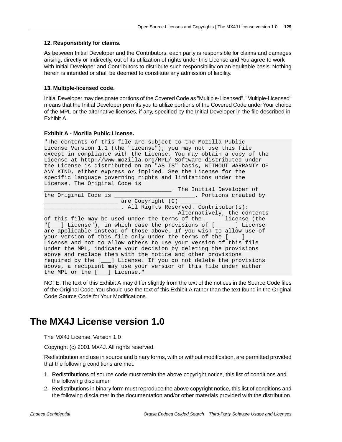#### **12. Responsibility for claims.**

As between Initial Developer and the Contributors, each party is responsible for claims and damages arising, directly or indirectly, out of its utilization of rights under this License and You agree to work with Initial Developer and Contributors to distribute such responsibility on an equitable basis. Nothing herein is intended or shall be deemed to constitute any admission of liability.

#### **13. Multiple-licensed code.**

Initial Developer may designate portions of the Covered Code as "Multiple-Licensed". "Multiple-Licensed" means that the Initial Developer permits you to utilize portions of the Covered Code under Your choice of the MPL or the alternative licenses, if any, specified by the Initial Developer in the file described in Exhibit A.

#### **Exhibit A - Mozilla Public License.**

"The contents of this file are subject to the Mozilla Public License Version 1.1 (the "License"); you may not use this file except in compliance with the License. You may obtain a copy of the License at http://www.mozilla.org/MPL/ Software distributed under the License is distributed on an "AS IS" basis, WITHOUT WARRANTY OF ANY KIND, either express or implied. See the License for the specific language governing rights and limitations under the License. The Original Code is

\_\_\_\_\_\_\_\_\_\_\_\_\_\_\_\_\_\_\_\_\_\_\_\_\_\_\_\_\_\_\_\_\_\_\_\_\_\_. The Initial Developer of the Original Code is \_\_\_\_\_\_\_\_\_\_\_\_\_\_\_\_\_\_\_\_\_\_\_\_. Portions created by \_\_\_\_\_\_\_\_\_\_\_\_\_\_\_\_\_\_\_\_\_\_ are Copyright (C) \_\_\_\_\_\_ \_\_\_\_\_\_\_\_\_\_\_\_\_\_\_\_\_\_\_\_\_\_\_. All Rights Reserved. Contributor(s): \_\_\_\_\_\_\_\_\_\_\_\_\_\_\_\_\_\_\_\_\_\_\_\_\_\_\_\_\_\_\_\_\_\_\_\_\_\_. Alternatively, the contents of this file may be used under the terms of the \_\_\_\_\_\_ license (the "[\_\_\_] License"), in which case the provisions of [\_\_\_\_\_\_] License are applicable instead of those above. If you wish to allow use of your version of this file only under the terms of the [\_\_\_\_] License and not to allow others to use your version of this file under the MPL, indicate your decision by deleting the provisions above and replace them with the notice and other provisions required by the [\_\_\_] License. If you do not delete the provisions above, a recipient may use your version of this file under either the MPL or the [\_\_\_] License."

NOTE:The text of this Exhibit A may differ slightly from the text of the notices in the Source Code files of the Original Code.You should use the text of this Exhibit A rather than the text found in the Original Code Source Code for Your Modifications.

## **The MX4J License version 1.0**

The MX4J License, Version 1.0

Copyright (c) 2001 MX4J. All rights reserved.

Redistribution and use in source and binary forms, with or without modification, are permitted provided that the following conditions are met:

- 1. Redistributions of source code must retain the above copyright notice, this list of conditions and the following disclaimer.
- 2. Redistributions in binary form must reproduce the above copyright notice, this list of conditions and the following disclaimer in the documentation and/or other materials provided with the distribution.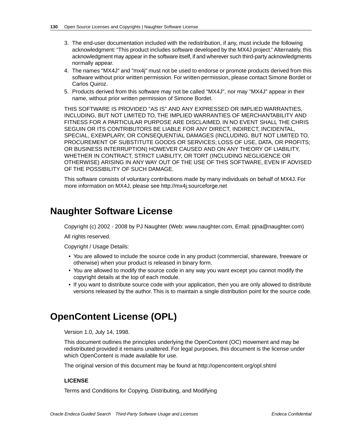- 3. The end-user documentation included with the redistribution, if any, must include the following acknowledgment: "This product includes software developed by the MX4J project." Alternately, this acknowledgment may appear in the software itself, if and wherever such third-party acknowledgments normally appear.
- 4. The names "MX4J" and "mx4j" must not be used to endorse or promote products derived from this software without prior written permission. For written permission, please contact Simone Bordet or Carlos Quiroz.
- 5. Products derived from this software may not be called "MX4J", nor may "MX4J" appear in their name, without prior written permission of Simone Bordet.

THIS SOFTWARE IS PROVIDED "AS IS" AND ANY EXPRESSED OR IMPLIED WARRANTIES, INCLUDING, BUT NOT LIMITED TO, THE IMPLIED WARRANTIES OF MERCHANTABILITY AND FITNESS FOR A PARTICULAR PURPOSE ARE DISCLAIMED. IN NO EVENT SHALL THE CHRIS SEGUIN OR ITS CONTRIBUTORS BE LIABLE FOR ANY DIRECT, INDIRECT, INCIDENTAL, SPECIAL, EXEMPLARY, OR CONSEQUENTIAL DAMAGES (INCLUDING, BUT NOT LIMITED TO, PROCUREMENT OF SUBSTITUTE GOODS OR SERVICES; LOSS OF USE, DATA, OR PROFITS; OR BUSINESS INTERRUPTION) HOWEVER CAUSED AND ON ANY THEORY OF LIABILITY, WHETHER IN CONTRACT, STRICT LIABILITY, OR TORT (INCLUDING NEGLIGENCE OR OTHERWISE) ARISING IN ANY WAY OUT OF THE USE OF THIS SOFTWARE, EVEN IF ADVISED OF THE POSSIBILITY OF SUCH DAMAGE.

This software consists of voluntary contributions made by many individuals on behalf of MX4J. For more information on MX4J, please see http://mx4j.sourceforge.net

## **Naughter Software License**

Copyright (c) 2002 - 2008 by PJ Naughter (Web: www.naughter.com, Email: pjna@naughter.com)

All rights reserved.

Copyright / Usage Details:

- You are allowed to include the source code in any product (commercial, shareware, freeware or otherwise) when your product is released in binary form.
- You are allowed to modify the source code in any way you want except you cannot modify the copyright details at the top of each module.
- If you want to distribute source code with your application, then you are only allowed to distribute versions released by the author. This is to maintain a single distribution point for the source code.

# **OpenContent License (OPL)**

Version 1.0, July 14, 1998.

This document outlines the principles underlying the OpenContent (OC) movement and may be redistributed provided it remains unaltered. For legal purposes, this document is the license under which OpenContent is made available for use.

The original version of this document may be found at http://opencontent.org/opl.shtml

## **LICENSE**

Terms and Conditions for Copying, Distributing, and Modifying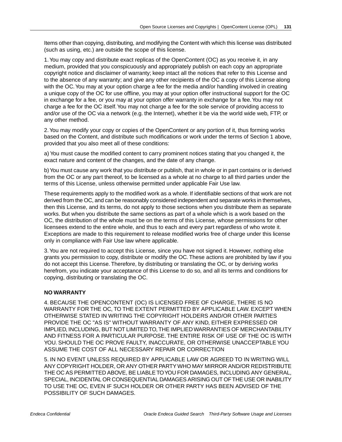Items other than copying, distributing, and modifying the Content with which this license was distributed (such as using, etc.) are outside the scope of this license.

1.You may copy and distribute exact replicas of the OpenContent (OC) as you receive it, in any medium, provided that you conspicuously and appropriately publish on each copy an appropriate copyright notice and disclaimer of warranty; keep intact all the notices that refer to this License and to the absence of any warranty; and give any other recipients of the OC a copy of this License along with the OC.You may at your option charge a fee for the media and/or handling involved in creating a unique copy of the OC for use offline, you may at your option offer instructional support for the OC in exchange for a fee, or you may at your option offer warranty in exchange for a fee.You may not charge a fee for the OC itself.You may not charge a fee for the sole service of providing access to and/or use of the OC via a network (e.g. the Internet), whether it be via the world wide web, FTP, or any other method.

2.You may modify your copy or copies of the OpenContent or any portion of it, thus forming works based on the Content, and distribute such modifications or work under the terms of Section 1 above, provided that you also meet all of these conditions:

a) You must cause the modified content to carry prominent notices stating that you changed it, the exact nature and content of the changes, and the date of any change.

b) You must cause any work that you distribute or publish, that in whole or in part contains or is derived from the OC or any part thereof, to be licensed as a whole at no charge to all third parties under the terms of this License, unless otherwise permitted under applicable Fair Use law.

These requirements apply to the modified work as a whole. If identifiable sections of that work are not derived from the OC, and can be reasonably considered independent and separate works in themselves, then this License, and its terms, do not apply to those sections when you distribute them as separate works. But when you distribute the same sections as part of a whole which is a work based on the OC, the distribution of the whole must be on the terms of this License, whose permissions for other licensees extend to the entire whole, and thus to each and every part regardless of who wrote it. Exceptions are made to this requirement to release modified works free of charge under this license only in compliance with Fair Use law where applicable.

3.You are not required to accept this License, since you have not signed it. However, nothing else grants you permission to copy, distribute or modify the OC. These actions are prohibited by law if you do not accept this License. Therefore, by distributing or translating the OC, or by deriving works herefrom, you indicate your acceptance of this License to do so, and all its terms and conditions for copying, distributing or translating the OC.

### **NO WARRANTY**

4. BECAUSE THE OPENCONTENT (OC) IS LICENSED FREE OF CHARGE, THERE IS NO WARRANTY FOR THE OC, TO THE EXTENT PERMITTED BY APPLICABLE LAW. EXCEPT WHEN OTHERWISE STATED IN WRITING THE COPYRIGHT HOLDERS AND/OR OTHER PARTIES PROVIDE THE OC "AS IS" WITHOUT WARRANTY OF ANY KIND, EITHER EXPRESSED OR IMPLIED, INCLUDING, BUT NOT LIMITED TO, THE IMPLIED WARRANTIES OF MERCHANTABILITY AND FITNESS FOR A PARTICULAR PURPOSE. THE ENTIRE RISK OF USE OF THE OC IS WITH YOU. SHOULD THE OC PROVE FAULTY, INACCURATE, OR OTHERWISE UNACCEPTABLE YOU ASSUME THE COST OF ALL NECESSARY REPAIR OR CORRECTION

5. IN NO EVENT UNLESS REQUIRED BY APPLICABLE LAW OR AGREED TO IN WRITING WILL ANY COPYRIGHT HOLDER, OR ANY OTHER PARTY WHO MAY MIRROR AND/OR REDISTRIBUTE THE OC AS PERMITTED ABOVE, BE LIABLE TO YOU FOR DAMAGES, INCLUDING ANY GENERAL, SPECIAL, INCIDENTAL OR CONSEQUENTIAL DAMAGES ARISING OUT OF THE USE OR INABILITY TO USE THE OC, EVEN IF SUCH HOLDER OR OTHER PARTY HAS BEEN ADVISED OF THE POSSIBILITY OF SUCH DAMAGES.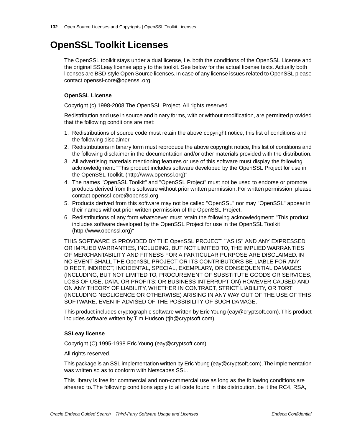# **OpenSSL Toolkit Licenses**

The OpenSSL toolkit stays under a dual license, i.e. both the conditions of the OpenSSL License and the original SSLeay license apply to the toolkit. See below for the actual license texts. Actually both licenses are BSD-style Open Source licenses. In case of any license issues related to OpenSSL please contact openssl-core@openssl.org.

## **OpenSSL License**

Copyright (c) 1998-2008 The OpenSSL Project. All rights reserved.

Redistribution and use in source and binary forms, with or without modification, are permitted provided that the following conditions are met:

- 1. Redistributions of source code must retain the above copyright notice, this list of conditions and the following disclaimer.
- 2. Redistributions in binary form must reproduce the above copyright notice, this list of conditions and the following disclaimer in the documentation and/or other materials provided with the distribution.
- 3. All advertising materials mentioning features or use of this software must display the following acknowledgment: "This product includes software developed by the OpenSSL Project for use in the OpenSSL Toolkit. (http://www.openssl.org)"
- 4. The names "OpenSSL Toolkit" and "OpenSSL Project" must not be used to endorse or promote products derived from this software without prior written permission. For written permission, please contact openssl-core@openssl.org.
- 5. Products derived from this software may not be called "OpenSSL" nor may "OpenSSL" appear in their names without prior written permission of the OpenSSL Project.
- 6. Redistributions of any form whatsoever must retain the following acknowledgment: "This product includes software developed by the OpenSSL Project for use in the OpenSSL Toolkit (http://www.openssl.org)"

THIS SOFTWARE IS PROVIDED BY THE OpenSSL PROJECT ``AS IS'' AND ANY EXPRESSED OR IMPLIED WARRANTIES, INCLUDING, BUT NOT LIMITED TO, THE IMPLIED WARRANTIES OF MERCHANTABILITY AND FITNESS FOR A PARTICULAR PURPOSE ARE DISCLAIMED. IN NO EVENT SHALL THE OpenSSL PROJECT OR ITS CONTRIBUTORS BE LIABLE FOR ANY DIRECT, INDIRECT, INCIDENTAL, SPECIAL, EXEMPLARY, OR CONSEQUENTIAL DAMAGES (INCLUDING, BUT NOT LIMITED TO, PROCUREMENT OF SUBSTITUTE GOODS OR SERVICES; LOSS OF USE, DATA, OR PROFITS; OR BUSINESS INTERRUPTION) HOWEVER CAUSED AND ON ANY THEORY OF LIABILITY, WHETHER IN CONTRACT, STRICT LIABILITY, OR TORT (INCLUDING NEGLIGENCE OR OTHERWISE) ARISING IN ANY WAY OUT OF THE USE OF THIS SOFTWARE, EVEN IF ADVISED OF THE POSSIBILITY OF SUCH DAMAGE.

This product includes cryptographic software written by Eric Young (eay@cryptsoft.com).This product includes software written by Tim Hudson (tjh@cryptsoft.com).

## **SSLeay license**

Copyright (C) 1995-1998 Eric Young (eay@cryptsoft.com)

All rights reserved.

This package is an SSL implementation written by Eric Young (eay@cryptsoft.com).The implementation was written so as to conform with Netscapes SSL.

This library is free for commercial and non-commercial use as long as the following conditions are aheared to. The following conditions apply to all code found in this distribution, be it the RC4, RSA,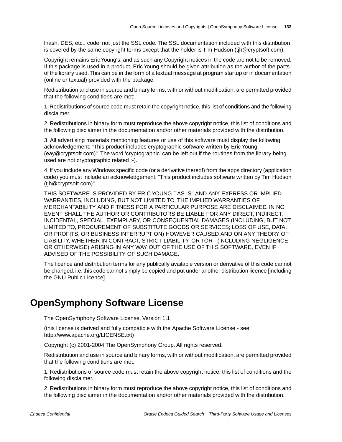lhash, DES, etc., code; not just the SSL code. The SSL documentation included with this distribution is covered by the same copyright terms except that the holder is Tim Hudson (tjh@cryptsoft.com).

Copyright remains Eric Young's, and as such any Copyright notices in the code are not to be removed. If this package is used in a product, Eric Young should be given attribution as the author of the parts of the library used.This can be in the form of a textual message at program startup or in documentation (online or textual) provided with the package.

Redistribution and use in source and binary forms, with or without modification, are permitted provided that the following conditions are met:

1. Redistributions of source code must retain the copyright notice, this list of conditions and the following disclaimer.

2. Redistributions in binary form must reproduce the above copyright notice, this list of conditions and the following disclaimer in the documentation and/or other materials provided with the distribution.

3. All advertising materials mentioning features or use of this software must display the following acknowledgement: "This product includes cryptographic software written by Eric Young (eay@cryptsoft.com)". The word 'cryptographic' can be left out if the routines from the library being used are not cryptographic related :-).

4. If you include any Windows specific code (or a derivative thereof) from the apps directory (application code) you must include an acknowledgement: "This product includes software written by Tim Hudson (tjh@cryptsoft.com)"

THIS SOFTWARE IS PROVIDED BY ERIC YOUNG ``AS IS'' AND ANY EXPRESS OR IMPLIED WARRANTIES, INCLUDING, BUT NOT LIMITED TO, THE IMPLIED WARRANTIES OF MERCHANTABILITY AND FITNESS FOR A PARTICULAR PURPOSE ARE DISCLAIMED. IN NO EVENT SHALL THE AUTHOR OR CONTRIBUTORS BE LIABLE FOR ANY DIRECT, INDIRECT, INCIDENTAL, SPECIAL, EXEMPLARY, OR CONSEQUENTIAL DAMAGES (INCLUDING, BUT NOT LIMITED TO, PROCUREMENT OF SUBSTITUTE GOODS OR SERVICES; LOSS OF USE, DATA, OR PROFITS; OR BUSINESS INTERRUPTION) HOWEVER CAUSED AND ON ANY THEORY OF LIABILITY, WHETHER IN CONTRACT, STRICT LIABILITY, OR TORT (INCLUDING NEGLIGENCE OR OTHERWISE) ARISING IN ANY WAY OUT OF THE USE OF THIS SOFTWARE, EVEN IF ADVISED OF THE POSSIBILITY OF SUCH DAMAGE.

The licence and distribution terms for any publically available version or derivative of this code cannot be changed. i.e. this code cannot simply be copied and put under another distribution licence [including the GNU Public Licence].

# **OpenSymphony Software License**

The OpenSymphony Software License, Version 1.1

(this license is derived and fully compatible with the Apache Software License - see http://www.apache.org/LICENSE.txt)

Copyright (c) 2001-2004 The OpenSymphony Group. All rights reserved.

Redistribution and use in source and binary forms, with or without modification, are permitted provided that the following conditions are met:

1. Redistributions of source code must retain the above copyright notice, this list of conditions and the following disclaimer.

2. Redistributions in binary form must reproduce the above copyright notice, this list of conditions and the following disclaimer in the documentation and/or other materials provided with the distribution.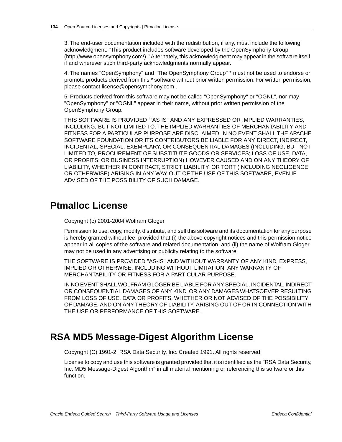3. The end-user documentation included with the redistribution, if any, must include the following acknowledgment: "This product includes software developed by the OpenSymphony Group (http://www.opensymphony.com/)." Alternately, this acknowledgment may appear in the software itself, if and wherever such third-party acknowledgments normally appear.

4. The names "OpenSymphony" and "The OpenSymphony Group" \* must not be used to endorse or promote products derived from this \* software without prior written permission. For written permission, please contact license@opensymphony.com .

5. Products derived from this software may not be called "OpenSymphony" or "OGNL", nor may "OpenSymphony" or "OGNL" appear in their name, without prior written permission of the OpenSymphony Group.

THIS SOFTWARE IS PROVIDED ``AS IS'' AND ANY EXPRESSED OR IMPLIED WARRANTIES, INCLUDING, BUT NOT LIMITED TO, THE IMPLIED WARRANTIES OF MERCHANTABILITY AND FITNESS FOR A PARTICULAR PURPOSE ARE DISCLAIMED. IN NO EVENT SHALL THE APACHE SOFTWARE FOUNDATION OR ITS CONTRIBUTORS BE LIABLE FOR ANY DIRECT, INDIRECT, INCIDENTAL, SPECIAL, EXEMPLARY, OR CONSEQUENTIAL DAMAGES (INCLUDING, BUT NOT LIMITED TO, PROCUREMENT OF SUBSTITUTE GOODS OR SERVICES; LOSS OF USE, DATA, OR PROFITS; OR BUSINESS INTERRUPTION) HOWEVER CAUSED AND ON ANY THEORY OF LIABILITY, WHETHER IN CONTRACT, STRICT LIABILITY, OR TORT (INCLUDING NEGLIGENCE OR OTHERWISE) ARISING IN ANY WAY OUT OF THE USE OF THIS SOFTWARE, EVEN IF ADVISED OF THE POSSIBILITY OF SUCH DAMAGE.

## **Ptmalloc License**

Copyright (c) 2001-2004 Wolfram Gloger

Permission to use, copy, modify, distribute, and sell this software and its documentation for any purpose is hereby granted without fee, provided that (i) the above copyright notices and this permission notice appear in all copies of the software and related documentation, and (ii) the name of Wolfram Gloger may not be used in any advertising or publicity relating to the software.

THE SOFTWARE IS PROVIDED "AS-IS" AND WITHOUT WARRANTY OF ANY KIND, EXPRESS, IMPLIED OR OTHERWISE, INCLUDING WITHOUT LIMITATION, ANY WARRANTY OF MERCHANTABILITY OR FITNESS FOR A PARTICULAR PURPOSE.

IN NO EVENT SHALL WOLFRAM GLOGER BE LIABLE FOR ANY SPECIAL, INCIDENTAL, INDIRECT OR CONSEQUENTIAL DAMAGES OF ANY KIND, OR ANY DAMAGES WHATSOEVER RESULTING FROM LOSS OF USE, DATA OR PROFITS, WHETHER OR NOT ADVISED OF THE POSSIBILITY OF DAMAGE, AND ON ANY THEORY OF LIABILITY, ARISING OUT OF OR IN CONNECTION WITH THE USE OR PERFORMANCE OF THIS SOFTWARE.

## **RSA MD5 Message-Digest Algorithm License**

Copyright (C) 1991-2, RSA Data Security, Inc. Created 1991. All rights reserved.

License to copy and use this software is granted provided that it is identified as the "RSA Data Security, Inc. MD5 Message-Digest Algorithm" in all material mentioning or referencing this software or this function.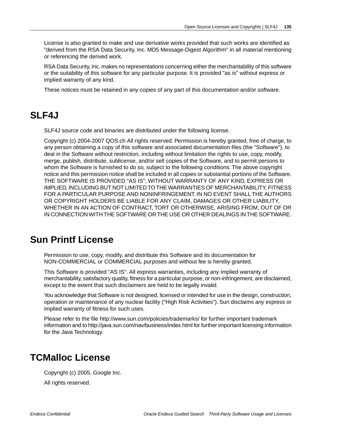License is also granted to make and use derivative works provided that such works are identified as "derived from the RSA Data Security, Inc. MD5 Message-Digest Algorithm" in all material mentioning or referencing the derived work.

RSA Data Security, Inc. makes no representations concerning either the merchantability of this software or the suitability of this software for any particular purpose. It is provided "as is" without express or implied warranty of any kind.

These notices must be retained in any copies of any part of this documentation and/or software.

# **SLF4J**

SLF4J source code and binaries are distributed under the following license.

Copyright (c) 2004-2007 QOS.ch All rights reserved. Permission is hereby granted, free of charge, to any person obtaining a copy of this software and associated documentation files (the "Software"), to deal in the Software without restriction, including without limitation the rights to use, copy, modify, merge, publish, distribute, sublicense, and/or sell copies of the Software, and to permit persons to whom the Software is furnished to do so, subject to the following conditions: The above copyright notice and this permission notice shall be included in all copies or substantial portions of the Software. THE SOFTWARE IS PROVIDED "AS IS", WITHOUT WARRANTY OF ANY KIND, EXPRESS OR IMPLIED, INCLUDING BUT NOT LIMITED TO THE WARRANTIES OF MERCHANTABILITY, FITNESS FOR A PARTICULAR PURPOSE AND NONINFRINGEMENT. IN NO EVENT SHALL THE AUTHORS OR COPYRIGHT HOLDERS BE LIABLE FOR ANY CLAIM, DAMAGES OR OTHER LIABILITY, WHETHER IN AN ACTION OF CONTRACT, TORT OR OTHERWISE, ARISING FROM, OUT OF OR IN CONNECTION WITH THE SOFTWARE OR THE USE OR OTHER DEALINGS IN THE SOFTWARE.

## **Sun Printf License**

Permission to use, copy, modify, and distribute this Software and its documentation for NON-COMMERCIAL or COMMERCIAL purposes and without fee is hereby granted.

This Software is provided "AS IS". All express warranties, including any implied warranty of merchantability, satisfactory quality, fitness for a particular purpose, or non-infringement, are disclaimed, except to the extent that such disclaimers are held to be legally invalid.

You acknowledge that Software is not designed, licensed or intended for use in the design, construction, operation or maintenance of any nuclear facility ("High Risk Activities"). Sun disclaims any express or implied warranty of fitness for such uses.

Please refer to the file http://www.sun.com/policies/trademarks/ for further important trademark information and to http://java.sun.com/nav/business/index.html for further important licensing information for the Java Technology.

## **TCMalloc License**

Copyright (c) 2005, Google Inc. All rights reserved.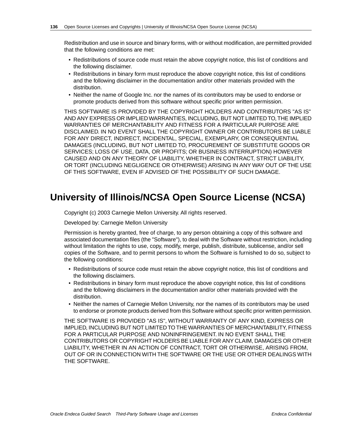Redistribution and use in source and binary forms, with or without modification, are permitted provided that the following conditions are met:

- Redistributions of source code must retain the above copyright notice, this list of conditions and the following disclaimer.
- Redistributions in binary form must reproduce the above copyright notice, this list of conditions and the following disclaimer in the documentation and/or other materials provided with the distribution.
- Neither the name of Google Inc. nor the names of its contributors may be used to endorse or promote products derived from this software without specific prior written permission.

THIS SOFTWARE IS PROVIDED BY THE COPYRIGHT HOLDERS AND CONTRIBUTORS "AS IS" AND ANY EXPRESS OR IMPLIED WARRANTIES, INCLUDING, BUT NOT LIMITED TO, THE IMPLIED WARRANTIES OF MERCHANTABILITY AND FITNESS FOR A PARTICULAR PURPOSE ARE DISCLAIMED. IN NO EVENT SHALL THE COPYRIGHT OWNER OR CONTRIBUTORS BE LIABLE FOR ANY DIRECT, INDIRECT, INCIDENTAL, SPECIAL, EXEMPLARY, OR CONSEQUENTIAL DAMAGES (INCLUDING, BUT NOT LIMITED TO, PROCUREMENT OF SUBSTITUTE GOODS OR SERVICES; LOSS OF USE, DATA, OR PROFITS; OR BUSINESS INTERRUPTION) HOWEVER CAUSED AND ON ANY THEORY OF LIABILITY, WHETHER IN CONTRACT, STRICT LIABILITY, OR TORT (INCLUDING NEGLIGENCE OR OTHERWISE) ARISING IN ANY WAY OUT OF THE USE OF THIS SOFTWARE, EVEN IF ADVISED OF THE POSSIBILITY OF SUCH DAMAGE.

## **University of Illinois/NCSA Open Source License (NCSA)**

Copyright (c) 2003 Carnegie Mellon University. All rights reserved.

Developed by: Carnegie Mellon University

Permission is hereby granted, free of charge, to any person obtaining a copy of this software and associated documentation files (the "Software"), to deal with the Software without restriction, including without limitation the rights to use, copy, modify, merge, publish, distribute, sublicense, and/or sell copies of the Software, and to permit persons to whom the Software is furnished to do so, subject to the following conditions:

- Redistributions of source code must retain the above copyright notice, this list of conditions and the following disclaimers.
- Redistributions in binary form must reproduce the above copyright notice, this list of conditions and the following disclaimers in the documentation and/or other materials provided with the distribution.
- Neither the names of Carnegie Mellon University, nor the names of its contributors may be used to endorse or promote products derived from this Software without specific prior written permission.

THE SOFTWARE IS PROVIDED "AS IS", WITHOUT WARRANTY OF ANY KIND, EXPRESS OR IMPLIED, INCLUDING BUT NOT LIMITED TO THE WARRANTIES OF MERCHANTABILITY, FITNESS FOR A PARTICULAR PURPOSE AND NONINFRINGEMENT. IN NO EVENT SHALL THE CONTRIBUTORS OR COPYRIGHT HOLDERS BE LIABLE FOR ANY CLAIM, DAMAGES OR OTHER LIABILITY, WHETHER IN AN ACTION OF CONTRACT, TORT OR OTHERWISE, ARISING FROM, OUT OF OR IN CONNECTION WITH THE SOFTWARE OR THE USE OR OTHER DEALINGS WITH THE SOFTWARE.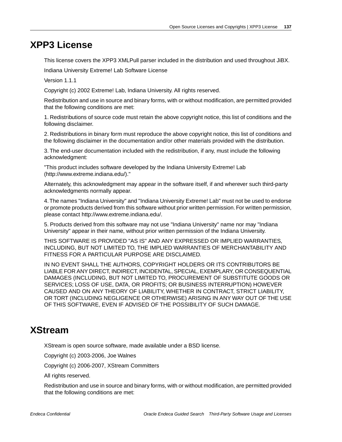## **XPP3 License**

This license covers the XPP3 XMLPull parser included in the distribution and used throughout JiBX.

Indiana University Extreme! Lab Software License

Version 1.1.1

Copyright (c) 2002 Extreme! Lab, Indiana University. All rights reserved.

Redistribution and use in source and binary forms, with or without modification, are permitted provided that the following conditions are met:

1. Redistributions of source code must retain the above copyright notice, this list of conditions and the following disclaimer.

2. Redistributions in binary form must reproduce the above copyright notice, this list of conditions and the following disclaimer in the documentation and/or other materials provided with the distribution.

3. The end-user documentation included with the redistribution, if any, must include the following acknowledgment:

"This product includes software developed by the Indiana University Extreme! Lab (http://www.extreme.indiana.edu/)."

Alternately, this acknowledgment may appear in the software itself, if and wherever such third-party acknowledgments normally appear.

4.The names "Indiana University" and "Indiana University Extreme! Lab" must not be used to endorse or promote products derived from this software without prior written permission. For written permission, please contact http://www.extreme.indiana.edu/.

5. Products derived from this software may not use "Indiana University" name nor may "Indiana University" appear in their name, without prior written permission of the Indiana University.

THIS SOFTWARE IS PROVIDED "AS IS" AND ANY EXPRESSED OR IMPLIED WARRANTIES, INCLUDING, BUT NOT LIMITED TO, THE IMPLIED WARRANTIES OF MERCHANTABILITY AND FITNESS FOR A PARTICULAR PURPOSE ARE DISCLAIMED.

IN NO EVENT SHALL THE AUTHORS, COPYRIGHT HOLDERS OR ITS CONTRIBUTORS BE LIABLE FOR ANY DIRECT, INDIRECT, INCIDENTAL, SPECIAL, EXEMPLARY, OR CONSEQUENTIAL DAMAGES (INCLUDING, BUT NOT LIMITED TO, PROCUREMENT OF SUBSTITUTE GOODS OR SERVICES; LOSS OF USE, DATA, OR PROFITS; OR BUSINESS INTERRUPTION) HOWEVER CAUSED AND ON ANY THEORY OF LIABILITY, WHETHER IN CONTRACT, STRICT LIABILITY, OR TORT (INCLUDING NEGLIGENCE OR OTHERWISE) ARISING IN ANY WAY OUT OF THE USE OF THIS SOFTWARE, EVEN IF ADVISED OF THE POSSIBILITY OF SUCH DAMAGE.

## **XStream**

XStream is open source software, made available under a BSD license.

Copyright (c) 2003-2006, Joe Walnes

Copyright (c) 2006-2007, XStream Committers

All rights reserved.

Redistribution and use in source and binary forms, with or without modification, are permitted provided that the following conditions are met: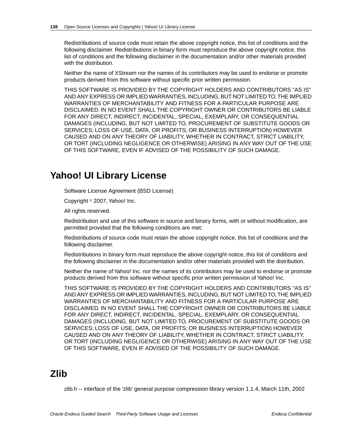Redistributions of source code must retain the above copyright notice, this list of conditions and the following disclaimer. Redistributions in binary form must reproduce the above copyright notice, this list of conditions and the following disclaimer in the documentation and/or other materials provided with the distribution.

Neither the name of XStream nor the names of its contributors may be used to endorse or promote products derived from this software without specific prior written permission.

THIS SOFTWARE IS PROVIDED BY THE COPYRIGHT HOLDERS AND CONTRIBUTORS "AS IS" AND ANY EXPRESS OR IMPLIED WARRANTIES, INCLUDING, BUT NOT LIMITED TO, THE IMPLIED WARRANTIES OF MERCHANTABILITY AND FITNESS FOR A PARTICULAR PURPOSE ARE DISCLAIMED. IN NO EVENT SHALL THE COPYRIGHT OWNER OR CONTRIBUTORS BE LIABLE FOR ANY DIRECT, INDIRECT, INCIDENTAL, SPECIAL, EXEMPLARY, OR CONSEQUENTIAL DAMAGES (INCLUDING, BUT NOT LIMITED TO, PROCUREMENT OF SUBSTITUTE GOODS OR SERVICES; LOSS OF USE, DATA, OR PROFITS; OR BUSINESS INTERRUPTION) HOWEVER CAUSED AND ON ANY THEORY OF LIABILITY, WHETHER IN CONTRACT, STRICT LIABILITY, OR TORT (INCLUDING NEGLIGENCE OR OTHERWISE) ARISING IN ANY WAY OUT OF THE USE OF THIS SOFTWARE, EVEN IF ADVISED OF THE POSSIBILITY OF SUCH DAMAGE.

## **Yahoo! UI Library License**

Software License Agreement (BSD License)

Copyright © 2007, Yahoo! Inc.

All rights reserved.

Redistribution and use of this software in source and binary forms, with or without modification, are permitted provided that the following conditions are met:

Redistributions of source code must retain the above copyright notice, this list of conditions and the following disclaimer.

Redistributions in binary form must reproduce the above copyright notice, this list of conditions and the following disclaimer in the documentation and/or other materials provided with the distribution.

Neither the name of Yahoo! Inc. nor the names of its contributors may be used to endorse or promote products derived from this software without specific prior written permission of Yahoo! Inc.

THIS SOFTWARE IS PROVIDED BY THE COPYRIGHT HOLDERS AND CONTRIBUTORS "AS IS" AND ANY EXPRESS OR IMPLIED WARRANTIES, INCLUDING, BUT NOT LIMITED TO, THE IMPLIED WARRANTIES OF MERCHANTABILITY AND FITNESS FOR A PARTICULAR PURPOSE ARE DISCLAIMED. IN NO EVENT SHALL THE COPYRIGHT OWNER OR CONTRIBUTORS BE LIABLE FOR ANY DIRECT, INDIRECT, INCIDENTAL, SPECIAL, EXEMPLARY, OR CONSEQUENTIAL DAMAGES (INCLUDING, BUT NOT LIMITED TO, PROCUREMENT OF SUBSTITUTE GOODS OR SERVICES; LOSS OF USE, DATA, OR PROFITS; OR BUSINESS INTERRUPTION) HOWEVER CAUSED AND ON ANY THEORY OF LIABILITY, WHETHER IN CONTRACT, STRICT LIABILITY, OR TORT (INCLUDING NEGLIGENCE OR OTHERWISE) ARISING IN ANY WAY OUT OF THE USE OF THIS SOFTWARE, EVEN IF ADVISED OF THE POSSIBILITY OF SUCH DAMAGE.

## **Zlib**

zlib.h -- interface of the 'zlib' general purpose compression library version 1.1.4, March 11th, 2002